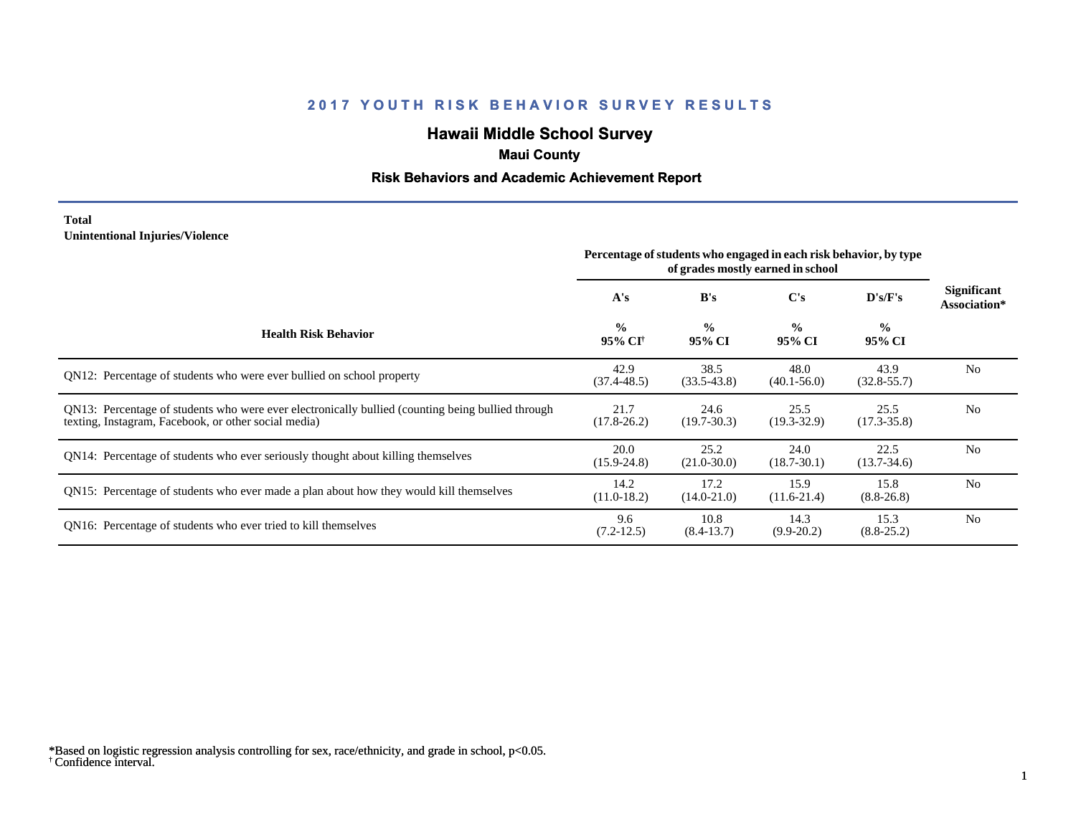# **Hawaii Middle School Survey**

# **Maui County**

## **Risk Behaviors and Academic Achievement Report**

### **Total Unintentional Injuries/Violence**

|                                                                                                                                                           | Percentage of students who engaged in each risk behavior, by type<br>of grades mostly earned in school |                         |                         |                         |                             |
|-----------------------------------------------------------------------------------------------------------------------------------------------------------|--------------------------------------------------------------------------------------------------------|-------------------------|-------------------------|-------------------------|-----------------------------|
|                                                                                                                                                           | A's                                                                                                    | B's                     | C's                     | D's/F's                 | Significant<br>Association* |
| <b>Health Risk Behavior</b>                                                                                                                               | $\frac{0}{0}$<br>95% CI <sup>+</sup>                                                                   | $\frac{0}{0}$<br>95% CI | $\frac{0}{0}$<br>95% CI | $\frac{0}{0}$<br>95% CI |                             |
| QN12: Percentage of students who were ever bullied on school property                                                                                     | 42.9<br>$(37.4 - 48.5)$                                                                                | 38.5<br>$(33.5-43.8)$   | 48.0<br>$(40.1 - 56.0)$ | 43.9<br>$(32.8 - 55.7)$ | N <sub>0</sub>              |
| QN13: Percentage of students who were ever electronically bullied (counting being bullied through<br>texting, Instagram, Facebook, or other social media) | 21.7<br>$(17.8 - 26.2)$                                                                                | 24.6<br>$(19.7-30.3)$   | 25.5<br>$(19.3 - 32.9)$ | 25.5<br>$(17.3 - 35.8)$ | N <sub>o</sub>              |
| QN14: Percentage of students who ever seriously thought about killing themselves                                                                          | 20.0<br>$(15.9 - 24.8)$                                                                                | 25.2<br>$(21.0 - 30.0)$ | 24.0<br>$(18.7 - 30.1)$ | 22.5<br>$(13.7 - 34.6)$ | N <sub>0</sub>              |
| QN15: Percentage of students who ever made a plan about how they would kill themselves                                                                    | 14.2<br>$(11.0-18.2)$                                                                                  | 17.2<br>$(14.0 - 21.0)$ | 15.9<br>$(11.6 - 21.4)$ | 15.8<br>$(8.8 - 26.8)$  | N <sub>0</sub>              |
| QN16: Percentage of students who ever tried to kill themselves                                                                                            | 9.6<br>$(7.2-12.5)$                                                                                    | 10.8<br>$(8.4-13.7)$    | 14.3<br>$(9.9-20.2)$    | 15.3<br>$(8.8 - 25.2)$  | N <sub>0</sub>              |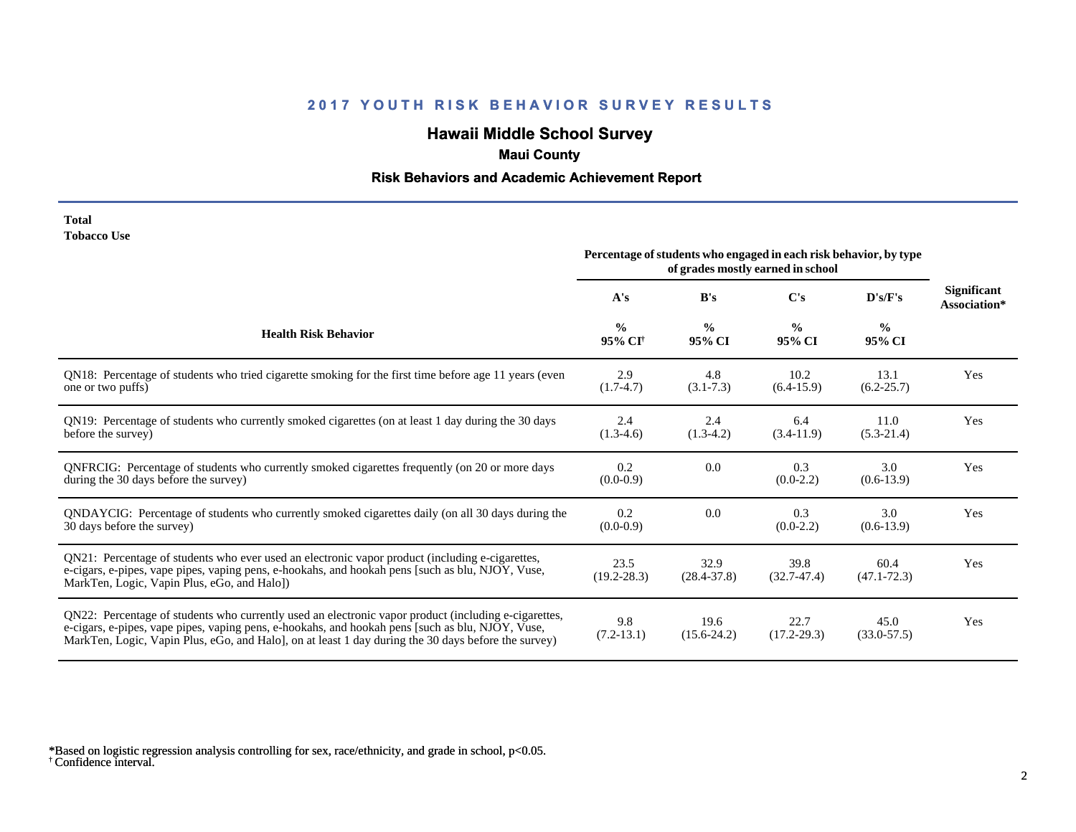# **Hawaii Middle School Survey**

# **Maui County**

## **Risk Behaviors and Academic Achievement Report**

#### **Total Tobacco Use**

|                                                                                                                                                                                                                                                                                                                 | Percentage of students who engaged in each risk behavior, by type<br>of grades mostly earned in school |                         |                         |                         |                                    |
|-----------------------------------------------------------------------------------------------------------------------------------------------------------------------------------------------------------------------------------------------------------------------------------------------------------------|--------------------------------------------------------------------------------------------------------|-------------------------|-------------------------|-------------------------|------------------------------------|
|                                                                                                                                                                                                                                                                                                                 | A's                                                                                                    | B's                     | C's                     | D's/F's                 | <b>Significant</b><br>Association* |
| <b>Health Risk Behavior</b>                                                                                                                                                                                                                                                                                     | $\frac{0}{0}$<br>95% CI <sup>+</sup>                                                                   | $\frac{0}{0}$<br>95% CI | $\frac{0}{0}$<br>95% CI | $\frac{0}{0}$<br>95% CI |                                    |
| QN18: Percentage of students who tried cigarette smoking for the first time before age 11 years (even<br>one or two puffs)                                                                                                                                                                                      | 2.9<br>$(1.7-4.7)$                                                                                     | 4.8<br>$(3.1 - 7.3)$    | 10.2<br>$(6.4-15.9)$    | 13.1<br>$(6.2 - 25.7)$  | Yes                                |
| QN19: Percentage of students who currently smoked cigarettes (on at least 1 day during the 30 days<br>before the survey)                                                                                                                                                                                        | 2.4<br>$(1.3-4.6)$                                                                                     | 2.4<br>$(1.3-4.2)$      | 6.4<br>$(3.4-11.9)$     | 11.0<br>$(5.3-21.4)$    | Yes                                |
| QNFRCIG: Percentage of students who currently smoked cigarettes frequently (on 20 or more days<br>during the 30 days before the survey)                                                                                                                                                                         | 0.2<br>$(0.0-0.9)$                                                                                     | 0.0                     | 0.3<br>$(0.0-2.2)$      | 3.0<br>$(0.6-13.9)$     | Yes                                |
| QNDAYCIG: Percentage of students who currently smoked cigarettes daily (on all 30 days during the<br>30 days before the survey)                                                                                                                                                                                 | 0.2<br>$(0.0-0.9)$                                                                                     | 0.0                     | 0.3<br>$(0.0-2.2)$      | 3.0<br>$(0.6-13.9)$     | Yes                                |
| QN21: Percentage of students who ever used an electronic vapor product (including e-cigarettes,<br>e-cigars, e-pipes, vape pipes, vaping pens, e-hookahs, and hookah pens [such as blu, NJOY, Vuse,<br>MarkTen, Logic, Vapin Plus, eGo, and Halo])                                                              | 23.5<br>$(19.2 - 28.3)$                                                                                | 32.9<br>$(28.4 - 37.8)$ | 39.8<br>$(32.7 - 47.4)$ | 60.4<br>$(47.1 - 72.3)$ | Yes                                |
| QN22: Percentage of students who currently used an electronic vapor product (including e-cigarettes,<br>e-cigars, e-pipes, vape pipes, vaping pens, e-hookahs, and hookah pens [such as blu, NJOY, Vuse,<br>MarkTen, Logic, Vapin Plus, eGo, and Halo], on at least 1 day during the 30 days before the survey) | 9.8<br>$(7.2 - 13.1)$                                                                                  | 19.6<br>$(15.6 - 24.2)$ | 22.7<br>$(17.2 - 29.3)$ | 45.0<br>$(33.0 - 57.5)$ | Yes                                |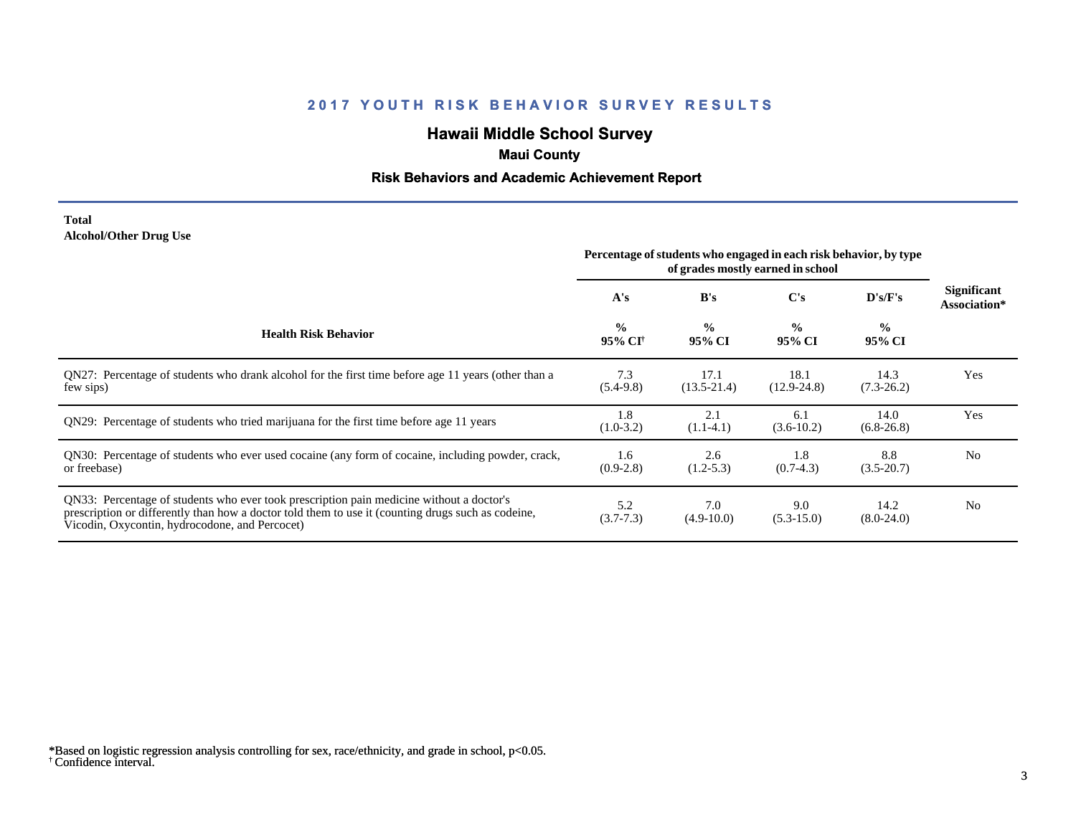# **Hawaii Middle School Survey**

# **Maui County**

## **Risk Behaviors and Academic Achievement Report**

### **Total Alcohol/Other Drug Use**

|                                                                                                                                                                                                                                                  | Percentage of students who engaged in each risk behavior, by type<br>of grades mostly earned in school |                         |                         |                         |                             |
|--------------------------------------------------------------------------------------------------------------------------------------------------------------------------------------------------------------------------------------------------|--------------------------------------------------------------------------------------------------------|-------------------------|-------------------------|-------------------------|-----------------------------|
|                                                                                                                                                                                                                                                  | A's                                                                                                    | B's                     | C's                     | D's/F's                 | Significant<br>Association* |
| <b>Health Risk Behavior</b>                                                                                                                                                                                                                      | $\frac{0}{0}$<br>95% CI <sup>+</sup>                                                                   | $\frac{0}{0}$<br>95% CI | $\frac{0}{0}$<br>95% CI | $\frac{0}{0}$<br>95% CI |                             |
| QN27: Percentage of students who drank alcohol for the first time before age 11 years (other than a<br>few sips)                                                                                                                                 | 7.3<br>$(5.4-9.8)$                                                                                     | 17.1<br>$(13.5 - 21.4)$ | 18.1<br>$(12.9 - 24.8)$ | 14.3<br>$(7.3-26.2)$    | Yes                         |
| QN29: Percentage of students who tried marijuana for the first time before age 11 years                                                                                                                                                          | 1.8<br>$(1.0-3.2)$                                                                                     | 2.1<br>$(1.1-4.1)$      | 6.1<br>$(3.6-10.2)$     | 14.0<br>$(6.8-26.8)$    | Yes                         |
| QN30: Percentage of students who ever used cocaine (any form of cocaine, including powder, crack,<br>or freebase)                                                                                                                                | 1.6<br>$(0.9-2.8)$                                                                                     | 2.6<br>$(1.2-5.3)$      | 1.8<br>$(0.7-4.3)$      | 8.8<br>$(3.5 - 20.7)$   | N <sub>0</sub>              |
| QN33: Percentage of students who ever took prescription pain medicine without a doctor's<br>prescription or differently than how a doctor told them to use it (counting drugs such as codeine,<br>Vicodin, Oxycontin, hydrocodone, and Percocet) | 5.2<br>$(3.7 - 7.3)$                                                                                   | 7.0<br>$(4.9-10.0)$     | 9.0<br>$(5.3 - 15.0)$   | 14.2<br>$(8.0-24.0)$    | N <sub>0</sub>              |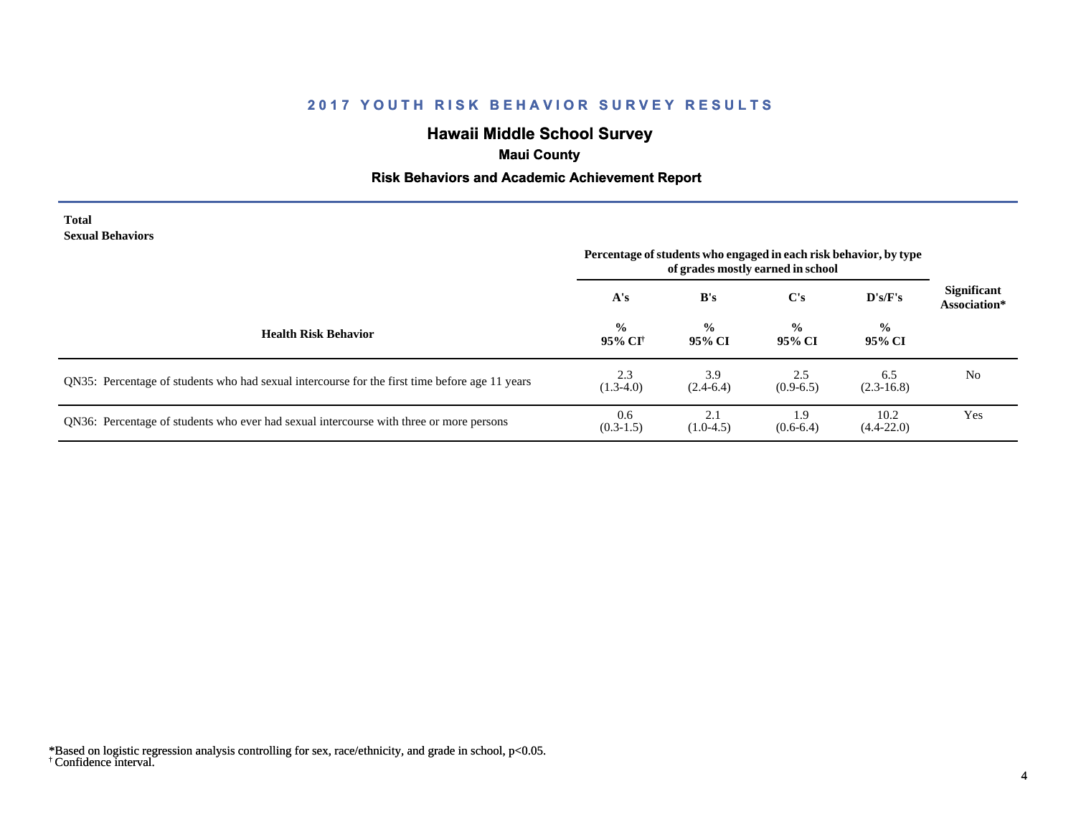# **Hawaii Middle School Survey**

# **Maui County**

## **Risk Behaviors and Academic Achievement Report**

#### **Total Sexual Behaviors**

|                                                                                                | Percentage of students who engaged in each risk behavior, by type<br>of grades mostly earned in school |                         |                         |                         |                                    |
|------------------------------------------------------------------------------------------------|--------------------------------------------------------------------------------------------------------|-------------------------|-------------------------|-------------------------|------------------------------------|
|                                                                                                | A's                                                                                                    | B's                     | C's                     | D's/F's                 | <b>Significant</b><br>Association* |
| <b>Health Risk Behavior</b>                                                                    | $\frac{0}{0}$<br>95% CI†                                                                               | $\frac{0}{0}$<br>95% CI | $\frac{6}{6}$<br>95% CI | $\frac{6}{6}$<br>95% CI |                                    |
| QN35: Percentage of students who had sexual intercourse for the first time before age 11 years | 2.3<br>$(1.3-4.0)$                                                                                     | 3.9<br>$(2.4-6.4)$      | 2.5<br>$(0.9-6.5)$      | 6.5<br>$(2.3-16.8)$     | N <sub>0</sub>                     |
| QN36: Percentage of students who ever had sexual intercourse with three or more persons        | 0.6<br>$(0.3-1.5)$                                                                                     | 2.1<br>$(1.0-4.5)$      | ر،<br>$(0.6-6.4)$       | 10.2<br>$(4.4 - 22.0)$  | Yes                                |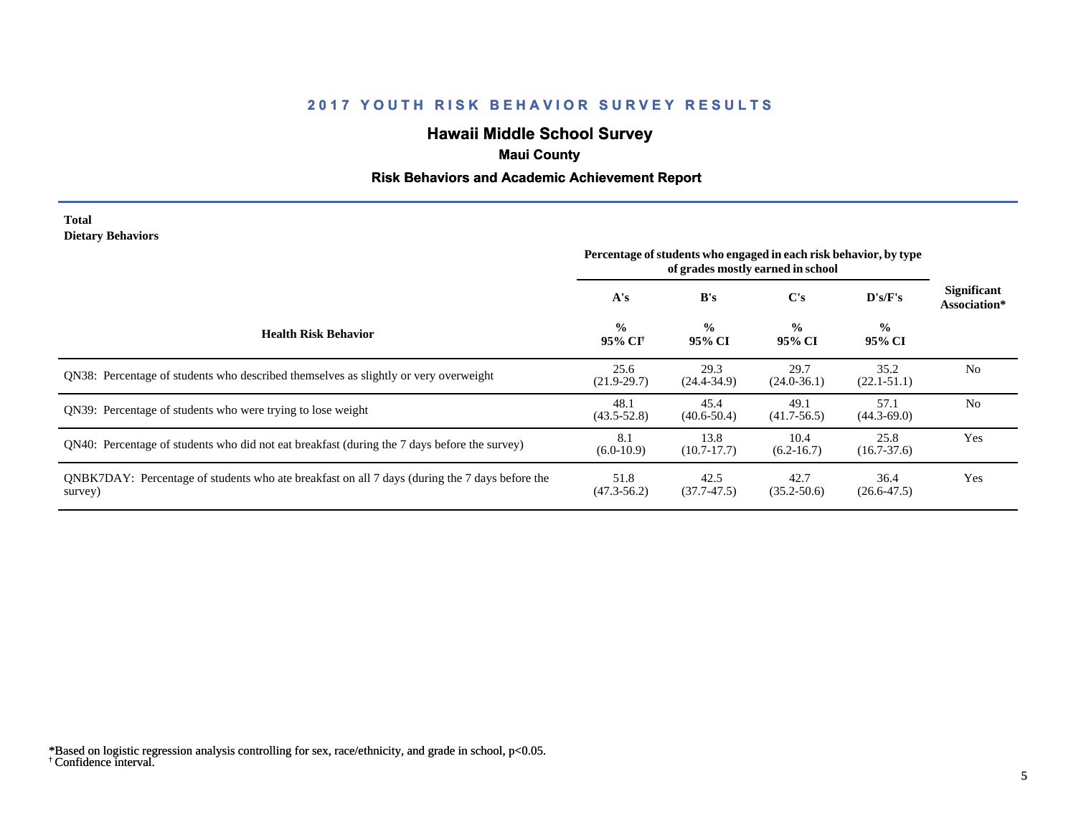# **Hawaii Middle School Survey**

# **Maui County**

## **Risk Behaviors and Academic Achievement Report**

### **Total Dietary Behaviors**

|                                                                                                           | Percentage of students who engaged in each risk behavior, by type<br>of grades mostly earned in school |                         |                         |                         |                                    |
|-----------------------------------------------------------------------------------------------------------|--------------------------------------------------------------------------------------------------------|-------------------------|-------------------------|-------------------------|------------------------------------|
|                                                                                                           | A's                                                                                                    | B's                     | C's                     | $\bf{D's/F's}$          | <b>Significant</b><br>Association* |
| <b>Health Risk Behavior</b>                                                                               | $\frac{0}{0}$<br>95% CI†                                                                               | $\frac{0}{0}$<br>95% CI | $\frac{0}{0}$<br>95% CI | $\frac{0}{0}$<br>95% CI |                                    |
| QN38: Percentage of students who described themselves as slightly or very overweight                      | 25.6<br>$(21.9-29.7)$                                                                                  | 29.3<br>$(24.4 - 34.9)$ | 29.7<br>$(24.0 - 36.1)$ | 35.2<br>$(22.1 - 51.1)$ | N <sub>0</sub>                     |
| ON39: Percentage of students who were trying to lose weight                                               | 48.1<br>$(43.5 - 52.8)$                                                                                | 45.4<br>$(40.6 - 50.4)$ | 49.1<br>$(41.7-56.5)$   | 57.1<br>$(44.3 - 69.0)$ | N <sub>0</sub>                     |
| QN40: Percentage of students who did not eat breakfast (during the 7 days before the survey)              | 8.1<br>$(6.0-10.9)$                                                                                    | 13.8<br>$(10.7-17.7)$   | 10.4<br>$(6.2 - 16.7)$  | 25.8<br>$(16.7 - 37.6)$ | Yes                                |
| QNBK7DAY: Percentage of students who ate breakfast on all 7 days (during the 7 days before the<br>survey) | 51.8<br>$(47.3 - 56.2)$                                                                                | 42.5<br>$(37.7-47.5)$   | 42.7<br>$(35.2 - 50.6)$ | 36.4<br>$(26.6 - 47.5)$ | Yes                                |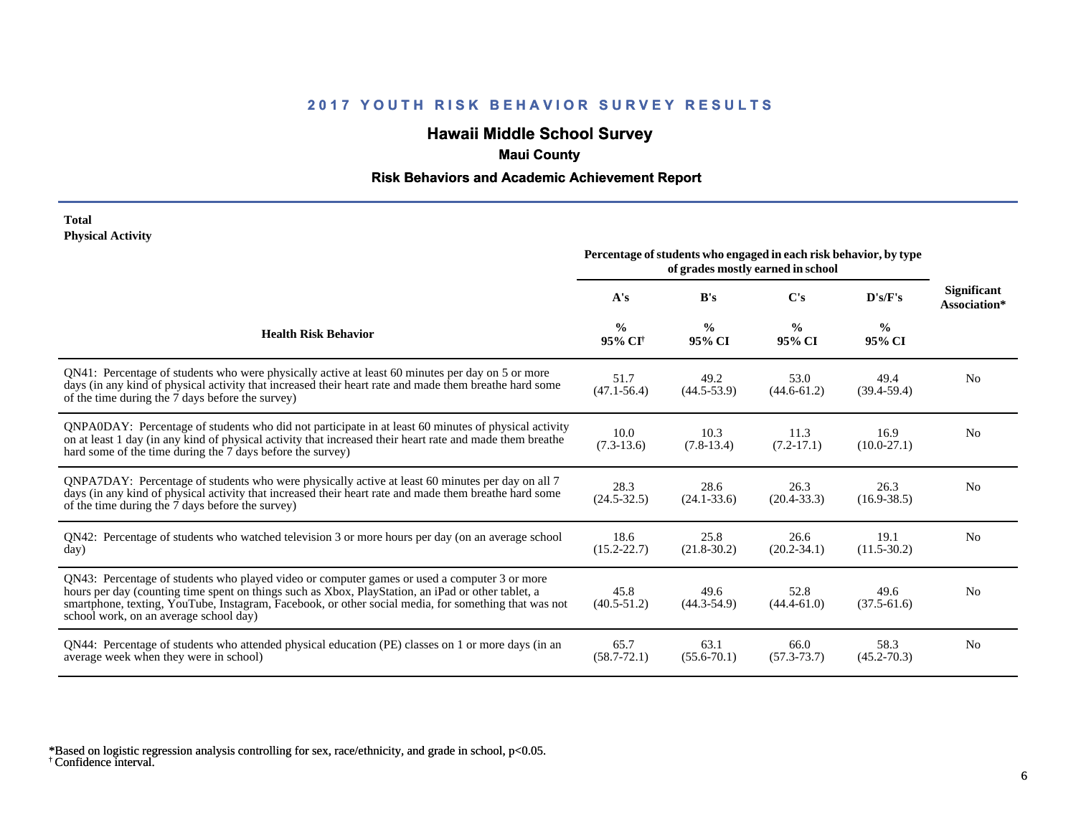# **Hawaii Middle School Survey**

# **Maui County**

## **Risk Behaviors and Academic Achievement Report**

### **Total Physical Activity**

|                                                                                                                                                                                                                                                                                                                                                      | Percentage of students who engaged in each risk behavior, by type<br>of grades mostly earned in school |                         |                         |                         |                                    |
|------------------------------------------------------------------------------------------------------------------------------------------------------------------------------------------------------------------------------------------------------------------------------------------------------------------------------------------------------|--------------------------------------------------------------------------------------------------------|-------------------------|-------------------------|-------------------------|------------------------------------|
|                                                                                                                                                                                                                                                                                                                                                      | A's                                                                                                    | B's                     | C's                     | D's/F's                 | <b>Significant</b><br>Association* |
| <b>Health Risk Behavior</b>                                                                                                                                                                                                                                                                                                                          | $\frac{0}{0}$<br>95% CI <sup>+</sup>                                                                   | $\frac{0}{0}$<br>95% CI | $\frac{0}{0}$<br>95% CI | $\frac{0}{0}$<br>95% CI |                                    |
| QN41: Percentage of students who were physically active at least 60 minutes per day on 5 or more<br>days (in any kind of physical activity that increased their heart rate and made them breathe hard some<br>of the time during the 7 days before the survey)                                                                                       | 51.7<br>$(47.1 - 56.4)$                                                                                | 49.2<br>$(44.5 - 53.9)$ | 53.0<br>$(44.6 - 61.2)$ | 49.4<br>$(39.4 - 59.4)$ | N <sub>0</sub>                     |
| QNPA0DAY: Percentage of students who did not participate in at least 60 minutes of physical activity<br>on at least 1 day (in any kind of physical activity that increased their heart rate and made them breathe<br>hard some of the time during the 7 days before the survey)                                                                      | 10.0<br>$(7.3-13.6)$                                                                                   | 10.3<br>$(7.8-13.4)$    | 11.3<br>$(7.2-17.1)$    | 16.9<br>$(10.0-27.1)$   | N <sub>0</sub>                     |
| ONPA7DAY: Percentage of students who were physically active at least 60 minutes per day on all 7<br>days (in any kind of physical activity that increased their heart rate and made them breathe hard some<br>of the time during the 7 days before the survey)                                                                                       | 28.3<br>$(24.5 - 32.5)$                                                                                | 28.6<br>$(24.1 - 33.6)$ | 26.3<br>$(20.4 - 33.3)$ | 26.3<br>$(16.9 - 38.5)$ | N <sub>0</sub>                     |
| QN42: Percentage of students who watched television 3 or more hours per day (on an average school<br>day)                                                                                                                                                                                                                                            | 18.6<br>$(15.2 - 22.7)$                                                                                | 25.8<br>$(21.8-30.2)$   | 26.6<br>$(20.2 - 34.1)$ | 19.1<br>$(11.5-30.2)$   | N <sub>0</sub>                     |
| QN43: Percentage of students who played video or computer games or used a computer 3 or more<br>hours per day (counting time spent on things such as Xbox, PlayStation, an iPad or other tablet, a<br>smartphone, texting, YouTube, Instagram, Facebook, or other social media, for something that was not<br>school work, on an average school day) | 45.8<br>$(40.5 - 51.2)$                                                                                | 49.6<br>$(44.3 - 54.9)$ | 52.8<br>$(44.4-61.0)$   | 49.6<br>$(37.5-61.6)$   | N <sub>0</sub>                     |
| QN44: Percentage of students who attended physical education (PE) classes on 1 or more days (in an<br>average week when they were in school)                                                                                                                                                                                                         | 65.7<br>$(58.7 - 72.1)$                                                                                | 63.1<br>$(55.6 - 70.1)$ | 66.0<br>$(57.3 - 73.7)$ | 58.3<br>$(45.2 - 70.3)$ | N <sub>0</sub>                     |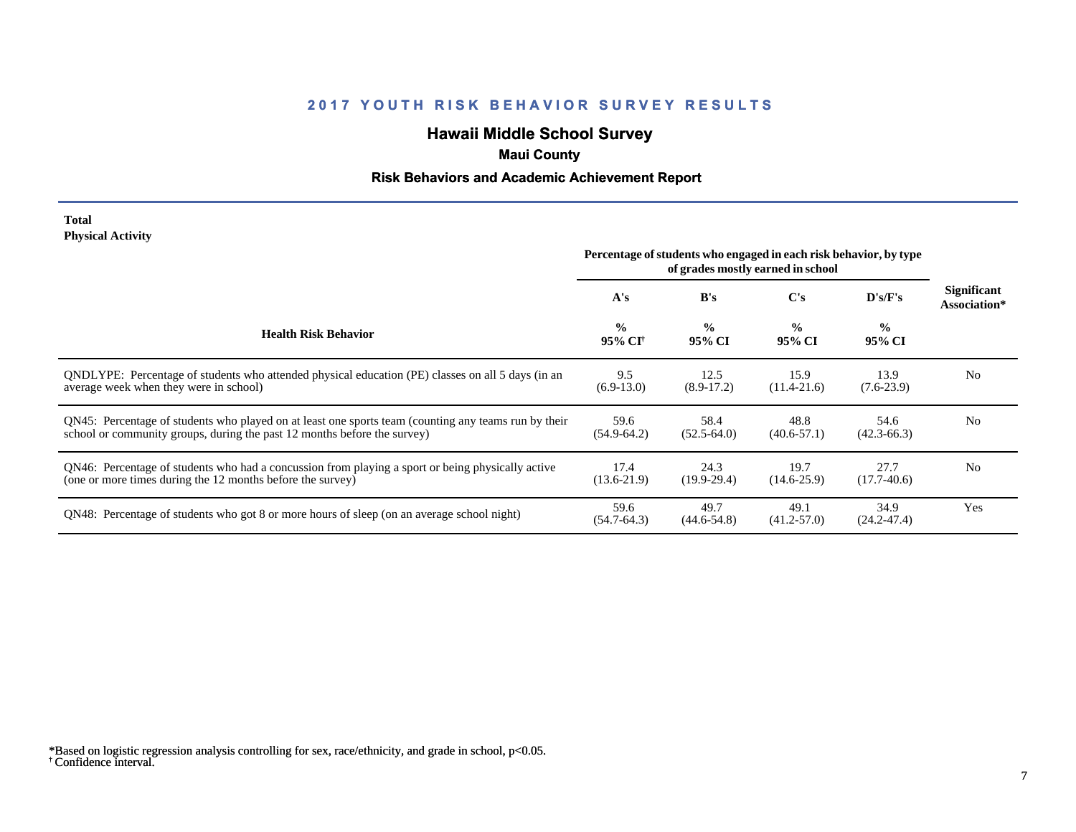# **Hawaii Middle School Survey**

# **Maui County**

## **Risk Behaviors and Academic Achievement Report**

### **Total Physical Activity**

|                                                                                                                                                                                  | Percentage of students who engaged in each risk behavior, by type<br>of grades mostly earned in school |                         |                         |                         |                                    |
|----------------------------------------------------------------------------------------------------------------------------------------------------------------------------------|--------------------------------------------------------------------------------------------------------|-------------------------|-------------------------|-------------------------|------------------------------------|
|                                                                                                                                                                                  | A's                                                                                                    | B's                     | C's                     | D's/F's                 | <b>Significant</b><br>Association* |
| <b>Health Risk Behavior</b>                                                                                                                                                      | $\frac{0}{0}$<br>95% CI <sup>†</sup>                                                                   | $\frac{0}{0}$<br>95% CI | $\frac{0}{0}$<br>95% CI | $\frac{6}{6}$<br>95% CI |                                    |
| QNDLYPE: Percentage of students who attended physical education (PE) classes on all 5 days (in an<br>average week when they were in school)                                      | 9.5<br>$(6.9-13.0)$                                                                                    | 12.5<br>$(8.9-17.2)$    | 15.9<br>$(11.4 - 21.6)$ | 13.9<br>$(7.6-23.9)$    | N <sub>0</sub>                     |
| QN45: Percentage of students who played on at least one sports team (counting any teams run by their<br>school or community groups, during the past 12 months before the survey) | 59.6<br>$(54.9 - 64.2)$                                                                                | 58.4<br>$(52.5-64.0)$   | 48.8<br>$(40.6 - 57.1)$ | 54.6<br>$(42.3 - 66.3)$ | N <sub>0</sub>                     |
| QN46: Percentage of students who had a concussion from playing a sport or being physically active<br>(one or more times during the 12 months before the survey)                  | 17.4<br>$(13.6 - 21.9)$                                                                                | 24.3<br>$(19.9-29.4)$   | 19.7<br>$(14.6 - 25.9)$ | 27.7<br>$(17.7-40.6)$   | N <sub>0</sub>                     |
| QN48: Percentage of students who got 8 or more hours of sleep (on an average school night)                                                                                       | 59.6<br>$(54.7 - 64.3)$                                                                                | 49.7<br>$(44.6 - 54.8)$ | 49.1<br>$(41.2 - 57.0)$ | 34.9<br>$(24.2 - 47.4)$ | Yes                                |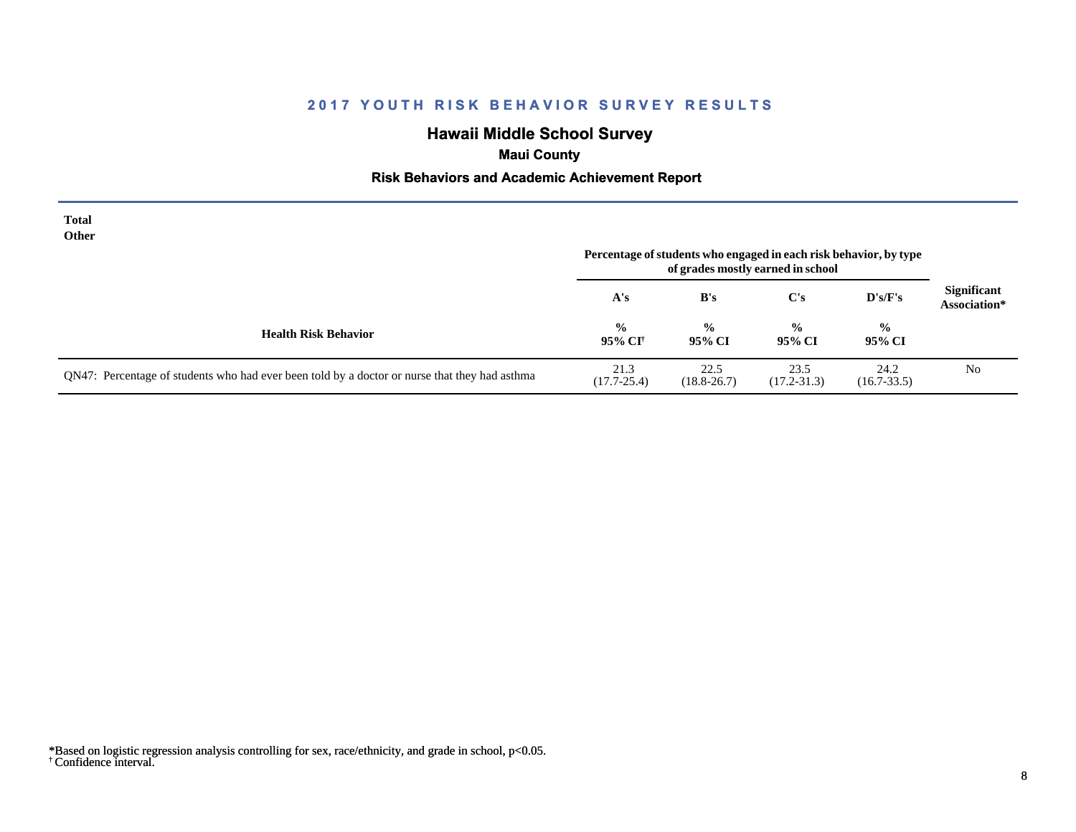# **Hawaii Middle School Survey**

# **Maui County**

## **Risk Behaviors and Academic Achievement Report**

| <b>Total</b><br>Other                                                                         | Percentage of students who engaged in each risk behavior, by type<br>of grades mostly earned in school |                         |                         |                         |                                    |
|-----------------------------------------------------------------------------------------------|--------------------------------------------------------------------------------------------------------|-------------------------|-------------------------|-------------------------|------------------------------------|
|                                                                                               | A's                                                                                                    | B's                     | $\bf C's$               | D's/F's                 | <b>Significant</b><br>Association* |
| <b>Health Risk Behavior</b>                                                                   | $\frac{6}{10}$<br>95% CI†                                                                              | $\frac{0}{0}$<br>95% CI | $\frac{0}{0}$<br>95% CI | $\frac{0}{0}$<br>95% CI |                                    |
| QN47: Percentage of students who had ever been told by a doctor or nurse that they had asthma | 21.3<br>$(17.7 - 25.4)$                                                                                | 22.5<br>$(18.8 - 26.7)$ | 23.5<br>$(17.2 - 31.3)$ | 24.2<br>$(16.7 - 33.5)$ | N <sub>0</sub>                     |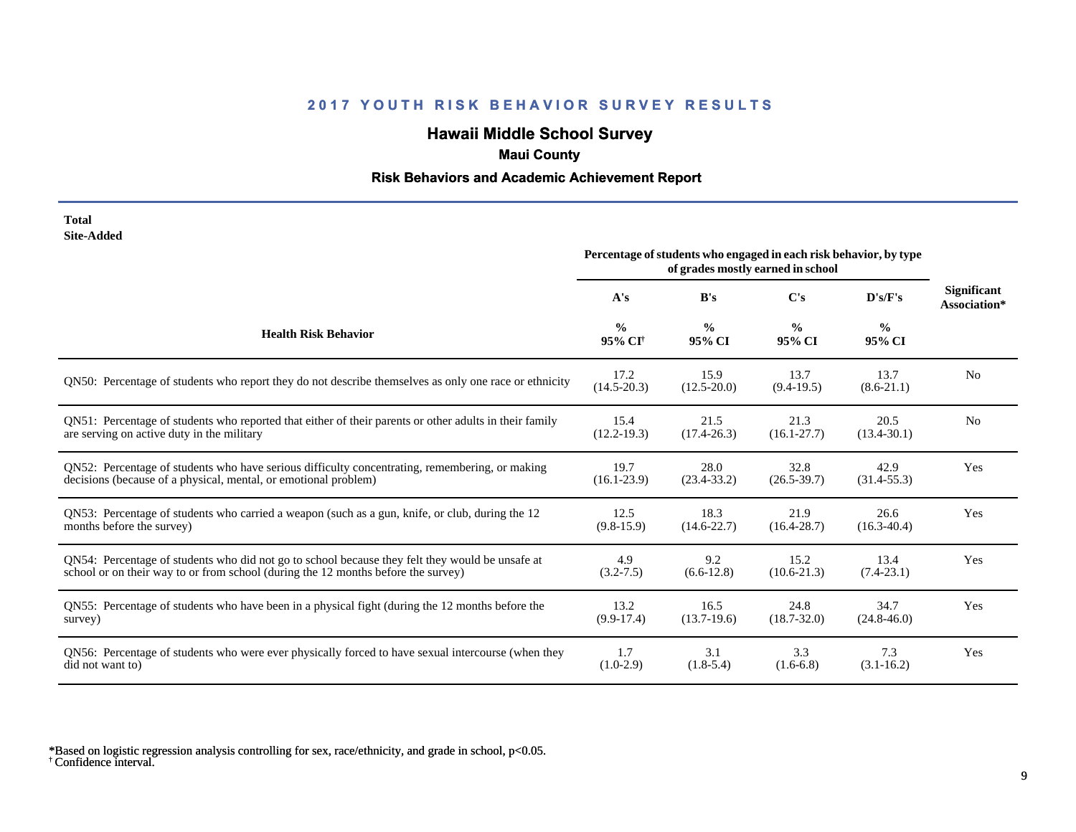# **Hawaii Middle School Survey**

# **Maui County**

## **Risk Behaviors and Academic Achievement Report**

| Total      |
|------------|
| Site-Added |

| one maara                                                                                              | Percentage of students who engaged in each risk behavior, by type<br>of grades mostly earned in school |                         |                         |                         |                                    |
|--------------------------------------------------------------------------------------------------------|--------------------------------------------------------------------------------------------------------|-------------------------|-------------------------|-------------------------|------------------------------------|
|                                                                                                        | A's                                                                                                    | B's                     | C's                     | D's/F's                 | <b>Significant</b><br>Association* |
| <b>Health Risk Behavior</b>                                                                            | $\frac{0}{0}$<br>95% CI <sup>+</sup>                                                                   | $\frac{0}{0}$<br>95% CI | $\frac{0}{0}$<br>95% CI | $\frac{0}{0}$<br>95% CI |                                    |
| QN50: Percentage of students who report they do not describe themselves as only one race or ethnicity  | 17.2<br>$(14.5 - 20.3)$                                                                                | 15.9<br>$(12.5 - 20.0)$ | 13.7<br>$(9.4-19.5)$    | 13.7<br>$(8.6-21.1)$    | N <sub>0</sub>                     |
| QN51: Percentage of students who reported that either of their parents or other adults in their family | 15.4                                                                                                   | 21.5                    | 21.3                    | 20.5                    | N <sub>0</sub>                     |
| are serving on active duty in the military                                                             | $(12.2 - 19.3)$                                                                                        | $(17.4 - 26.3)$         | $(16.1 - 27.7)$         | $(13.4 - 30.1)$         |                                    |
| QN52: Percentage of students who have serious difficulty concentrating, remembering, or making         | 19.7                                                                                                   | 28.0                    | 32.8                    | 42.9                    | Yes                                |
| decisions (because of a physical, mental, or emotional problem)                                        | $(16.1 - 23.9)$                                                                                        | $(23.4 - 33.2)$         | $(26.5 - 39.7)$         | $(31.4 - 55.3)$         |                                    |
| QN53: Percentage of students who carried a weapon (such as a gun, knife, or club, during the 12        | 12.5                                                                                                   | 18.3                    | 21.9                    | 26.6                    | Yes                                |
| months before the survey)                                                                              | $(9.8-15.9)$                                                                                           | $(14.6 - 22.7)$         | $(16.4 - 28.7)$         | $(16.3 - 40.4)$         |                                    |
| QN54: Percentage of students who did not go to school because they felt they would be unsafe at        | 4.9                                                                                                    | 9.2                     | 15.2                    | 13.4                    | Yes                                |
| school or on their way to or from school (during the 12 months before the survey)                      | $(3.2 - 7.5)$                                                                                          | $(6.6-12.8)$            | $(10.6 - 21.3)$         | $(7.4-23.1)$            |                                    |
| QN55: Percentage of students who have been in a physical fight (during the 12 months before the        | 13.2                                                                                                   | 16.5                    | 24.8                    | 34.7                    | Yes                                |
| survey)                                                                                                | $(9.9-17.4)$                                                                                           | $(13.7-19.6)$           | $(18.7 - 32.0)$         | $(24.8 - 46.0)$         |                                    |
| QN56: Percentage of students who were ever physically forced to have sexual intercourse (when they     | 1.7                                                                                                    | 3.1                     | 3.3                     | 7.3                     | Yes                                |
| did not want to)                                                                                       | $(1.0-2.9)$                                                                                            | $(1.8-5.4)$             | $(1.6-6.8)$             | $(3.1 - 16.2)$          |                                    |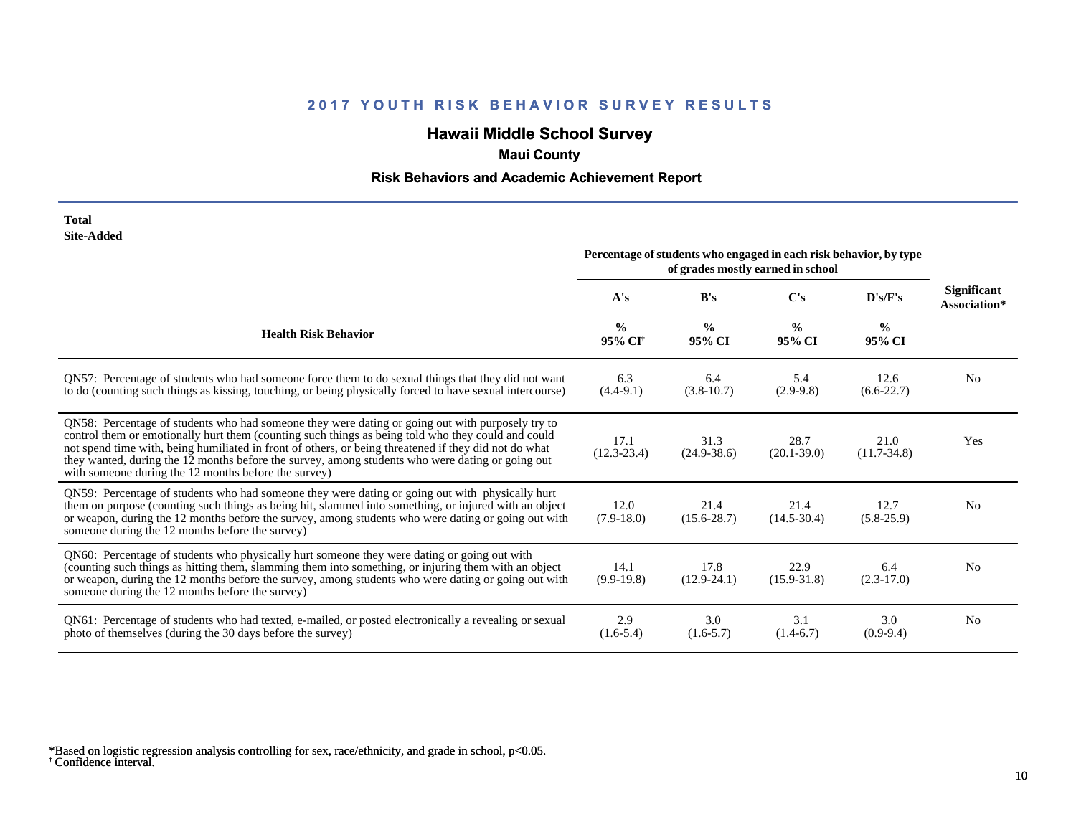# **Hawaii Middle School Survey**

# **Maui County**

## **Risk Behaviors and Academic Achievement Report**

| Total             |
|-------------------|
| <b>Site-Added</b> |

|                                                                                                                                                                                                                                                                                                                                                                                                                                                                             | Percentage of students who engaged in each risk behavior, by type<br>of grades mostly earned in school |                         |                         |                         |                             |
|-----------------------------------------------------------------------------------------------------------------------------------------------------------------------------------------------------------------------------------------------------------------------------------------------------------------------------------------------------------------------------------------------------------------------------------------------------------------------------|--------------------------------------------------------------------------------------------------------|-------------------------|-------------------------|-------------------------|-----------------------------|
|                                                                                                                                                                                                                                                                                                                                                                                                                                                                             | A's                                                                                                    | B's                     | C's                     | D's/F's                 | Significant<br>Association* |
| <b>Health Risk Behavior</b>                                                                                                                                                                                                                                                                                                                                                                                                                                                 | $\frac{0}{0}$<br>95% CI <sup>+</sup>                                                                   | $\frac{0}{0}$<br>95% CI | $\frac{0}{0}$<br>95% CI | $\frac{6}{6}$<br>95% CI |                             |
| QN57: Percentage of students who had someone force them to do sexual things that they did not want<br>to do (counting such things as kissing, touching, or being physically forced to have sexual intercourse)                                                                                                                                                                                                                                                              | 6.3<br>$(4.4-9.1)$                                                                                     | 6.4<br>$(3.8-10.7)$     | 5.4<br>$(2.9-9.8)$      | 12.6<br>$(6.6-22.7)$    | N <sub>0</sub>              |
| QN58: Percentage of students who had someone they were dating or going out with purposely try to<br>control them or emotionally hurt them (counting such things as being told who they could and could<br>not spend time with, being humiliated in front of others, or being threatened if they did not do what<br>they wanted, during the 12 months before the survey, among students who were dating or going out<br>with someone during the 12 months before the survey) | 17.1<br>$(12.3 - 23.4)$                                                                                | 31.3<br>$(24.9 - 38.6)$ | 28.7<br>$(20.1 - 39.0)$ | 21.0<br>$(11.7-34.8)$   | Yes                         |
| QN59: Percentage of students who had someone they were dating or going out with physically hurt<br>them on purpose (counting such things as being hit, slammed into something, or injured with an object<br>or weapon, during the 12 months before the survey, among students who were dating or going out with<br>someone during the 12 months before the survey)                                                                                                          | 12.0<br>$(7.9-18.0)$                                                                                   | 21.4<br>$(15.6 - 28.7)$ | 21.4<br>$(14.5 - 30.4)$ | 12.7<br>$(5.8-25.9)$    | N <sub>0</sub>              |
| QN60: Percentage of students who physically hurt someone they were dating or going out with<br>(counting such things as hitting them, slamming them into something, or injuring them with an object<br>or weapon, during the 12 months before the survey, among students who were dating or going out with<br>someone during the 12 months before the survey)                                                                                                               | 14.1<br>$(9.9-19.8)$                                                                                   | 17.8<br>$(12.9 - 24.1)$ | 22.9<br>$(15.9 - 31.8)$ | 6.4<br>$(2.3-17.0)$     | N <sub>0</sub>              |
| QN61: Percentage of students who had texted, e-mailed, or posted electronically a revealing or sexual<br>photo of themselves (during the 30 days before the survey)                                                                                                                                                                                                                                                                                                         | 2.9<br>$(1.6-5.4)$                                                                                     | 3.0<br>$(1.6-5.7)$      | 3.1<br>$(1.4-6.7)$      | 3.0<br>$(0.9-9.4)$      | N <sub>0</sub>              |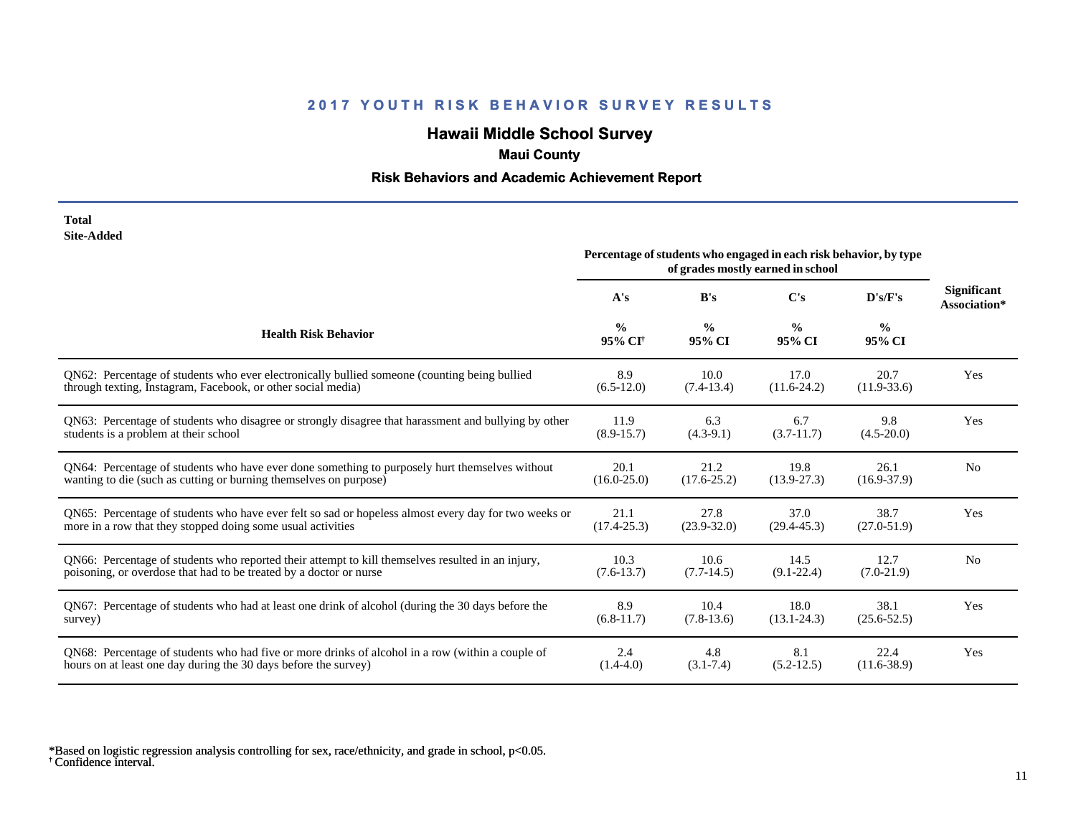# **Hawaii Middle School Survey**

# **Maui County**

## **Risk Behaviors and Academic Achievement Report**

### **Total Site-Added**

|                                                                                                      | Percentage of students who engaged in each risk behavior, by type<br>of grades mostly earned in school |                         |                         |                         |                                    |
|------------------------------------------------------------------------------------------------------|--------------------------------------------------------------------------------------------------------|-------------------------|-------------------------|-------------------------|------------------------------------|
|                                                                                                      | A's                                                                                                    | B's                     | C's                     | D's/F's                 | <b>Significant</b><br>Association* |
| <b>Health Risk Behavior</b>                                                                          | $\frac{0}{0}$<br>95% CI <sup>+</sup>                                                                   | $\frac{0}{0}$<br>95% CI | $\frac{0}{0}$<br>95% CI | $\frac{0}{0}$<br>95% CI |                                    |
| ON62: Percentage of students who ever electronically bullied someone (counting being bullied         | 8.9                                                                                                    | 10.0                    | 17.0                    | 20.7                    | Yes                                |
| through texting, Instagram, Facebook, or other social media)                                         | $(6.5-12.0)$                                                                                           | $(7.4-13.4)$            | $(11.6-24.2)$           | $(11.9-33.6)$           |                                    |
| QN63: Percentage of students who disagree or strongly disagree that harassment and bullying by other | 11.9                                                                                                   | 6.3                     | 6.7                     | 9.8                     | Yes                                |
| students is a problem at their school                                                                | $(8.9 - 15.7)$                                                                                         | $(4.3-9.1)$             | $(3.7-11.7)$            | $(4.5 - 20.0)$          |                                    |
| QN64: Percentage of students who have ever done something to purposely hurt themselves without       | 20.1                                                                                                   | 21.2                    | 19.8                    | 26.1                    | N <sub>0</sub>                     |
| wanting to die (such as cutting or burning themselves on purpose)                                    | $(16.0 - 25.0)$                                                                                        | $(17.6 - 25.2)$         | $(13.9 - 27.3)$         | $(16.9 - 37.9)$         |                                    |
| QN65: Percentage of students who have ever felt so sad or hopeless almost every day for two weeks or | 21.1                                                                                                   | 27.8                    | 37.0                    | 38.7                    | Yes                                |
| more in a row that they stopped doing some usual activities                                          | $(17.4 - 25.3)$                                                                                        | $(23.9 - 32.0)$         | $(29.4 - 45.3)$         | $(27.0 - 51.9)$         |                                    |
| QN66: Percentage of students who reported their attempt to kill themselves resulted in an injury,    | 10.3                                                                                                   | 10.6                    | 14.5                    | 12.7                    | N <sub>0</sub>                     |
| poisoning, or overdose that had to be treated by a doctor or nurse                                   | $(7.6-13.7)$                                                                                           | $(7.7-14.5)$            | $(9.1 - 22.4)$          | $(7.0-21.9)$            |                                    |
| QN67: Percentage of students who had at least one drink of alcohol (during the 30 days before the    | 8.9                                                                                                    | 10.4                    | 18.0                    | 38.1                    | Yes                                |
| survey)                                                                                              | $(6.8-11.7)$                                                                                           | $(7.8-13.6)$            | $(13.1 - 24.3)$         | $(25.6 - 52.5)$         |                                    |
| QN68: Percentage of students who had five or more drinks of alcohol in a row (within a couple of     | 2.4                                                                                                    | 4.8                     | 8.1                     | 22.4                    | Yes                                |
| hours on at least one day during the 30 days before the survey)                                      | $(1.4 - 4.0)$                                                                                          | $(3.1 - 7.4)$           | $(5.2 - 12.5)$          | $(11.6 - 38.9)$         |                                    |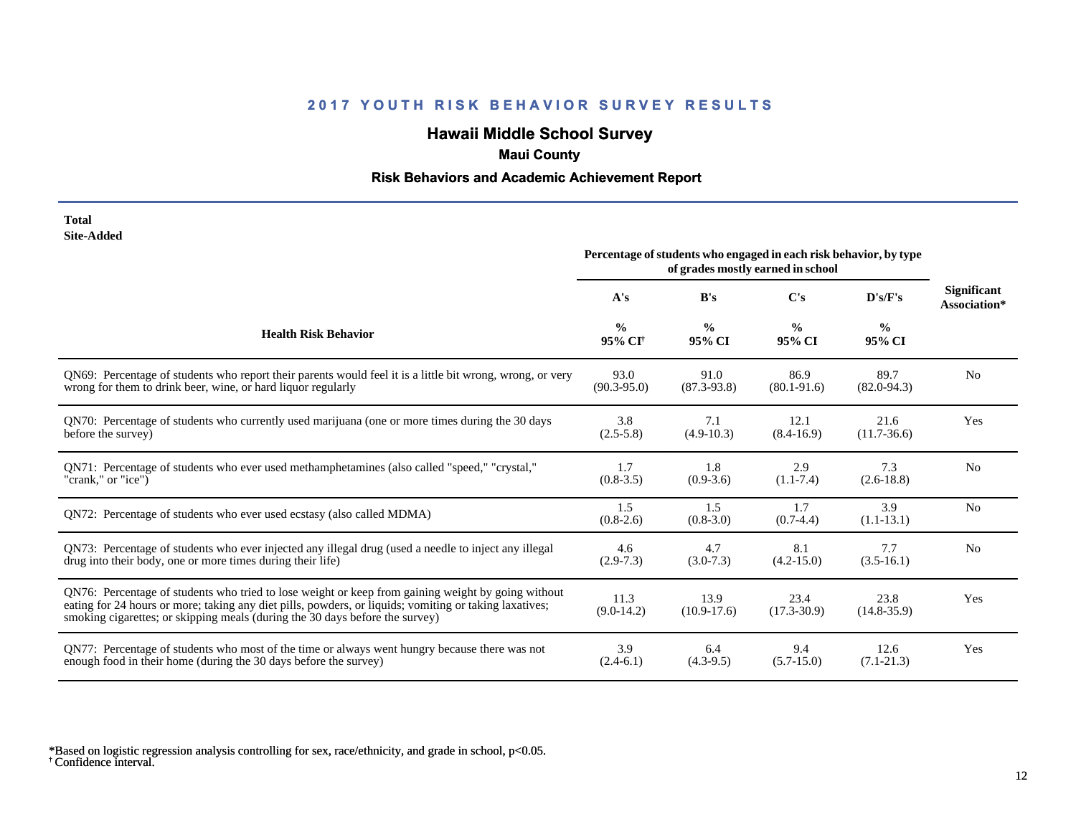# **Hawaii Middle School Survey**

# **Maui County**

## **Risk Behaviors and Academic Achievement Report**

#### **Total Site-Added**

|                                                                                                                                                                                                                                                                                              | Percentage of students who engaged in each risk behavior, by type<br>of grades mostly earned in school |                         |                         |                         |                                    |
|----------------------------------------------------------------------------------------------------------------------------------------------------------------------------------------------------------------------------------------------------------------------------------------------|--------------------------------------------------------------------------------------------------------|-------------------------|-------------------------|-------------------------|------------------------------------|
|                                                                                                                                                                                                                                                                                              | A's                                                                                                    | B's                     | $\bf C's$               | D's/F's                 | <b>Significant</b><br>Association* |
| <b>Health Risk Behavior</b>                                                                                                                                                                                                                                                                  | $\frac{0}{0}$<br>95% CI <sup>+</sup>                                                                   | $\frac{0}{0}$<br>95% CI | $\frac{0}{0}$<br>95% CI | $\frac{0}{0}$<br>95% CI |                                    |
| QN69: Percentage of students who report their parents would feel it is a little bit wrong, wrong, or very                                                                                                                                                                                    | 93.0                                                                                                   | 91.0                    | 86.9                    | 89.7                    | N <sub>0</sub>                     |
| wrong for them to drink beer, wine, or hard liquor regularly                                                                                                                                                                                                                                 | $(90.3 - 95.0)$                                                                                        | $(87.3-93.8)$           | $(80.1 - 91.6)$         | $(82.0 - 94.3)$         |                                    |
| QN70: Percentage of students who currently used marijuana (one or more times during the 30 days                                                                                                                                                                                              | 3.8                                                                                                    | 7.1                     | 12.1                    | 21.6                    | Yes                                |
| before the survey)                                                                                                                                                                                                                                                                           | $(2.5 - 5.8)$                                                                                          | $(4.9-10.3)$            | $(8.4 - 16.9)$          | $(11.7-36.6)$           |                                    |
| QN71: Percentage of students who ever used methamphetamines (also called "speed," "crystal,"                                                                                                                                                                                                 | 1.7                                                                                                    | 1.8                     | 2.9                     | 7.3                     | N <sub>0</sub>                     |
| "crank," or "ice")                                                                                                                                                                                                                                                                           | $(0.8-3.5)$                                                                                            | $(0.9-3.6)$             | $(1.1 - 7.4)$           | $(2.6-18.8)$            |                                    |
| QN72: Percentage of students who ever used ecstasy (also called MDMA)                                                                                                                                                                                                                        | 1.5<br>$(0.8-2.6)$                                                                                     | 1.5<br>$(0.8-3.0)$      | 1.7<br>$(0.7-4.4)$      | 3.9<br>$(1.1-13.1)$     | N <sub>0</sub>                     |
| QN73: Percentage of students who ever injected any illegal drug (used a needle to inject any illegal                                                                                                                                                                                         | 4.6                                                                                                    | 4.7                     | 8.1                     | 7.7                     | N <sub>0</sub>                     |
| drug into their body, one or more times during their life)                                                                                                                                                                                                                                   | $(2.9-7.3)$                                                                                            | $(3.0-7.3)$             | $(4.2 - 15.0)$          | $(3.5-16.1)$            |                                    |
| QN76: Percentage of students who tried to lose weight or keep from gaining weight by going without<br>eating for 24 hours or more; taking any diet pills, powders, or liquids; vomiting or taking laxatives;<br>smoking cigarettes; or skipping meals (during the 30 days before the survey) | 11.3<br>$(9.0-14.2)$                                                                                   | 13.9<br>$(10.9-17.6)$   | 23.4<br>$(17.3 - 30.9)$ | 23.8<br>$(14.8 - 35.9)$ | Yes                                |
| QN77: Percentage of students who most of the time or always went hungry because there was not                                                                                                                                                                                                | 3.9                                                                                                    | 6.4                     | 9.4                     | 12.6                    | Yes                                |
| enough food in their home (during the 30 days before the survey)                                                                                                                                                                                                                             | $(2.4-6.1)$                                                                                            | $(4.3-9.5)$             | $(5.7 - 15.0)$          | $(7.1 - 21.3)$          |                                    |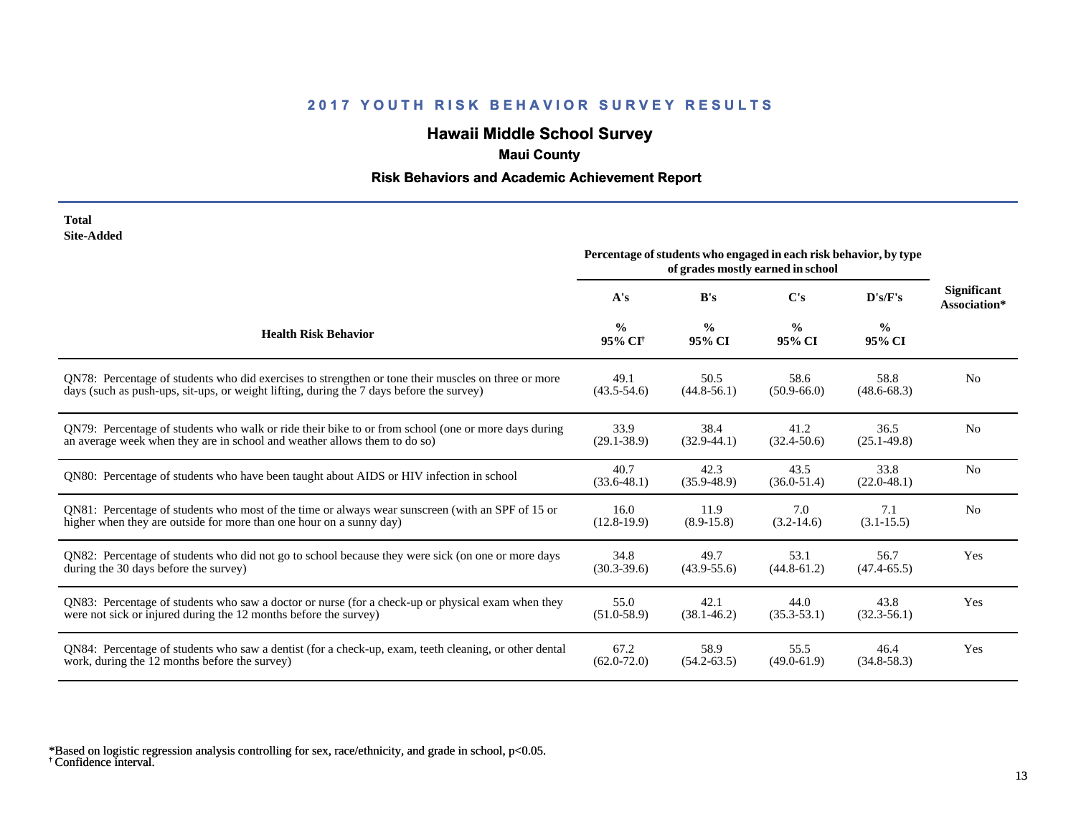# **Hawaii Middle School Survey**

# **Maui County**

## **Risk Behaviors and Academic Achievement Report**

#### **Total Site-Added**

|                                                                                                       | Percentage of students who engaged in each risk behavior, by type<br>of grades mostly earned in school |                         |                         |                         |                                    |
|-------------------------------------------------------------------------------------------------------|--------------------------------------------------------------------------------------------------------|-------------------------|-------------------------|-------------------------|------------------------------------|
|                                                                                                       | A's                                                                                                    | B's                     | $\bf C's$               | D's/F's                 | <b>Significant</b><br>Association* |
| <b>Health Risk Behavior</b>                                                                           | $\frac{0}{0}$<br>95% CI <sup>+</sup>                                                                   | $\frac{0}{0}$<br>95% CI | $\frac{0}{0}$<br>95% CI | $\frac{0}{0}$<br>95% CI |                                    |
| QN78: Percentage of students who did exercises to strengthen or tone their muscles on three or more   | 49.1                                                                                                   | 50.5                    | 58.6                    | 58.8                    | N <sub>0</sub>                     |
| days (such as push-ups, sit-ups, or weight lifting, during the 7 days before the survey)              | $(43.5 - 54.6)$                                                                                        | $(44.8 - 56.1)$         | $(50.9 - 66.0)$         | $(48.6 - 68.3)$         |                                    |
| QN79: Percentage of students who walk or ride their bike to or from school (one or more days during   | 33.9                                                                                                   | 38.4                    | 41.2                    | 36.5                    | N <sub>0</sub>                     |
| an average week when they are in school and weather allows them to do so)                             | $(29.1 - 38.9)$                                                                                        | $(32.9-44.1)$           | $(32.4 - 50.6)$         | $(25.1 - 49.8)$         |                                    |
| QN80: Percentage of students who have been taught about AIDS or HIV infection in school               | 40.7<br>$(33.6 - 48.1)$                                                                                | 42.3<br>$(35.9 - 48.9)$ | 43.5<br>$(36.0 - 51.4)$ | 33.8<br>$(22.0 - 48.1)$ | N <sub>0</sub>                     |
| ON81: Percentage of students who most of the time or always wear sunscreen (with an SPF of 15 or      | 16.0                                                                                                   | 11.9                    | 7.0                     | 7.1                     | N <sub>0</sub>                     |
| higher when they are outside for more than one hour on a sunny day)                                   | $(12.8-19.9)$                                                                                          | $(8.9 - 15.8)$          | $(3.2-14.6)$            | $(3.1 - 15.5)$          |                                    |
| QN82: Percentage of students who did not go to school because they were sick (on one or more days     | 34.8                                                                                                   | 49.7                    | 53.1                    | 56.7                    | Yes                                |
| during the 30 days before the survey)                                                                 | $(30.3 - 39.6)$                                                                                        | $(43.9 - 55.6)$         | $(44.8 - 61.2)$         | $(47.4 - 65.5)$         |                                    |
| QN83: Percentage of students who saw a doctor or nurse (for a check-up or physical exam when they     | 55.0                                                                                                   | 42.1                    | 44.0                    | 43.8                    | Yes                                |
| were not sick or injured during the 12 months before the survey)                                      | $(51.0 - 58.9)$                                                                                        | $(38.1 - 46.2)$         | $(35.3 - 53.1)$         | $(32.3-56.1)$           |                                    |
| QN84: Percentage of students who saw a dentist (for a check-up, exam, teeth cleaning, or other dental | 67.2                                                                                                   | 58.9                    | 55.5                    | 46.4                    | Yes                                |
| work, during the 12 months before the survey)                                                         | $(62.0 - 72.0)$                                                                                        | $(54.2 - 63.5)$         | $(49.0 - 61.9)$         | $(34.8 - 58.3)$         |                                    |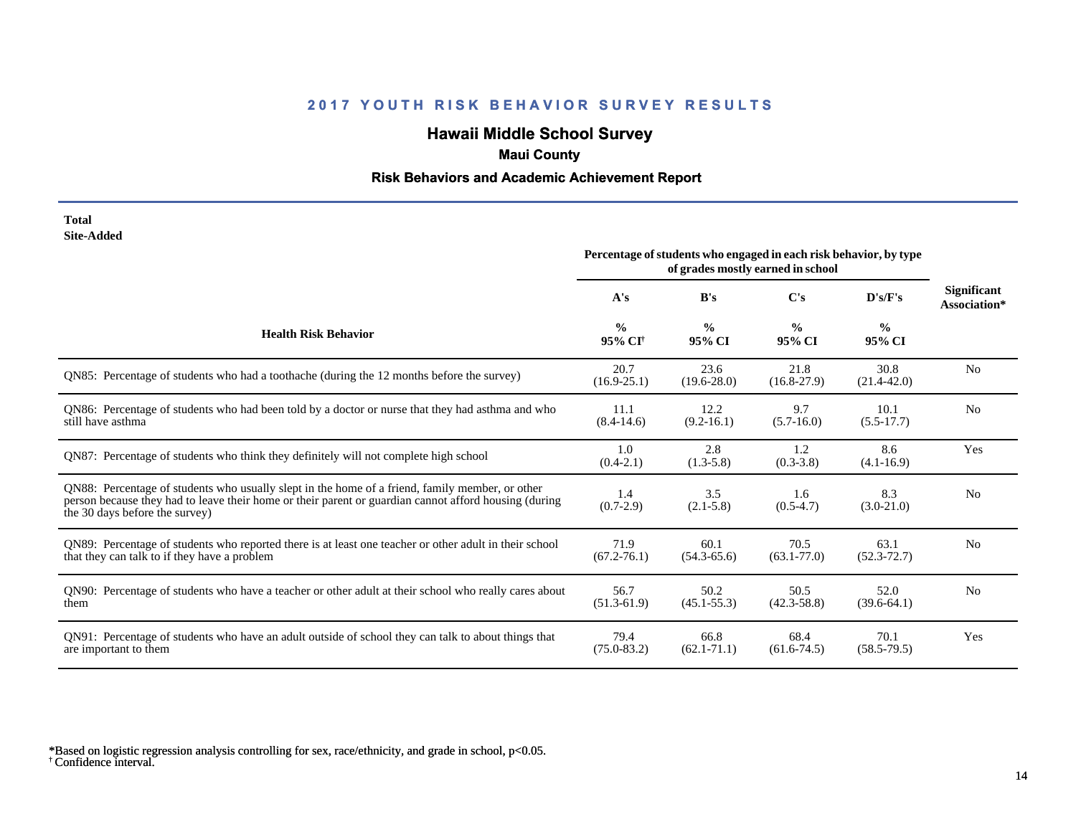# **Hawaii Middle School Survey**

# **Maui County**

## **Risk Behaviors and Academic Achievement Report**

### **Total Site-Added**

|                                                                                                                                                                                                                                            | Percentage of students who engaged in each risk behavior, by type<br>of grades mostly earned in school |                         |                         |                         |                                    |
|--------------------------------------------------------------------------------------------------------------------------------------------------------------------------------------------------------------------------------------------|--------------------------------------------------------------------------------------------------------|-------------------------|-------------------------|-------------------------|------------------------------------|
|                                                                                                                                                                                                                                            | A's                                                                                                    | B's                     | C's                     | D's/F's                 | <b>Significant</b><br>Association* |
| <b>Health Risk Behavior</b>                                                                                                                                                                                                                | $\frac{0}{0}$<br>95% CI <sup>+</sup>                                                                   | $\frac{0}{0}$<br>95% CI | $\frac{0}{0}$<br>95% CI | $\frac{0}{0}$<br>95% CI |                                    |
| QN85: Percentage of students who had a toothache (during the 12 months before the survey)                                                                                                                                                  | 20.7<br>$(16.9 - 25.1)$                                                                                | 23.6<br>$(19.6 - 28.0)$ | 21.8<br>$(16.8-27.9)$   | 30.8<br>$(21.4 - 42.0)$ | N <sub>0</sub>                     |
| QN86: Percentage of students who had been told by a doctor or nurse that they had asthma and who<br>still have asthma                                                                                                                      | 11.1<br>$(8.4-14.6)$                                                                                   | 12.2<br>$(9.2 - 16.1)$  | 9.7<br>$(5.7-16.0)$     | 10.1<br>$(5.5-17.7)$    | N <sub>o</sub>                     |
| ON87: Percentage of students who think they definitely will not complete high school                                                                                                                                                       | 1.0<br>$(0.4-2.1)$                                                                                     | 2.8<br>$(1.3-5.8)$      | 1.2<br>$(0.3-3.8)$      | 8.6<br>$(4.1 - 16.9)$   | Yes                                |
| QN88: Percentage of students who usually slept in the home of a friend, family member, or other<br>person because they had to leave their home or their parent or guardian cannot afford housing (during<br>the 30 days before the survey) | 1.4<br>$(0.7-2.9)$                                                                                     | 3.5<br>$(2.1 - 5.8)$    | 1.6<br>$(0.5-4.7)$      | 8.3<br>$(3.0-21.0)$     | N <sub>0</sub>                     |
| QN89: Percentage of students who reported there is at least one teacher or other adult in their school<br>that they can talk to if they have a problem                                                                                     | 71.9<br>$(67.2 - 76.1)$                                                                                | 60.1<br>$(54.3 - 65.6)$ | 70.5<br>$(63.1 - 77.0)$ | 63.1<br>$(52.3 - 72.7)$ | N <sub>o</sub>                     |
| QN90: Percentage of students who have a teacher or other adult at their school who really cares about<br>them                                                                                                                              | 56.7<br>$(51.3-61.9)$                                                                                  | 50.2<br>$(45.1 - 55.3)$ | 50.5<br>$(42.3 - 58.8)$ | 52.0<br>$(39.6-64.1)$   | N <sub>o</sub>                     |
| QN91: Percentage of students who have an adult outside of school they can talk to about things that<br>are important to them                                                                                                               | 79.4<br>$(75.0 - 83.2)$                                                                                | 66.8<br>$(62.1 - 71.1)$ | 68.4<br>$(61.6 - 74.5)$ | 70.1<br>$(58.5 - 79.5)$ | Yes                                |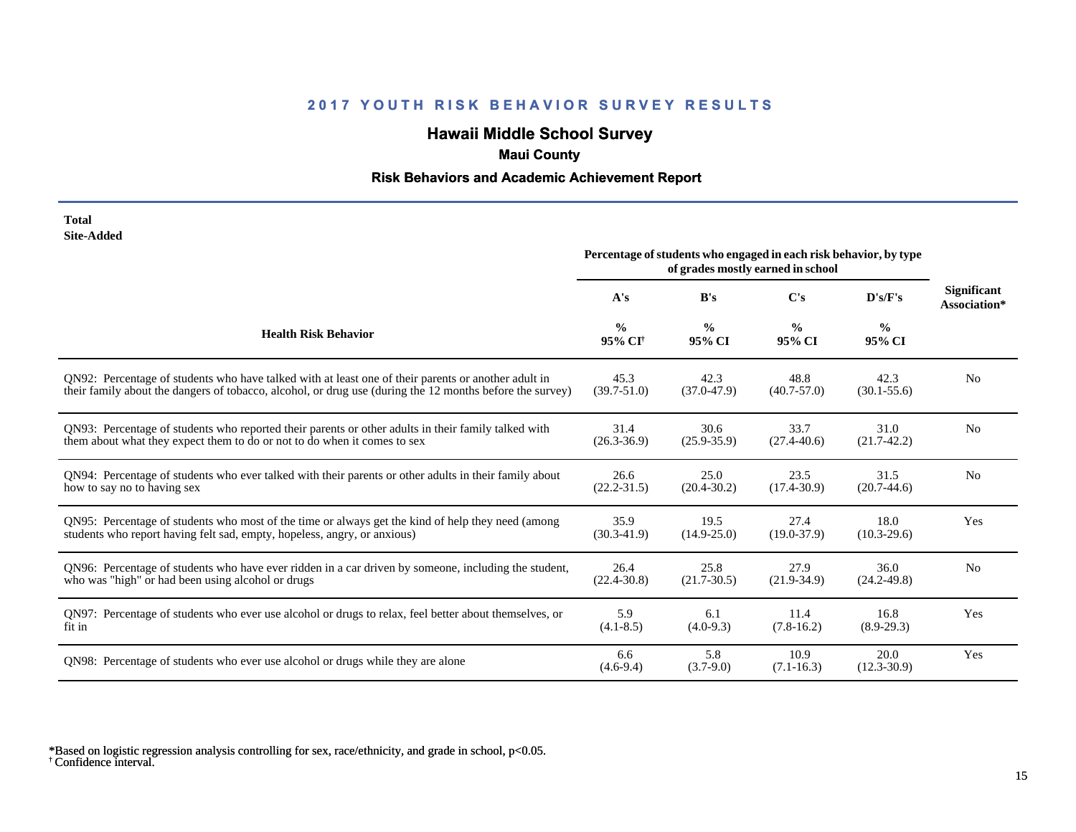# **Hawaii Middle School Survey**

# **Maui County**

## **Risk Behaviors and Academic Achievement Report**

| Total      |
|------------|
| Site-Added |

|                                                                                                          | Percentage of students who engaged in each risk behavior, by type<br>of grades mostly earned in school |                         |                         |                         |                                    |
|----------------------------------------------------------------------------------------------------------|--------------------------------------------------------------------------------------------------------|-------------------------|-------------------------|-------------------------|------------------------------------|
|                                                                                                          | A's                                                                                                    | B's                     | C's                     | D's/F's                 | <b>Significant</b><br>Association* |
| <b>Health Risk Behavior</b>                                                                              | $\frac{0}{0}$<br>95% CI <sup>+</sup>                                                                   | $\frac{0}{0}$<br>95% CI | $\frac{6}{9}$<br>95% CI | $\frac{0}{0}$<br>95% CI |                                    |
| ON92: Percentage of students who have talked with at least one of their parents or another adult in      | 45.3                                                                                                   | 42.3                    | 48.8                    | 42.3                    | N <sub>0</sub>                     |
| their family about the dangers of tobacco, alcohol, or drug use (during the 12 months before the survey) | $(39.7 - 51.0)$                                                                                        | $(37.0 - 47.9)$         | $(40.7 - 57.0)$         | $(30.1 - 55.6)$         |                                    |
| QN93: Percentage of students who reported their parents or other adults in their family talked with      | 31.4                                                                                                   | 30.6                    | 33.7                    | 31.0                    | N <sub>0</sub>                     |
| them about what they expect them to do or not to do when it comes to sex                                 | $(26.3 - 36.9)$                                                                                        | $(25.9 - 35.9)$         | $(27.4 - 40.6)$         | $(21.7-42.2)$           |                                    |
| QN94: Percentage of students who ever talked with their parents or other adults in their family about    | 26.6                                                                                                   | 25.0                    | 23.5                    | 31.5                    | N <sub>o</sub>                     |
| how to say no to having sex                                                                              | $(22.2 - 31.5)$                                                                                        | $(20.4 - 30.2)$         | $(17.4 - 30.9)$         | $(20.7-44.6)$           |                                    |
| QN95: Percentage of students who most of the time or always get the kind of help they need (among        | 35.9                                                                                                   | 19.5                    | 27.4                    | 18.0                    | Yes                                |
| students who report having felt sad, empty, hopeless, angry, or anxious)                                 | $(30.3 - 41.9)$                                                                                        | $(14.9 - 25.0)$         | $(19.0 - 37.9)$         | $(10.3 - 29.6)$         |                                    |
| QN96: Percentage of students who have ever ridden in a car driven by someone, including the student,     | 26.4                                                                                                   | 25.8                    | 27.9                    | 36.0                    | N <sub>0</sub>                     |
| who was "high" or had been using alcohol or drugs                                                        | $(22.4 - 30.8)$                                                                                        | $(21.7 - 30.5)$         | $(21.9-34.9)$           | $(24.2 - 49.8)$         |                                    |
| QN97: Percentage of students who ever use alcohol or drugs to relax, feel better about themselves, or    | 5.9                                                                                                    | 6.1                     | 11.4                    | 16.8                    | Yes                                |
| fit in                                                                                                   | $(4.1 - 8.5)$                                                                                          | $(4.0-9.3)$             | $(7.8-16.2)$            | $(8.9-29.3)$            |                                    |
| QN98: Percentage of students who ever use alcohol or drugs while they are alone                          | 6.6<br>$(4.6-9.4)$                                                                                     | 5.8<br>$(3.7-9.0)$      | 10.9<br>$(7.1 - 16.3)$  | 20.0<br>$(12.3 - 30.9)$ | Yes                                |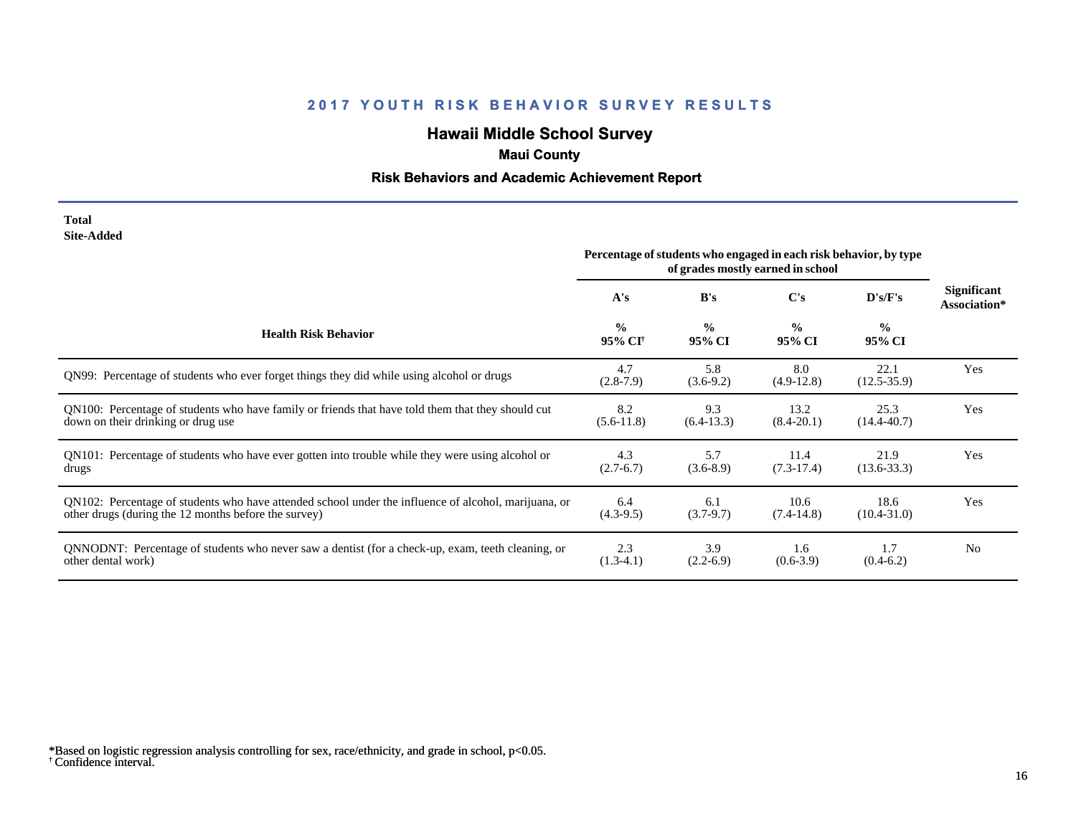# **Hawaii Middle School Survey**

# **Maui County**

## **Risk Behaviors and Academic Achievement Report**

### **Total Site-Added**

|                                                                                                      | Percentage of students who engaged in each risk behavior, by type<br>of grades mostly earned in school |                         |                         |                         |                                    |
|------------------------------------------------------------------------------------------------------|--------------------------------------------------------------------------------------------------------|-------------------------|-------------------------|-------------------------|------------------------------------|
|                                                                                                      | A's                                                                                                    | B's                     | C's                     | D's/F's                 | <b>Significant</b><br>Association* |
| <b>Health Risk Behavior</b>                                                                          | $\frac{0}{0}$<br>95% CI <sup>+</sup>                                                                   | $\frac{0}{0}$<br>95% CI | $\frac{0}{0}$<br>95% CI | $\frac{0}{0}$<br>95% CI |                                    |
| QN99: Percentage of students who ever forget things they did while using alcohol or drugs            | 4.7<br>$(2.8-7.9)$                                                                                     | 5.8<br>$(3.6-9.2)$      | 8.0<br>$(4.9-12.8)$     | 22.1<br>$(12.5 - 35.9)$ | Yes                                |
| QN100: Percentage of students who have family or friends that have told them that they should cut    | 8.2                                                                                                    | 9.3                     | 13.2                    | 25.3                    | Yes                                |
| down on their drinking or drug use                                                                   | $(5.6-11.8)$                                                                                           | $(6.4-13.3)$            | $(8.4 - 20.1)$          | $(14.4 - 40.7)$         |                                    |
| QN101: Percentage of students who have ever gotten into trouble while they were using alcohol or     | 4.3                                                                                                    | 5.7                     | 11.4                    | 21.9                    | Yes                                |
| drugs                                                                                                | $(2.7-6.7)$                                                                                            | $(3.6-8.9)$             | $(7.3-17.4)$            | $(13.6 - 33.3)$         |                                    |
| QN102: Percentage of students who have attended school under the influence of alcohol, marijuana, or | 6.4                                                                                                    | 6.1                     | 10.6                    | 18.6                    | Yes                                |
| other drugs (during the 12 months before the survey)                                                 | $(4.3-9.5)$                                                                                            | $(3.7-9.7)$             | $(7.4-14.8)$            | $(10.4 - 31.0)$         |                                    |
| QNNODNT: Percentage of students who never saw a dentist (for a check-up, exam, teeth cleaning, or    | 2.3                                                                                                    | 3.9                     | 1.6                     | 1.7                     | N <sub>0</sub>                     |
| other dental work)                                                                                   | $(1.3-4.1)$                                                                                            | $(2.2-6.9)$             | $(0.6-3.9)$             | $(0.4-6.2)$             |                                    |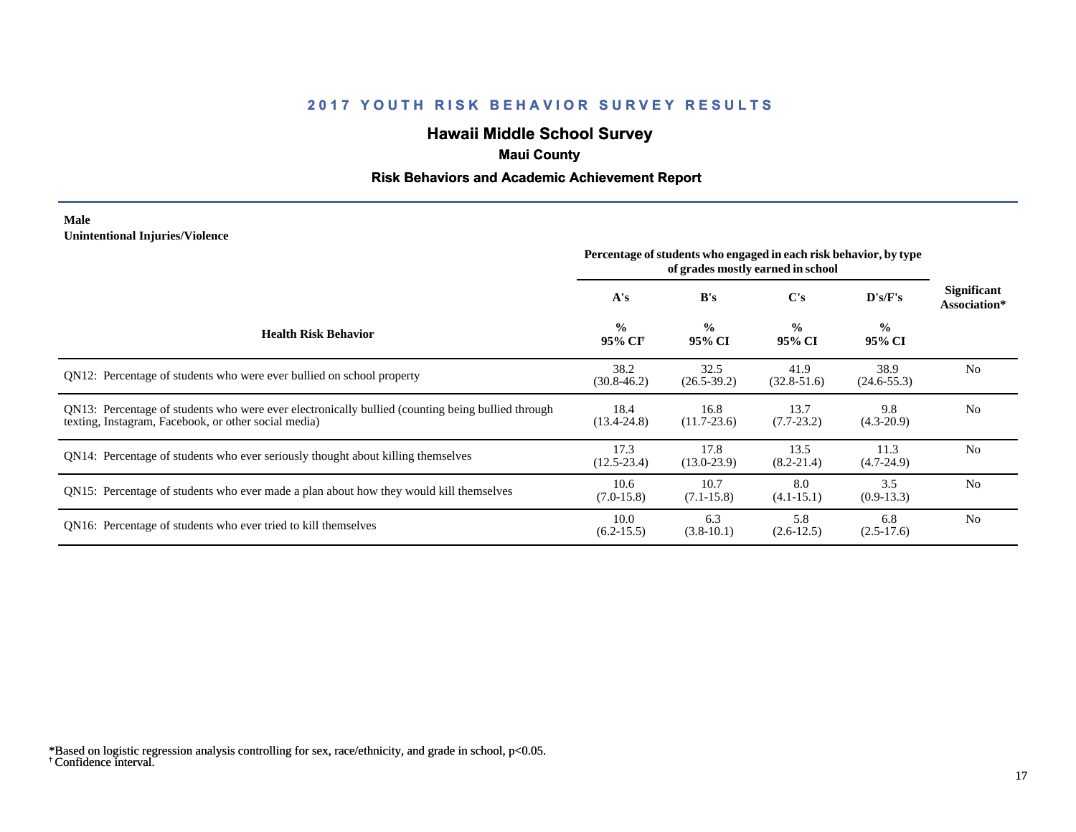# **Hawaii Middle School Survey**

# **Maui County**

## **Risk Behaviors and Academic Achievement Report**

### **Male Unintentional Injuries/Violence**

|                                                                                                                                                           | Percentage of students who engaged in each risk behavior, by type<br>of grades mostly earned in school |                         |                         |                         |                             |
|-----------------------------------------------------------------------------------------------------------------------------------------------------------|--------------------------------------------------------------------------------------------------------|-------------------------|-------------------------|-------------------------|-----------------------------|
|                                                                                                                                                           | A's                                                                                                    | B's                     | C's                     | D's/F's                 | Significant<br>Association* |
| <b>Health Risk Behavior</b>                                                                                                                               | $\frac{0}{0}$<br>95% CI <sup>†</sup>                                                                   | $\frac{0}{0}$<br>95% CI | $\frac{0}{0}$<br>95% CI | $\frac{0}{0}$<br>95% CI |                             |
| QN12: Percentage of students who were ever bullied on school property                                                                                     | 38.2<br>$(30.8 - 46.2)$                                                                                | 32.5<br>$(26.5 - 39.2)$ | 41.9<br>$(32.8-51.6)$   | 38.9<br>$(24.6 - 55.3)$ | N <sub>0</sub>              |
| QN13: Percentage of students who were ever electronically bullied (counting being bullied through<br>texting, Instagram, Facebook, or other social media) | 18.4<br>$(13.4 - 24.8)$                                                                                | 16.8<br>$(11.7-23.6)$   | 13.7<br>$(7.7-23.2)$    | 9.8<br>$(4.3-20.9)$     | N <sub>0</sub>              |
| QN14: Percentage of students who ever seriously thought about killing themselves                                                                          | 17.3<br>$(12.5 - 23.4)$                                                                                | 17.8<br>$(13.0 - 23.9)$ | 13.5<br>$(8.2 - 21.4)$  | 11.3<br>$(4.7-24.9)$    | N <sub>0</sub>              |
| QN15: Percentage of students who ever made a plan about how they would kill themselves                                                                    | 10.6<br>$(7.0-15.8)$                                                                                   | 10.7<br>$(7.1 - 15.8)$  | 8.0<br>$(4.1 - 15.1)$   | 3.5<br>$(0.9-13.3)$     | N <sub>0</sub>              |
| QN16: Percentage of students who ever tried to kill themselves                                                                                            | 10.0<br>$(6.2-15.5)$                                                                                   | 6.3<br>$(3.8-10.1)$     | 5.8<br>$(2.6-12.5)$     | 6.8<br>$(2.5-17.6)$     | N <sub>0</sub>              |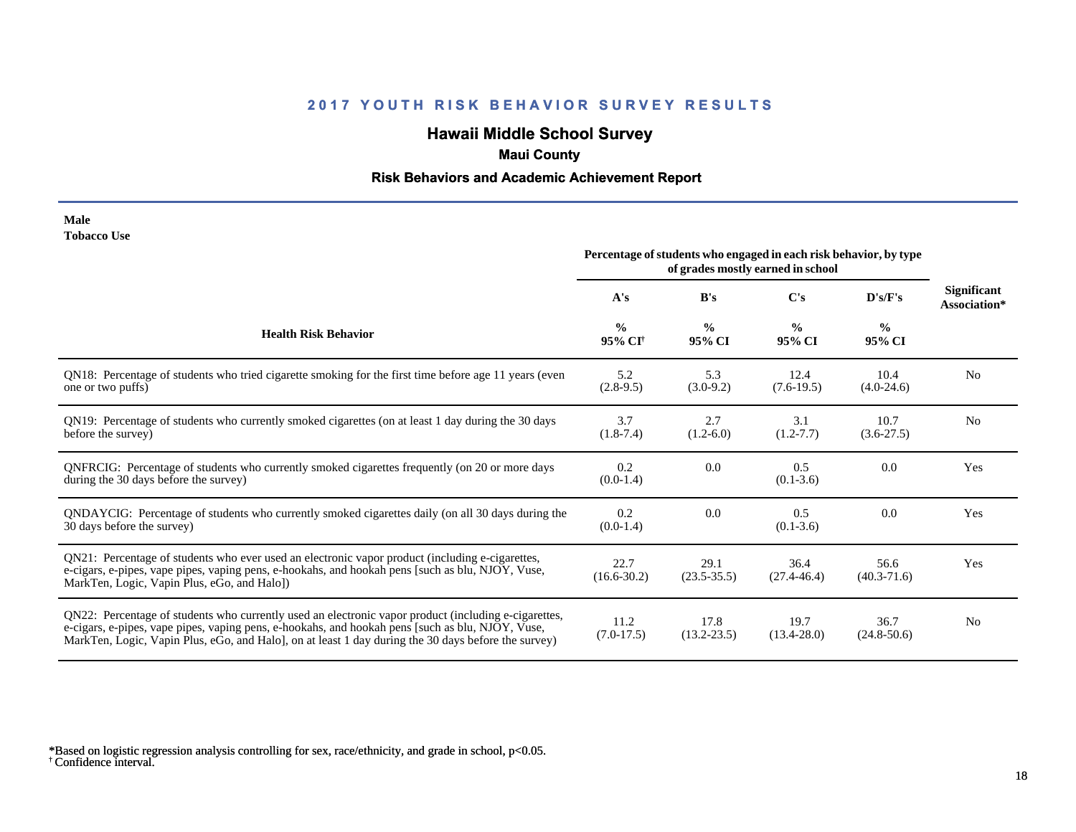# **Hawaii Middle School Survey**

# **Maui County**

## **Risk Behaviors and Academic Achievement Report**

#### **Male Tobacco Use**

|                                                                                                                                                                                                                                                                                                                 | Percentage of students who engaged in each risk behavior, by type<br>of grades mostly earned in school |                         |                         |                         |                                    |
|-----------------------------------------------------------------------------------------------------------------------------------------------------------------------------------------------------------------------------------------------------------------------------------------------------------------|--------------------------------------------------------------------------------------------------------|-------------------------|-------------------------|-------------------------|------------------------------------|
|                                                                                                                                                                                                                                                                                                                 | A's                                                                                                    | B's                     | C's                     | D's/F's                 | <b>Significant</b><br>Association* |
| <b>Health Risk Behavior</b>                                                                                                                                                                                                                                                                                     | $\frac{0}{0}$<br>95% CI <sup>+</sup>                                                                   | $\frac{0}{0}$<br>95% CI | $\frac{0}{0}$<br>95% CI | $\frac{0}{0}$<br>95% CI |                                    |
| QN18: Percentage of students who tried cigarette smoking for the first time before age 11 years (even<br>one or two puffs)                                                                                                                                                                                      | 5.2<br>$(2.8-9.5)$                                                                                     | 5.3<br>$(3.0-9.2)$      | 12.4<br>$(7.6-19.5)$    | 10.4<br>$(4.0-24.6)$    | N <sub>0</sub>                     |
| QN19: Percentage of students who currently smoked cigarettes (on at least 1 day during the 30 days<br>before the survey)                                                                                                                                                                                        | 3.7<br>$(1.8-7.4)$                                                                                     | 2.7<br>$(1.2-6.0)$      | 3.1<br>$(1.2 - 7.7)$    | 10.7<br>$(3.6-27.5)$    | No                                 |
| QNFRCIG: Percentage of students who currently smoked cigarettes frequently (on 20 or more days<br>during the 30 days before the survey)                                                                                                                                                                         | 0.2<br>$(0.0-1.4)$                                                                                     | 0.0                     | 0.5<br>$(0.1 - 3.6)$    | 0.0                     | Yes                                |
| QNDAYCIG: Percentage of students who currently smoked cigarettes daily (on all 30 days during the<br>30 days before the survey)                                                                                                                                                                                 | 0.2<br>$(0.0-1.4)$                                                                                     | 0.0                     | 0.5<br>$(0.1 - 3.6)$    | 0.0                     | Yes                                |
| QN21: Percentage of students who ever used an electronic vapor product (including e-cigarettes,<br>e-cigars, e-pipes, vape pipes, vaping pens, e-hookahs, and hookah pens [such as blu, NJOY, Vuse,<br>MarkTen, Logic, Vapin Plus, eGo, and Halo])                                                              | 22.7<br>$(16.6 - 30.2)$                                                                                | 29.1<br>$(23.5 - 35.5)$ | 36.4<br>$(27.4 - 46.4)$ | 56.6<br>$(40.3 - 71.6)$ | Yes                                |
| QN22: Percentage of students who currently used an electronic vapor product (including e-cigarettes,<br>e-cigars, e-pipes, vape pipes, vaping pens, e-hookahs, and hookah pens [such as blu, NJOY, Vuse,<br>MarkTen, Logic, Vapin Plus, eGo, and Halo], on at least 1 day during the 30 days before the survey) | 11.2<br>$(7.0-17.5)$                                                                                   | 17.8<br>$(13.2 - 23.5)$ | 19.7<br>$(13.4 - 28.0)$ | 36.7<br>$(24.8 - 50.6)$ | N <sub>0</sub>                     |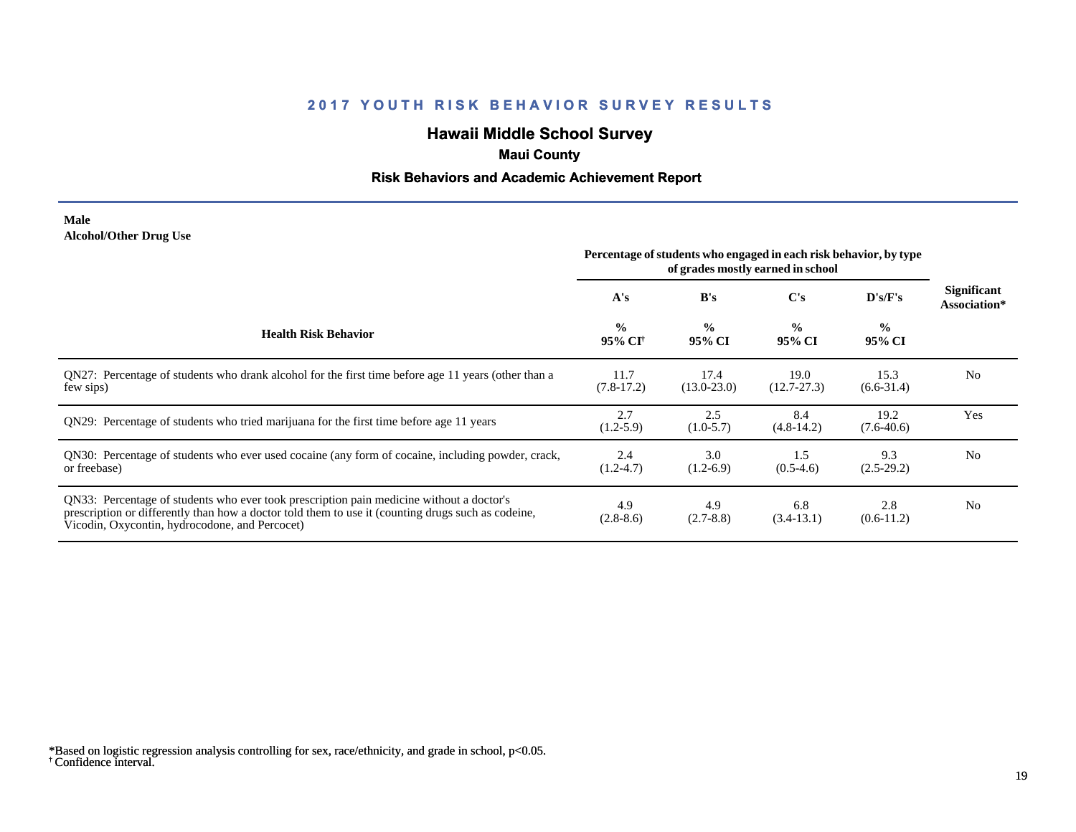# **Hawaii Middle School Survey**

# **Maui County**

## **Risk Behaviors and Academic Achievement Report**

### **Male Alcohol/Other Drug Use**

|                                                                                                                                                                                                                                                  | Percentage of students who engaged in each risk behavior, by type<br>of grades mostly earned in school |                         |                         |                         |                             |
|--------------------------------------------------------------------------------------------------------------------------------------------------------------------------------------------------------------------------------------------------|--------------------------------------------------------------------------------------------------------|-------------------------|-------------------------|-------------------------|-----------------------------|
|                                                                                                                                                                                                                                                  | A's                                                                                                    | B's                     | $\bf C's$               | D's/F's                 | Significant<br>Association* |
| <b>Health Risk Behavior</b>                                                                                                                                                                                                                      | $\frac{0}{0}$<br>95% CI <sup>+</sup>                                                                   | $\frac{0}{0}$<br>95% CI | $\frac{0}{0}$<br>95% CI | $\frac{0}{0}$<br>95% CI |                             |
| QN27: Percentage of students who drank alcohol for the first time before age 11 years (other than a<br>few sips)                                                                                                                                 | 11.7<br>$(7.8-17.2)$                                                                                   | 17.4<br>$(13.0 - 23.0)$ | 19.0<br>$(12.7 - 27.3)$ | 15.3<br>$(6.6 - 31.4)$  | N <sub>0</sub>              |
| QN29: Percentage of students who tried marijuana for the first time before age 11 years                                                                                                                                                          | 2.7<br>$(1.2 - 5.9)$                                                                                   | 2.5<br>$(1.0-5.7)$      | 8.4<br>$(4.8-14.2)$     | 19.2<br>$(7.6-40.6)$    | Yes                         |
| QN30: Percentage of students who ever used cocaine (any form of cocaine, including powder, crack,<br>or freebase)                                                                                                                                | 2.4<br>$(1.2 - 4.7)$                                                                                   | 3.0<br>$(1.2-6.9)$      | 1.5<br>$(0.5-4.6)$      | 9.3<br>$(2.5-29.2)$     | N <sub>0</sub>              |
| QN33: Percentage of students who ever took prescription pain medicine without a doctor's<br>prescription or differently than how a doctor told them to use it (counting drugs such as codeine,<br>Vicodin, Oxycontin, hydrocodone, and Percocet) | 4.9<br>$(2.8-8.6)$                                                                                     | 4.9<br>$(2.7 - 8.8)$    | 6.8<br>$(3.4-13.1)$     | 2.8<br>$(0.6-11.2)$     | N <sub>0</sub>              |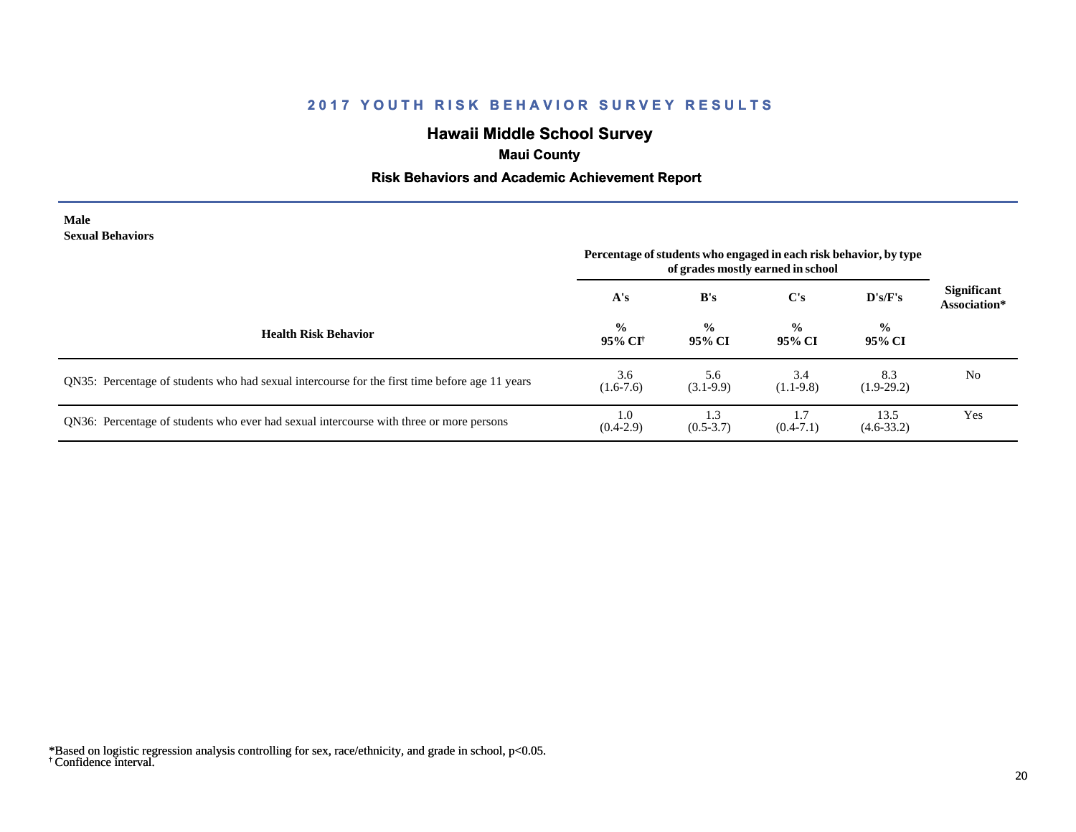# **Hawaii Middle School Survey**

# **Maui County**

## **Risk Behaviors and Academic Achievement Report**

#### **Male Sexual Behaviors**

|                                                                                                | Percentage of students who engaged in each risk behavior, by type<br>of grades mostly earned in school |                         |                         |                         |                                    |
|------------------------------------------------------------------------------------------------|--------------------------------------------------------------------------------------------------------|-------------------------|-------------------------|-------------------------|------------------------------------|
|                                                                                                | A's                                                                                                    | B's                     | C's                     | D's/F's                 | <b>Significant</b><br>Association* |
| <b>Health Risk Behavior</b>                                                                    | $\frac{0}{0}$<br>95% CI                                                                                | $\frac{0}{0}$<br>95% CI | $\frac{6}{9}$<br>95% CI | $\frac{0}{0}$<br>95% CI |                                    |
| QN35: Percentage of students who had sexual intercourse for the first time before age 11 years | 3.6<br>$(1.6-7.6)$                                                                                     | 5.6<br>$(3.1-9.9)$      | 3.4<br>$(1.1-9.8)$      | 8.3<br>$(1.9-29.2)$     | N <sub>0</sub>                     |
| QN36: Percentage of students who ever had sexual intercourse with three or more persons        | 1.0<br>$(0.4-2.9)$                                                                                     | 1.3<br>$(0.5 - 3.7)$    | $(0.4 - 7.1)$           | 13.5<br>$(4.6 - 33.2)$  | Yes                                |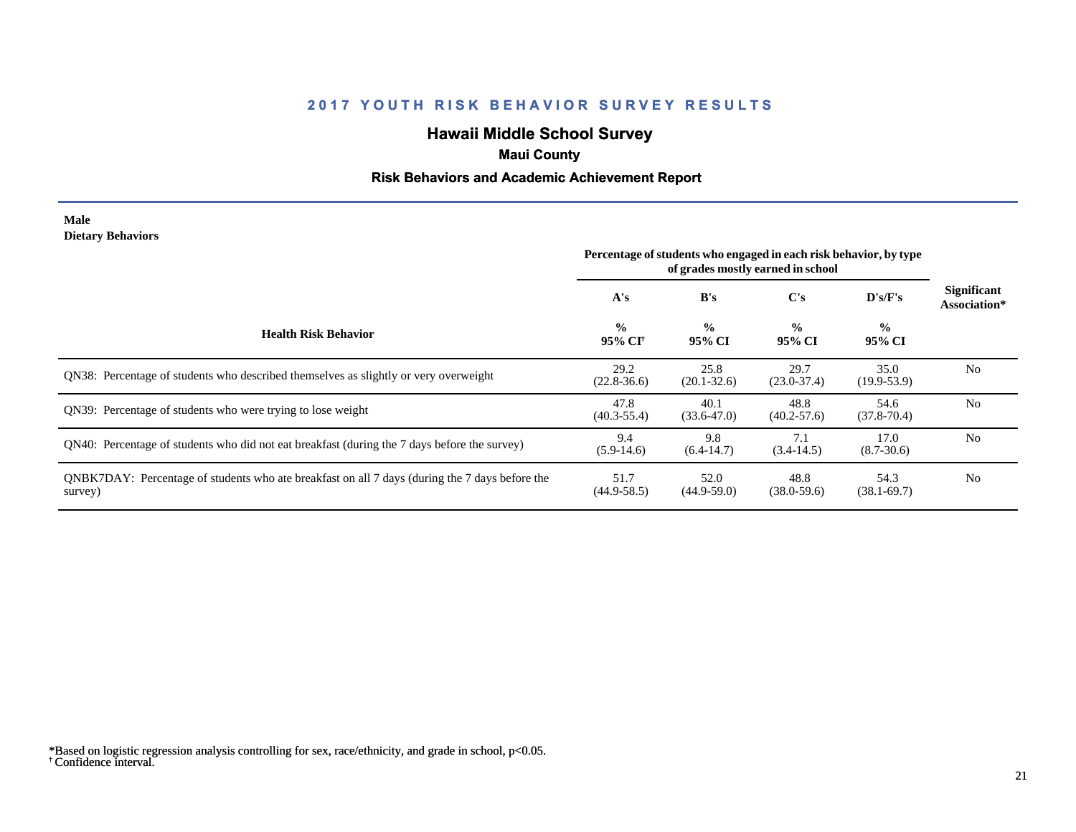# **Hawaii Middle School Survey**

# **Maui County**

## **Risk Behaviors and Academic Achievement Report**

### **Male Dietary Behaviors**

|                                                                                                           | Percentage of students who engaged in each risk behavior, by type<br>of grades mostly earned in school |                         |                         |                         |                                    |
|-----------------------------------------------------------------------------------------------------------|--------------------------------------------------------------------------------------------------------|-------------------------|-------------------------|-------------------------|------------------------------------|
|                                                                                                           | A's                                                                                                    | B's                     | C's                     | $\bf{D's/F's}$          | <b>Significant</b><br>Association* |
| <b>Health Risk Behavior</b>                                                                               | $\frac{0}{0}$<br>95% CI†                                                                               | $\frac{0}{0}$<br>95% CI | $\frac{0}{0}$<br>95% CI | $\frac{0}{0}$<br>95% CI |                                    |
| QN38: Percentage of students who described themselves as slightly or very overweight                      | 29.2<br>$(22.8 - 36.6)$                                                                                | 25.8<br>$(20.1 - 32.6)$ | 29.7<br>$(23.0 - 37.4)$ | 35.0<br>$(19.9-53.9)$   | N <sub>0</sub>                     |
| ON39: Percentage of students who were trying to lose weight                                               | 47.8<br>$(40.3 - 55.4)$                                                                                | 40.1<br>$(33.6 - 47.0)$ | 48.8<br>$(40.2 - 57.6)$ | 54.6<br>$(37.8 - 70.4)$ | N <sub>0</sub>                     |
| QN40: Percentage of students who did not eat breakfast (during the 7 days before the survey)              | 9.4<br>$(5.9-14.6)$                                                                                    | 9.8<br>$(6.4-14.7)$     | 7.1<br>$(3.4-14.5)$     | 17.0<br>$(8.7 - 30.6)$  | N <sub>0</sub>                     |
| QNBK7DAY: Percentage of students who ate breakfast on all 7 days (during the 7 days before the<br>survey) | 51.7<br>$(44.9 - 58.5)$                                                                                | 52.0<br>$(44.9-59.0)$   | 48.8<br>$(38.0 - 59.6)$ | 54.3<br>$(38.1 - 69.7)$ | N <sub>0</sub>                     |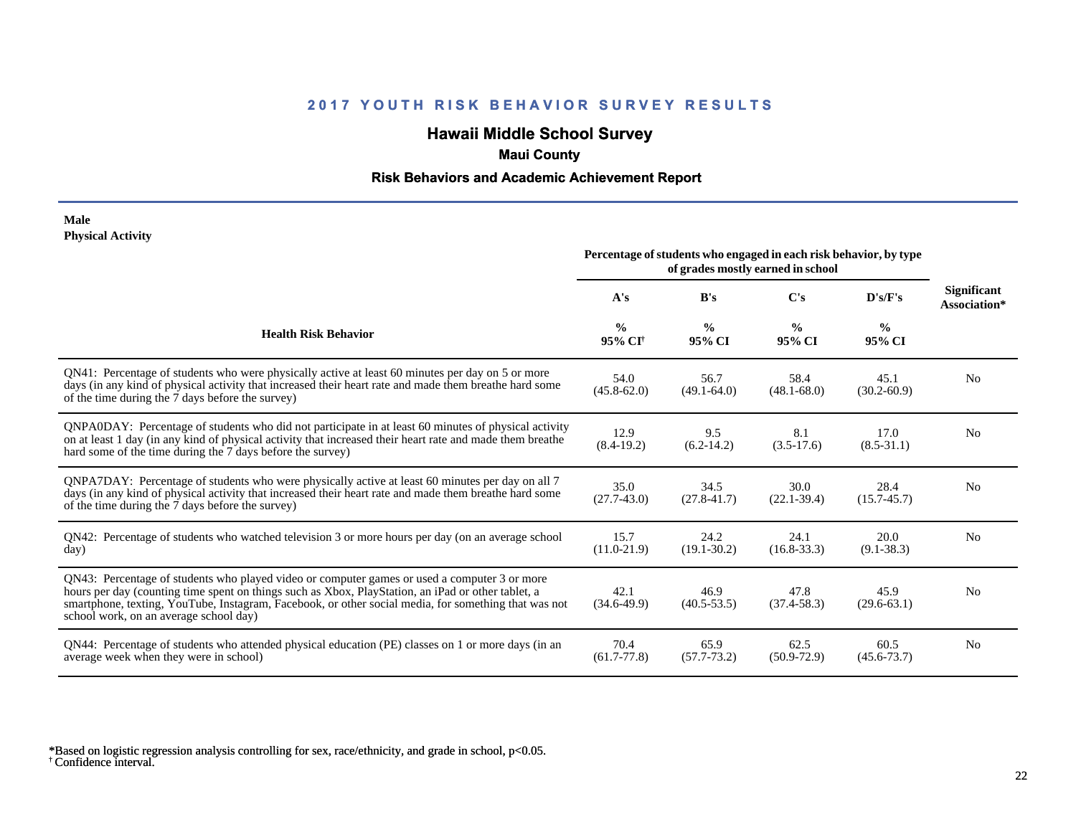# **Hawaii Middle School Survey**

# **Maui County**

## **Risk Behaviors and Academic Achievement Report**

### **Male Physical Activity**

|                                                                                                                                                                                                                                                                                                                                                      | Percentage of students who engaged in each risk behavior, by type<br>of grades mostly earned in school |                         |                         |                         |                                    |
|------------------------------------------------------------------------------------------------------------------------------------------------------------------------------------------------------------------------------------------------------------------------------------------------------------------------------------------------------|--------------------------------------------------------------------------------------------------------|-------------------------|-------------------------|-------------------------|------------------------------------|
|                                                                                                                                                                                                                                                                                                                                                      | A's                                                                                                    | B's                     | C's                     | D's/F's                 | <b>Significant</b><br>Association* |
| <b>Health Risk Behavior</b>                                                                                                                                                                                                                                                                                                                          | $\frac{0}{0}$<br>95% CI <sup>+</sup>                                                                   | $\frac{0}{0}$<br>95% CI | $\frac{0}{0}$<br>95% CI | $\frac{0}{0}$<br>95% CI |                                    |
| QN41: Percentage of students who were physically active at least 60 minutes per day on 5 or more<br>days (in any kind of physical activity that increased their heart rate and made them breathe hard some<br>of the time during the 7 days before the survey)                                                                                       | 54.0<br>$(45.8 - 62.0)$                                                                                | 56.7<br>$(49.1 - 64.0)$ | 58.4<br>$(48.1 - 68.0)$ | 45.1<br>$(30.2 - 60.9)$ | N <sub>0</sub>                     |
| QNPA0DAY: Percentage of students who did not participate in at least 60 minutes of physical activity<br>on at least 1 day (in any kind of physical activity that increased their heart rate and made them breathe<br>hard some of the time during the 7 days before the survey)                                                                      | 12.9<br>$(8.4-19.2)$                                                                                   | 9.5<br>$(6.2-14.2)$     | 8.1<br>$(3.5-17.6)$     | 17.0<br>$(8.5 - 31.1)$  | N <sub>0</sub>                     |
| QNPA7DAY: Percentage of students who were physically active at least 60 minutes per day on all 7<br>days (in any kind of physical activity that increased their heart rate and made them breathe hard some<br>of the time during the 7 days before the survey)                                                                                       | 35.0<br>$(27.7-43.0)$                                                                                  | 34.5<br>$(27.8 - 41.7)$ | 30.0<br>$(22.1 - 39.4)$ | 28.4<br>$(15.7 - 45.7)$ | N <sub>0</sub>                     |
| QN42: Percentage of students who watched television 3 or more hours per day (on an average school<br>day)                                                                                                                                                                                                                                            | 15.7<br>$(11.0 - 21.9)$                                                                                | 24.2<br>$(19.1 - 30.2)$ | 24.1<br>$(16.8 - 33.3)$ | 20.0<br>$(9.1 - 38.3)$  | No                                 |
| QN43: Percentage of students who played video or computer games or used a computer 3 or more<br>hours per day (counting time spent on things such as Xbox, PlayStation, an iPad or other tablet, a<br>smartphone, texting, YouTube, Instagram, Facebook, or other social media, for something that was not<br>school work, on an average school day) | 42.1<br>$(34.6-49.9)$                                                                                  | 46.9<br>$(40.5 - 53.5)$ | 47.8<br>$(37.4 - 58.3)$ | 45.9<br>$(29.6 - 63.1)$ | N <sub>0</sub>                     |
| QN44: Percentage of students who attended physical education (PE) classes on 1 or more days (in an<br>average week when they were in school)                                                                                                                                                                                                         | 70.4<br>$(61.7 - 77.8)$                                                                                | 65.9<br>$(57.7 - 73.2)$ | 62.5<br>$(50.9 - 72.9)$ | 60.5<br>$(45.6 - 73.7)$ | N <sub>0</sub>                     |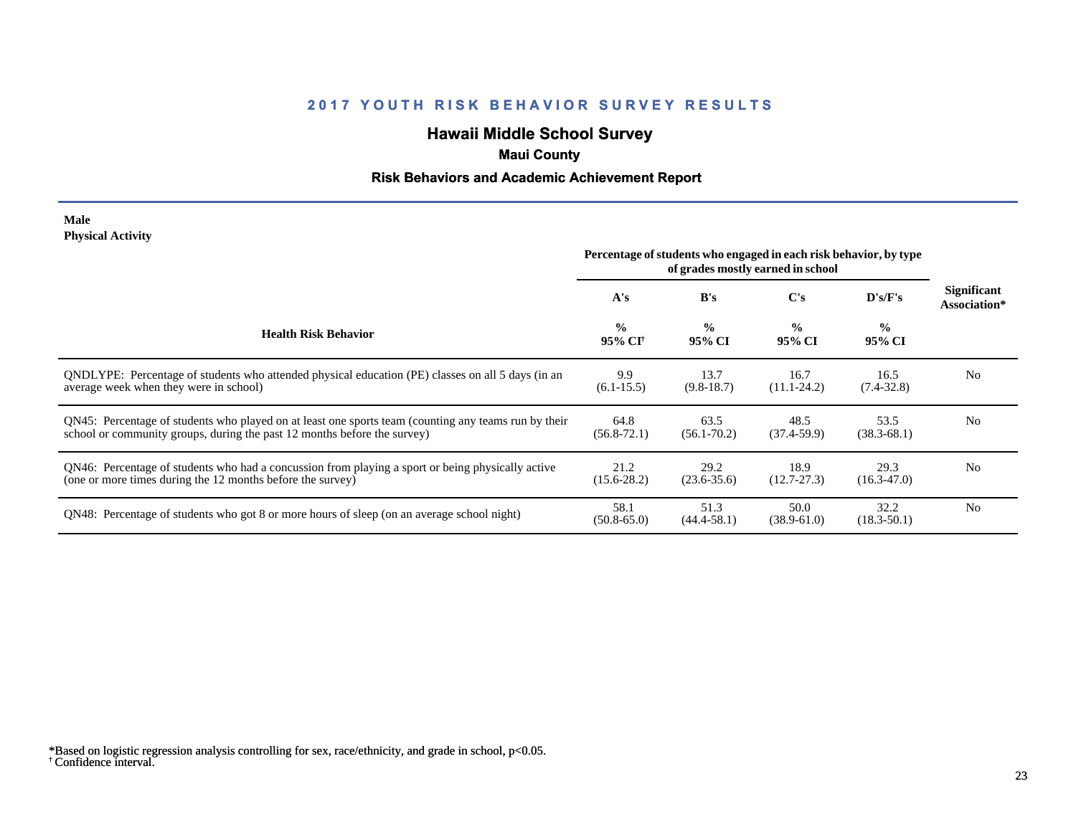# **Hawaii Middle School Survey**

# **Maui County**

## **Risk Behaviors and Academic Achievement Report**

### **Male Physical Activity**

|                                                                                                                                                                                  | Percentage of students who engaged in each risk behavior, by type<br>of grades mostly earned in school |                         |                         |                          |                                    |
|----------------------------------------------------------------------------------------------------------------------------------------------------------------------------------|--------------------------------------------------------------------------------------------------------|-------------------------|-------------------------|--------------------------|------------------------------------|
|                                                                                                                                                                                  | A's                                                                                                    | B's                     | C's                     | $\bf{D}$ 's/ $\bf{F}$ 's | <b>Significant</b><br>Association* |
| <b>Health Risk Behavior</b>                                                                                                                                                      | $\frac{0}{0}$<br>95% CI†                                                                               | $\frac{0}{0}$<br>95% CI | $\frac{0}{0}$<br>95% CI | $\frac{0}{0}$<br>95% CI  |                                    |
| ONDLYPE: Percentage of students who attended physical education (PE) classes on all 5 days (in an<br>average week when they were in school)                                      | 9.9<br>$(6.1 - 15.5)$                                                                                  | 13.7<br>$(9.8-18.7)$    | 16.7<br>$(11.1 - 24.2)$ | 16.5<br>$(7.4 - 32.8)$   | N <sub>0</sub>                     |
| QN45: Percentage of students who played on at least one sports team (counting any teams run by their<br>school or community groups, during the past 12 months before the survey) | 64.8<br>$(56.8 - 72.1)$                                                                                | 63.5<br>$(56.1 - 70.2)$ | 48.5<br>$(37.4-59.9)$   | 53.5<br>$(38.3 - 68.1)$  | N <sub>0</sub>                     |
| QN46: Percentage of students who had a concussion from playing a sport or being physically active<br>(one or more times during the 12 months before the survey)                  | 21.2<br>$(15.6 - 28.2)$                                                                                | 29.2<br>$(23.6 - 35.6)$ | 18.9<br>$(12.7 - 27.3)$ | 29.3<br>$(16.3 - 47.0)$  | N <sub>0</sub>                     |
| QN48: Percentage of students who got 8 or more hours of sleep (on an average school night)                                                                                       | 58.1<br>$(50.8 - 65.0)$                                                                                | 51.3<br>$(44.4 - 58.1)$ | 50.0<br>$(38.9 - 61.0)$ | 32.2<br>$(18.3 - 50.1)$  | N <sub>0</sub>                     |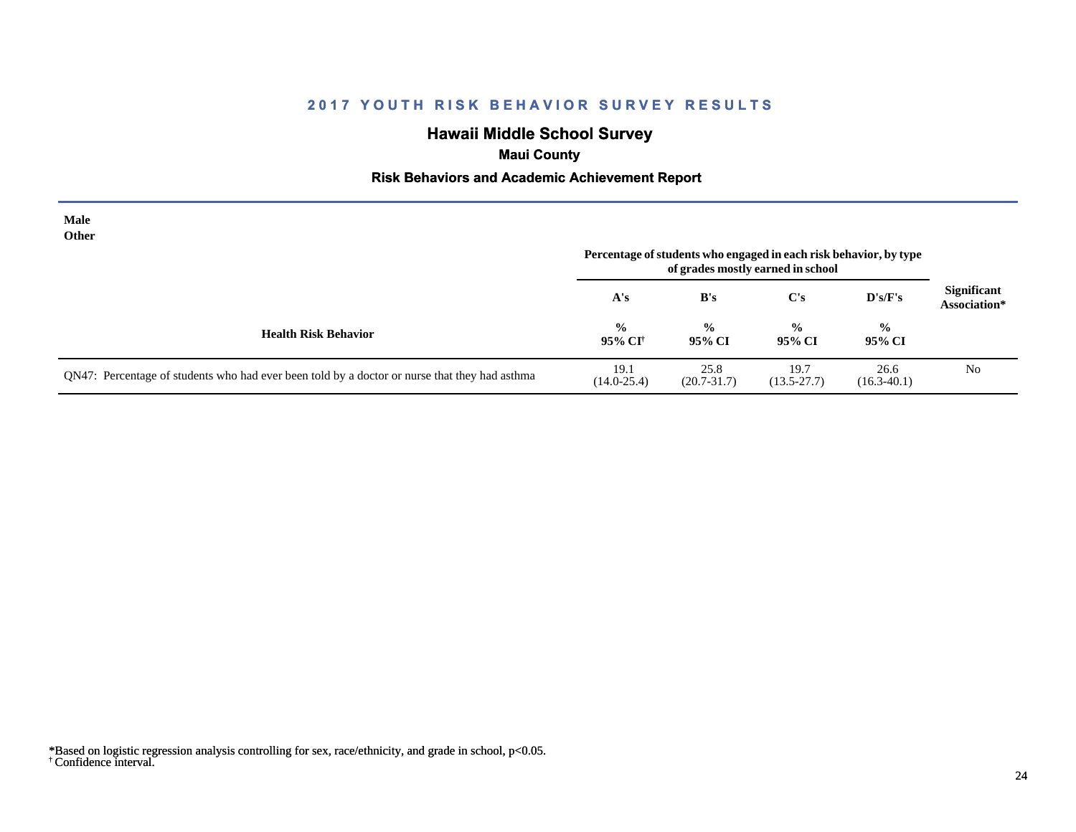# **Hawaii Middle School Survey**

# **Maui County**

## **Risk Behaviors and Academic Achievement Report**

| Male<br>Other                                                                                 | Percentage of students who engaged in each risk behavior, by type |                         |                         |                         |                                    |
|-----------------------------------------------------------------------------------------------|-------------------------------------------------------------------|-------------------------|-------------------------|-------------------------|------------------------------------|
|                                                                                               | A's                                                               | B's                     | $\bf C's$               | D's/F's                 | <b>Significant</b><br>Association* |
| <b>Health Risk Behavior</b>                                                                   | $\frac{0}{0}$<br>95% CI†                                          | $\frac{6}{6}$<br>95% CI | $\frac{0}{0}$<br>95% CI | $\frac{0}{0}$<br>95% CI |                                    |
| QN47: Percentage of students who had ever been told by a doctor or nurse that they had asthma | 19.1<br>$(14.0 - 25.4)$                                           | 25.8<br>$(20.7 - 31.7)$ | 19.7<br>$(13.5 - 27.7)$ | 26.6<br>$(16.3 - 40.1)$ | N <sub>0</sub>                     |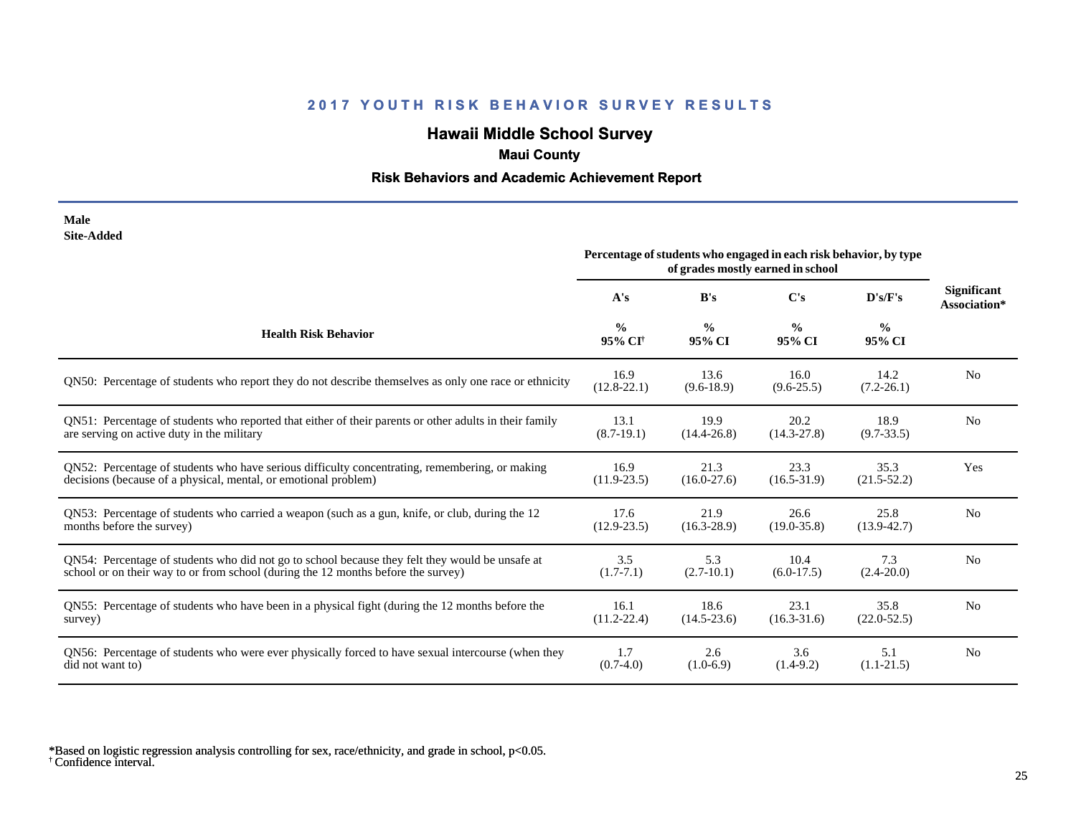# **Hawaii Middle School Survey**

# **Maui County**

## **Risk Behaviors and Academic Achievement Report**

| Male       |
|------------|
| Site-Added |

| one maara                                                                                              | Percentage of students who engaged in each risk behavior, by type<br>of grades mostly earned in school |                         |                         |                         |                                    |
|--------------------------------------------------------------------------------------------------------|--------------------------------------------------------------------------------------------------------|-------------------------|-------------------------|-------------------------|------------------------------------|
|                                                                                                        | A's                                                                                                    | B's                     | C's                     | D's/F's                 | <b>Significant</b><br>Association* |
| <b>Health Risk Behavior</b>                                                                            | $\frac{0}{0}$<br>95% CI <sup>+</sup>                                                                   | $\frac{0}{0}$<br>95% CI | $\frac{0}{0}$<br>95% CI | $\frac{0}{0}$<br>95% CI |                                    |
| QN50: Percentage of students who report they do not describe themselves as only one race or ethnicity  | 16.9<br>$(12.8 - 22.1)$                                                                                | 13.6<br>$(9.6-18.9)$    | 16.0<br>$(9.6 - 25.5)$  | 14.2<br>$(7.2 - 26.1)$  | N <sub>0</sub>                     |
| QN51: Percentage of students who reported that either of their parents or other adults in their family | 13.1                                                                                                   | 19.9                    | 20.2                    | 18.9                    | N <sub>0</sub>                     |
| are serving on active duty in the military                                                             | $(8.7-19.1)$                                                                                           | $(14.4 - 26.8)$         | $(14.3 - 27.8)$         | $(9.7 - 33.5)$          |                                    |
| QN52: Percentage of students who have serious difficulty concentrating, remembering, or making         | 16.9                                                                                                   | 21.3                    | 23.3                    | 35.3                    | Yes                                |
| decisions (because of a physical, mental, or emotional problem)                                        | $(11.9 - 23.5)$                                                                                        | $(16.0-27.6)$           | $(16.5 - 31.9)$         | $(21.5 - 52.2)$         |                                    |
| QN53: Percentage of students who carried a weapon (such as a gun, knife, or club, during the 12        | 17.6                                                                                                   | 21.9                    | 26.6                    | 25.8                    | N <sub>0</sub>                     |
| months before the survey)                                                                              | $(12.9 - 23.5)$                                                                                        | $(16.3 - 28.9)$         | $(19.0 - 35.8)$         | $(13.9 - 42.7)$         |                                    |
| QN54: Percentage of students who did not go to school because they felt they would be unsafe at        | 3.5                                                                                                    | 5.3                     | 10.4                    | 7.3                     | N <sub>0</sub>                     |
| school or on their way to or from school (during the 12 months before the survey)                      | $(1.7-7.1)$                                                                                            | $(2.7-10.1)$            | $(6.0-17.5)$            | $(2.4 - 20.0)$          |                                    |
| QN55: Percentage of students who have been in a physical fight (during the 12 months before the        | 16.1                                                                                                   | 18.6                    | 23.1                    | 35.8                    | N <sub>0</sub>                     |
| survey)                                                                                                | $(11.2 - 22.4)$                                                                                        | $(14.5 - 23.6)$         | $(16.3 - 31.6)$         | $(22.0 - 52.5)$         |                                    |
| QN56: Percentage of students who were ever physically forced to have sexual intercourse (when they     | 1.7                                                                                                    | 2.6                     | 3.6                     | 5.1                     | N <sub>0</sub>                     |
| did not want to)                                                                                       | $(0.7-4.0)$                                                                                            | $(1.0-6.9)$             | $(1.4-9.2)$             | $(1.1-21.5)$            |                                    |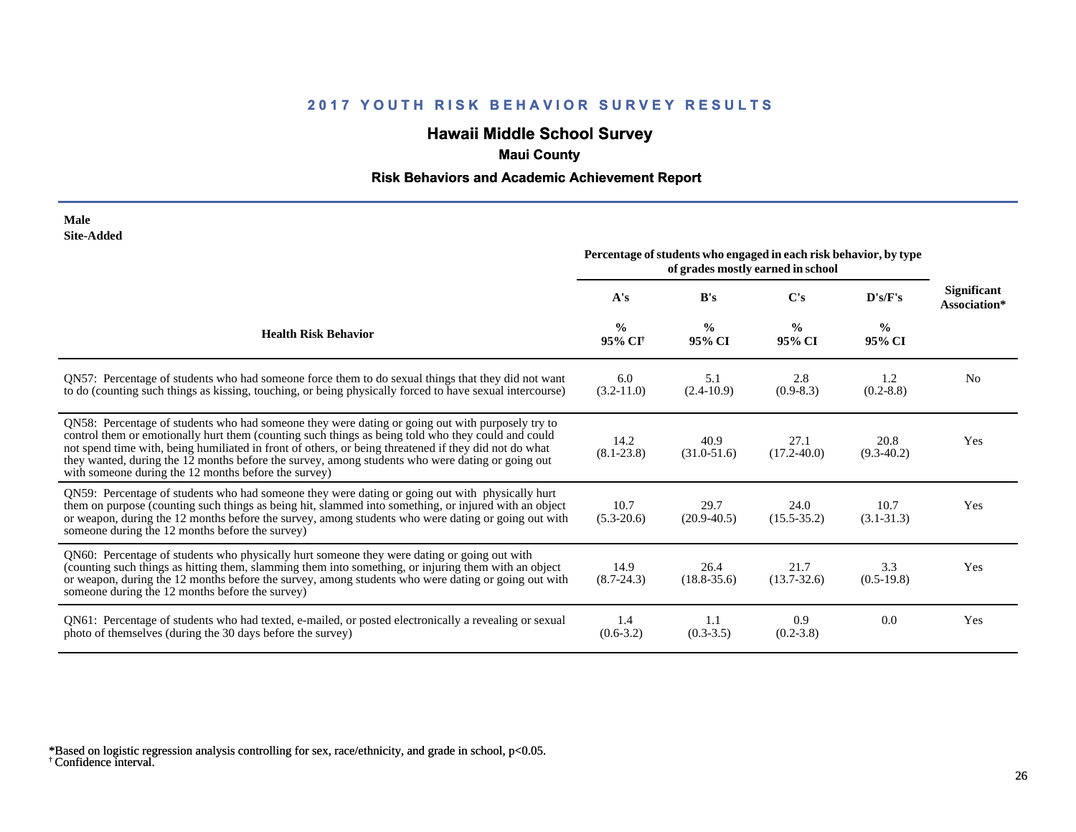# **Hawaii Middle School Survey**

# **Maui County**

## **Risk Behaviors and Academic Achievement Report**

| Male              |
|-------------------|
| <b>Site-Added</b> |

| one-nuuvu                                                                                                                                                                                                                                                                                                                                                                                                                                                                   | Percentage of students who engaged in each risk behavior, by type<br>of grades mostly earned in school |                         |                         |                         |                             |
|-----------------------------------------------------------------------------------------------------------------------------------------------------------------------------------------------------------------------------------------------------------------------------------------------------------------------------------------------------------------------------------------------------------------------------------------------------------------------------|--------------------------------------------------------------------------------------------------------|-------------------------|-------------------------|-------------------------|-----------------------------|
|                                                                                                                                                                                                                                                                                                                                                                                                                                                                             | A's                                                                                                    | B's                     | C's                     | D's/F's                 | Significant<br>Association* |
| <b>Health Risk Behavior</b>                                                                                                                                                                                                                                                                                                                                                                                                                                                 | $\frac{0}{0}$<br>95% CI <sup>†</sup>                                                                   | $\frac{0}{0}$<br>95% CI | $\frac{0}{0}$<br>95% CI | $\frac{0}{0}$<br>95% CI |                             |
| QN57: Percentage of students who had someone force them to do sexual things that they did not want<br>to do (counting such things as kissing, touching, or being physically forced to have sexual intercourse)                                                                                                                                                                                                                                                              | 6.0<br>$(3.2 - 11.0)$                                                                                  | 5.1<br>$(2.4-10.9)$     | 2.8<br>$(0.9-8.3)$      | 1.2<br>$(0.2 - 8.8)$    | N <sub>0</sub>              |
| QN58: Percentage of students who had someone they were dating or going out with purposely try to<br>control them or emotionally hurt them (counting such things as being told who they could and could<br>not spend time with, being humiliated in front of others, or being threatened if they did not do what<br>they wanted, during the 12 months before the survey, among students who were dating or going out<br>with someone during the 12 months before the survey) | 14.2<br>$(8.1 - 23.8)$                                                                                 | 40.9<br>$(31.0 - 51.6)$ | 27.1<br>$(17.2 - 40.0)$ | 20.8<br>$(9.3 - 40.2)$  | Yes                         |
| QN59: Percentage of students who had someone they were dating or going out with physically hurt<br>them on purpose (counting such things as being hit, slammed into something, or injured with an object<br>or weapon, during the 12 months before the survey, among students who were dating or going out with<br>someone during the 12 months before the survey)                                                                                                          | 10.7<br>$(5.3-20.6)$                                                                                   | 29.7<br>$(20.9 - 40.5)$ | 24.0<br>$(15.5 - 35.2)$ | 10.7<br>$(3.1 - 31.3)$  | Yes                         |
| QN60: Percentage of students who physically hurt someone they were dating or going out with<br>(counting such things as hitting them, slamming them into something, or injuring them with an object<br>or weapon, during the 12 months before the survey, among students who were dating or going out with<br>someone during the 12 months before the survey)                                                                                                               | 14.9<br>$(8.7 - 24.3)$                                                                                 | 26.4<br>$(18.8 - 35.6)$ | 21.7<br>$(13.7 - 32.6)$ | 3.3<br>$(0.5-19.8)$     | Yes                         |
| QN61: Percentage of students who had texted, e-mailed, or posted electronically a revealing or sexual<br>photo of themselves (during the 30 days before the survey)                                                                                                                                                                                                                                                                                                         | 1.4<br>$(0.6-3.2)$                                                                                     | 1.1<br>$(0.3-3.5)$      | 0.9<br>$(0.2 - 3.8)$    | 0.0                     | Yes                         |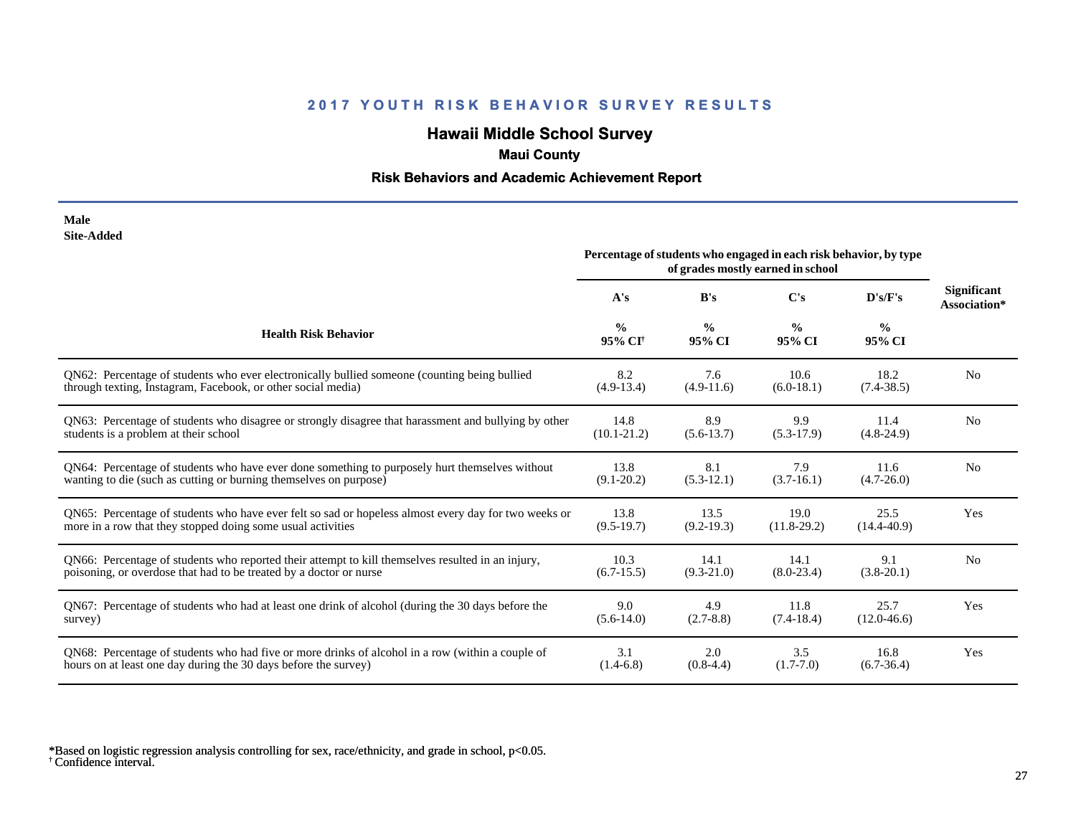# **Hawaii Middle School Survey**

# **Maui County**

## **Risk Behaviors and Academic Achievement Report**

#### **Male Site-Added**

|                                                                                                      | Percentage of students who engaged in each risk behavior, by type<br>of grades mostly earned in school |                         |                         |                         |                                    |
|------------------------------------------------------------------------------------------------------|--------------------------------------------------------------------------------------------------------|-------------------------|-------------------------|-------------------------|------------------------------------|
|                                                                                                      | A's                                                                                                    | B's                     | $\bf C's$               | D's/F's                 | <b>Significant</b><br>Association* |
| <b>Health Risk Behavior</b>                                                                          | $\frac{0}{0}$<br>95% CI <sup>+</sup>                                                                   | $\frac{0}{0}$<br>95% CI | $\frac{0}{0}$<br>95% CI | $\frac{0}{0}$<br>95% CI |                                    |
| QN62: Percentage of students who ever electronically bullied someone (counting being bullied         | 8.2                                                                                                    | 7.6                     | 10.6                    | 18.2                    | N <sub>0</sub>                     |
| through texting, Instagram, Facebook, or other social media)                                         | $(4.9-13.4)$                                                                                           | $(4.9-11.6)$            | $(6.0-18.1)$            | $(7.4 - 38.5)$          |                                    |
| QN63: Percentage of students who disagree or strongly disagree that harassment and bullying by other | 14.8                                                                                                   | 8.9                     | 9.9                     | 11.4                    | N <sub>0</sub>                     |
| students is a problem at their school                                                                | $(10.1 - 21.2)$                                                                                        | $(5.6-13.7)$            | $(5.3-17.9)$            | $(4.8-24.9)$            |                                    |
| QN64: Percentage of students who have ever done something to purposely hurt themselves without       | 13.8                                                                                                   | 8.1                     | 7.9                     | 11.6                    | N <sub>0</sub>                     |
| wanting to die (such as cutting or burning themselves on purpose)                                    | $(9.1 - 20.2)$                                                                                         | $(5.3-12.1)$            | $(3.7-16.1)$            | $(4.7 - 26.0)$          |                                    |
| QN65: Percentage of students who have ever felt so sad or hopeless almost every day for two weeks or | 13.8                                                                                                   | 13.5                    | 19.0                    | 25.5                    | Yes                                |
| more in a row that they stopped doing some usual activities                                          | $(9.5-19.7)$                                                                                           | $(9.2 - 19.3)$          | $(11.8-29.2)$           | $(14.4 - 40.9)$         |                                    |
| QN66: Percentage of students who reported their attempt to kill themselves resulted in an injury,    | 10.3                                                                                                   | 14.1                    | 14.1                    | 9.1                     | N <sub>0</sub>                     |
| poisoning, or overdose that had to be treated by a doctor or nurse                                   | $(6.7-15.5)$                                                                                           | $(9.3 - 21.0)$          | $(8.0-23.4)$            | $(3.8-20.1)$            |                                    |
| QN67: Percentage of students who had at least one drink of alcohol (during the 30 days before the    | 9.0                                                                                                    | 4.9                     | 11.8                    | 25.7                    | Yes                                |
| survey)                                                                                              | $(5.6-14.0)$                                                                                           | $(2.7-8.8)$             | $(7.4-18.4)$            | $(12.0-46.6)$           |                                    |
| QN68: Percentage of students who had five or more drinks of alcohol in a row (within a couple of     | 3.1                                                                                                    | 2.0                     | 3.5                     | 16.8                    | Yes                                |
| hours on at least one day during the 30 days before the survey)                                      | $(1.4-6.8)$                                                                                            | $(0.8-4.4)$             | $(1.7-7.0)$             | $(6.7-36.4)$            |                                    |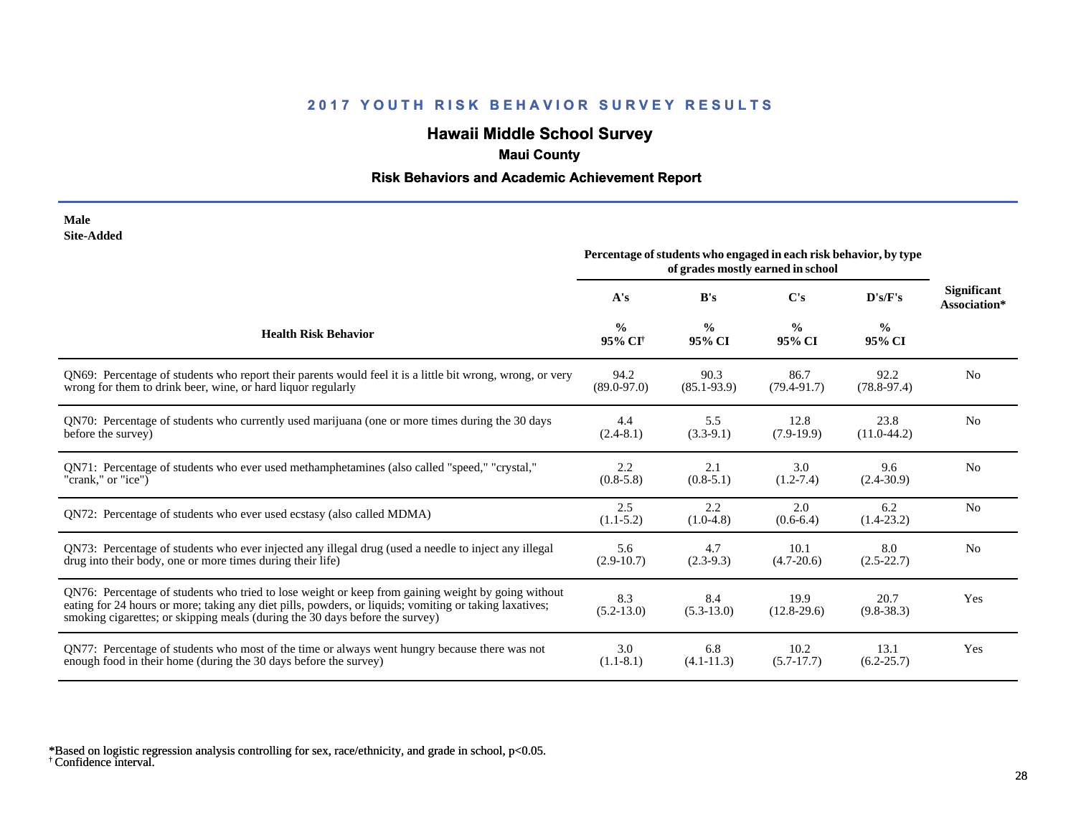# **Hawaii Middle School Survey**

# **Maui County**

## **Risk Behaviors and Academic Achievement Report**

| Male              |
|-------------------|
| <b>Site-Added</b> |

|                                                                                                                                                                                                                                                                                              | Percentage of students who engaged in each risk behavior, by type<br>of grades mostly earned in school |                         |                         |                         |                                    |
|----------------------------------------------------------------------------------------------------------------------------------------------------------------------------------------------------------------------------------------------------------------------------------------------|--------------------------------------------------------------------------------------------------------|-------------------------|-------------------------|-------------------------|------------------------------------|
|                                                                                                                                                                                                                                                                                              | A's                                                                                                    | B's                     | C's                     | D's/F's                 | <b>Significant</b><br>Association* |
| <b>Health Risk Behavior</b>                                                                                                                                                                                                                                                                  | $\frac{0}{0}$<br>95% CI <sup>+</sup>                                                                   | $\frac{6}{9}$<br>95% CI | $\frac{0}{0}$<br>95% CI | $\frac{0}{0}$<br>95% CI |                                    |
| QN69: Percentage of students who report their parents would feel it is a little bit wrong, wrong, or very                                                                                                                                                                                    | 94.2                                                                                                   | 90.3                    | 86.7                    | 92.2                    | N <sub>0</sub>                     |
| wrong for them to drink beer, wine, or hard liquor regularly                                                                                                                                                                                                                                 | $(89.0 - 97.0)$                                                                                        | $(85.1 - 93.9)$         | $(79.4 - 91.7)$         | $(78.8-97.4)$           |                                    |
| QN70: Percentage of students who currently used marijuana (one or more times during the 30 days                                                                                                                                                                                              | 4.4                                                                                                    | 5.5                     | 12.8                    | 23.8                    | N <sub>0</sub>                     |
| before the survey)                                                                                                                                                                                                                                                                           | $(2.4 - 8.1)$                                                                                          | $(3.3-9.1)$             | $(7.9-19.9)$            | $(11.0-44.2)$           |                                    |
| QN71: Percentage of students who ever used methamphetamines (also called "speed," "crystal,"                                                                                                                                                                                                 | 2.2                                                                                                    | 2.1                     | 3.0                     | 9.6                     | N <sub>0</sub>                     |
| "crank," or "ice")                                                                                                                                                                                                                                                                           | $(0.8-5.8)$                                                                                            | $(0.8-5.1)$             | $(1.2 - 7.4)$           | $(2.4 - 30.9)$          |                                    |
| QN72: Percentage of students who ever used ecstasy (also called MDMA)                                                                                                                                                                                                                        | 2.5<br>$(1.1-5.2)$                                                                                     | 2.2<br>$(1.0-4.8)$      | 2.0<br>$(0.6-6.4)$      | 6.2<br>$(1.4-23.2)$     | N <sub>0</sub>                     |
| QN73: Percentage of students who ever injected any illegal drug (used a needle to inject any illegal                                                                                                                                                                                         | 5.6                                                                                                    | 4.7                     | 10.1                    | 8.0                     | N <sub>0</sub>                     |
| drug into their body, one or more times during their life)                                                                                                                                                                                                                                   | $(2.9-10.7)$                                                                                           | $(2.3-9.3)$             | $(4.7 - 20.6)$          | $(2.5 - 22.7)$          |                                    |
| QN76: Percentage of students who tried to lose weight or keep from gaining weight by going without<br>eating for 24 hours or more; taking any diet pills, powders, or liquids; vomiting or taking laxatives;<br>smoking cigarettes; or skipping meals (during the 30 days before the survey) | 8.3<br>$(5.2 - 13.0)$                                                                                  | 8.4<br>$(5.3-13.0)$     | 19.9<br>$(12.8-29.6)$   | 20.7<br>$(9.8-38.3)$    | Yes                                |
| QN77: Percentage of students who most of the time or always went hungry because there was not                                                                                                                                                                                                | 3.0                                                                                                    | 6.8                     | 10.2                    | 13.1                    | Yes                                |
| enough food in their home (during the 30 days before the survey)                                                                                                                                                                                                                             | $(1.1-8.1)$                                                                                            | $(4.1 - 11.3)$          | $(5.7-17.7)$            | $(6.2 - 25.7)$          |                                    |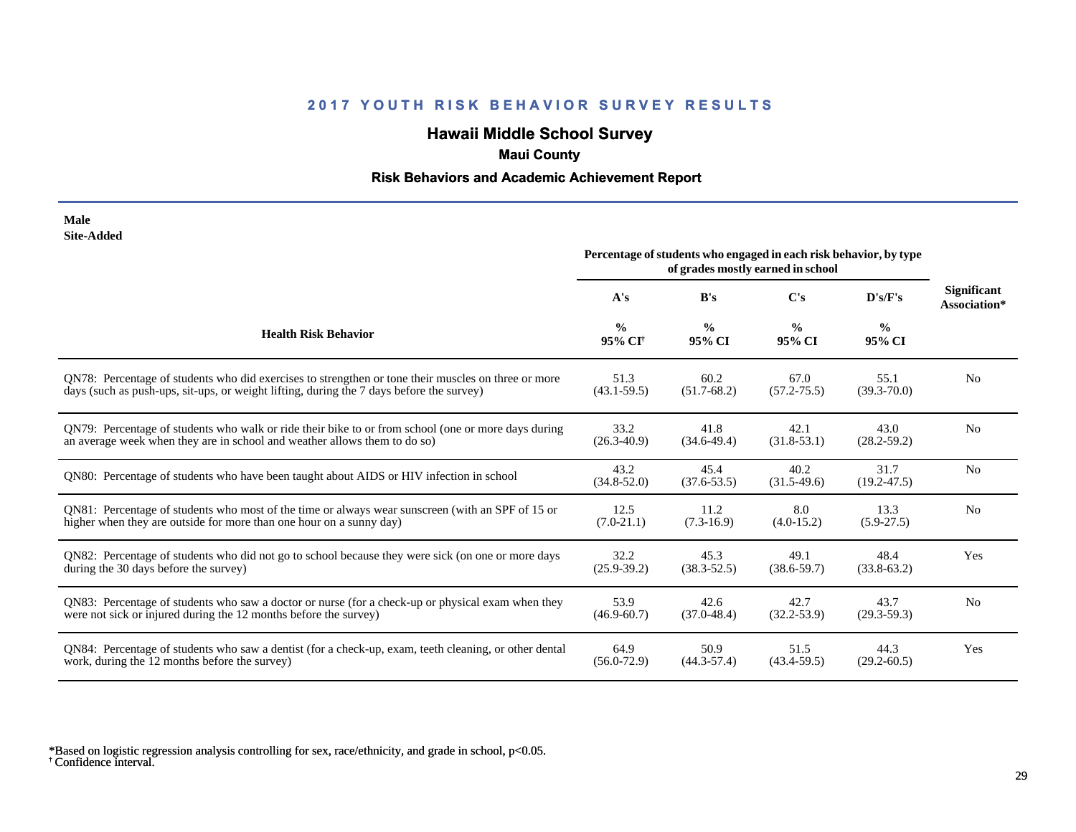# **Hawaii Middle School Survey**

# **Maui County**

## **Risk Behaviors and Academic Achievement Report**

| Male              |
|-------------------|
| <b>Site-Added</b> |

|                                                                                                       | Percentage of students who engaged in each risk behavior, by type<br>of grades mostly earned in school |                         |                         |                         |                                    |
|-------------------------------------------------------------------------------------------------------|--------------------------------------------------------------------------------------------------------|-------------------------|-------------------------|-------------------------|------------------------------------|
|                                                                                                       | A's                                                                                                    | B's                     | $\bf C's$               | D's/F's                 | <b>Significant</b><br>Association* |
| <b>Health Risk Behavior</b>                                                                           | $\frac{0}{0}$<br>95% CI <sup>+</sup>                                                                   | $\frac{0}{0}$<br>95% CI | $\frac{6}{9}$<br>95% CI | $\frac{0}{0}$<br>95% CI |                                    |
| QN78: Percentage of students who did exercises to strengthen or tone their muscles on three or more   | 51.3                                                                                                   | 60.2                    | 67.0                    | 55.1                    | N <sub>0</sub>                     |
| days (such as push-ups, sit-ups, or weight lifting, during the 7 days before the survey)              | $(43.1 - 59.5)$                                                                                        | $(51.7-68.2)$           | $(57.2 - 75.5)$         | $(39.3 - 70.0)$         |                                    |
| ON79: Percentage of students who walk or ride their bike to or from school (one or more days during   | 33.2                                                                                                   | 41.8                    | 42.1                    | 43.0                    | N <sub>0</sub>                     |
| an average week when they are in school and weather allows them to do so)                             | $(26.3 - 40.9)$                                                                                        | $(34.6-49.4)$           | $(31.8-53.1)$           | $(28.2 - 59.2)$         |                                    |
| QN80: Percentage of students who have been taught about AIDS or HIV infection in school               | 43.2<br>$(34.8 - 52.0)$                                                                                | 45.4<br>$(37.6 - 53.5)$ | 40.2<br>$(31.5-49.6)$   | 31.7<br>$(19.2 - 47.5)$ | N <sub>0</sub>                     |
| QN81: Percentage of students who most of the time or always wear sunscreen (with an SPF of 15 or      | 12.5                                                                                                   | 11.2                    | 8.0                     | 13.3                    | N <sub>0</sub>                     |
| higher when they are outside for more than one hour on a sunny day)                                   | $(7.0-21.1)$                                                                                           | $(7.3-16.9)$            | $(4.0-15.2)$            | $(5.9-27.5)$            |                                    |
| QN82: Percentage of students who did not go to school because they were sick (on one or more days     | 32.2                                                                                                   | 45.3                    | 49.1                    | 48.4                    | Yes                                |
| during the 30 days before the survey)                                                                 | $(25.9 - 39.2)$                                                                                        | $(38.3 - 52.5)$         | $(38.6 - 59.7)$         | $(33.8-63.2)$           |                                    |
| QN83: Percentage of students who saw a doctor or nurse (for a check-up or physical exam when they     | 53.9                                                                                                   | 42.6                    | 42.7                    | 43.7                    | N <sub>0</sub>                     |
| were not sick or injured during the 12 months before the survey)                                      | $(46.9 - 60.7)$                                                                                        | $(37.0 - 48.4)$         | $(32.2 - 53.9)$         | $(29.3 - 59.3)$         |                                    |
| QN84: Percentage of students who saw a dentist (for a check-up, exam, teeth cleaning, or other dental | 64.9                                                                                                   | 50.9                    | 51.5                    | 44.3                    | Yes                                |
| work, during the 12 months before the survey)                                                         | $(56.0 - 72.9)$                                                                                        | $(44.3 - 57.4)$         | $(43.4 - 59.5)$         | $(29.2 - 60.5)$         |                                    |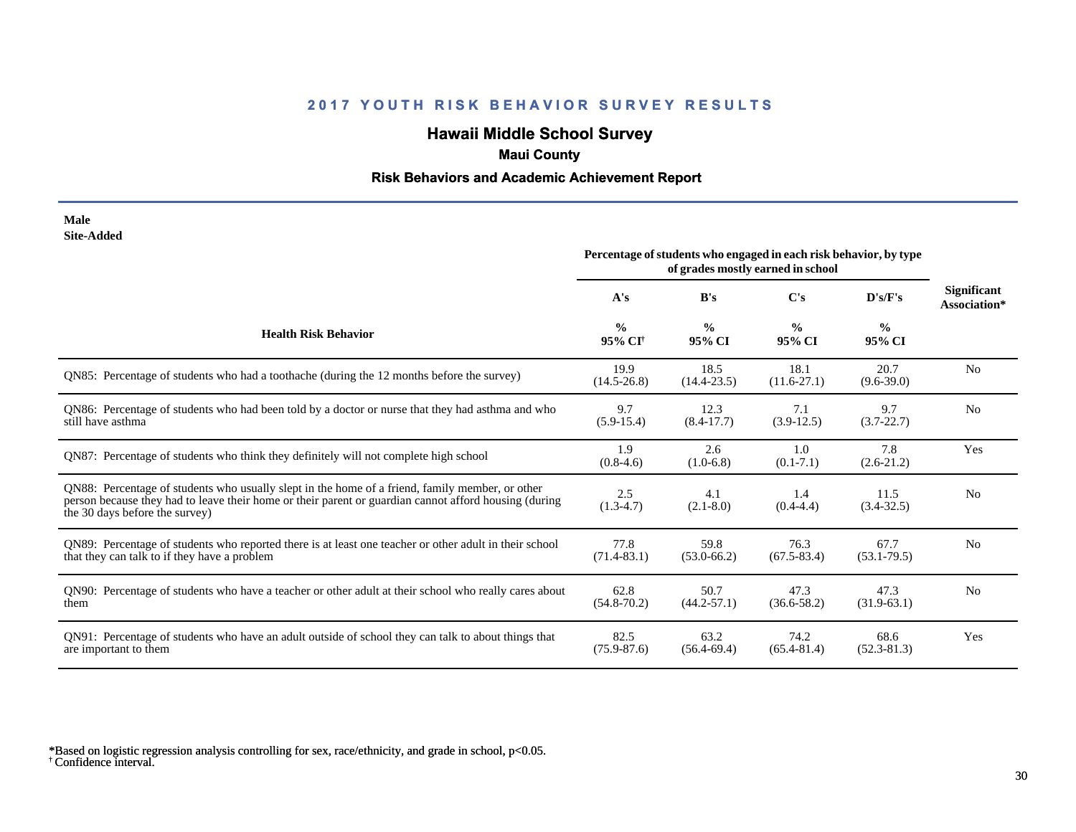# **Hawaii Middle School Survey**

# **Maui County**

## **Risk Behaviors and Academic Achievement Report**

#### **Male Site-Added**

|                                                                                                                                                                                                                                            | Percentage of students who engaged in each risk behavior, by type<br>of grades mostly earned in school |                         |                         |                         |                                    |
|--------------------------------------------------------------------------------------------------------------------------------------------------------------------------------------------------------------------------------------------|--------------------------------------------------------------------------------------------------------|-------------------------|-------------------------|-------------------------|------------------------------------|
|                                                                                                                                                                                                                                            | A's                                                                                                    | B's                     | C's                     | D's/F's                 | <b>Significant</b><br>Association* |
| <b>Health Risk Behavior</b>                                                                                                                                                                                                                | $\frac{0}{0}$<br>95% CI <sup>+</sup>                                                                   | $\frac{0}{0}$<br>95% CI | $\frac{0}{0}$<br>95% CI | $\frac{0}{0}$<br>95% CI |                                    |
| QN85: Percentage of students who had a toothache (during the 12 months before the survey)                                                                                                                                                  | 19.9<br>$(14.5 - 26.8)$                                                                                | 18.5<br>$(14.4 - 23.5)$ | 18.1<br>$(11.6 - 27.1)$ | 20.7<br>$(9.6-39.0)$    | N <sub>0</sub>                     |
| QN86: Percentage of students who had been told by a doctor or nurse that they had asthma and who<br>still have asthma                                                                                                                      | 9.7<br>$(5.9-15.4)$                                                                                    | 12.3<br>$(8.4 - 17.7)$  | 7.1<br>$(3.9-12.5)$     | 9.7<br>$(3.7 - 22.7)$   | N <sub>0</sub>                     |
| QN87: Percentage of students who think they definitely will not complete high school                                                                                                                                                       | 1.9<br>$(0.8-4.6)$                                                                                     | 2.6<br>$(1.0-6.8)$      | 1.0<br>$(0.1 - 7.1)$    | 7.8<br>$(2.6-21.2)$     | Yes                                |
| QN88: Percentage of students who usually slept in the home of a friend, family member, or other<br>person because they had to leave their home or their parent or guardian cannot afford housing (during<br>the 30 days before the survey) | 2.5<br>$(1.3-4.7)$                                                                                     | 4.1<br>$(2.1 - 8.0)$    | 1.4<br>$(0.4 - 4.4)$    | 11.5<br>$(3.4 - 32.5)$  | N <sub>0</sub>                     |
| QN89: Percentage of students who reported there is at least one teacher or other adult in their school<br>that they can talk to if they have a problem                                                                                     | 77.8<br>$(71.4 - 83.1)$                                                                                | 59.8<br>$(53.0 - 66.2)$ | 76.3<br>$(67.5 - 83.4)$ | 67.7<br>$(53.1 - 79.5)$ | N <sub>0</sub>                     |
| QN90: Percentage of students who have a teacher or other adult at their school who really cares about<br>them                                                                                                                              | 62.8<br>$(54.8 - 70.2)$                                                                                | 50.7<br>$(44.2 - 57.1)$ | 47.3<br>$(36.6 - 58.2)$ | 47.3<br>$(31.9-63.1)$   | N <sub>0</sub>                     |
| QN91: Percentage of students who have an adult outside of school they can talk to about things that<br>are important to them                                                                                                               | 82.5<br>$(75.9 - 87.6)$                                                                                | 63.2<br>$(56.4 - 69.4)$ | 74.2<br>$(65.4 - 81.4)$ | 68.6<br>$(52.3 - 81.3)$ | Yes                                |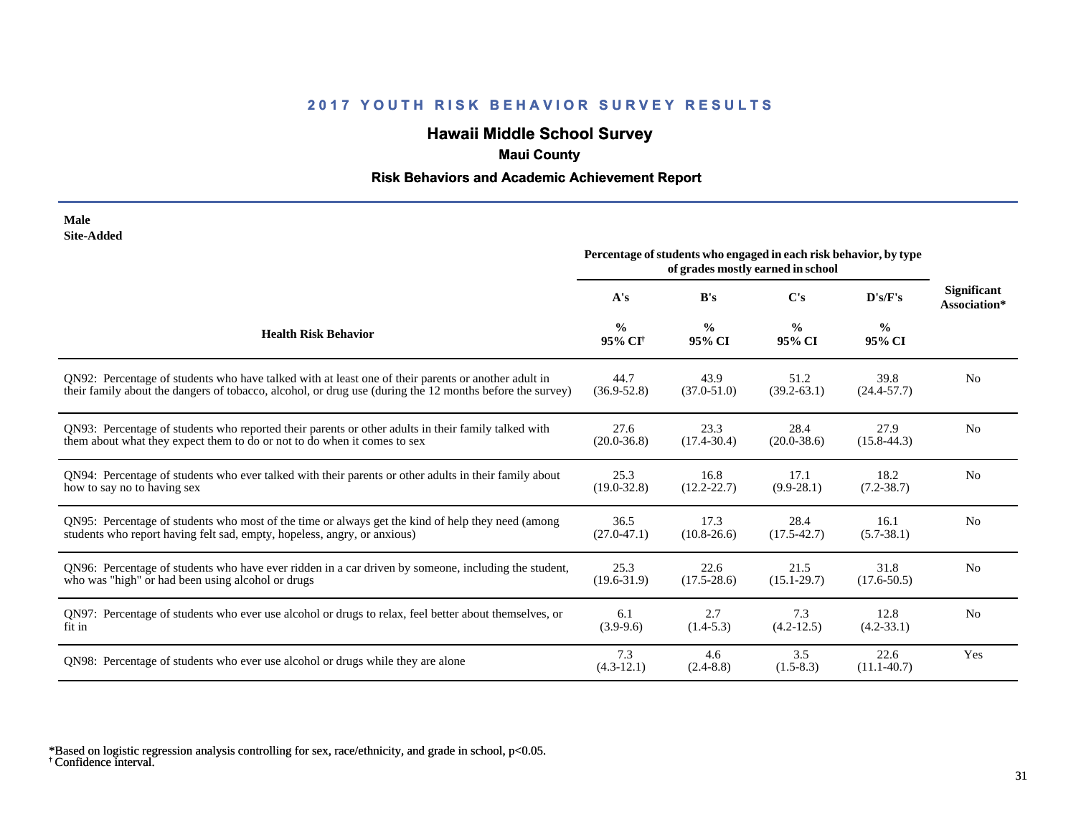# **Hawaii Middle School Survey**

# **Maui County**

## **Risk Behaviors and Academic Achievement Report**

| Male       |
|------------|
| Site-Added |

|                                                                                                          | Percentage of students who engaged in each risk behavior, by type<br>of grades mostly earned in school |                         |                         |                         |                                    |
|----------------------------------------------------------------------------------------------------------|--------------------------------------------------------------------------------------------------------|-------------------------|-------------------------|-------------------------|------------------------------------|
|                                                                                                          | A's                                                                                                    | B's                     | C's                     | D's/F's                 | <b>Significant</b><br>Association* |
| <b>Health Risk Behavior</b>                                                                              | $\frac{0}{0}$<br>95% CI <sup>+</sup>                                                                   | $\frac{0}{0}$<br>95% CI | $\frac{6}{9}$<br>95% CI | $\frac{0}{0}$<br>95% CI |                                    |
| ON92: Percentage of students who have talked with at least one of their parents or another adult in      | 44.7                                                                                                   | 43.9                    | 51.2                    | 39.8                    | N <sub>0</sub>                     |
| their family about the dangers of tobacco, alcohol, or drug use (during the 12 months before the survey) | $(36.9 - 52.8)$                                                                                        | $(37.0 - 51.0)$         | $(39.2 - 63.1)$         | $(24.4 - 57.7)$         |                                    |
| QN93: Percentage of students who reported their parents or other adults in their family talked with      | 27.6                                                                                                   | 23.3                    | 28.4                    | 27.9                    | N <sub>0</sub>                     |
| them about what they expect them to do or not to do when it comes to sex                                 | $(20.0 - 36.8)$                                                                                        | $(17.4 - 30.4)$         | $(20.0 - 38.6)$         | $(15.8-44.3)$           |                                    |
| QN94: Percentage of students who ever talked with their parents or other adults in their family about    | 25.3                                                                                                   | 16.8                    | 17.1                    | 18.2                    | N <sub>0</sub>                     |
| how to say no to having sex                                                                              | $(19.0 - 32.8)$                                                                                        | $(12.2 - 22.7)$         | $(9.9 - 28.1)$          | $(7.2 - 38.7)$          |                                    |
| QN95: Percentage of students who most of the time or always get the kind of help they need (among        | 36.5                                                                                                   | 17.3                    | 28.4                    | 16.1                    | N <sub>0</sub>                     |
| students who report having felt sad, empty, hopeless, angry, or anxious)                                 | $(27.0 - 47.1)$                                                                                        | $(10.8 - 26.6)$         | $(17.5 - 42.7)$         | $(5.7 - 38.1)$          |                                    |
| QN96: Percentage of students who have ever ridden in a car driven by someone, including the student,     | 25.3                                                                                                   | 22.6                    | 21.5                    | 31.8                    | N <sub>0</sub>                     |
| who was "high" or had been using alcohol or drugs                                                        | $(19.6 - 31.9)$                                                                                        | $(17.5 - 28.6)$         | $(15.1 - 29.7)$         | $(17.6 - 50.5)$         |                                    |
| QN97: Percentage of students who ever use alcohol or drugs to relax, feel better about themselves, or    | 6.1                                                                                                    | 2.7                     | 7.3                     | 12.8                    | N <sub>o</sub>                     |
| fit in                                                                                                   | $(3.9-9.6)$                                                                                            | $(1.4-5.3)$             | $(4.2 - 12.5)$          | $(4.2 - 33.1)$          |                                    |
| QN98: Percentage of students who ever use alcohol or drugs while they are alone                          | 7.3<br>$(4.3-12.1)$                                                                                    | 4.6<br>$(2.4 - 8.8)$    | 3.5<br>$(1.5-8.3)$      | 22.6<br>$(11.1-40.7)$   | Yes                                |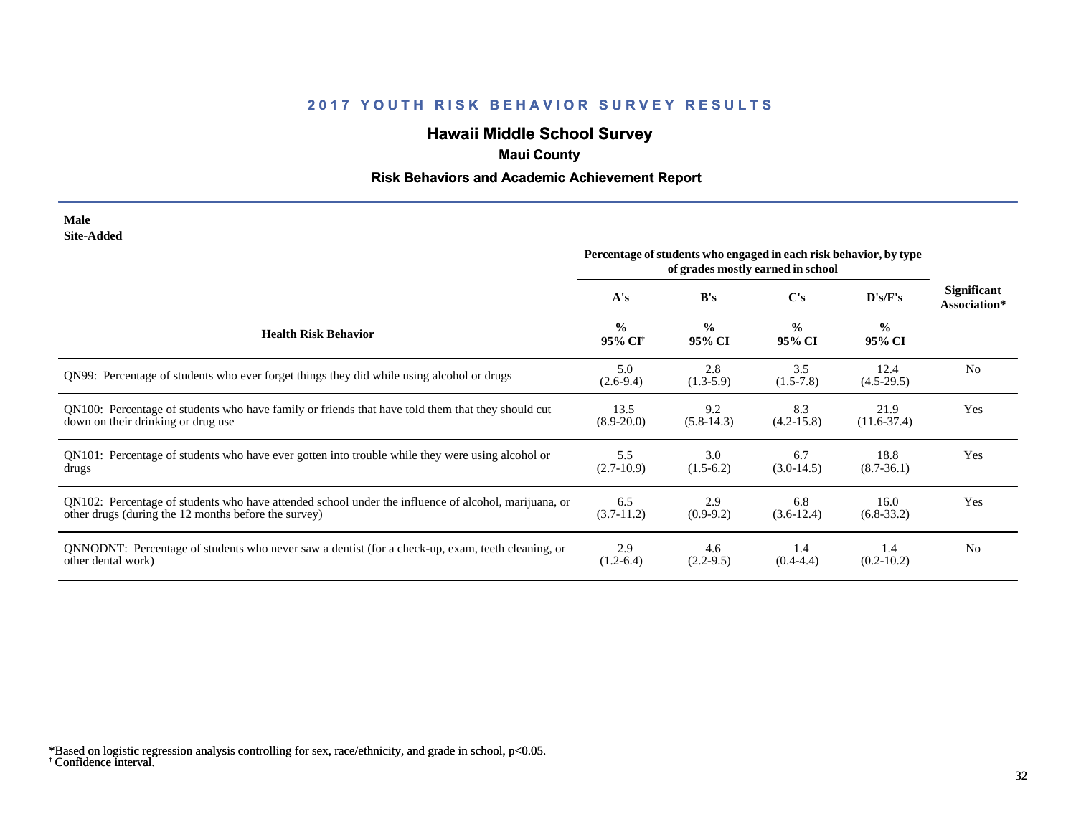# **Hawaii Middle School Survey**

# **Maui County**

## **Risk Behaviors and Academic Achievement Report**

#### **Male Site-Added**

|                                                                                                      | Percentage of students who engaged in each risk behavior, by type<br>of grades mostly earned in school |                         |                         |                         |                                    |
|------------------------------------------------------------------------------------------------------|--------------------------------------------------------------------------------------------------------|-------------------------|-------------------------|-------------------------|------------------------------------|
|                                                                                                      | A's                                                                                                    | B's                     | C's                     | D's/F's                 | <b>Significant</b><br>Association* |
| <b>Health Risk Behavior</b>                                                                          | $\frac{0}{0}$<br>95% CI <sup>†</sup>                                                                   | $\frac{0}{0}$<br>95% CI | $\frac{0}{0}$<br>95% CI | $\frac{0}{0}$<br>95% CI |                                    |
| QN99: Percentage of students who ever forget things they did while using alcohol or drugs            | 5.0<br>$(2.6-9.4)$                                                                                     | 2.8<br>$(1.3-5.9)$      | 3.5<br>$(1.5-7.8)$      | 12.4<br>$(4.5-29.5)$    | N <sub>0</sub>                     |
| QN100: Percentage of students who have family or friends that have told them that they should cut    | 13.5                                                                                                   | 9.2                     | 8.3                     | 21.9                    | <b>Yes</b>                         |
| down on their drinking or drug use                                                                   | $(8.9 - 20.0)$                                                                                         | $(5.8-14.3)$            | $(4.2 - 15.8)$          | $(11.6 - 37.4)$         |                                    |
| QN101: Percentage of students who have ever gotten into trouble while they were using alcohol or     | 5.5                                                                                                    | 3.0                     | 6.7                     | 18.8                    | Yes                                |
| drugs                                                                                                | $(2.7-10.9)$                                                                                           | $(1.5-6.2)$             | $(3.0-14.5)$            | $(8.7 - 36.1)$          |                                    |
| QN102: Percentage of students who have attended school under the influence of alcohol, marijuana, or | 6.5                                                                                                    | 2.9                     | 6.8                     | 16.0                    | Yes                                |
| other drugs (during the 12 months before the survey)                                                 | $(3.7-11.2)$                                                                                           | $(0.9-9.2)$             | $(3.6-12.4)$            | $(6.8-33.2)$            |                                    |
| QNNODNT: Percentage of students who never saw a dentist (for a check-up, exam, teeth cleaning, or    | 2.9                                                                                                    | 4.6                     | 1.4                     | 1.4                     | N <sub>0</sub>                     |
| other dental work)                                                                                   | $(1.2-6.4)$                                                                                            | $(2.2-9.5)$             | $(0.4 - 4.4)$           | $(0.2 - 10.2)$          |                                    |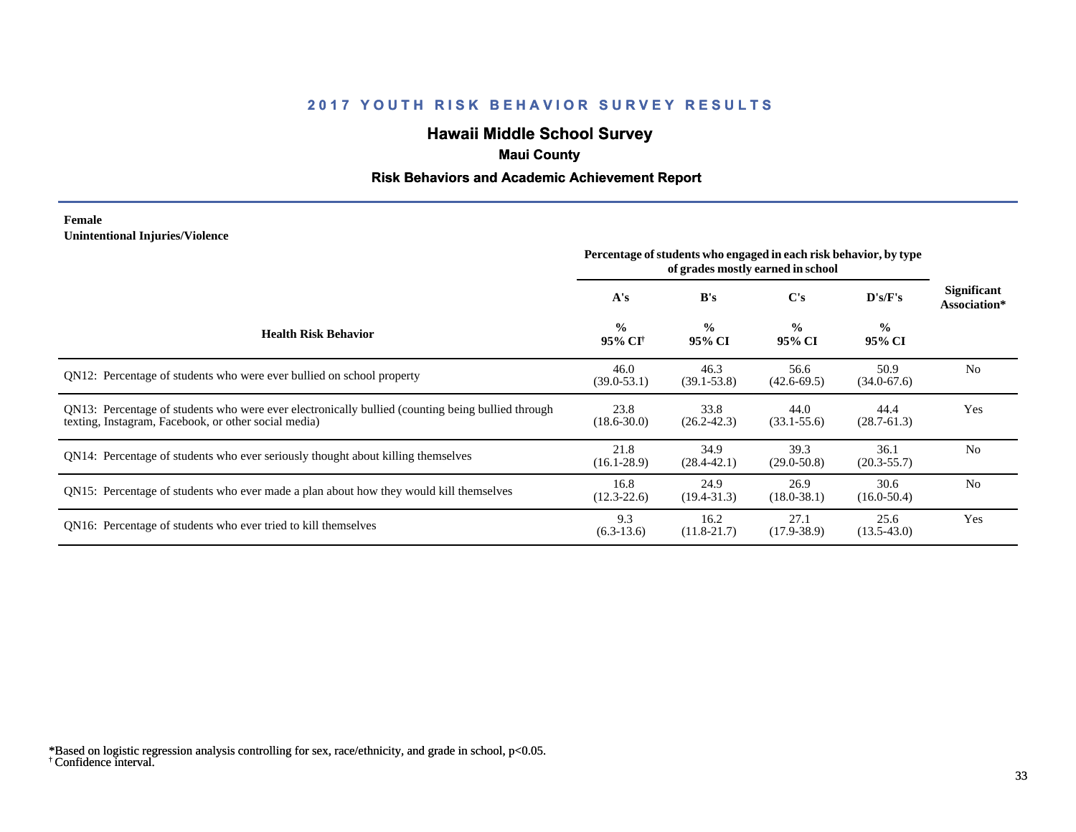# **Hawaii Middle School Survey**

# **Maui County**

## **Risk Behaviors and Academic Achievement Report**

### **Female Unintentional Injuries/Violence**

|                                                                                                                                                           | Percentage of students who engaged in each risk behavior, by type<br>of grades mostly earned in school |                         |                         |                         |                             |
|-----------------------------------------------------------------------------------------------------------------------------------------------------------|--------------------------------------------------------------------------------------------------------|-------------------------|-------------------------|-------------------------|-----------------------------|
|                                                                                                                                                           | A's                                                                                                    | B's                     | $\bf C's$               | D's/F's                 | Significant<br>Association* |
| <b>Health Risk Behavior</b>                                                                                                                               | $\frac{0}{0}$<br>95% CI <sup>+</sup>                                                                   | $\frac{6}{6}$<br>95% CI | $\frac{0}{0}$<br>95% CI | $\frac{0}{0}$<br>95% CI |                             |
| QN12: Percentage of students who were ever bullied on school property                                                                                     | 46.0<br>$(39.0 - 53.1)$                                                                                | 46.3<br>$(39.1 - 53.8)$ | 56.6<br>$(42.6 - 69.5)$ | 50.9<br>$(34.0 - 67.6)$ | N <sub>0</sub>              |
| QN13: Percentage of students who were ever electronically bullied (counting being bullied through<br>texting, Instagram, Facebook, or other social media) | 23.8<br>$(18.6 - 30.0)$                                                                                | 33.8<br>$(26.2 - 42.3)$ | 44.0<br>$(33.1 - 55.6)$ | 44.4<br>$(28.7 - 61.3)$ | Yes                         |
| QN14: Percentage of students who ever seriously thought about killing themselves                                                                          | 21.8<br>$(16.1 - 28.9)$                                                                                | 34.9<br>$(28.4 - 42.1)$ | 39.3<br>$(29.0 - 50.8)$ | 36.1<br>$(20.3 - 55.7)$ | No                          |
| QN15: Percentage of students who ever made a plan about how they would kill themselves                                                                    | 16.8<br>$(12.3 - 22.6)$                                                                                | 24.9<br>$(19.4 - 31.3)$ | 26.9<br>$(18.0 - 38.1)$ | 30.6<br>$(16.0 - 50.4)$ | N <sub>0</sub>              |
| QN16: Percentage of students who ever tried to kill themselves                                                                                            | 9.3<br>$(6.3-13.6)$                                                                                    | 16.2<br>$(11.8-21.7)$   | 27.1<br>$(17.9 - 38.9)$ | 25.6<br>$(13.5 - 43.0)$ | Yes                         |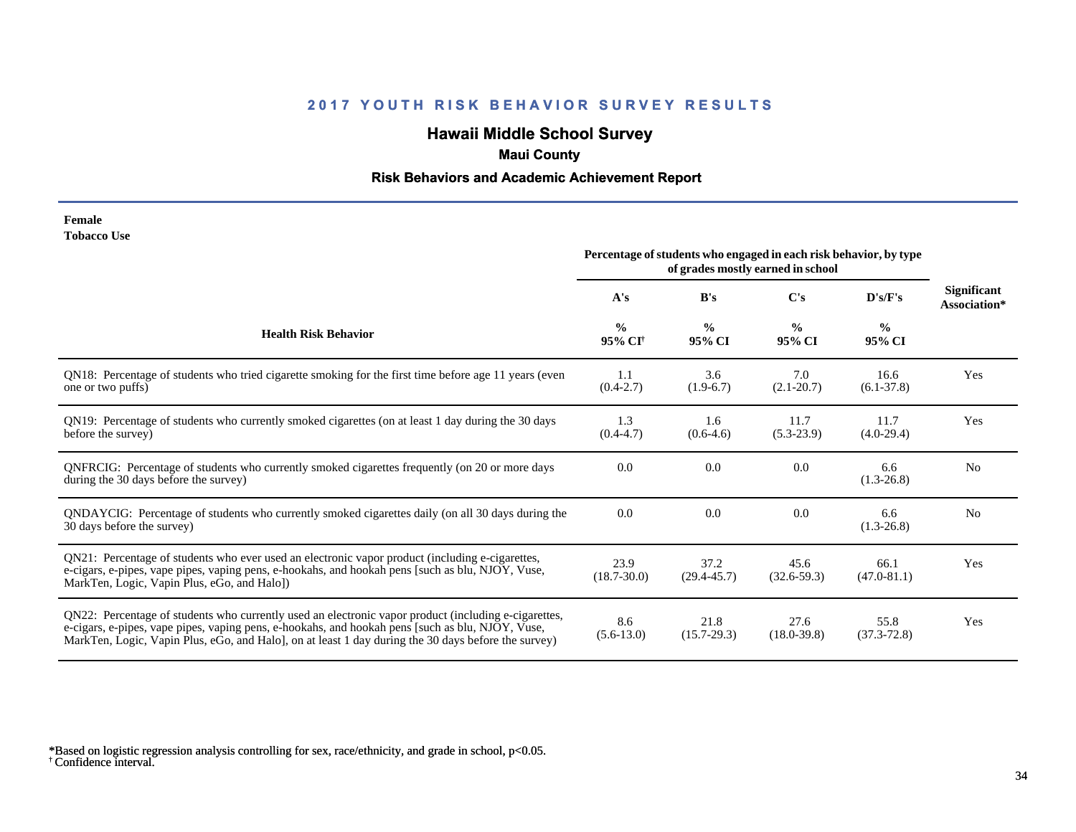# **Hawaii Middle School Survey**

### **Maui County**

## **Risk Behaviors and Academic Achievement Report**

#### **Female Tobacco Use**

|                                                                                                                                                                                                                                                                                                                 | Percentage of students who engaged in each risk behavior, by type<br>of grades mostly earned in school |                         |                         |                         |                                    |
|-----------------------------------------------------------------------------------------------------------------------------------------------------------------------------------------------------------------------------------------------------------------------------------------------------------------|--------------------------------------------------------------------------------------------------------|-------------------------|-------------------------|-------------------------|------------------------------------|
|                                                                                                                                                                                                                                                                                                                 | A's                                                                                                    | B's                     | C's                     | D's/F's                 | <b>Significant</b><br>Association* |
| <b>Health Risk Behavior</b>                                                                                                                                                                                                                                                                                     | $\frac{0}{0}$<br>95% CI <sup>+</sup>                                                                   | $\frac{0}{0}$<br>95% CI | $\frac{0}{0}$<br>95% CI | $\frac{0}{0}$<br>95% CI |                                    |
| QN18: Percentage of students who tried cigarette smoking for the first time before age 11 years (even<br>one or two puffs)                                                                                                                                                                                      | 1.1<br>$(0.4-2.7)$                                                                                     | 3.6<br>$(1.9-6.7)$      | 7.0<br>$(2.1 - 20.7)$   | 16.6<br>$(6.1 - 37.8)$  | Yes                                |
| QN19: Percentage of students who currently smoked cigarettes (on at least 1 day during the 30 days<br>before the survey)                                                                                                                                                                                        | 1.3<br>$(0.4-4.7)$                                                                                     | 1.6<br>$(0.6-4.6)$      | 11.7<br>$(5.3-23.9)$    | 11.7<br>$(4.0-29.4)$    | Yes                                |
| ONFRCIG: Percentage of students who currently smoked cigarettes frequently (on 20 or more days<br>during the 30 days before the survey)                                                                                                                                                                         | 0.0                                                                                                    | 0.0                     | 0.0                     | 6.6<br>$(1.3-26.8)$     | N <sub>0</sub>                     |
| QNDAYCIG: Percentage of students who currently smoked cigarettes daily (on all 30 days during the<br>30 days before the survey)                                                                                                                                                                                 | 0.0                                                                                                    | 0.0                     | 0.0                     | 6.6<br>$(1.3-26.8)$     | N <sub>0</sub>                     |
| QN21: Percentage of students who ever used an electronic vapor product (including e-cigarettes,<br>e-cigars, e-pipes, vape pipes, vaping pens, e-hookahs, and hookah pens [such as blu, NJOY, Vuse,<br>MarkTen, Logic, Vapin Plus, eGo, and Halo])                                                              | 23.9<br>$(18.7 - 30.0)$                                                                                | 37.2<br>$(29.4 - 45.7)$ | 45.6<br>$(32.6 - 59.3)$ | 66.1<br>$(47.0 - 81.1)$ | Yes                                |
| QN22: Percentage of students who currently used an electronic vapor product (including e-cigarettes,<br>e-cigars, e-pipes, vape pipes, vaping pens, e-hookahs, and hookah pens [such as blu, NJOY, Vuse,<br>MarkTen, Logic, Vapin Plus, eGo, and Halo], on at least 1 day during the 30 days before the survey) | 8.6<br>$(5.6-13.0)$                                                                                    | 21.8<br>$(15.7 - 29.3)$ | 27.6<br>$(18.0 - 39.8)$ | 55.8<br>$(37.3 - 72.8)$ | Yes                                |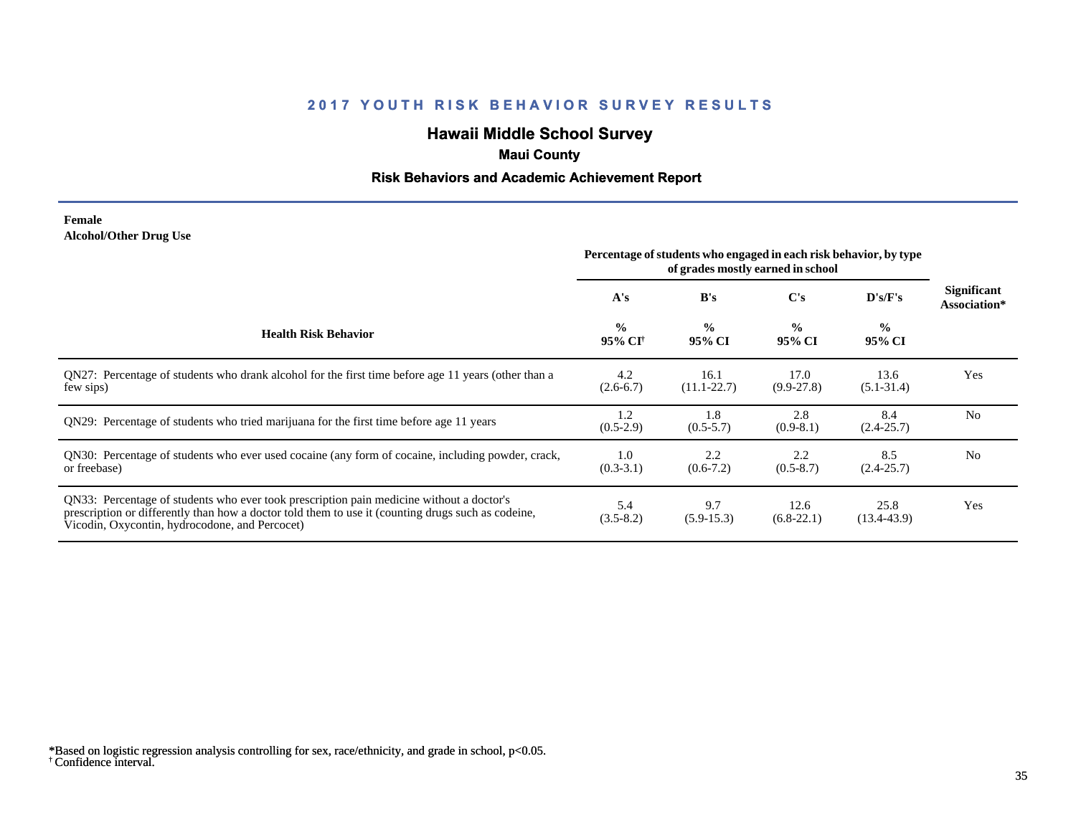# **Hawaii Middle School Survey**

# **Maui County**

## **Risk Behaviors and Academic Achievement Report**

### **Female Alcohol/Other Drug Use**

|                                                                                                                                                                                                                                                  | Percentage of students who engaged in each risk behavior, by type<br>of grades mostly earned in school |                         |                         |                         |                             |
|--------------------------------------------------------------------------------------------------------------------------------------------------------------------------------------------------------------------------------------------------|--------------------------------------------------------------------------------------------------------|-------------------------|-------------------------|-------------------------|-----------------------------|
|                                                                                                                                                                                                                                                  | A's                                                                                                    | B's                     | C's                     | D's/F's                 | Significant<br>Association* |
| <b>Health Risk Behavior</b>                                                                                                                                                                                                                      | $\frac{0}{0}$<br>95% CI <sup>+</sup>                                                                   | $\frac{0}{0}$<br>95% CI | $\frac{0}{0}$<br>95% CI | $\frac{0}{0}$<br>95% CI |                             |
| QN27: Percentage of students who drank alcohol for the first time before age 11 years (other than a<br>few sips)                                                                                                                                 | 4.2<br>$(2.6-6.7)$                                                                                     | 16.1<br>$(11.1 - 22.7)$ | 17.0<br>$(9.9 - 27.8)$  | 13.6<br>$(5.1 - 31.4)$  | Yes                         |
| QN29: Percentage of students who tried marijuana for the first time before age 11 years                                                                                                                                                          | 1.2<br>$(0.5-2.9)$                                                                                     | 1.8<br>$(0.5-5.7)$      | 2.8<br>$(0.9-8.1)$      | 8.4<br>$(2.4 - 25.7)$   | N <sub>0</sub>              |
| QN30: Percentage of students who ever used cocaine (any form of cocaine, including powder, crack,<br>or freebase)                                                                                                                                | 1.0<br>$(0.3-3.1)$                                                                                     | 2.2<br>$(0.6-7.2)$      | 2.2<br>$(0.5 - 8.7)$    | 8.5<br>$(2.4 - 25.7)$   | N <sub>0</sub>              |
| QN33: Percentage of students who ever took prescription pain medicine without a doctor's<br>prescription or differently than how a doctor told them to use it (counting drugs such as codeine,<br>Vicodin, Oxycontin, hydrocodone, and Percocet) | 5.4<br>$(3.5 - 8.2)$                                                                                   | 9.7<br>$(5.9-15.3)$     | 12.6<br>$(6.8-22.1)$    | 25.8<br>$(13.4 - 43.9)$ | Yes                         |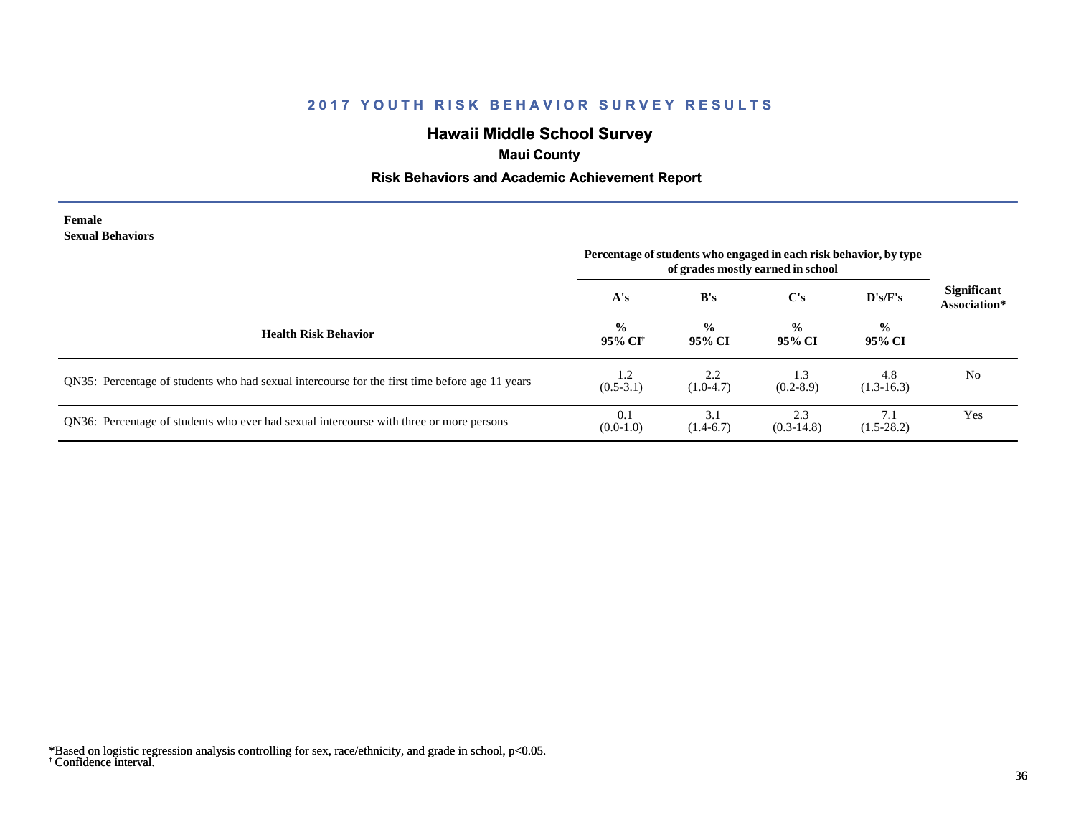# **Hawaii Middle School Survey**

# **Maui County**

## **Risk Behaviors and Academic Achievement Report**

#### **Female Sexual Behaviors**

|                                                                                                | Percentage of students who engaged in each risk behavior, by type<br>of grades mostly earned in school |                         |                         |                         |                                    |
|------------------------------------------------------------------------------------------------|--------------------------------------------------------------------------------------------------------|-------------------------|-------------------------|-------------------------|------------------------------------|
|                                                                                                | A's                                                                                                    | B's                     | $\bf C's$               | D's/F's                 | <b>Significant</b><br>Association* |
| <b>Health Risk Behavior</b>                                                                    | $\frac{0}{0}$<br>95% CI <sup>†</sup>                                                                   | $\frac{0}{0}$<br>95% CI | $\frac{6}{9}$<br>95% CI | $\frac{6}{9}$<br>95% CI |                                    |
| QN35: Percentage of students who had sexual intercourse for the first time before age 11 years | 1.2<br>$(0.5-3.1)$                                                                                     | 2.2<br>$(1.0-4.7)$      | 1.3<br>$(0.2 - 8.9)$    | 4.8<br>$(1.3-16.3)$     | N <sub>0</sub>                     |
| QN36: Percentage of students who ever had sexual intercourse with three or more persons        | 0.1<br>$(0.0-1.0)$                                                                                     | 3.1<br>$(1.4-6.7)$      | 2.3<br>$(0.3-14.8)$     | $(1.5-28.2)$            | Yes                                |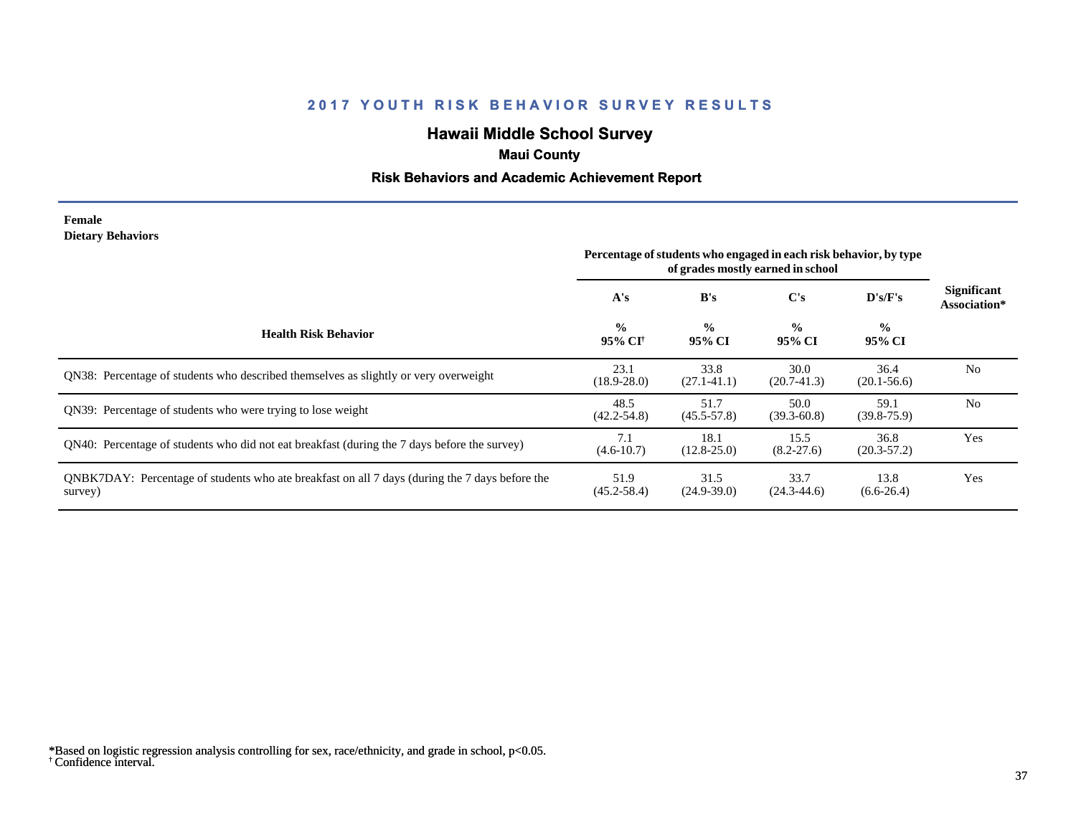# **Hawaii Middle School Survey**

# **Maui County**

## **Risk Behaviors and Academic Achievement Report**

#### **Female Dietary Behaviors**

|                                                                                                           | Percentage of students who engaged in each risk behavior, by type<br>of grades mostly earned in school |                         |                         |                         |                                    |
|-----------------------------------------------------------------------------------------------------------|--------------------------------------------------------------------------------------------------------|-------------------------|-------------------------|-------------------------|------------------------------------|
|                                                                                                           | A's                                                                                                    | B's                     | C's                     | $\bf{D's/F's}$          | <b>Significant</b><br>Association* |
| <b>Health Risk Behavior</b>                                                                               | $\frac{0}{0}$<br>95% CI†                                                                               | $\frac{0}{0}$<br>95% CI | $\frac{0}{0}$<br>95% CI | $\frac{0}{0}$<br>95% CI |                                    |
| <b>ON38:</b> Percentage of students who described themselves as slightly or very overweight               | 23.1<br>$(18.9 - 28.0)$                                                                                | 33.8<br>$(27.1 - 41.1)$ | 30.0<br>$(20.7-41.3)$   | 36.4<br>$(20.1 - 56.6)$ | N <sub>0</sub>                     |
| ON39: Percentage of students who were trying to lose weight                                               | 48.5<br>$(42.2 - 54.8)$                                                                                | 51.7<br>$(45.5 - 57.8)$ | 50.0<br>$(39.3 - 60.8)$ | 59.1<br>$(39.8 - 75.9)$ | N <sub>0</sub>                     |
| QN40: Percentage of students who did not eat breakfast (during the 7 days before the survey)              | 7.1<br>$(4.6 - 10.7)$                                                                                  | 18.1<br>$(12.8 - 25.0)$ | 15.5<br>$(8.2 - 27.6)$  | 36.8<br>$(20.3 - 57.2)$ | Yes                                |
| QNBK7DAY: Percentage of students who ate breakfast on all 7 days (during the 7 days before the<br>survey) | 51.9<br>$(45.2 - 58.4)$                                                                                | 31.5<br>$(24.9-39.0)$   | 33.7<br>$(24.3 - 44.6)$ | 13.8<br>$(6.6-26.4)$    | Yes                                |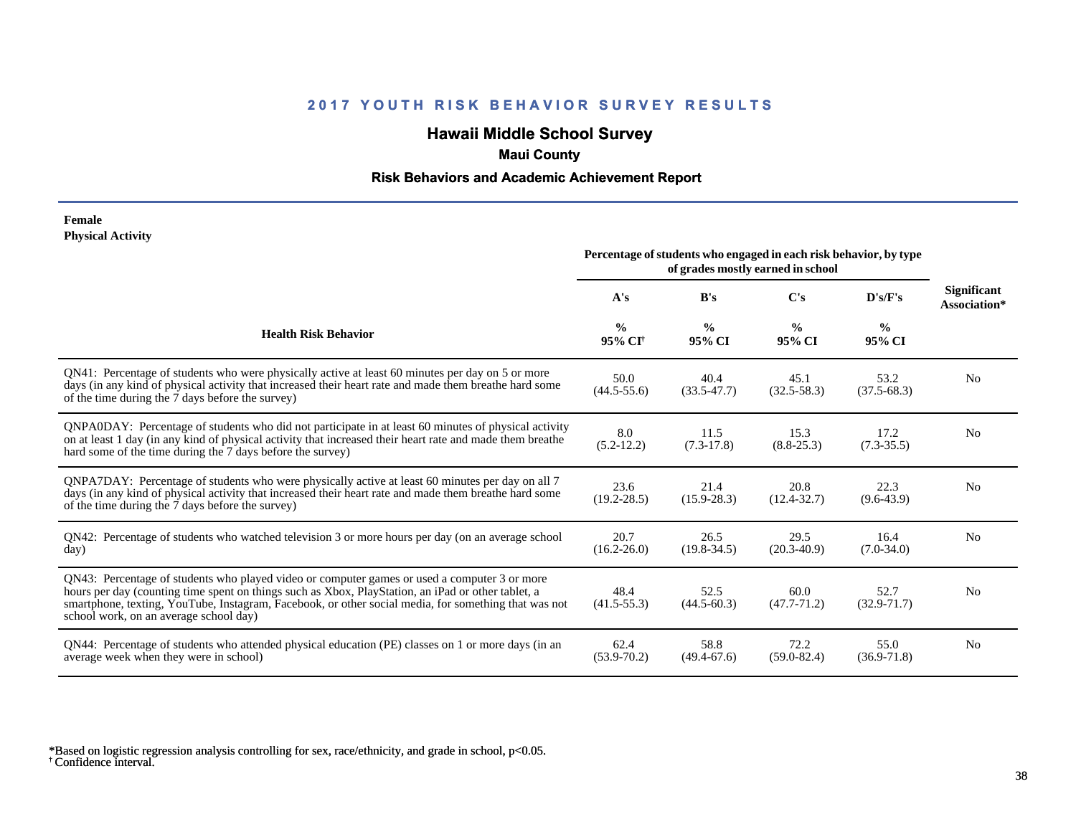# **Hawaii Middle School Survey**

# **Maui County**

## **Risk Behaviors and Academic Achievement Report**

#### **Female Physical Activity**

|                                                                                                                                                                                                                                                                                                                                                      | Percentage of students who engaged in each risk behavior, by type<br>of grades mostly earned in school |                         |                         |                         |                                    |
|------------------------------------------------------------------------------------------------------------------------------------------------------------------------------------------------------------------------------------------------------------------------------------------------------------------------------------------------------|--------------------------------------------------------------------------------------------------------|-------------------------|-------------------------|-------------------------|------------------------------------|
|                                                                                                                                                                                                                                                                                                                                                      | A's                                                                                                    | B's                     | C's                     | D's/F's                 | <b>Significant</b><br>Association* |
| <b>Health Risk Behavior</b>                                                                                                                                                                                                                                                                                                                          | $\frac{0}{0}$<br>95% CI <sup>+</sup>                                                                   | $\frac{0}{0}$<br>95% CI | $\frac{0}{0}$<br>95% CI | $\frac{0}{0}$<br>95% CI |                                    |
| QN41: Percentage of students who were physically active at least 60 minutes per day on 5 or more<br>days (in any kind of physical activity that increased their heart rate and made them breathe hard some<br>of the time during the 7 days before the survey)                                                                                       | 50.0<br>$(44.5 - 55.6)$                                                                                | 40.4<br>$(33.5 - 47.7)$ | 45.1<br>$(32.5 - 58.3)$ | 53.2<br>$(37.5 - 68.3)$ | N <sub>0</sub>                     |
| QNPA0DAY: Percentage of students who did not participate in at least 60 minutes of physical activity<br>on at least 1 day (in any kind of physical activity that increased their heart rate and made them breathe<br>hard some of the time during the 7 days before the survey)                                                                      | 8.0<br>$(5.2-12.2)$                                                                                    | 11.5<br>$(7.3-17.8)$    | 15.3<br>$(8.8 - 25.3)$  | 17.2<br>$(7.3 - 35.5)$  | N <sub>0</sub>                     |
| ONPA7DAY: Percentage of students who were physically active at least 60 minutes per day on all 7<br>days (in any kind of physical activity that increased their heart rate and made them breathe hard some<br>of the time during the 7 days before the survey)                                                                                       | 23.6<br>$(19.2 - 28.5)$                                                                                | 21.4<br>$(15.9 - 28.3)$ | 20.8<br>$(12.4 - 32.7)$ | 22.3<br>$(9.6 - 43.9)$  | N <sub>0</sub>                     |
| QN42: Percentage of students who watched television 3 or more hours per day (on an average school<br>day)                                                                                                                                                                                                                                            | 20.7<br>$(16.2 - 26.0)$                                                                                | 26.5<br>$(19.8 - 34.5)$ | 29.5<br>$(20.3 - 40.9)$ | 16.4<br>$(7.0-34.0)$    | N <sub>0</sub>                     |
| QN43: Percentage of students who played video or computer games or used a computer 3 or more<br>hours per day (counting time spent on things such as Xbox, PlayStation, an iPad or other tablet, a<br>smartphone, texting, YouTube, Instagram, Facebook, or other social media, for something that was not<br>school work, on an average school day) | 48.4<br>$(41.5 - 55.3)$                                                                                | 52.5<br>$(44.5 - 60.3)$ | 60.0<br>$(47.7 - 71.2)$ | 52.7<br>$(32.9 - 71.7)$ | N <sub>0</sub>                     |
| QN44: Percentage of students who attended physical education (PE) classes on 1 or more days (in an<br>average week when they were in school)                                                                                                                                                                                                         | 62.4<br>$(53.9 - 70.2)$                                                                                | 58.8<br>$(49.4 - 67.6)$ | 72.2<br>$(59.0 - 82.4)$ | 55.0<br>$(36.9 - 71.8)$ | N <sub>0</sub>                     |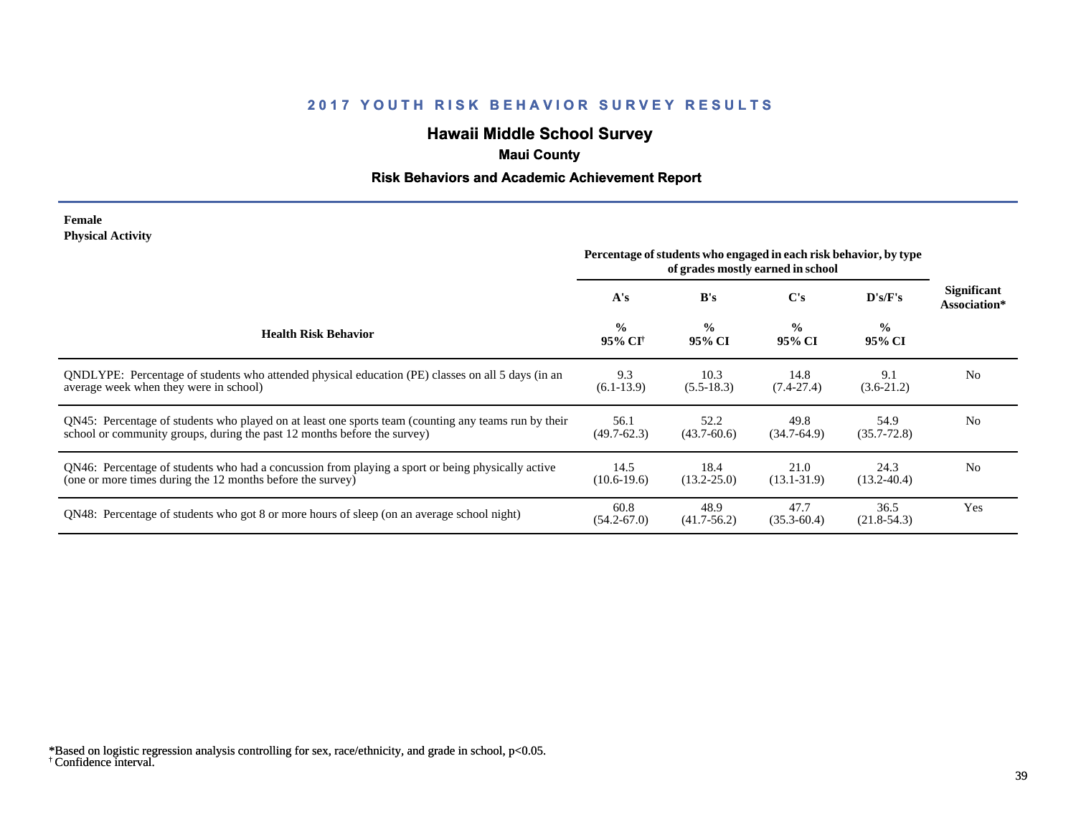# **Hawaii Middle School Survey**

# **Maui County**

## **Risk Behaviors and Academic Achievement Report**

#### **Female Physical Activity**

|                                                                                                                                                                                  | Percentage of students who engaged in each risk behavior, by type<br>of grades mostly earned in school |                         |                         |                         |                             |
|----------------------------------------------------------------------------------------------------------------------------------------------------------------------------------|--------------------------------------------------------------------------------------------------------|-------------------------|-------------------------|-------------------------|-----------------------------|
|                                                                                                                                                                                  | A's                                                                                                    | B's                     | C's                     | D's/F's                 | Significant<br>Association* |
| <b>Health Risk Behavior</b>                                                                                                                                                      | $\frac{0}{0}$<br>95% CI <sup>+</sup>                                                                   | $\frac{0}{0}$<br>95% CI | $\frac{0}{0}$<br>95% CI | $\frac{6}{6}$<br>95% CI |                             |
| QNDLYPE: Percentage of students who attended physical education (PE) classes on all 5 days (in an<br>average week when they were in school)                                      | 9.3<br>$(6.1-13.9)$                                                                                    | 10.3<br>$(5.5-18.3)$    | 14.8<br>$(7.4 - 27.4)$  | 9.1<br>$(3.6-21.2)$     | N <sub>0</sub>              |
| QN45: Percentage of students who played on at least one sports team (counting any teams run by their<br>school or community groups, during the past 12 months before the survey) | 56.1<br>$(49.7 - 62.3)$                                                                                | 52.2<br>$(43.7 - 60.6)$ | 49.8<br>$(34.7-64.9)$   | 54.9<br>$(35.7 - 72.8)$ | N <sub>0</sub>              |
| QN46: Percentage of students who had a concussion from playing a sport or being physically active<br>(one or more times during the 12 months before the survey)                  | 14.5<br>$(10.6-19.6)$                                                                                  | 18.4<br>$(13.2 - 25.0)$ | 21.0<br>$(13.1 - 31.9)$ | 24.3<br>$(13.2 - 40.4)$ | N <sub>0</sub>              |
| QN48: Percentage of students who got 8 or more hours of sleep (on an average school night)                                                                                       | 60.8<br>$(54.2 - 67.0)$                                                                                | 48.9<br>$(41.7-56.2)$   | 47.7<br>$(35.3 - 60.4)$ | 36.5<br>$(21.8-54.3)$   | Yes                         |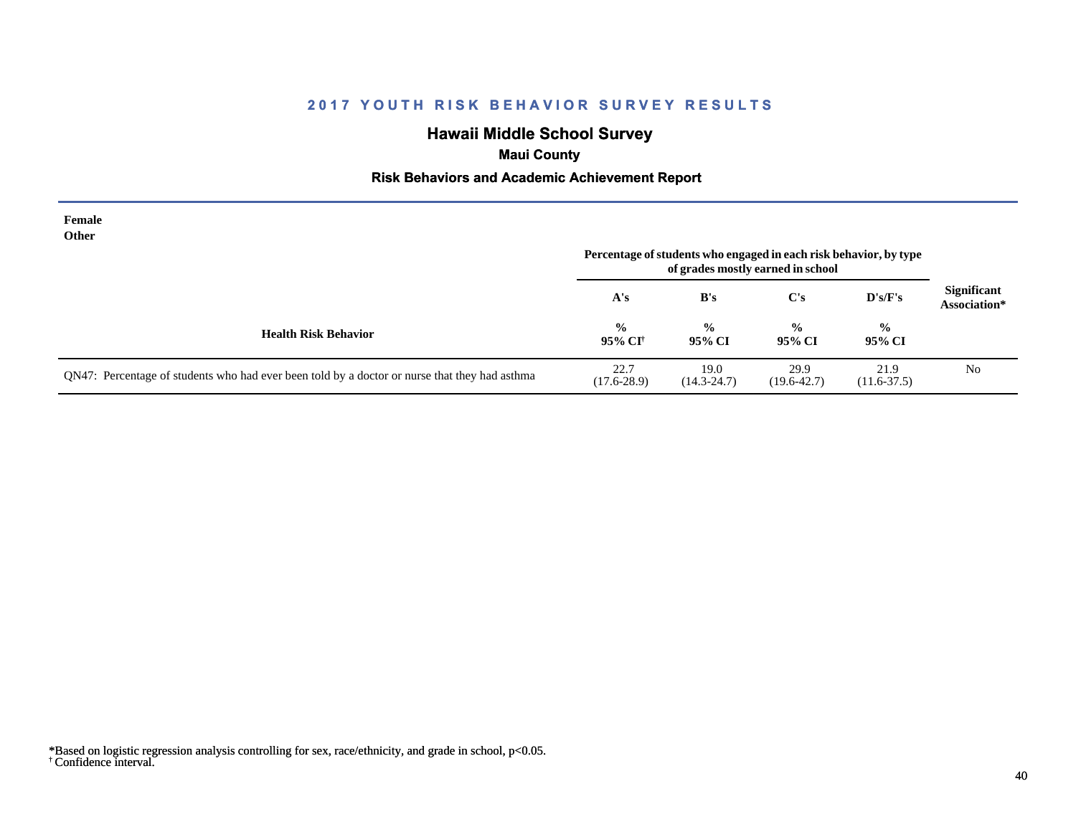# **Hawaii Middle School Survey**

# **Maui County**

## **Risk Behaviors and Academic Achievement Report**

| Female<br>Other                                                                               | Percentage of students who engaged in each risk behavior, by type |                         |                         |                         |                                    |
|-----------------------------------------------------------------------------------------------|-------------------------------------------------------------------|-------------------------|-------------------------|-------------------------|------------------------------------|
|                                                                                               | A's                                                               | B's                     | C's                     | $\bf{D's/F's}$          | <b>Significant</b><br>Association* |
| <b>Health Risk Behavior</b>                                                                   | $\frac{0}{0}$<br>95% CI <sup>†</sup>                              | $\frac{0}{0}$<br>95% CI | $\frac{0}{0}$<br>95% CI | $\frac{0}{0}$<br>95% CI |                                    |
| QN47: Percentage of students who had ever been told by a doctor or nurse that they had asthma | 22.7<br>$(17.6 - 28.9)$                                           | 19.0<br>$(14.3 - 24.7)$ | 29.9<br>$(19.6 - 42.7)$ | 21.9<br>$(11.6 - 37.5)$ | N <sub>0</sub>                     |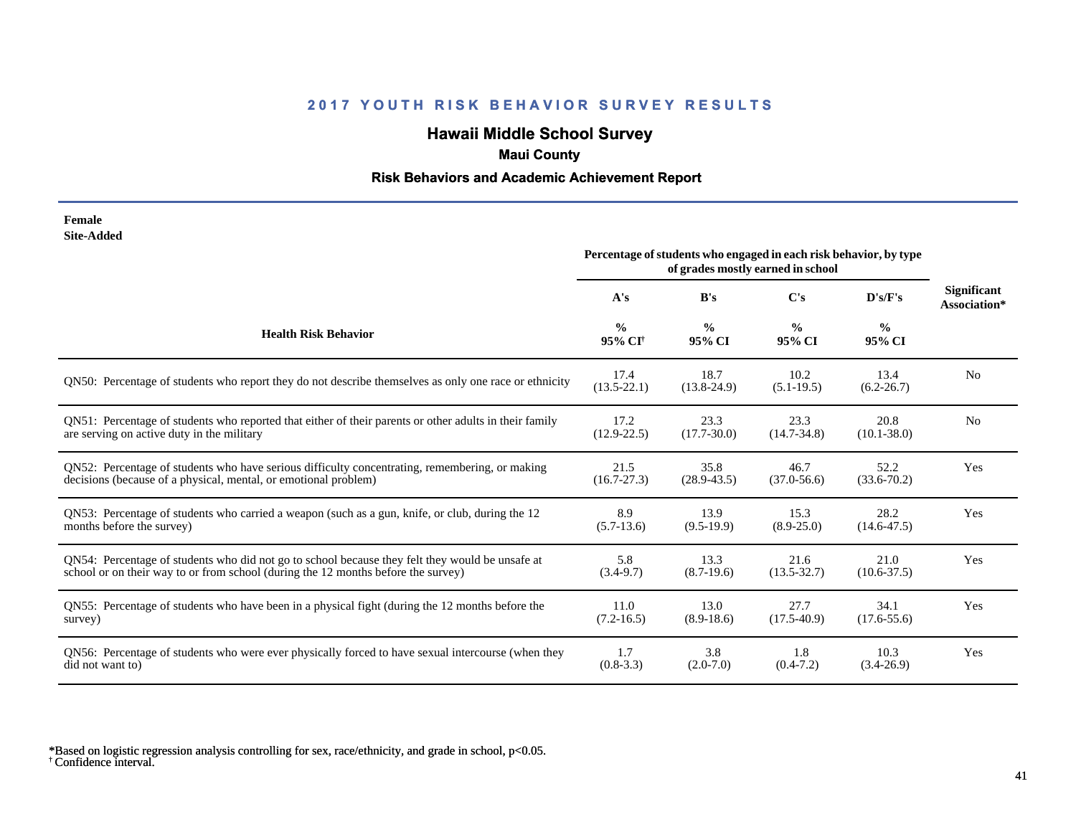# **Hawaii Middle School Survey**

# **Maui County**

## **Risk Behaviors and Academic Achievement Report**

| Female     |
|------------|
| Site-Added |

|                                                                                                        | Percentage of students who engaged in each risk behavior, by type<br>of grades mostly earned in school |                         |                         |                         |                                    |
|--------------------------------------------------------------------------------------------------------|--------------------------------------------------------------------------------------------------------|-------------------------|-------------------------|-------------------------|------------------------------------|
|                                                                                                        | A's                                                                                                    | B's                     | C's                     | D's/F's                 | <b>Significant</b><br>Association* |
| <b>Health Risk Behavior</b>                                                                            | $\frac{0}{0}$<br>95% CI <sup>+</sup>                                                                   | $\frac{0}{0}$<br>95% CI | $\frac{0}{0}$<br>95% CI | $\frac{0}{0}$<br>95% CI |                                    |
| QN50: Percentage of students who report they do not describe themselves as only one race or ethnicity  | 17.4<br>$(13.5 - 22.1)$                                                                                | 18.7<br>$(13.8 - 24.9)$ | 10.2<br>$(5.1-19.5)$    | 13.4<br>$(6.2 - 26.7)$  | N <sub>0</sub>                     |
| QN51: Percentage of students who reported that either of their parents or other adults in their family | 17.2                                                                                                   | 23.3                    | 23.3                    | 20.8                    | N <sub>0</sub>                     |
| are serving on active duty in the military                                                             | $(12.9 - 22.5)$                                                                                        | $(17.7 - 30.0)$         | $(14.7 - 34.8)$         | $(10.1 - 38.0)$         |                                    |
| QN52: Percentage of students who have serious difficulty concentrating, remembering, or making         | 21.5                                                                                                   | 35.8                    | 46.7                    | 52.2                    | Yes                                |
| decisions (because of a physical, mental, or emotional problem)                                        | $(16.7 - 27.3)$                                                                                        | $(28.9 - 43.5)$         | $(37.0 - 56.6)$         | $(33.6 - 70.2)$         |                                    |
| QN53: Percentage of students who carried a weapon (such as a gun, knife, or club, during the 12        | 8.9                                                                                                    | 13.9                    | 15.3                    | 28.2                    | Yes                                |
| months before the survey)                                                                              | $(5.7-13.6)$                                                                                           | $(9.5-19.9)$            | $(8.9 - 25.0)$          | $(14.6 - 47.5)$         |                                    |
| QN54: Percentage of students who did not go to school because they felt they would be unsafe at        | 5.8                                                                                                    | 13.3                    | 21.6                    | 21.0                    | Yes                                |
| school or on their way to or from school (during the 12 months before the survey)                      | $(3.4-9.7)$                                                                                            | $(8.7-19.6)$            | $(13.5 - 32.7)$         | $(10.6 - 37.5)$         |                                    |
| QN55: Percentage of students who have been in a physical fight (during the 12 months before the        | 11.0                                                                                                   | 13.0                    | 27.7                    | 34.1                    | Yes                                |
| survey)                                                                                                | $(7.2 - 16.5)$                                                                                         | $(8.9-18.6)$            | $(17.5-40.9)$           | $(17.6 - 55.6)$         |                                    |
| QN56: Percentage of students who were ever physically forced to have sexual intercourse (when they     | 1.7                                                                                                    | 3.8                     | 1.8                     | 10.3                    | Yes                                |
| did not want to)                                                                                       | $(0.8-3.3)$                                                                                            | $(2.0 - 7.0)$           | $(0.4 - 7.2)$           | $(3.4 - 26.9)$          |                                    |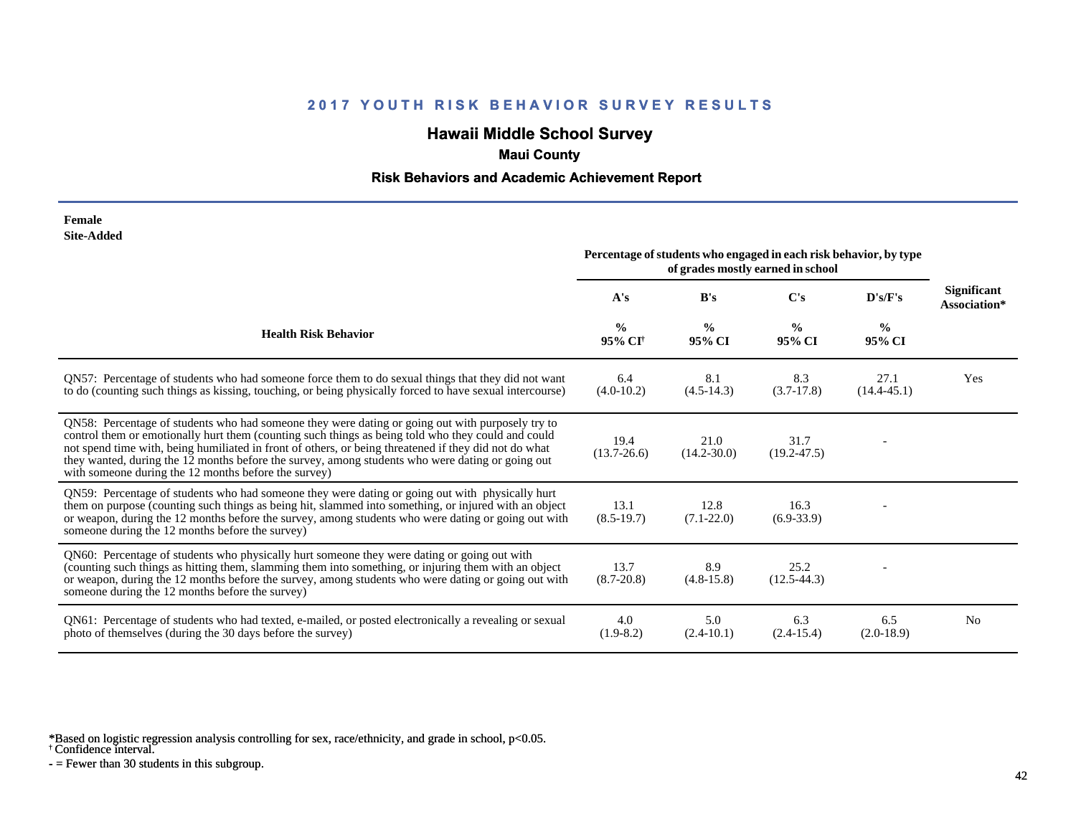# **Hawaii Middle School Survey**

# **Maui County**

### **Risk Behaviors and Academic Achievement Report**

| Female            |
|-------------------|
| <b>Site-Added</b> |

|                                                                                                                                                                                                                                                                                                                                                                                                                                                                             | Percentage of students who engaged in each risk behavior, by type<br>of grades mostly earned in school |                         |                         |                         |                                    |
|-----------------------------------------------------------------------------------------------------------------------------------------------------------------------------------------------------------------------------------------------------------------------------------------------------------------------------------------------------------------------------------------------------------------------------------------------------------------------------|--------------------------------------------------------------------------------------------------------|-------------------------|-------------------------|-------------------------|------------------------------------|
|                                                                                                                                                                                                                                                                                                                                                                                                                                                                             | A's                                                                                                    | B's                     | C's                     | D's/F's                 | <b>Significant</b><br>Association* |
| <b>Health Risk Behavior</b>                                                                                                                                                                                                                                                                                                                                                                                                                                                 | $\frac{0}{0}$<br>95% CI <sup>†</sup>                                                                   | $\frac{6}{9}$<br>95% CI | $\frac{0}{0}$<br>95% CI | $\frac{6}{9}$<br>95% CI |                                    |
| QN57: Percentage of students who had someone force them to do sexual things that they did not want<br>to do (counting such things as kissing, touching, or being physically forced to have sexual intercourse)                                                                                                                                                                                                                                                              | 6.4<br>$(4.0-10.2)$                                                                                    | 8.1<br>$(4.5-14.3)$     | 8.3<br>$(3.7-17.8)$     | 27.1<br>$(14.4 - 45.1)$ | Yes                                |
| QN58: Percentage of students who had someone they were dating or going out with purposely try to<br>control them or emotionally hurt them (counting such things as being told who they could and could<br>not spend time with, being humiliated in front of others, or being threatened if they did not do what<br>they wanted, during the 12 months before the survey, among students who were dating or going out<br>with someone during the 12 months before the survey) | 19.4<br>$(13.7 - 26.6)$                                                                                | 21.0<br>$(14.2 - 30.0)$ | 31.7<br>$(19.2 - 47.5)$ |                         |                                    |
| QN59: Percentage of students who had someone they were dating or going out with physically hurt<br>them on purpose (counting such things as being hit, slammed into something, or injured with an object<br>or weapon, during the 12 months before the survey, among students who were dating or going out with<br>someone during the 12 months before the survey)                                                                                                          | 13.1<br>$(8.5-19.7)$                                                                                   | 12.8<br>$(7.1 - 22.0)$  | 16.3<br>$(6.9-33.9)$    |                         |                                    |
| QN60: Percentage of students who physically hurt someone they were dating or going out with<br>(counting such things as hitting them, slamming them into something, or injuring them with an object<br>or weapon, during the 12 months before the survey, among students who were dating or going out with<br>someone during the 12 months before the survey)                                                                                                               | 13.7<br>$(8.7 - 20.8)$                                                                                 | 8.9<br>$(4.8-15.8)$     | 25.2<br>$(12.5-44.3)$   |                         |                                    |
| QN61: Percentage of students who had texted, e-mailed, or posted electronically a revealing or sexual<br>photo of themselves (during the 30 days before the survey)                                                                                                                                                                                                                                                                                                         | 4.0<br>$(1.9-8.2)$                                                                                     | 5.0<br>$(2.4-10.1)$     | 6.3<br>$(2.4-15.4)$     | 6.5<br>$(2.0-18.9)$     | N <sub>o</sub>                     |

\*Based on logistic regression analysis controlling for sex, race/ethnicity, and grade in school, p<0.05.

† Confidence interval.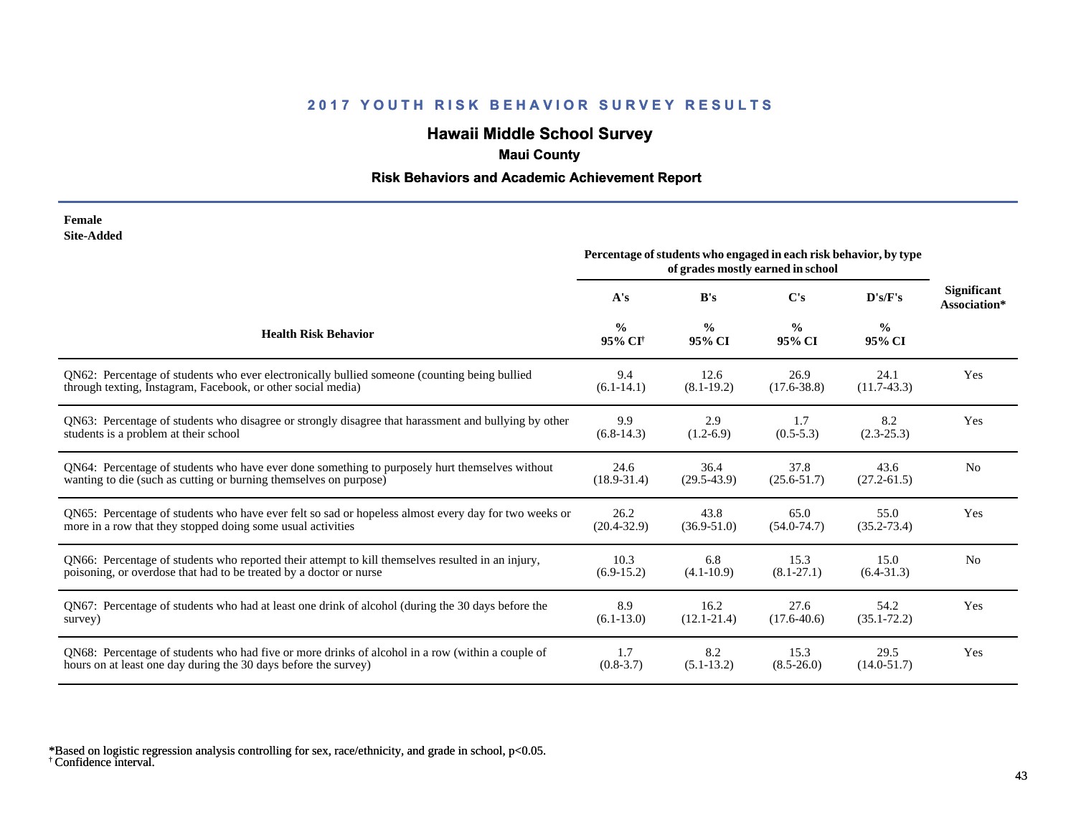# **Hawaii Middle School Survey**

# **Maui County**

## **Risk Behaviors and Academic Achievement Report**

#### **Female Site-Added**

|                                                                                                      | Percentage of students who engaged in each risk behavior, by type<br>of grades mostly earned in school |                         |                         |                         |                                    |
|------------------------------------------------------------------------------------------------------|--------------------------------------------------------------------------------------------------------|-------------------------|-------------------------|-------------------------|------------------------------------|
|                                                                                                      | A's                                                                                                    | B's                     | $\bf C's$               | D's/F's                 | <b>Significant</b><br>Association* |
| <b>Health Risk Behavior</b>                                                                          | $\frac{0}{0}$<br>95% CI <sup>+</sup>                                                                   | $\frac{0}{0}$<br>95% CI | $\frac{0}{0}$<br>95% CI | $\frac{6}{6}$<br>95% CI |                                    |
| QN62: Percentage of students who ever electronically bullied someone (counting being bullied         | 9.4                                                                                                    | 12.6                    | 26.9                    | 24.1                    | Yes                                |
| through texting, Instagram, Facebook, or other social media)                                         | $(6.1-14.1)$                                                                                           | $(8.1 - 19.2)$          | $(17.6 - 38.8)$         | $(11.7-43.3)$           |                                    |
| QN63: Percentage of students who disagree or strongly disagree that harassment and bullying by other | 9.9                                                                                                    | 2.9                     | 1.7                     | 8.2                     | Yes                                |
| students is a problem at their school                                                                | $(6.8-14.3)$                                                                                           | $(1.2-6.9)$             | $(0.5-5.3)$             | $(2.3 - 25.3)$          |                                    |
| QN64: Percentage of students who have ever done something to purposely hurt themselves without       | 24.6                                                                                                   | 36.4                    | 37.8                    | 43.6                    | N <sub>0</sub>                     |
| wanting to die (such as cutting or burning themselves on purpose)                                    | $(18.9 - 31.4)$                                                                                        | $(29.5-43.9)$           | $(25.6 - 51.7)$         | $(27.2 - 61.5)$         |                                    |
| QN65: Percentage of students who have ever felt so sad or hopeless almost every day for two weeks or | 26.2                                                                                                   | 43.8                    | 65.0                    | 55.0                    | Yes                                |
| more in a row that they stopped doing some usual activities                                          | $(20.4 - 32.9)$                                                                                        | $(36.9 - 51.0)$         | $(54.0 - 74.7)$         | $(35.2 - 73.4)$         |                                    |
| QN66: Percentage of students who reported their attempt to kill themselves resulted in an injury,    | 10.3                                                                                                   | 6.8                     | 15.3                    | 15.0                    | N <sub>0</sub>                     |
| poisoning, or overdose that had to be treated by a doctor or nurse                                   | $(6.9-15.2)$                                                                                           | $(4.1 - 10.9)$          | $(8.1 - 27.1)$          | $(6.4 - 31.3)$          |                                    |
| QN67: Percentage of students who had at least one drink of alcohol (during the 30 days before the    | 8.9                                                                                                    | 16.2                    | 27.6                    | 54.2                    | Yes                                |
| survey)                                                                                              | $(6.1 - 13.0)$                                                                                         | $(12.1 - 21.4)$         | $(17.6 - 40.6)$         | $(35.1 - 72.2)$         |                                    |
| QN68: Percentage of students who had five or more drinks of alcohol in a row (within a couple of     | 1.7                                                                                                    | 8.2                     | 15.3                    | 29.5                    | Yes                                |
| hours on at least one day during the 30 days before the survey)                                      | $(0.8 - 3.7)$                                                                                          | $(5.1 - 13.2)$          | $(8.5 - 26.0)$          | $(14.0 - 51.7)$         |                                    |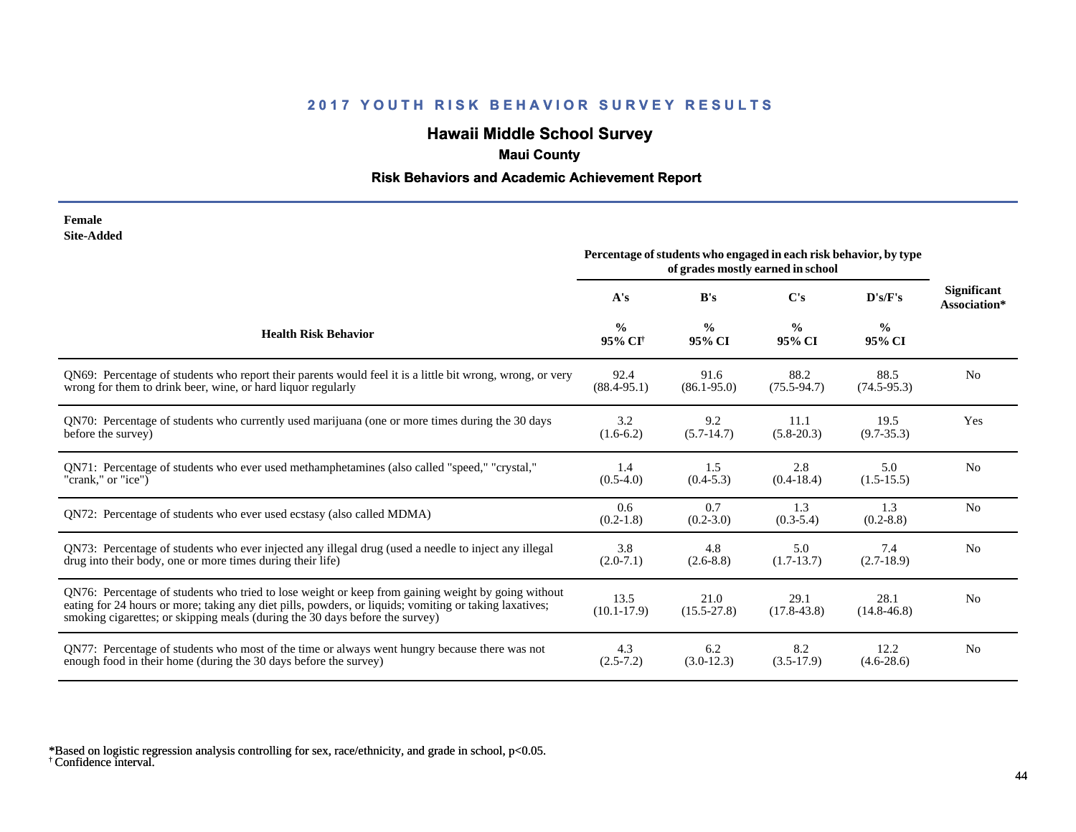# **Hawaii Middle School Survey**

# **Maui County**

## **Risk Behaviors and Academic Achievement Report**

**Female Site-Added**

|                                                                                                                                                                                                                                                                                              | Percentage of students who engaged in each risk behavior, by type<br>of grades mostly earned in school |                         |                         |                         |                                    |
|----------------------------------------------------------------------------------------------------------------------------------------------------------------------------------------------------------------------------------------------------------------------------------------------|--------------------------------------------------------------------------------------------------------|-------------------------|-------------------------|-------------------------|------------------------------------|
|                                                                                                                                                                                                                                                                                              | A's                                                                                                    | B's                     | C's                     | D's/F's                 | <b>Significant</b><br>Association* |
| <b>Health Risk Behavior</b>                                                                                                                                                                                                                                                                  | $\frac{0}{0}$<br>95% CI <sup>+</sup>                                                                   | $\frac{0}{0}$<br>95% CI | $\frac{0}{0}$<br>95% CI | $\frac{0}{0}$<br>95% CI |                                    |
| QN69: Percentage of students who report their parents would feel it is a little bit wrong, wrong, or very                                                                                                                                                                                    | 92.4                                                                                                   | 91.6                    | 88.2                    | 88.5                    | N <sub>0</sub>                     |
| wrong for them to drink beer, wine, or hard liquor regularly                                                                                                                                                                                                                                 | $(88.4 - 95.1)$                                                                                        | $(86.1 - 95.0)$         | $(75.5 - 94.7)$         | $(74.5-95.3)$           |                                    |
| QN70: Percentage of students who currently used marijuana (one or more times during the 30 days                                                                                                                                                                                              | 3.2                                                                                                    | 9.2                     | 11.1                    | 19.5                    | Yes                                |
| before the survey)                                                                                                                                                                                                                                                                           | $(1.6-6.2)$                                                                                            | $(5.7-14.7)$            | $(5.8-20.3)$            | $(9.7 - 35.3)$          |                                    |
| QN71: Percentage of students who ever used methamphetamines (also called "speed," "crystal,"                                                                                                                                                                                                 | 1.4                                                                                                    | 1.5                     | 2.8                     | 5.0                     | No                                 |
| "crank," or "ice")                                                                                                                                                                                                                                                                           | $(0.5-4.0)$                                                                                            | $(0.4-5.3)$             | $(0.4-18.4)$            | $(1.5-15.5)$            |                                    |
| QN72: Percentage of students who ever used ecstasy (also called MDMA)                                                                                                                                                                                                                        | 0.6<br>$(0.2-1.8)$                                                                                     | 0.7<br>$(0.2 - 3.0)$    | 1.3<br>$(0.3-5.4)$      | 1.3<br>$(0.2 - 8.8)$    | N <sub>0</sub>                     |
| QN73: Percentage of students who ever injected any illegal drug (used a needle to inject any illegal                                                                                                                                                                                         | 3.8                                                                                                    | 4.8                     | 5.0                     | 7.4                     | N <sub>0</sub>                     |
| drug into their body, one or more times during their life)                                                                                                                                                                                                                                   | $(2.0-7.1)$                                                                                            | $(2.6 - 8.8)$           | $(1.7-13.7)$            | $(2.7-18.9)$            |                                    |
| QN76: Percentage of students who tried to lose weight or keep from gaining weight by going without<br>eating for 24 hours or more; taking any diet pills, powders, or liquids; vomiting or taking laxatives;<br>smoking cigarettes; or skipping meals (during the 30 days before the survey) | 13.5<br>$(10.1 - 17.9)$                                                                                | 21.0<br>$(15.5 - 27.8)$ | 29.1<br>$(17.8 - 43.8)$ | 28.1<br>$(14.8 - 46.8)$ | N <sub>0</sub>                     |
| QN77: Percentage of students who most of the time or always went hungry because there was not                                                                                                                                                                                                | 4.3                                                                                                    | 6.2                     | 8.2                     | 12.2                    | N <sub>0</sub>                     |
| enough food in their home (during the 30 days before the survey)                                                                                                                                                                                                                             | $(2.5 - 7.2)$                                                                                          | $(3.0-12.3)$            | $(3.5-17.9)$            | $(4.6-28.6)$            |                                    |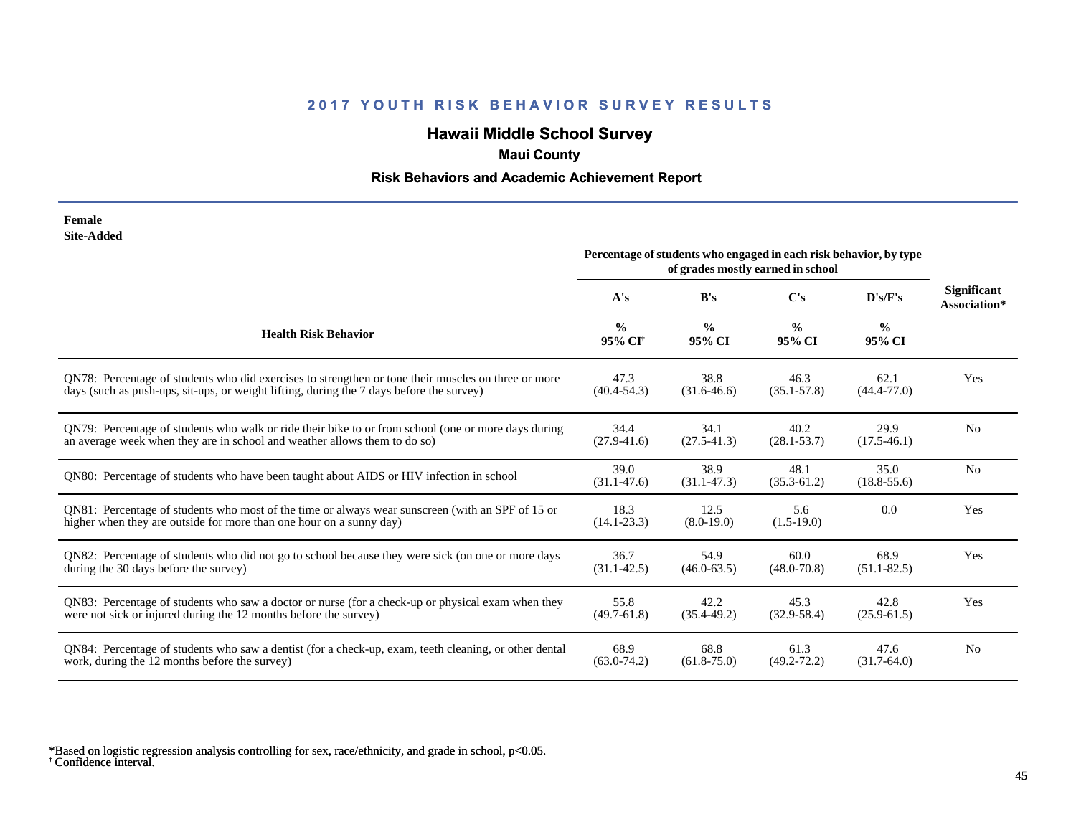# **Hawaii Middle School Survey**

# **Maui County**

## **Risk Behaviors and Academic Achievement Report**

| Female            |
|-------------------|
| <b>Site-Added</b> |

|                                                                                                                                                                         | Percentage of students who engaged in each risk behavior, by type<br>of grades mostly earned in school |                         |                         |                         |                                    |
|-------------------------------------------------------------------------------------------------------------------------------------------------------------------------|--------------------------------------------------------------------------------------------------------|-------------------------|-------------------------|-------------------------|------------------------------------|
|                                                                                                                                                                         | A's                                                                                                    | B's                     | C's                     | D's/F's                 | <b>Significant</b><br>Association* |
| <b>Health Risk Behavior</b>                                                                                                                                             | $\frac{0}{0}$<br>95% CI <sup>†</sup>                                                                   | $\frac{0}{0}$<br>95% CI | $\frac{0}{0}$<br>95% CI | $\frac{0}{0}$<br>95% CI |                                    |
| QN78: Percentage of students who did exercises to strengthen or tone their muscles on three or more                                                                     | 47.3                                                                                                   | 38.8                    | 46.3                    | 62.1                    | <b>Yes</b>                         |
| days (such as push-ups, sit-ups, or weight lifting, during the 7 days before the survey)                                                                                | $(40.4 - 54.3)$                                                                                        | $(31.6 - 46.6)$         | $(35.1 - 57.8)$         | $(44.4 - 77.0)$         |                                    |
| QN79: Percentage of students who walk or ride their bike to or from school (one or more days during                                                                     | 34.4                                                                                                   | 34.1                    | 40.2                    | 29.9                    | No.                                |
| an average week when they are in school and weather allows them to do so)                                                                                               | $(27.9 - 41.6)$                                                                                        | $(27.5 - 41.3)$         | $(28.1 - 53.7)$         | $(17.5-46.1)$           |                                    |
| QN80: Percentage of students who have been taught about AIDS or HIV infection in school                                                                                 | 39.0<br>$(31.1 - 47.6)$                                                                                | 38.9<br>$(31.1 - 47.3)$ | 48.1<br>$(35.3 - 61.2)$ | 35.0<br>$(18.8 - 55.6)$ | N <sub>o</sub>                     |
| QN81: Percentage of students who most of the time or always wear sunscreen (with an SPF of 15 or<br>higher when they are outside for more than one hour on a sunny day) | 18.3<br>$(14.1 - 23.3)$                                                                                | 12.5<br>$(8.0-19.0)$    | 5.6<br>$(1.5-19.0)$     | 0.0                     | Yes                                |
| QN82: Percentage of students who did not go to school because they were sick (on one or more days                                                                       | 36.7                                                                                                   | 54.9                    | 60.0                    | 68.9                    | Yes                                |
| during the 30 days before the survey)                                                                                                                                   | $(31.1 - 42.5)$                                                                                        | $(46.0 - 63.5)$         | $(48.0 - 70.8)$         | $(51.1 - 82.5)$         |                                    |
| QN83: Percentage of students who saw a doctor or nurse (for a check-up or physical exam when they                                                                       | 55.8                                                                                                   | 42.2                    | 45.3                    | 42.8                    | Yes                                |
| were not sick or injured during the 12 months before the survey)                                                                                                        | $(49.7 - 61.8)$                                                                                        | $(35.4 - 49.2)$         | $(32.9 - 58.4)$         | $(25.9 - 61.5)$         |                                    |
| QN84: Percentage of students who saw a dentist (for a check-up, exam, teeth cleaning, or other dental                                                                   | 68.9                                                                                                   | 68.8                    | 61.3                    | 47.6                    | N <sub>0</sub>                     |
| work, during the 12 months before the survey)                                                                                                                           | $(63.0 - 74.2)$                                                                                        | $(61.8 - 75.0)$         | $(49.2 - 72.2)$         | $(31.7-64.0)$           |                                    |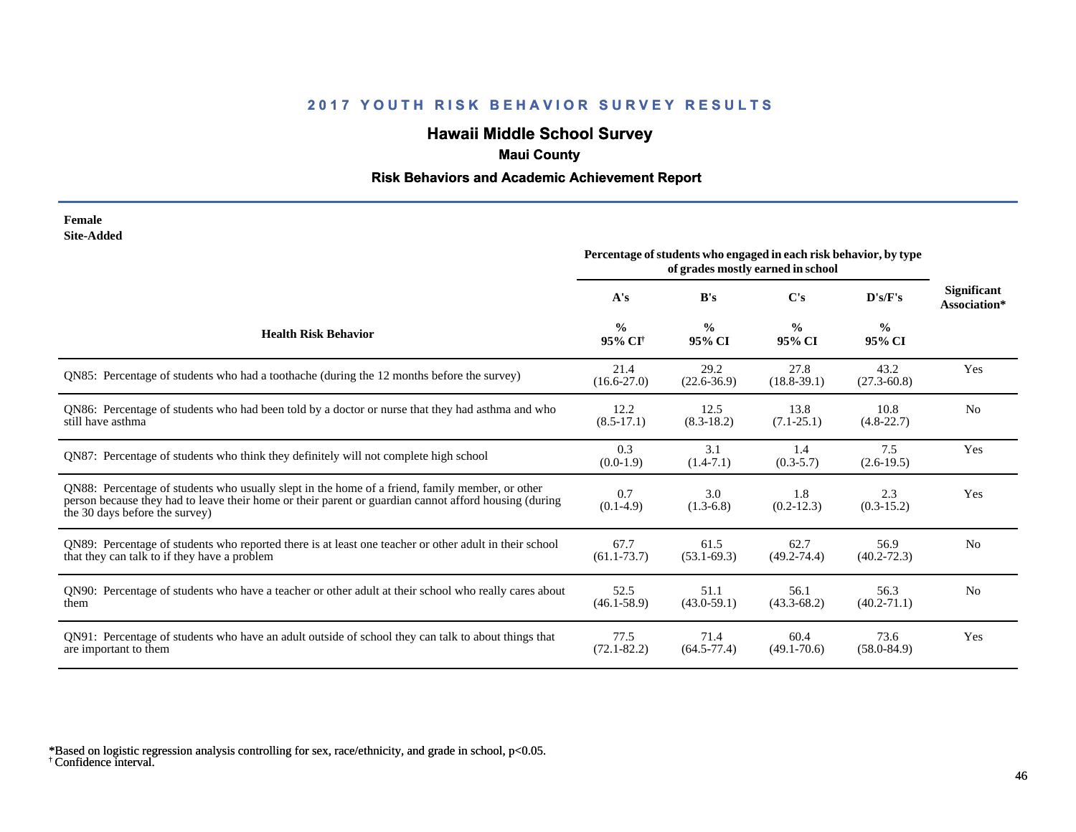# **Hawaii Middle School Survey**

# **Maui County**

## **Risk Behaviors and Academic Achievement Report**

#### **Female Site-Added**

|                                                                                                                                                                                                                                            | Percentage of students who engaged in each risk behavior, by type<br>of grades mostly earned in school |                         |                         |                         |                                    |
|--------------------------------------------------------------------------------------------------------------------------------------------------------------------------------------------------------------------------------------------|--------------------------------------------------------------------------------------------------------|-------------------------|-------------------------|-------------------------|------------------------------------|
|                                                                                                                                                                                                                                            | A's                                                                                                    | B's                     | C's                     | D's/F's                 | <b>Significant</b><br>Association* |
| <b>Health Risk Behavior</b>                                                                                                                                                                                                                | $\frac{0}{0}$<br>95% CI <sup>+</sup>                                                                   | $\frac{0}{0}$<br>95% CI | $\frac{0}{0}$<br>95% CI | $\frac{0}{0}$<br>95% CI |                                    |
| QN85: Percentage of students who had a toothache (during the 12 months before the survey)                                                                                                                                                  | 21.4<br>$(16.6 - 27.0)$                                                                                | 29.2<br>$(22.6 - 36.9)$ | 27.8<br>$(18.8-39.1)$   | 43.2<br>$(27.3 - 60.8)$ | Yes                                |
| QN86: Percentage of students who had been told by a doctor or nurse that they had asthma and who<br>still have asthma                                                                                                                      | 12.2<br>$(8.5 - 17.1)$                                                                                 | 12.5<br>$(8.3-18.2)$    | 13.8<br>$(7.1 - 25.1)$  | 10.8<br>$(4.8-22.7)$    | N <sub>o</sub>                     |
| QN87: Percentage of students who think they definitely will not complete high school                                                                                                                                                       | 0.3<br>$(0.0-1.9)$                                                                                     | 3.1<br>$(1.4-7.1)$      | 1.4<br>$(0.3-5.7)$      | 7.5<br>$(2.6-19.5)$     | Yes                                |
| QN88: Percentage of students who usually slept in the home of a friend, family member, or other<br>person because they had to leave their home or their parent or guardian cannot afford housing (during<br>the 30 days before the survey) | 0.7<br>$(0.1-4.9)$                                                                                     | 3.0<br>$(1.3-6.8)$      | 1.8<br>$(0.2 - 12.3)$   | 2.3<br>$(0.3-15.2)$     | Yes                                |
| QN89: Percentage of students who reported there is at least one teacher or other adult in their school<br>that they can talk to if they have a problem                                                                                     | 67.7<br>$(61.1 - 73.7)$                                                                                | 61.5<br>$(53.1 - 69.3)$ | 62.7<br>$(49.2 - 74.4)$ | 56.9<br>$(40.2 - 72.3)$ | N <sub>0</sub>                     |
| QN90: Percentage of students who have a teacher or other adult at their school who really cares about<br>them                                                                                                                              | 52.5<br>$(46.1 - 58.9)$                                                                                | 51.1<br>$(43.0 - 59.1)$ | 56.1<br>$(43.3 - 68.2)$ | 56.3<br>$(40.2 - 71.1)$ | N <sub>o</sub>                     |
| QN91: Percentage of students who have an adult outside of school they can talk to about things that<br>are important to them                                                                                                               | 77.5<br>$(72.1 - 82.2)$                                                                                | 71.4<br>$(64.5 - 77.4)$ | 60.4<br>$(49.1 - 70.6)$ | 73.6<br>$(58.0 - 84.9)$ | Yes                                |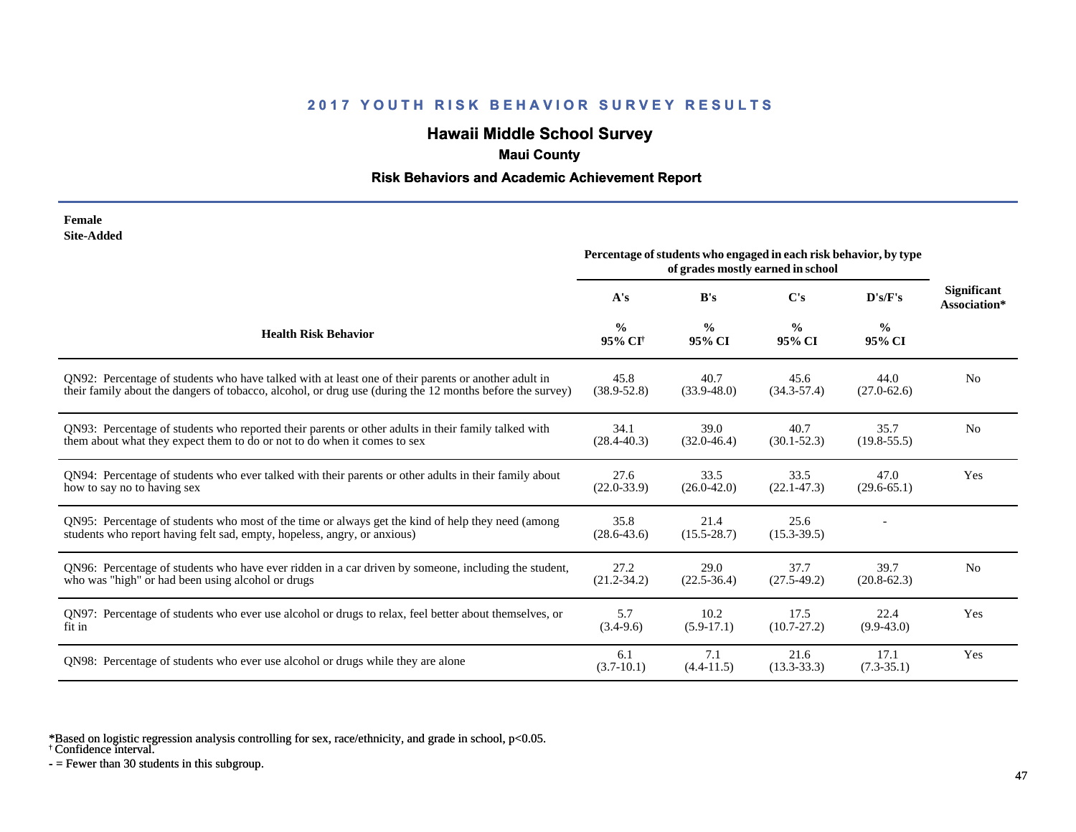# **Hawaii Middle School Survey**

# **Maui County**

### **Risk Behaviors and Academic Achievement Report**

| Female     |
|------------|
| Site-Added |

|                                                                                                                                                                               | Percentage of students who engaged in each risk behavior, by type<br>of grades mostly earned in school |                         |                         |                         |                                    |
|-------------------------------------------------------------------------------------------------------------------------------------------------------------------------------|--------------------------------------------------------------------------------------------------------|-------------------------|-------------------------|-------------------------|------------------------------------|
|                                                                                                                                                                               | A's                                                                                                    | B's                     | $\bf C$ 's              | D's/F's                 | <b>Significant</b><br>Association* |
| <b>Health Risk Behavior</b>                                                                                                                                                   | $\frac{0}{0}$<br>95% CI <sup>+</sup>                                                                   | $\frac{0}{0}$<br>95% CI | $\frac{0}{0}$<br>95% CI | $\frac{0}{0}$<br>95% CI |                                    |
| QN92: Percentage of students who have talked with at least one of their parents or another adult in                                                                           | 45.8                                                                                                   | 40.7                    | 45.6                    | 44.0                    | N <sub>0</sub>                     |
| their family about the dangers of tobacco, alcohol, or drug use (during the 12 months before the survey)                                                                      | $(38.9 - 52.8)$                                                                                        | $(33.9 - 48.0)$         | $(34.3 - 57.4)$         | $(27.0 - 62.6)$         |                                    |
| QN93: Percentage of students who reported their parents or other adults in their family talked with                                                                           | 34.1                                                                                                   | 39.0                    | 40.7                    | 35.7                    | N <sub>0</sub>                     |
| them about what they expect them to do or not to do when it comes to sex                                                                                                      | $(28.4 - 40.3)$                                                                                        | $(32.0 - 46.4)$         | $(30.1 - 52.3)$         | $(19.8 - 55.5)$         |                                    |
| QN94: Percentage of students who ever talked with their parents or other adults in their family about                                                                         | 27.6                                                                                                   | 33.5                    | 33.5                    | 47.0                    | Yes                                |
| how to say no to having sex                                                                                                                                                   | $(22.0 - 33.9)$                                                                                        | $(26.0 - 42.0)$         | $(22.1 - 47.3)$         | $(29.6 - 65.1)$         |                                    |
| QN95: Percentage of students who most of the time or always get the kind of help they need (among<br>students who report having felt sad, empty, hopeless, angry, or anxious) | 35.8<br>$(28.6 - 43.6)$                                                                                | 21.4<br>$(15.5 - 28.7)$ | 25.6<br>$(15.3 - 39.5)$ |                         |                                    |
| QN96: Percentage of students who have ever ridden in a car driven by someone, including the student,                                                                          | 27.2                                                                                                   | 29.0                    | 37.7                    | 39.7                    | N <sub>0</sub>                     |
| who was "high" or had been using alcohol or drugs                                                                                                                             | $(21.2 - 34.2)$                                                                                        | $(22.5-36.4)$           | $(27.5-49.2)$           | $(20.8-62.3)$           |                                    |
| QN97: Percentage of students who ever use alcohol or drugs to relax, feel better about themselves, or                                                                         | 5.7                                                                                                    | 10.2                    | 17.5                    | 22.4                    | <b>Yes</b>                         |
| fit in                                                                                                                                                                        | $(3.4-9.6)$                                                                                            | $(5.9-17.1)$            | $(10.7 - 27.2)$         | $(9.9-43.0)$            |                                    |
| QN98: Percentage of students who ever use alcohol or drugs while they are alone                                                                                               | 6.1<br>$(3.7-10.1)$                                                                                    | 7.1<br>$(4.4 - 11.5)$   | 21.6<br>$(13.3 - 33.3)$ | 17.1<br>$(7.3 - 35.1)$  | Yes                                |

\*Based on logistic regression analysis controlling for sex, race/ethnicity, and grade in school, p<0.05.

† Confidence interval.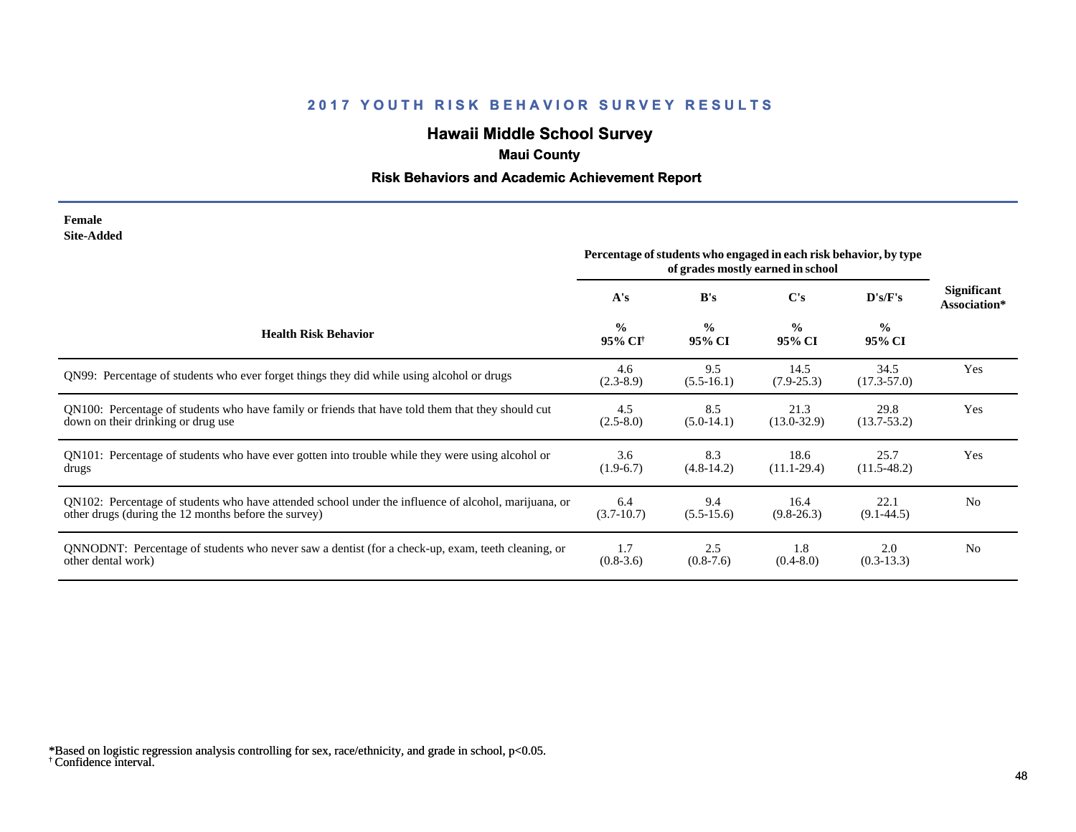# **Hawaii Middle School Survey**

# **Maui County**

## **Risk Behaviors and Academic Achievement Report**

#### **Female Site-Added**

|                                                                                                      | Percentage of students who engaged in each risk behavior, by type<br>of grades mostly earned in school |                         |                         |                         |                                    |
|------------------------------------------------------------------------------------------------------|--------------------------------------------------------------------------------------------------------|-------------------------|-------------------------|-------------------------|------------------------------------|
|                                                                                                      | A's                                                                                                    | B's                     | C's                     | D's/F's                 | <b>Significant</b><br>Association* |
| <b>Health Risk Behavior</b>                                                                          | $\frac{6}{6}$<br>95% CI†                                                                               | $\frac{0}{0}$<br>95% CI | $\frac{0}{0}$<br>95% CI | $\frac{0}{0}$<br>95% CI |                                    |
| QN99: Percentage of students who ever forget things they did while using alcohol or drugs            | 4.6<br>$(2.3-8.9)$                                                                                     | 9.5<br>$(5.5-16.1)$     | 14.5<br>$(7.9 - 25.3)$  | 34.5<br>$(17.3 - 57.0)$ | Yes                                |
| QN100: Percentage of students who have family or friends that have told them that they should cut    | 4.5                                                                                                    | 8.5                     | 21.3                    | 29.8                    | Yes                                |
| down on their drinking or drug use                                                                   | $(2.5-8.0)$                                                                                            | $(5.0-14.1)$            | $(13.0 - 32.9)$         | $(13.7 - 53.2)$         |                                    |
| QN101: Percentage of students who have ever gotten into trouble while they were using alcohol or     | 3.6                                                                                                    | 8.3                     | 18.6                    | 25.7                    | Yes                                |
| drugs                                                                                                | $(1.9-6.7)$                                                                                            | $(4.8-14.2)$            | $(11.1 - 29.4)$         | $(11.5-48.2)$           |                                    |
| QN102: Percentage of students who have attended school under the influence of alcohol, marijuana, or | 6.4                                                                                                    | 9.4                     | 16.4                    | 22.1                    | N <sub>0</sub>                     |
| other drugs (during the 12 months before the survey)                                                 | $(3.7-10.7)$                                                                                           | $(5.5-15.6)$            | $(9.8-26.3)$            | $(9.1 - 44.5)$          |                                    |
| QNNODNT: Percentage of students who never saw a dentist (for a check-up, exam, teeth cleaning, or    | 1.7                                                                                                    | 2.5                     | 1.8                     | 2.0                     | N <sub>0</sub>                     |
| other dental work)                                                                                   | $(0.8-3.6)$                                                                                            | $(0.8-7.6)$             | $(0.4 - 8.0)$           | $(0.3-13.3)$            |                                    |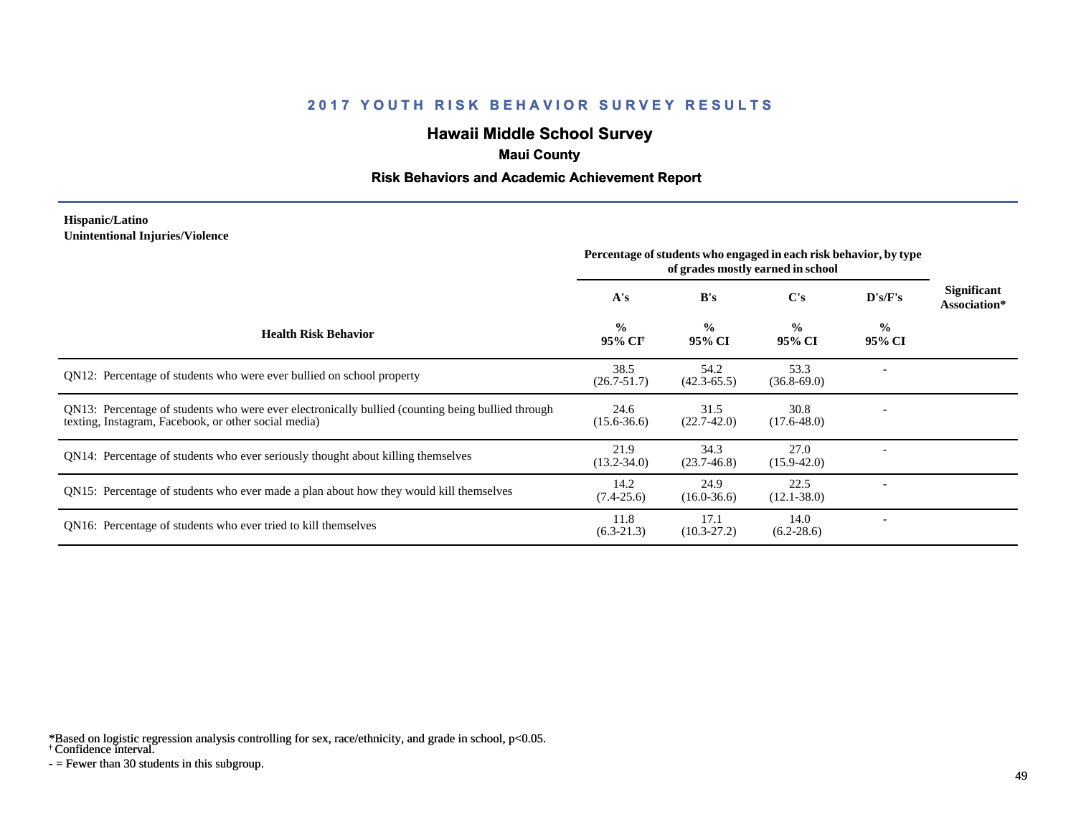# **Hawaii Middle School Survey**

### **Maui County**

### **Risk Behaviors and Academic Achievement Report**

#### **Hispanic/Latino Unintentional Injuries/Violence**

|                                                                                                                                                           | Percentage of students who engaged in each risk behavior, by type<br>of grades mostly earned in school |                         |                         |                |                                    |
|-----------------------------------------------------------------------------------------------------------------------------------------------------------|--------------------------------------------------------------------------------------------------------|-------------------------|-------------------------|----------------|------------------------------------|
|                                                                                                                                                           | A's                                                                                                    | B's                     | C's                     | D's/F's        | <b>Significant</b><br>Association* |
| <b>Health Risk Behavior</b>                                                                                                                               | $\frac{0}{0}$<br>95% CI <sup>+</sup>                                                                   | $\frac{0}{0}$<br>95% CI | $\frac{0}{0}$<br>95% CI | $\%$<br>95% CI |                                    |
| QN12: Percentage of students who were ever bullied on school property                                                                                     | 38.5<br>$(26.7 - 51.7)$                                                                                | 54.2<br>$(42.3 - 65.5)$ | 53.3<br>$(36.8 - 69.0)$ |                |                                    |
| QN13: Percentage of students who were ever electronically bullied (counting being bullied through<br>texting, Instagram, Facebook, or other social media) | 24.6<br>$(15.6 - 36.6)$                                                                                | 31.5<br>$(22.7-42.0)$   | 30.8<br>$(17.6 - 48.0)$ |                |                                    |
| QN14: Percentage of students who ever seriously thought about killing themselves                                                                          | 21.9<br>$(13.2 - 34.0)$                                                                                | 34.3<br>$(23.7 - 46.8)$ | 27.0<br>$(15.9 - 42.0)$ |                |                                    |
| QN15: Percentage of students who ever made a plan about how they would kill themselves                                                                    | 14.2<br>$(7.4-25.6)$                                                                                   | 24.9<br>$(16.0 - 36.6)$ | 22.5<br>$(12.1 - 38.0)$ |                |                                    |
| QN16: Percentage of students who ever tried to kill themselves                                                                                            | 11.8<br>$(6.3-21.3)$                                                                                   | 17.1<br>$(10.3 - 27.2)$ | 14.0<br>$(6.2 - 28.6)$  |                |                                    |

\*Based on logistic regression analysis controlling for sex, race/ethnicity, and grade in school, p<0.05.

† Confidence interval.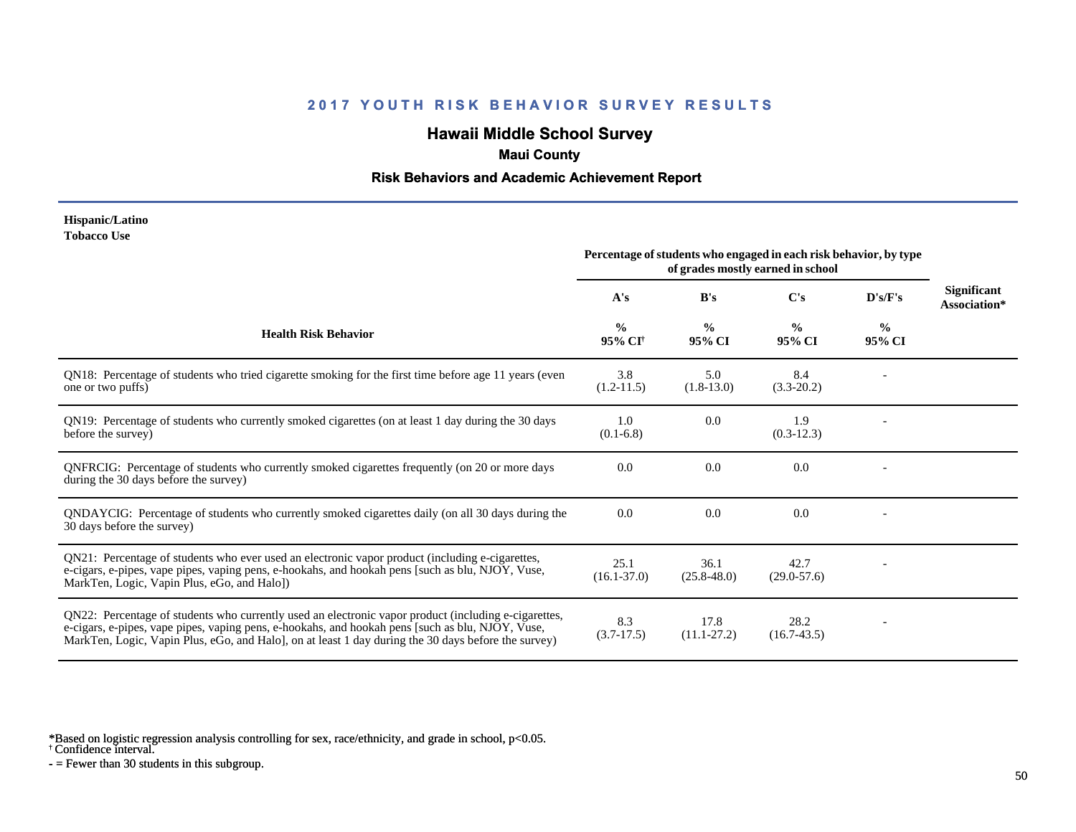# **Hawaii Middle School Survey**

### **Maui County**

### **Risk Behaviors and Academic Achievement Report**

#### **Hispanic/Latino Tobacco Use**

|                                                                                                                                                                                                                                                                                                                | Percentage of students who engaged in each risk behavior, by type<br>of grades mostly earned in school |                         |                         |                         |                                    |
|----------------------------------------------------------------------------------------------------------------------------------------------------------------------------------------------------------------------------------------------------------------------------------------------------------------|--------------------------------------------------------------------------------------------------------|-------------------------|-------------------------|-------------------------|------------------------------------|
|                                                                                                                                                                                                                                                                                                                | A's                                                                                                    | B's                     | C's                     | D's/F's                 | <b>Significant</b><br>Association* |
| <b>Health Risk Behavior</b>                                                                                                                                                                                                                                                                                    | $\frac{0}{0}$<br>95% CI <sup>+</sup>                                                                   | $\frac{0}{0}$<br>95% CI | $\frac{0}{0}$<br>95% CI | $\frac{0}{0}$<br>95% CI |                                    |
| QN18: Percentage of students who tried cigarette smoking for the first time before age 11 years (even<br>one or two puffs)                                                                                                                                                                                     | 3.8<br>$(1.2-11.5)$                                                                                    | 5.0<br>$(1.8-13.0)$     | 8.4<br>$(3.3-20.2)$     |                         |                                    |
| QN19: Percentage of students who currently smoked cigarettes (on at least 1 day during the 30 days<br>before the survey)                                                                                                                                                                                       | 1.0<br>$(0.1-6.8)$                                                                                     | 0.0                     | 1.9<br>$(0.3-12.3)$     |                         |                                    |
| QNFRCIG: Percentage of students who currently smoked cigarettes frequently (on 20 or more days<br>during the 30 days before the survey)                                                                                                                                                                        | 0.0                                                                                                    | 0.0                     | 0.0                     |                         |                                    |
| QNDAYCIG: Percentage of students who currently smoked cigarettes daily (on all 30 days during the<br>30 days before the survey)                                                                                                                                                                                | 0.0                                                                                                    | 0.0                     | 0.0                     |                         |                                    |
| QN21: Percentage of students who ever used an electronic vapor product (including e-cigarettes,<br>e-cigars, e-pipes, vape pipes, vaping pens, e-hookahs, and hookah pens [such as blu, NJOY, Vuse,<br>MarkTen, Logic, Vapin Plus, eGo, and Halo])                                                             | 25.1<br>$(16.1 - 37.0)$                                                                                | 36.1<br>$(25.8 - 48.0)$ | 42.7<br>$(29.0 - 57.6)$ |                         |                                    |
| QN22: Percentage of students who currently used an electronic vapor product (including e-cigarettes,<br>e-cigars, e-pipes, vape pipes, vaping pens, e-hookahs, and hookah pens [such as blu, NJOY, Vuse,<br>MarkTen, Logic, Vapin Plus, eGo, and Halo, on at least 1 day during the 30 days before the survey) | 8.3<br>$(3.7-17.5)$                                                                                    | 17.8<br>$(11.1 - 27.2)$ | 28.2<br>$(16.7-43.5)$   |                         |                                    |

\*Based on logistic regression analysis controlling for sex, race/ethnicity, and grade in school, p<0.05.

† Confidence interval.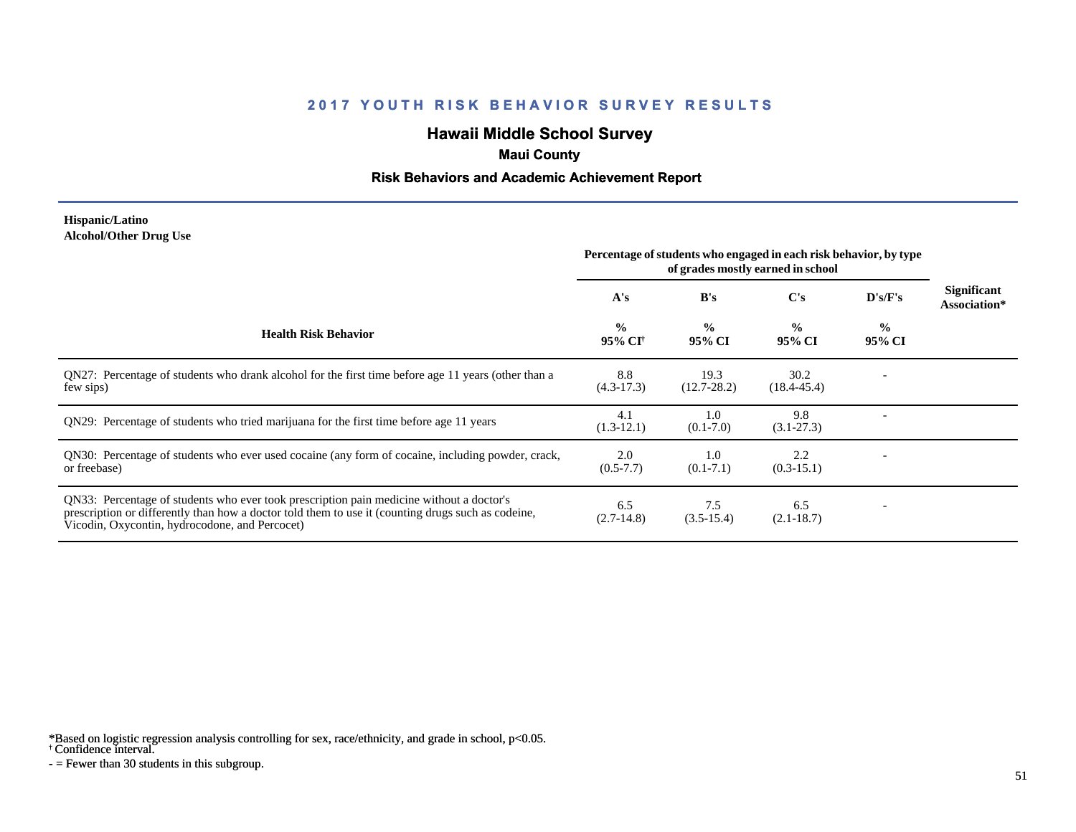# **Hawaii Middle School Survey**

# **Maui County**

### **Risk Behaviors and Academic Achievement Report**

#### **Hispanic/Latino Alcohol/Other Drug Use**

|                                                                                                                                                                                                                                                  | Percentage of students who engaged in each risk behavior, by type<br>of grades mostly earned in school |                         |                         |                          |                                    |
|--------------------------------------------------------------------------------------------------------------------------------------------------------------------------------------------------------------------------------------------------|--------------------------------------------------------------------------------------------------------|-------------------------|-------------------------|--------------------------|------------------------------------|
|                                                                                                                                                                                                                                                  | A's                                                                                                    | B's                     | $\bf C's$               | D's/F's                  | <b>Significant</b><br>Association* |
| <b>Health Risk Behavior</b>                                                                                                                                                                                                                      | $\frac{0}{0}$<br>95% CI <sup>†</sup>                                                                   | $\frac{0}{0}$<br>95% CI | $\frac{0}{0}$<br>95% CI | $\frac{0}{0}$<br>95% CI  |                                    |
| QN27: Percentage of students who drank alcohol for the first time before age 11 years (other than a<br>few sips)                                                                                                                                 | 8.8<br>$(4.3-17.3)$                                                                                    | 19.3<br>$(12.7 - 28.2)$ | 30.2<br>$(18.4 - 45.4)$ |                          |                                    |
| QN29: Percentage of students who tried marijuana for the first time before age 11 years                                                                                                                                                          | 4.1<br>$(1.3-12.1)$                                                                                    | 1.0<br>$(0.1 - 7.0)$    | 9.8<br>$(3.1 - 27.3)$   |                          |                                    |
| QN30: Percentage of students who ever used cocaine (any form of cocaine, including powder, crack,<br>or freebase)                                                                                                                                | 2.0<br>$(0.5 - 7.7)$                                                                                   | 1.0<br>$(0.1 - 7.1)$    | 2.2<br>$(0.3-15.1)$     |                          |                                    |
| QN33: Percentage of students who ever took prescription pain medicine without a doctor's<br>prescription or differently than how a doctor told them to use it (counting drugs such as codeine,<br>Vicodin, Oxycontin, hydrocodone, and Percocet) | 6.5<br>$(2.7-14.8)$                                                                                    | 7.5<br>$(3.5-15.4)$     | 6.5<br>$(2.1 - 18.7)$   | $\overline{\phantom{a}}$ |                                    |

\*Based on logistic regression analysis controlling for sex, race/ethnicity, and grade in school, p<0.05.

† Confidence interval.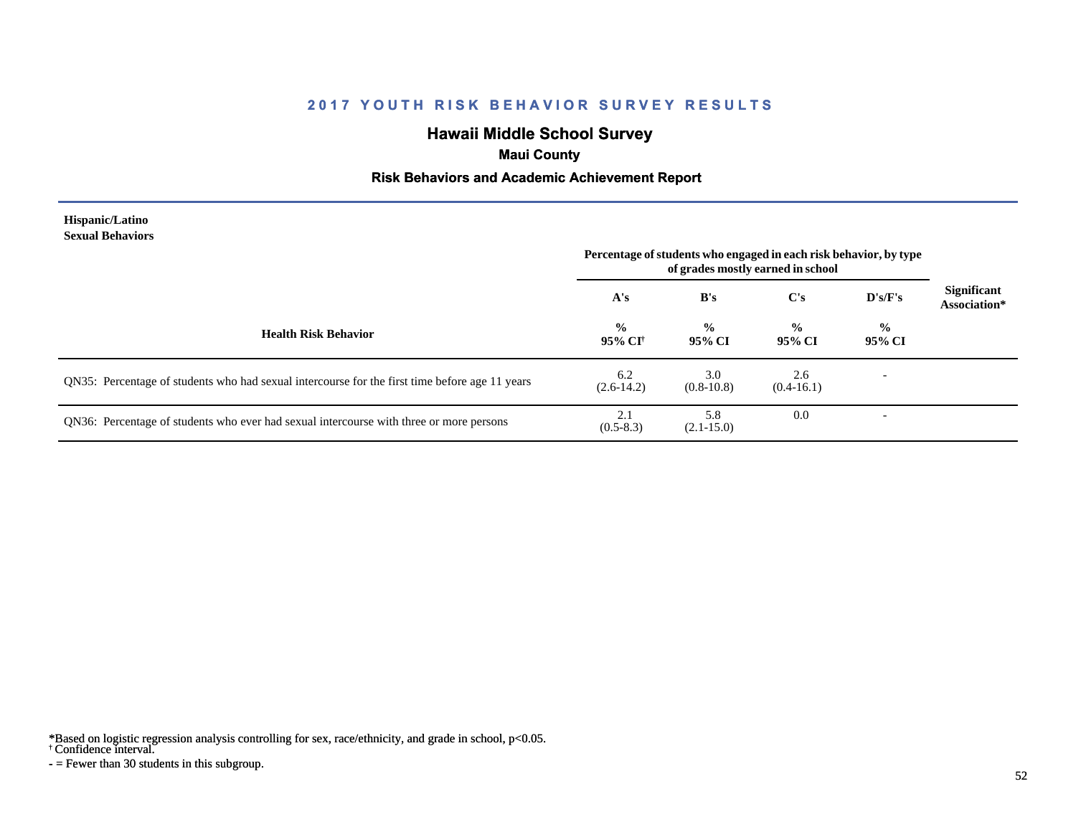# **Hawaii Middle School Survey**

### **Maui County**

### **Risk Behaviors and Academic Achievement Report**

#### **Hispanic/Latino Sexual Behaviors**

|                                                                                                | Percentage of students who engaged in each risk behavior, by type<br>of grades mostly earned in school |                         |                         |                          |                             |
|------------------------------------------------------------------------------------------------|--------------------------------------------------------------------------------------------------------|-------------------------|-------------------------|--------------------------|-----------------------------|
|                                                                                                | A's                                                                                                    | B's                     | C's                     | D's/F's                  | Significant<br>Association* |
| <b>Health Risk Behavior</b>                                                                    | $\frac{0}{0}$<br>95% CI                                                                                | $\frac{0}{0}$<br>95% CI | $\frac{0}{0}$<br>95% CI | $\frac{0}{0}$<br>95% CI  |                             |
| QN35: Percentage of students who had sexual intercourse for the first time before age 11 years | 6.2<br>$(2.6-14.2)$                                                                                    | 3.0<br>$(0.8-10.8)$     | 2.6<br>$(0.4-16.1)$     |                          |                             |
| QN36: Percentage of students who ever had sexual intercourse with three or more persons        | 2.1<br>$(0.5-8.3)$                                                                                     | 5.8<br>$(2.1 - 15.0)$   | 0.0                     | $\overline{\phantom{a}}$ |                             |

\*Based on logistic regression analysis controlling for sex, race/ethnicity, and grade in school, p<0.05.

† Confidence interval.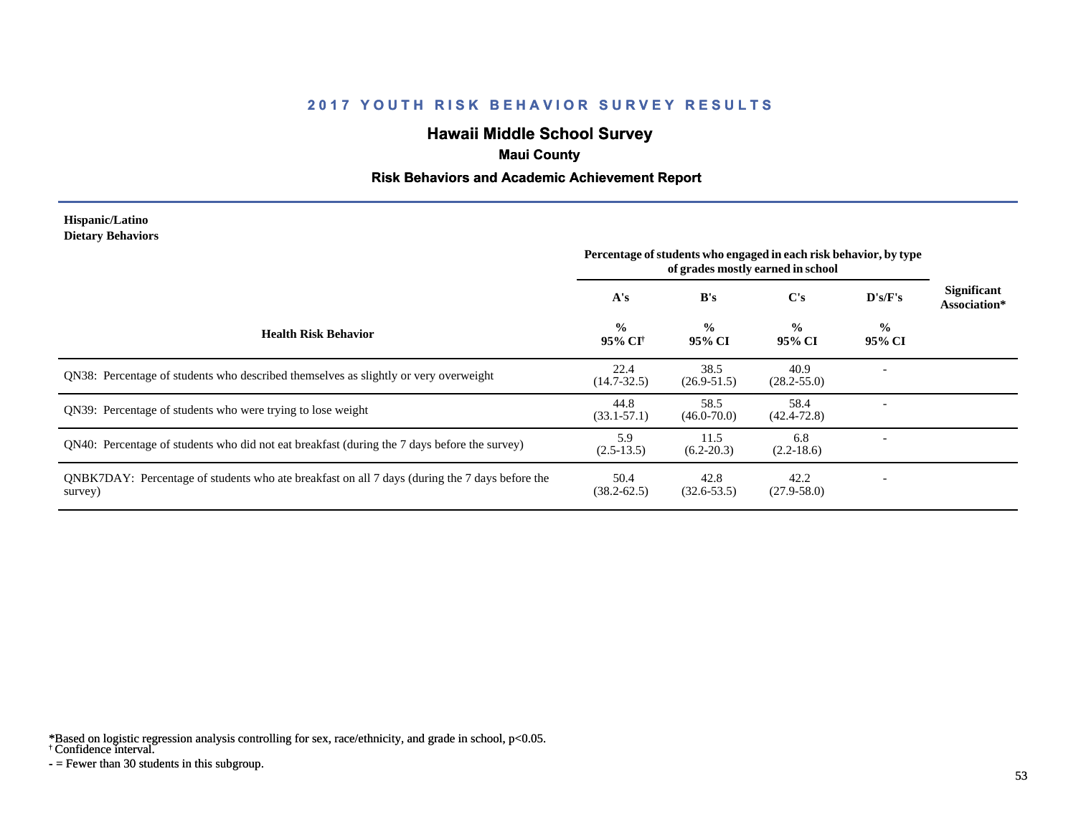# **Hawaii Middle School Survey**

# **Maui County**

### **Risk Behaviors and Academic Achievement Report**

#### **Hispanic/Latino Dietary Behaviors**

|                                                                                                           | Percentage of students who engaged in each risk behavior, by type<br>of grades mostly earned in school |                         |                         |                         |                             |
|-----------------------------------------------------------------------------------------------------------|--------------------------------------------------------------------------------------------------------|-------------------------|-------------------------|-------------------------|-----------------------------|
|                                                                                                           | A's                                                                                                    | B's                     | $\bf C's$               | D's/F's                 | Significant<br>Association* |
| <b>Health Risk Behavior</b>                                                                               | $\frac{0}{0}$<br>95% CI <sup>†</sup>                                                                   | $\frac{0}{0}$<br>95% CI | $\frac{0}{0}$<br>95% CI | $\frac{0}{0}$<br>95% CI |                             |
| <b>ON38:</b> Percentage of students who described themselves as slightly or very overweight               | 22.4<br>$(14.7 - 32.5)$                                                                                | 38.5<br>$(26.9 - 51.5)$ | 40.9<br>$(28.2 - 55.0)$ |                         |                             |
| QN39: Percentage of students who were trying to lose weight                                               | 44.8<br>$(33.1 - 57.1)$                                                                                | 58.5<br>$(46.0 - 70.0)$ | 58.4<br>$(42.4 - 72.8)$ |                         |                             |
| QN40: Percentage of students who did not eat breakfast (during the 7 days before the survey)              | 5.9<br>$(2.5-13.5)$                                                                                    | 11.5<br>$(6.2 - 20.3)$  | 6.8<br>$(2.2-18.6)$     |                         |                             |
| QNBK7DAY: Percentage of students who ate breakfast on all 7 days (during the 7 days before the<br>survey) | 50.4<br>$(38.2 - 62.5)$                                                                                | 42.8<br>$(32.6 - 53.5)$ | 42.2<br>$(27.9 - 58.0)$ |                         |                             |

\*Based on logistic regression analysis controlling for sex, race/ethnicity, and grade in school, p<0.05.

† Confidence interval.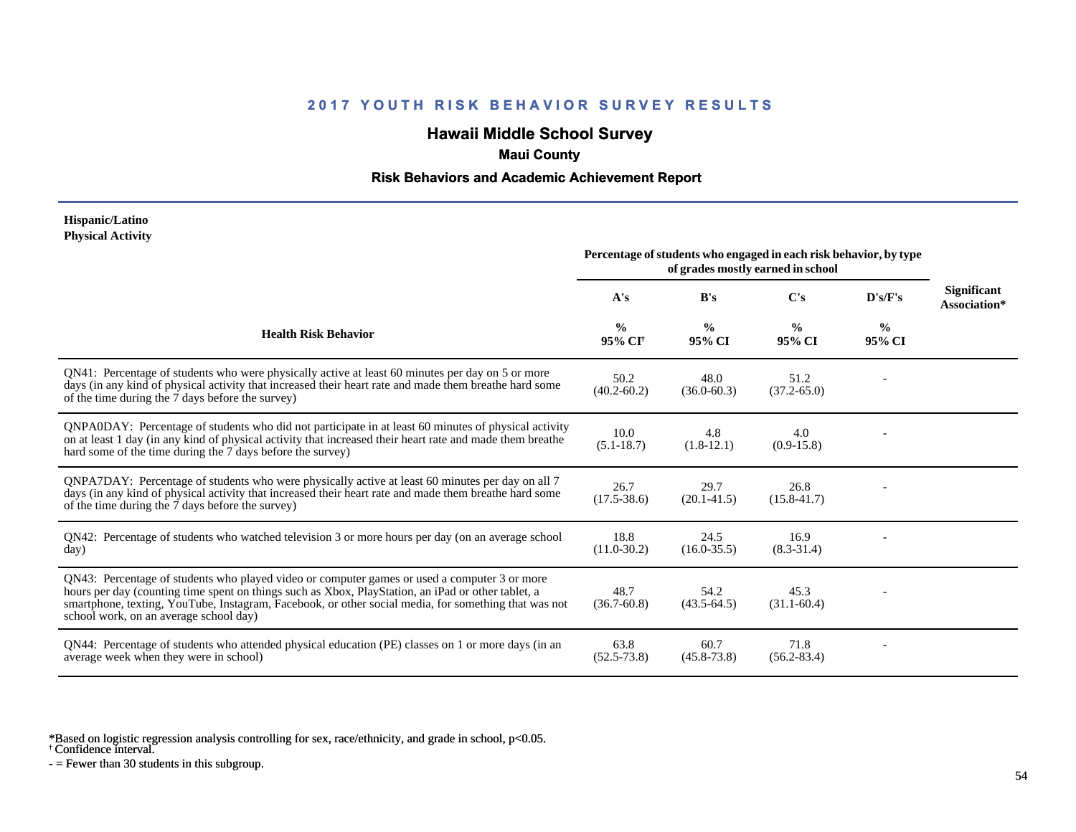# **Hawaii Middle School Survey**

### **Maui County**

### **Risk Behaviors and Academic Achievement Report**

#### **Hispanic/Latino Physical Activity**

|                                                                                                                                                                                                                                                                                                                                                      | Percentage of students who engaged in each risk behavior, by type<br>of grades mostly earned in school |                         |                         |                         |                                    |
|------------------------------------------------------------------------------------------------------------------------------------------------------------------------------------------------------------------------------------------------------------------------------------------------------------------------------------------------------|--------------------------------------------------------------------------------------------------------|-------------------------|-------------------------|-------------------------|------------------------------------|
|                                                                                                                                                                                                                                                                                                                                                      | A's                                                                                                    | B's                     | C's                     | D's/F's                 | <b>Significant</b><br>Association* |
| <b>Health Risk Behavior</b>                                                                                                                                                                                                                                                                                                                          | $\frac{0}{0}$<br>95% CI <sup>+</sup>                                                                   | $\frac{0}{0}$<br>95% CI | $\frac{0}{0}$<br>95% CI | $\frac{0}{0}$<br>95% CI |                                    |
| QN41: Percentage of students who were physically active at least 60 minutes per day on 5 or more<br>days (in any kind of physical activity that increased their heart rate and made them breathe hard some<br>of the time during the 7 days before the survey)                                                                                       | 50.2<br>$(40.2 - 60.2)$                                                                                | 48.0<br>$(36.0 - 60.3)$ | 51.2<br>$(37.2 - 65.0)$ |                         |                                    |
| QNPA0DAY: Percentage of students who did not participate in at least 60 minutes of physical activity<br>on at least 1 day (in any kind of physical activity that increased their heart rate and made them breathe<br>hard some of the time during the 7 days before the survey)                                                                      | 10.0<br>$(5.1 - 18.7)$                                                                                 | 4.8<br>$(1.8-12.1)$     | 4.0<br>$(0.9-15.8)$     |                         |                                    |
| QNPA7DAY: Percentage of students who were physically active at least 60 minutes per day on all 7<br>days (in any kind of physical activity that increased their heart rate and made them breathe hard some<br>of the time during the 7 days before the survey)                                                                                       | 26.7<br>$(17.5 - 38.6)$                                                                                | 29.7<br>$(20.1 - 41.5)$ | 26.8<br>$(15.8 - 41.7)$ |                         |                                    |
| QN42: Percentage of students who watched television 3 or more hours per day (on an average school<br>day)                                                                                                                                                                                                                                            | 18.8<br>$(11.0 - 30.2)$                                                                                | 24.5<br>$(16.0 - 35.5)$ | 16.9<br>$(8.3 - 31.4)$  |                         |                                    |
| QN43: Percentage of students who played video or computer games or used a computer 3 or more<br>hours per day (counting time spent on things such as Xbox, PlayStation, an iPad or other tablet, a<br>smartphone, texting, YouTube, Instagram, Facebook, or other social media, for something that was not<br>school work, on an average school day) | 48.7<br>$(36.7 - 60.8)$                                                                                | 54.2<br>$(43.5 - 64.5)$ | 45.3<br>$(31.1 - 60.4)$ |                         |                                    |
| QN44: Percentage of students who attended physical education (PE) classes on 1 or more days (in an<br>average week when they were in school)                                                                                                                                                                                                         | 63.8<br>$(52.5 - 73.8)$                                                                                | 60.7<br>$(45.8 - 73.8)$ | 71.8<br>$(56.2 - 83.4)$ |                         |                                    |

\*Based on logistic regression analysis controlling for sex, race/ethnicity, and grade in school, p<0.05.

† Confidence interval.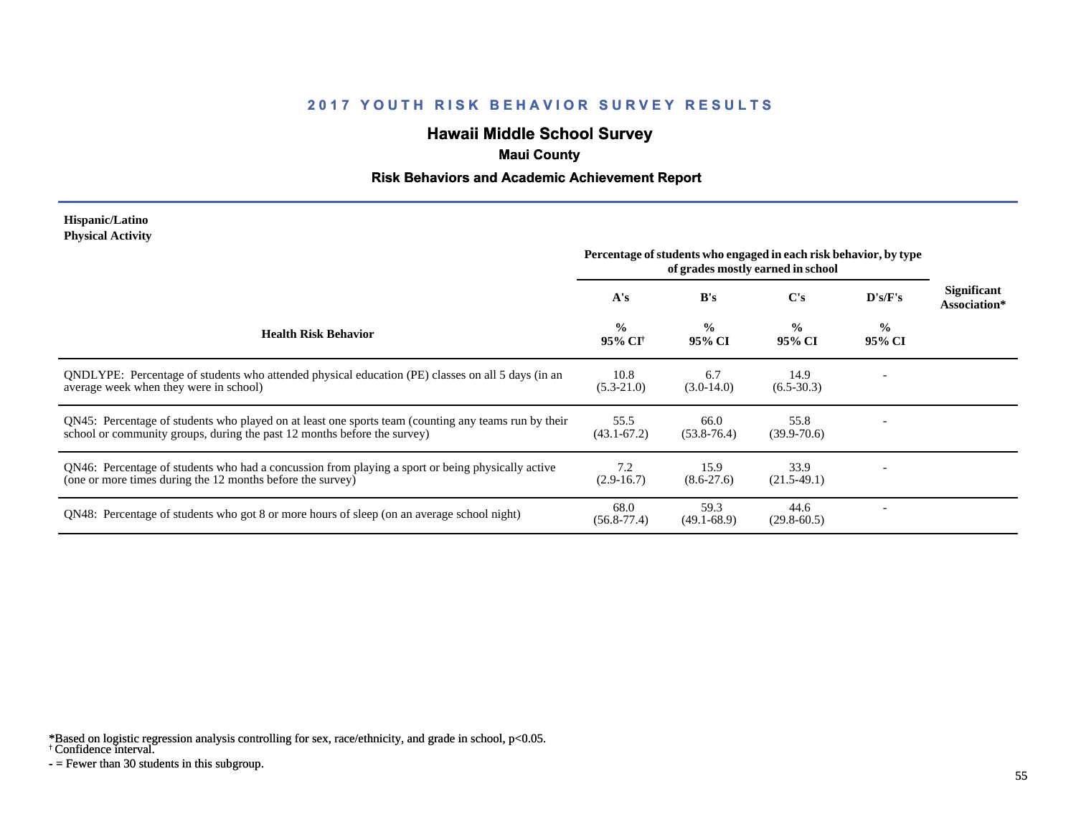# **Hawaii Middle School Survey**

# **Maui County**

### **Risk Behaviors and Academic Achievement Report**

#### **Hispanic/Latino Physical Activity**

|                                                                                                                                                                                  | Percentage of students who engaged in each risk behavior, by type<br>of grades mostly earned in school |                          |                         |                          |                             |
|----------------------------------------------------------------------------------------------------------------------------------------------------------------------------------|--------------------------------------------------------------------------------------------------------|--------------------------|-------------------------|--------------------------|-----------------------------|
|                                                                                                                                                                                  | A's                                                                                                    | B's                      | C's                     | D's/F's                  | Significant<br>Association* |
| <b>Health Risk Behavior</b>                                                                                                                                                      | $\frac{0}{0}$<br>95% CI <sup>†</sup>                                                                   | $\frac{6}{10}$<br>95% CI | $\frac{0}{0}$<br>95% CI | $\frac{0}{0}$<br>95% CI  |                             |
| ONDLYPE: Percentage of students who attended physical education (PE) classes on all 5 days (in an<br>average week when they were in school)                                      | 10.8<br>$(5.3-21.0)$                                                                                   | 6.7<br>$(3.0-14.0)$      | 14.9<br>$(6.5-30.3)$    |                          |                             |
| QN45: Percentage of students who played on at least one sports team (counting any teams run by their<br>school or community groups, during the past 12 months before the survey) | 55.5<br>$(43.1 - 67.2)$                                                                                | 66.0<br>$(53.8 - 76.4)$  | 55.8<br>$(39.9 - 70.6)$ |                          |                             |
| QN46: Percentage of students who had a concussion from playing a sport or being physically active<br>(one or more times during the 12 months before the survey)                  | 7.2<br>$(2.9-16.7)$                                                                                    | 15.9<br>$(8.6 - 27.6)$   | 33.9<br>$(21.5-49.1)$   |                          |                             |
| QN48: Percentage of students who got 8 or more hours of sleep (on an average school night)                                                                                       | 68.0<br>$(56.8 - 77.4)$                                                                                | 59.3<br>$(49.1 - 68.9)$  | 44.6<br>$(29.8 - 60.5)$ | $\overline{\phantom{a}}$ |                             |

\*Based on logistic regression analysis controlling for sex, race/ethnicity, and grade in school, p<0.05.

† Confidence interval.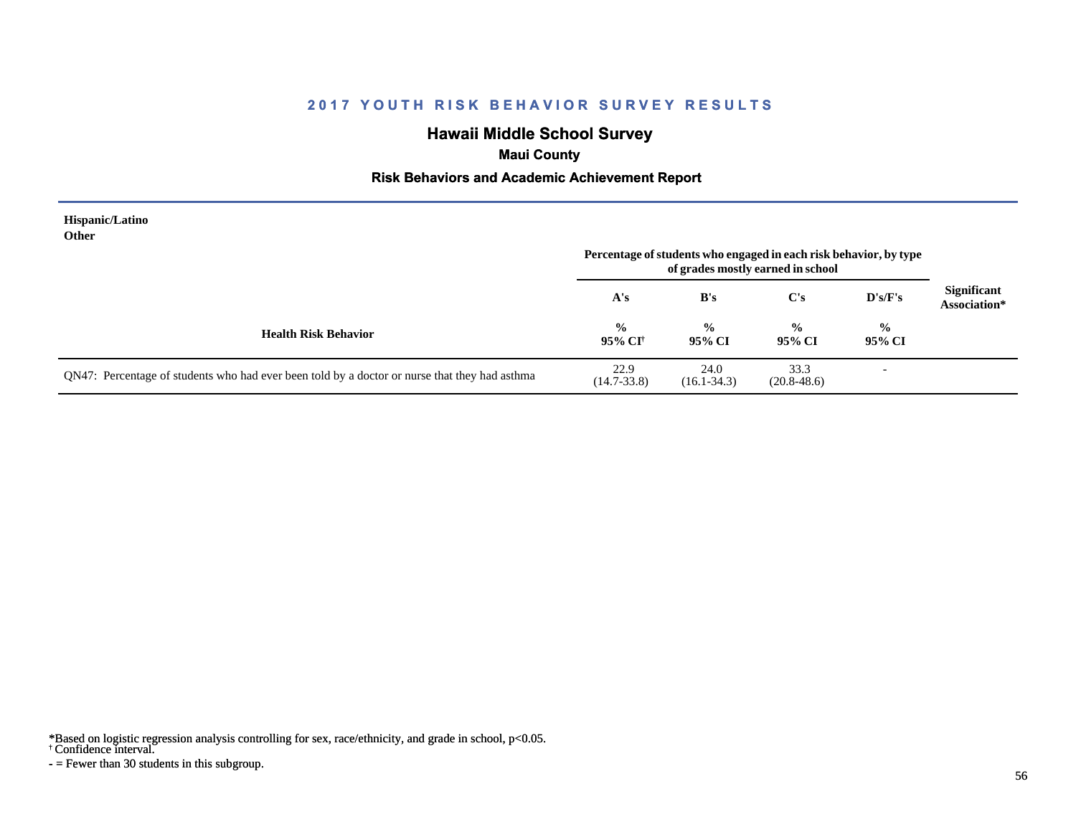# **Hawaii Middle School Survey**

# **Maui County**

### **Risk Behaviors and Academic Achievement Report**

| <b>Hispanic/Latino</b><br>Other                                                               | Percentage of students who engaged in each risk behavior, by type<br>of grades mostly earned in school |                         |                         |                         |                                    |
|-----------------------------------------------------------------------------------------------|--------------------------------------------------------------------------------------------------------|-------------------------|-------------------------|-------------------------|------------------------------------|
|                                                                                               | A's                                                                                                    | B's                     | C's                     | $\bf{D's/F's}$          | <b>Significant</b><br>Association* |
| <b>Health Risk Behavior</b>                                                                   | $\frac{0}{0}$<br>95% CI†                                                                               | $\frac{0}{0}$<br>95% CI | $\frac{0}{0}$<br>95% CI | $\frac{0}{0}$<br>95% CI |                                    |
| QN47: Percentage of students who had ever been told by a doctor or nurse that they had asthma | 22.9<br>$(14.7 - 33.8)$                                                                                | 24.0<br>$(16.1 - 34.3)$ | 33.3<br>$(20.8 - 48.6)$ | ۰                       |                                    |

\*Based on logistic regression analysis controlling for sex, race/ethnicity, and grade in school, p<0.05.

† Confidence interval.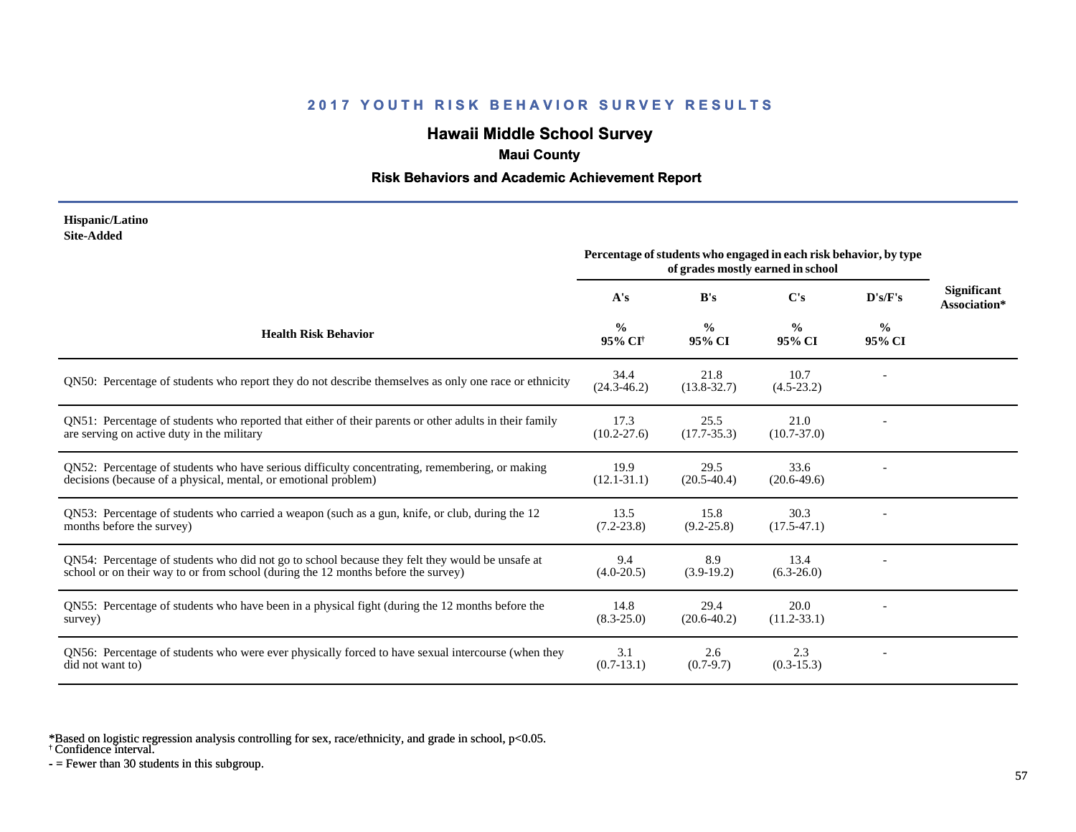# **Hawaii Middle School Survey**

### **Maui County**

### **Risk Behaviors and Academic Achievement Report**

#### **Hispanic/Latino Site-Added**

|                                                                                                                                                                                      | Percentage of students who engaged in each risk behavior, by type<br>of grades mostly earned in school |                         |                         |                |                                    |
|--------------------------------------------------------------------------------------------------------------------------------------------------------------------------------------|--------------------------------------------------------------------------------------------------------|-------------------------|-------------------------|----------------|------------------------------------|
|                                                                                                                                                                                      | A's                                                                                                    | B's                     | $\bf C's$               | D's/F's        | <b>Significant</b><br>Association* |
| <b>Health Risk Behavior</b>                                                                                                                                                          | $\frac{0}{0}$<br>95% CI†                                                                               | $\frac{6}{9}$<br>95% CI | $\frac{0}{0}$<br>95% CI | $\%$<br>95% CI |                                    |
| QN50: Percentage of students who report they do not describe themselves as only one race or ethnicity                                                                                | 34.4<br>$(24.3 - 46.2)$                                                                                | 21.8<br>$(13.8 - 32.7)$ | 10.7<br>$(4.5-23.2)$    |                |                                    |
| QN51: Percentage of students who reported that either of their parents or other adults in their family<br>are serving on active duty in the military                                 | 17.3<br>$(10.2 - 27.6)$                                                                                | 25.5<br>$(17.7 - 35.3)$ | 21.0<br>$(10.7 - 37.0)$ |                |                                    |
| QN52: Percentage of students who have serious difficulty concentrating, remembering, or making<br>decisions (because of a physical, mental, or emotional problem)                    | 19.9<br>$(12.1 - 31.1)$                                                                                | 29.5<br>$(20.5 - 40.4)$ | 33.6<br>$(20.6-49.6)$   |                |                                    |
| QN53: Percentage of students who carried a weapon (such as a gun, knife, or club, during the 12<br>months before the survey)                                                         | 13.5<br>$(7.2 - 23.8)$                                                                                 | 15.8<br>$(9.2 - 25.8)$  | 30.3<br>$(17.5 - 47.1)$ |                |                                    |
| QN54: Percentage of students who did not go to school because they felt they would be unsafe at<br>school or on their way to or from school (during the 12 months before the survey) | 9.4<br>$(4.0 - 20.5)$                                                                                  | 8.9<br>$(3.9-19.2)$     | 13.4<br>$(6.3-26.0)$    |                |                                    |
| QN55: Percentage of students who have been in a physical fight (during the 12 months before the<br>survey)                                                                           | 14.8<br>$(8.3 - 25.0)$                                                                                 | 29.4<br>$(20.6 - 40.2)$ | 20.0<br>$(11.2 - 33.1)$ |                |                                    |
| QN56: Percentage of students who were ever physically forced to have sexual intercourse (when they<br>did not want to)                                                               | 3.1<br>$(0.7-13.1)$                                                                                    | 2.6<br>$(0.7-9.7)$      | 2.3<br>$(0.3-15.3)$     |                |                                    |

\*Based on logistic regression analysis controlling for sex, race/ethnicity, and grade in school, p<0.05.

† Confidence interval.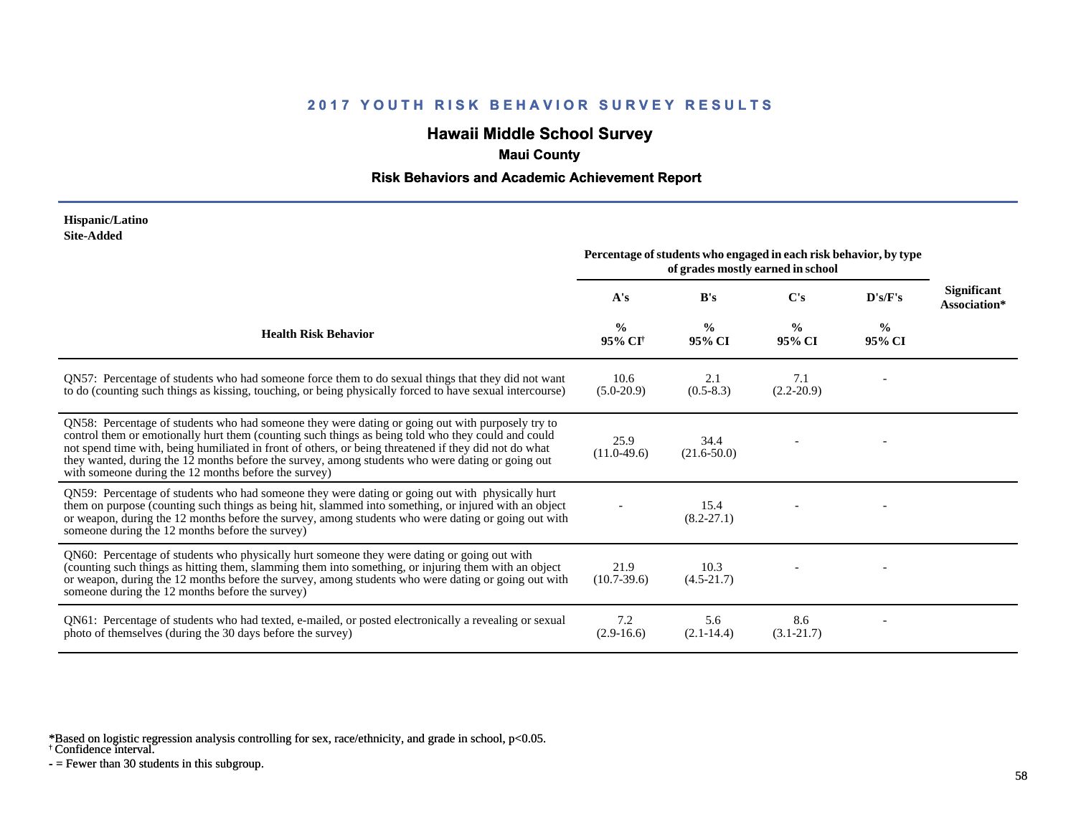# **Hawaii Middle School Survey**

# **Maui County**

### **Risk Behaviors and Academic Achievement Report**

#### **Hispanic/Latino Site-Added**

|                                                                                                                                                                                                                                                                                                                                                                                                                                                                             | Percentage of students who engaged in each risk behavior, by type<br>of grades mostly earned in school |                         |                         |                         |                                    |
|-----------------------------------------------------------------------------------------------------------------------------------------------------------------------------------------------------------------------------------------------------------------------------------------------------------------------------------------------------------------------------------------------------------------------------------------------------------------------------|--------------------------------------------------------------------------------------------------------|-------------------------|-------------------------|-------------------------|------------------------------------|
|                                                                                                                                                                                                                                                                                                                                                                                                                                                                             | A's                                                                                                    | B's                     | $\bf C's$               | D's/F's                 | <b>Significant</b><br>Association* |
| <b>Health Risk Behavior</b>                                                                                                                                                                                                                                                                                                                                                                                                                                                 | $\frac{0}{0}$<br>95% CI <sup>†</sup>                                                                   | $\frac{0}{0}$<br>95% CI | $\frac{0}{0}$<br>95% CI | $\frac{0}{0}$<br>95% CI |                                    |
| QN57: Percentage of students who had someone force them to do sexual things that they did not want<br>to do (counting such things as kissing, touching, or being physically forced to have sexual intercourse)                                                                                                                                                                                                                                                              | 10.6<br>$(5.0-20.9)$                                                                                   | 2.1<br>$(0.5-8.3)$      | 7.1<br>$(2.2-20.9)$     |                         |                                    |
| QN58: Percentage of students who had someone they were dating or going out with purposely try to<br>control them or emotionally hurt them (counting such things as being told who they could and could<br>not spend time with, being humiliated in front of others, or being threatened if they did not do what<br>they wanted, during the 12 months before the survey, among students who were dating or going out<br>with someone during the 12 months before the survey) | 25.9<br>$(11.0-49.6)$                                                                                  | 34.4<br>$(21.6 - 50.0)$ |                         |                         |                                    |
| QN59: Percentage of students who had someone they were dating or going out with physically hurt<br>them on purpose (counting such things as being hit, slammed into something, or injured with an object<br>or weapon, during the 12 months before the survey, among students who were dating or going out with<br>someone during the 12 months before the survey)                                                                                                          |                                                                                                        | 15.4<br>$(8.2 - 27.1)$  |                         |                         |                                    |
| QN60: Percentage of students who physically hurt someone they were dating or going out with<br>(counting such things as hitting them, slamming them into something, or injuring them with an object<br>or weapon, during the 12 months before the survey, among students who were dating or going out with<br>someone during the 12 months before the survey)                                                                                                               | 21.9<br>$(10.7-39.6)$                                                                                  | 10.3<br>$(4.5-21.7)$    |                         |                         |                                    |
| QN61: Percentage of students who had texted, e-mailed, or posted electronically a revealing or sexual<br>photo of themselves (during the 30 days before the survey)                                                                                                                                                                                                                                                                                                         | 7.2<br>$(2.9-16.6)$                                                                                    | 5.6<br>$(2.1 - 14.4)$   | 8.6<br>$(3.1 - 21.7)$   |                         |                                    |

\*Based on logistic regression analysis controlling for sex, race/ethnicity, and grade in school, p<0.05.

† Confidence interval.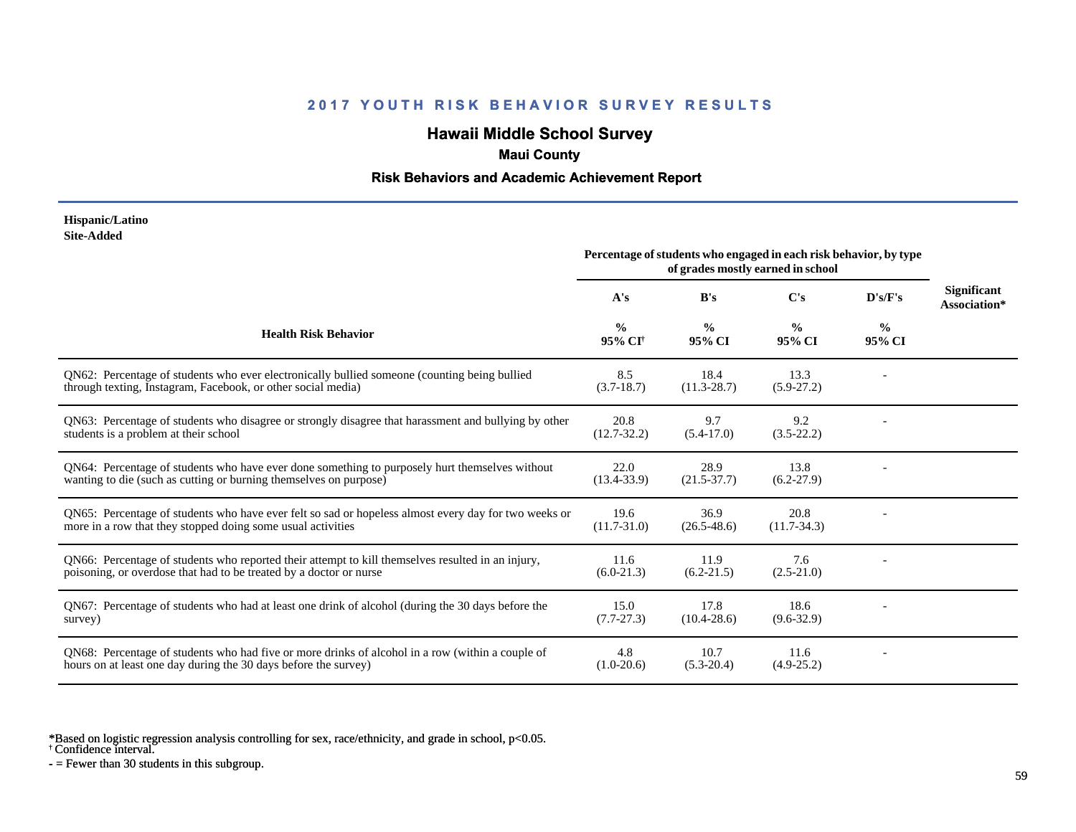# **Hawaii Middle School Survey**

### **Maui County**

### **Risk Behaviors and Academic Achievement Report**

#### **Hispanic/Latino Site-Added**

|                                                                                                                                                                         | Percentage of students who engaged in each risk behavior, by type<br>of grades mostly earned in school |                         |                         |                         |                             |
|-------------------------------------------------------------------------------------------------------------------------------------------------------------------------|--------------------------------------------------------------------------------------------------------|-------------------------|-------------------------|-------------------------|-----------------------------|
|                                                                                                                                                                         | A's                                                                                                    | B's                     | C's                     | D's/F's                 | Significant<br>Association* |
| <b>Health Risk Behavior</b>                                                                                                                                             | $\frac{0}{0}$<br>95% CI <sup>†</sup>                                                                   | $\frac{0}{0}$<br>95% CI | $\frac{0}{0}$<br>95% CI | $\frac{6}{9}$<br>95% CI |                             |
| QN62: Percentage of students who ever electronically bullied someone (counting being bullied<br>through texting, Instagram, Facebook, or other social media)            | 8.5<br>$(3.7-18.7)$                                                                                    | 18.4<br>$(11.3 - 28.7)$ | 13.3<br>$(5.9-27.2)$    |                         |                             |
| QN63: Percentage of students who disagree or strongly disagree that harassment and bullying by other<br>students is a problem at their school                           | 20.8<br>$(12.7 - 32.2)$                                                                                | 9.7<br>$(5.4-17.0)$     | 9.2<br>$(3.5-22.2)$     |                         |                             |
| QN64: Percentage of students who have ever done something to purposely hurt themselves without<br>wanting to die (such as cutting or burning themselves on purpose)     | 22.0<br>$(13.4 - 33.9)$                                                                                | 28.9<br>$(21.5 - 37.7)$ | 13.8<br>$(6.2-27.9)$    |                         |                             |
| QN65: Percentage of students who have ever felt so sad or hopeless almost every day for two weeks or<br>more in a row that they stopped doing some usual activities     | 19.6<br>$(11.7 - 31.0)$                                                                                | 36.9<br>$(26.5 - 48.6)$ | 20.8<br>$(11.7-34.3)$   |                         |                             |
| QN66: Percentage of students who reported their attempt to kill themselves resulted in an injury,<br>poisoning, or overdose that had to be treated by a doctor or nurse | 11.6<br>$(6.0-21.3)$                                                                                   | 11.9<br>$(6.2 - 21.5)$  | 7.6<br>$(2.5 - 21.0)$   |                         |                             |
| QN67: Percentage of students who had at least one drink of alcohol (during the 30 days before the<br>survey)                                                            | 15.0<br>$(7.7-27.3)$                                                                                   | 17.8<br>$(10.4 - 28.6)$ | 18.6<br>$(9.6 - 32.9)$  |                         |                             |
| QN68: Percentage of students who had five or more drinks of alcohol in a row (within a couple of<br>hours on at least one day during the 30 days before the survey)     | 4.8<br>$(1.0-20.6)$                                                                                    | 10.7<br>$(5.3-20.4)$    | 11.6<br>$(4.9-25.2)$    |                         |                             |

\*Based on logistic regression analysis controlling for sex, race/ethnicity, and grade in school, p<0.05.

† Confidence interval.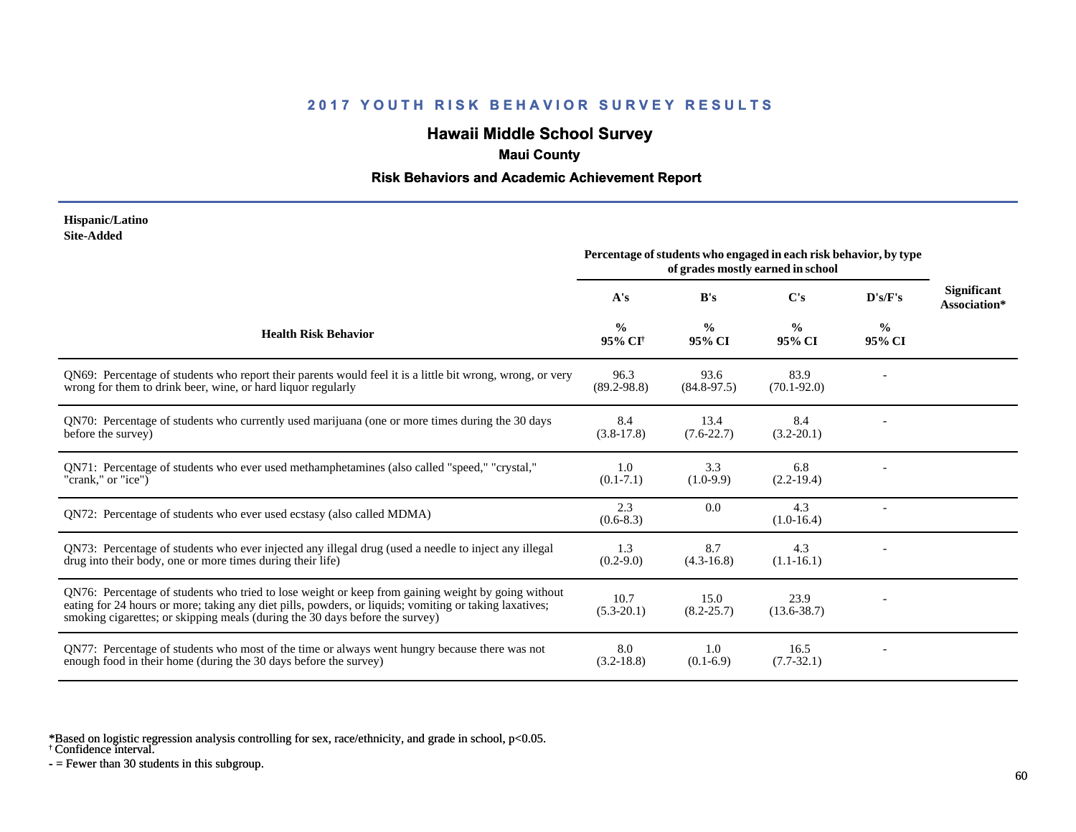# **Hawaii Middle School Survey**

### **Maui County**

### **Risk Behaviors and Academic Achievement Report**

#### **Hispanic/Latino Site-Added**

|                                                                                                                                                                                                                                                                                              | Percentage of students who engaged in each risk behavior, by type<br>of grades mostly earned in school |                         |                         |                         |                                    |
|----------------------------------------------------------------------------------------------------------------------------------------------------------------------------------------------------------------------------------------------------------------------------------------------|--------------------------------------------------------------------------------------------------------|-------------------------|-------------------------|-------------------------|------------------------------------|
|                                                                                                                                                                                                                                                                                              | A's                                                                                                    | B's                     | C's                     | D's/F's                 | <b>Significant</b><br>Association* |
| <b>Health Risk Behavior</b>                                                                                                                                                                                                                                                                  | $\frac{0}{0}$<br>95% CI <sup>+</sup>                                                                   | $\frac{0}{0}$<br>95% CI | $\frac{0}{0}$<br>95% CI | $\frac{0}{0}$<br>95% CI |                                    |
| QN69: Percentage of students who report their parents would feel it is a little bit wrong, wrong, or very<br>wrong for them to drink beer, wine, or hard liquor regularly                                                                                                                    | 96.3<br>$(89.2 - 98.8)$                                                                                | 93.6<br>$(84.8-97.5)$   | 83.9<br>$(70.1 - 92.0)$ |                         |                                    |
| QN70: Percentage of students who currently used marijuana (one or more times during the 30 days<br>before the survey)                                                                                                                                                                        | 8.4<br>$(3.8-17.8)$                                                                                    | 13.4<br>$(7.6-22.7)$    | 8.4<br>$(3.2 - 20.1)$   |                         |                                    |
| QN71: Percentage of students who ever used methamphetamines (also called "speed," "crystal,"<br>"crank," or "ice")                                                                                                                                                                           | 1.0<br>$(0.1 - 7.1)$                                                                                   | 3.3<br>$(1.0-9.9)$      | 6.8<br>$(2.2-19.4)$     |                         |                                    |
| ON72: Percentage of students who ever used ecstasy (also called MDMA)                                                                                                                                                                                                                        | 2.3<br>$(0.6-8.3)$                                                                                     | 0.0                     | 4.3<br>$(1.0-16.4)$     |                         |                                    |
| QN73: Percentage of students who ever injected any illegal drug (used a needle to inject any illegal<br>drug into their body, one or more times during their life)                                                                                                                           | 1.3<br>$(0.2 - 9.0)$                                                                                   | 8.7<br>$(4.3-16.8)$     | 4.3<br>$(1.1-16.1)$     |                         |                                    |
| QN76: Percentage of students who tried to lose weight or keep from gaining weight by going without<br>eating for 24 hours or more; taking any diet pills, powders, or liquids; vomiting or taking laxatives;<br>smoking cigarettes; or skipping meals (during the 30 days before the survey) | 10.7<br>$(5.3 - 20.1)$                                                                                 | 15.0<br>$(8.2 - 25.7)$  | 23.9<br>$(13.6 - 38.7)$ |                         |                                    |
| QN77: Percentage of students who most of the time or always went hungry because there was not<br>enough food in their home (during the 30 days before the survey)                                                                                                                            | 8.0<br>$(3.2 - 18.8)$                                                                                  | 1.0<br>$(0.1-6.9)$      | 16.5<br>$(7.7-32.1)$    |                         |                                    |

\*Based on logistic regression analysis controlling for sex, race/ethnicity, and grade in school, p<0.05.

† Confidence interval.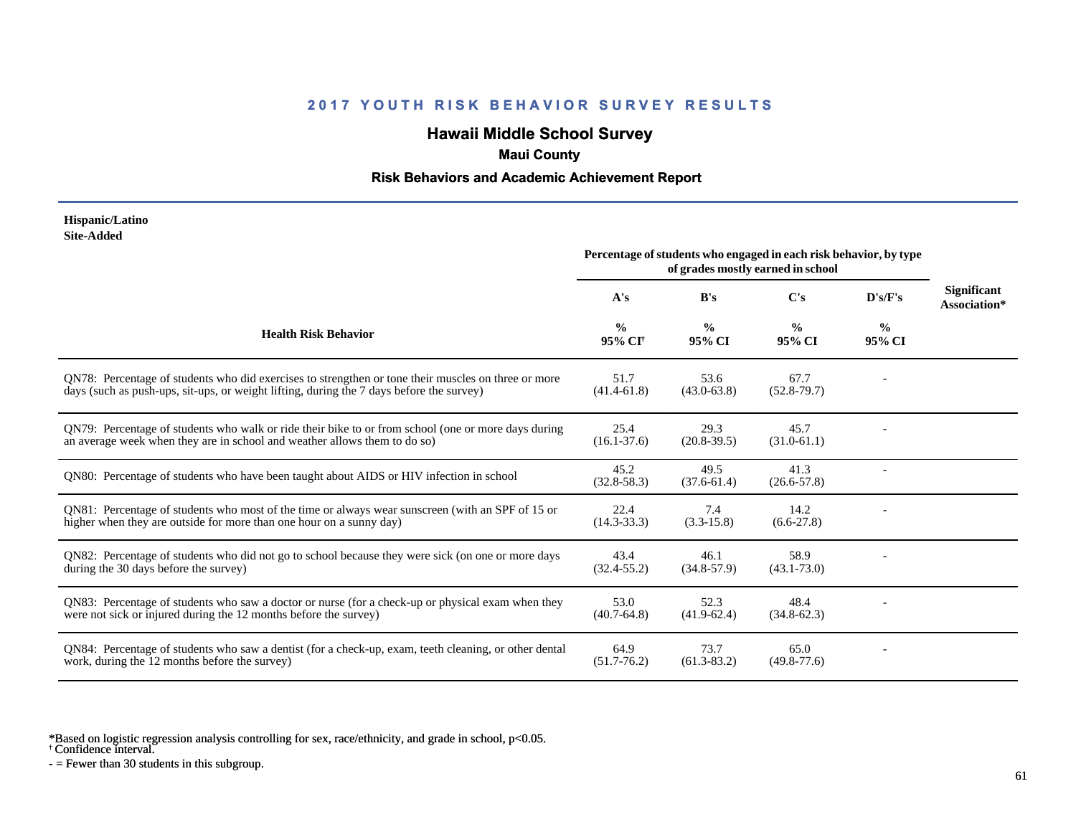# **Hawaii Middle School Survey**

### **Maui County**

### **Risk Behaviors and Academic Achievement Report**

#### **Hispanic/Latino Site-Added**

|                                                                                                                                                                                                 | Percentage of students who engaged in each risk behavior, by type<br>of grades mostly earned in school |                         |                         |                         |                                    |
|-------------------------------------------------------------------------------------------------------------------------------------------------------------------------------------------------|--------------------------------------------------------------------------------------------------------|-------------------------|-------------------------|-------------------------|------------------------------------|
|                                                                                                                                                                                                 | A's                                                                                                    | B's                     | C's                     | D's/F's                 | <b>Significant</b><br>Association* |
| <b>Health Risk Behavior</b>                                                                                                                                                                     | $\frac{0}{0}$<br>95% CI <sup>+</sup>                                                                   | $\frac{0}{0}$<br>95% CI | $\frac{0}{0}$<br>95% CI | $\frac{0}{0}$<br>95% CI |                                    |
| QN78: Percentage of students who did exercises to strengthen or tone their muscles on three or more<br>days (such as push-ups, sit-ups, or weight lifting, during the 7 days before the survey) | 51.7<br>$(41.4-61.8)$                                                                                  | 53.6<br>$(43.0 - 63.8)$ | 67.7<br>$(52.8-79.7)$   |                         |                                    |
| QN79: Percentage of students who walk or ride their bike to or from school (one or more days during<br>an average week when they are in school and weather allows them to do so)                | 25.4<br>$(16.1 - 37.6)$                                                                                | 29.3<br>$(20.8-39.5)$   | 45.7<br>$(31.0-61.1)$   |                         |                                    |
| QN80: Percentage of students who have been taught about AIDS or HIV infection in school                                                                                                         | 45.2<br>$(32.8 - 58.3)$                                                                                | 49.5<br>$(37.6 - 61.4)$ | 41.3<br>$(26.6 - 57.8)$ |                         |                                    |
| QN81: Percentage of students who most of the time or always wear sunscreen (with an SPF of 15 or<br>higher when they are outside for more than one hour on a sunny day)                         | 22.4<br>$(14.3 - 33.3)$                                                                                | 7.4<br>$(3.3-15.8)$     | 14.2<br>$(6.6-27.8)$    |                         |                                    |
| QN82: Percentage of students who did not go to school because they were sick (on one or more days<br>during the 30 days before the survey)                                                      | 43.4<br>$(32.4 - 55.2)$                                                                                | 46.1<br>$(34.8 - 57.9)$ | 58.9<br>$(43.1 - 73.0)$ |                         |                                    |
| QN83: Percentage of students who saw a doctor or nurse (for a check-up or physical exam when they<br>were not sick or injured during the 12 months before the survey)                           | 53.0<br>$(40.7 - 64.8)$                                                                                | 52.3<br>$(41.9-62.4)$   | 48.4<br>$(34.8 - 62.3)$ |                         |                                    |
| QN84: Percentage of students who saw a dentist (for a check-up, exam, teeth cleaning, or other dental<br>work, during the 12 months before the survey)                                          | 64.9<br>$(51.7 - 76.2)$                                                                                | 73.7<br>$(61.3 - 83.2)$ | 65.0<br>$(49.8 - 77.6)$ |                         |                                    |

\*Based on logistic regression analysis controlling for sex, race/ethnicity, and grade in school, p<0.05.

† Confidence interval.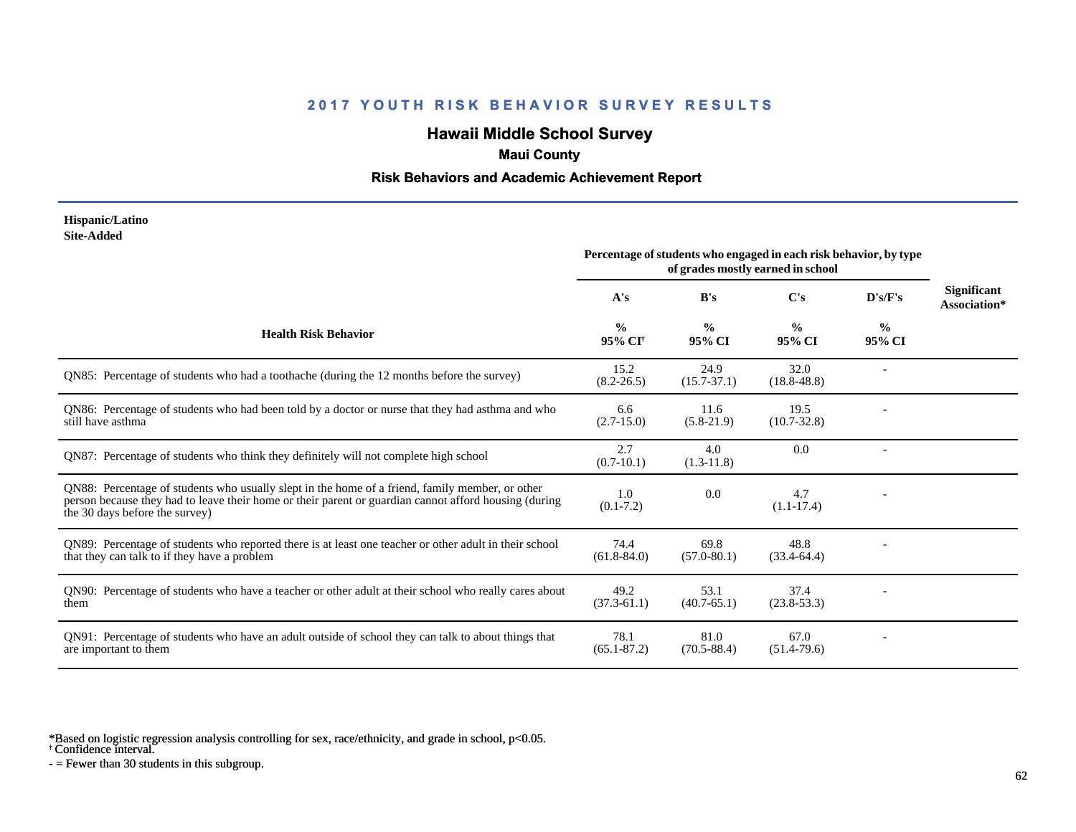# **Hawaii Middle School Survey**

# **Maui County**

### **Risk Behaviors and Academic Achievement Report**

#### **Hispanic/Latino Site-Added**

|                                                                                                                                                                                                                                            | Percentage of students who engaged in each risk behavior, by type<br>of grades mostly earned in school |                         |                         |                         |                                    |
|--------------------------------------------------------------------------------------------------------------------------------------------------------------------------------------------------------------------------------------------|--------------------------------------------------------------------------------------------------------|-------------------------|-------------------------|-------------------------|------------------------------------|
|                                                                                                                                                                                                                                            | A's                                                                                                    | B's                     | C's                     | D's/F's                 | <b>Significant</b><br>Association* |
| <b>Health Risk Behavior</b>                                                                                                                                                                                                                | $\frac{0}{0}$<br>95% CI <sup>+</sup>                                                                   | $\frac{0}{0}$<br>95% CI | $\frac{0}{0}$<br>95% CI | $\frac{0}{0}$<br>95% CI |                                    |
| QN85: Percentage of students who had a toothache (during the 12 months before the survey)                                                                                                                                                  | 15.2<br>$(8.2 - 26.5)$                                                                                 | 24.9<br>$(15.7 - 37.1)$ | 32.0<br>$(18.8 - 48.8)$ |                         |                                    |
| QN86: Percentage of students who had been told by a doctor or nurse that they had asthma and who<br>still have asthma                                                                                                                      | 6.6<br>$(2.7-15.0)$                                                                                    | 11.6<br>$(5.8-21.9)$    | 19.5<br>$(10.7 - 32.8)$ |                         |                                    |
| QN87: Percentage of students who think they definitely will not complete high school                                                                                                                                                       | 2.7<br>$(0.7-10.1)$                                                                                    | 4.0<br>$(1.3-11.8)$     | 0.0                     |                         |                                    |
| QN88: Percentage of students who usually slept in the home of a friend, family member, or other<br>person because they had to leave their home or their parent or guardian cannot afford housing (during<br>the 30 days before the survey) | 1.0<br>$(0.1 - 7.2)$                                                                                   | 0.0                     | 4.7<br>$(1.1-17.4)$     |                         |                                    |
| QN89: Percentage of students who reported there is at least one teacher or other adult in their school<br>that they can talk to if they have a problem                                                                                     | 74.4<br>$(61.8 - 84.0)$                                                                                | 69.8<br>$(57.0 - 80.1)$ | 48.8<br>$(33.4-64.4)$   |                         |                                    |
| QN90: Percentage of students who have a teacher or other adult at their school who really cares about<br>them                                                                                                                              | 49.2<br>$(37.3-61.1)$                                                                                  | 53.1<br>$(40.7 - 65.1)$ | 37.4<br>$(23.8 - 53.3)$ |                         |                                    |
| QN91: Percentage of students who have an adult outside of school they can talk to about things that<br>are important to them                                                                                                               | 78.1<br>$(65.1 - 87.2)$                                                                                | 81.0<br>$(70.5 - 88.4)$ | 67.0<br>$(51.4 - 79.6)$ |                         |                                    |

\*Based on logistic regression analysis controlling for sex, race/ethnicity, and grade in school, p<0.05.

† Confidence interval.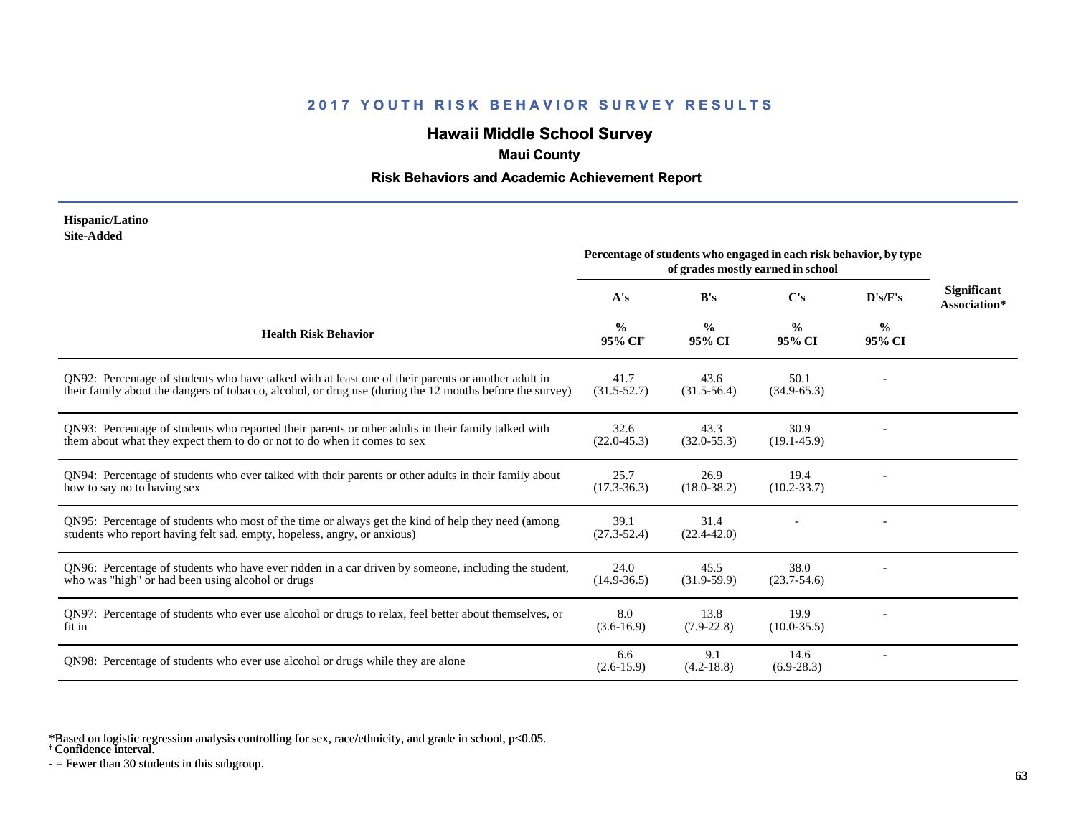# **Hawaii Middle School Survey**

### **Maui County**

### **Risk Behaviors and Academic Achievement Report**

#### **Hispanic/Latino Site-Added**

|                                                                                                                                                                                                                 | Percentage of students who engaged in each risk behavior, by type<br>of grades mostly earned in school |                         |                         |                         |                                    |
|-----------------------------------------------------------------------------------------------------------------------------------------------------------------------------------------------------------------|--------------------------------------------------------------------------------------------------------|-------------------------|-------------------------|-------------------------|------------------------------------|
|                                                                                                                                                                                                                 | A's                                                                                                    | B's                     | C's                     | D's/F's                 | <b>Significant</b><br>Association* |
| <b>Health Risk Behavior</b>                                                                                                                                                                                     | $\frac{0}{0}$<br>95% CI <sup>†</sup>                                                                   | $\frac{0}{0}$<br>95% CI | $\frac{0}{0}$<br>95% CI | $\frac{0}{0}$<br>95% CI |                                    |
| QN92: Percentage of students who have talked with at least one of their parents or another adult in<br>their family about the dangers of tobacco, alcohol, or drug use (during the 12 months before the survey) | 41.7<br>$(31.5 - 52.7)$                                                                                | 43.6<br>$(31.5-56.4)$   | 50.1<br>$(34.9 - 65.3)$ |                         |                                    |
| QN93: Percentage of students who reported their parents or other adults in their family talked with<br>them about what they expect them to do or not to do when it comes to sex                                 | 32.6<br>$(22.0 - 45.3)$                                                                                | 43.3<br>$(32.0 - 55.3)$ | 30.9<br>$(19.1 - 45.9)$ |                         |                                    |
| QN94: Percentage of students who ever talked with their parents or other adults in their family about<br>how to say no to having sex                                                                            | 25.7<br>$(17.3 - 36.3)$                                                                                | 26.9<br>$(18.0 - 38.2)$ | 19.4<br>$(10.2 - 33.7)$ |                         |                                    |
| QN95: Percentage of students who most of the time or always get the kind of help they need (among<br>students who report having felt sad, empty, hopeless, angry, or anxious)                                   | 39.1<br>$(27.3 - 52.4)$                                                                                | 31.4<br>$(22.4 - 42.0)$ |                         |                         |                                    |
| QN96: Percentage of students who have ever ridden in a car driven by someone, including the student,<br>who was "high" or had been using alcohol or drugs                                                       | 24.0<br>$(14.9 - 36.5)$                                                                                | 45.5<br>$(31.9-59.9)$   | 38.0<br>$(23.7-54.6)$   |                         |                                    |
| QN97: Percentage of students who ever use alcohol or drugs to relax, feel better about themselves, or<br>fit in                                                                                                 | 8.0<br>$(3.6-16.9)$                                                                                    | 13.8<br>$(7.9-22.8)$    | 19.9<br>$(10.0 - 35.5)$ |                         |                                    |
| QN98: Percentage of students who ever use alcohol or drugs while they are alone                                                                                                                                 | 6.6<br>$(2.6 - 15.9)$                                                                                  | 9.1<br>$(4.2 - 18.8)$   | 14.6<br>$(6.9-28.3)$    |                         |                                    |

\*Based on logistic regression analysis controlling for sex, race/ethnicity, and grade in school, p<0.05.

† Confidence interval.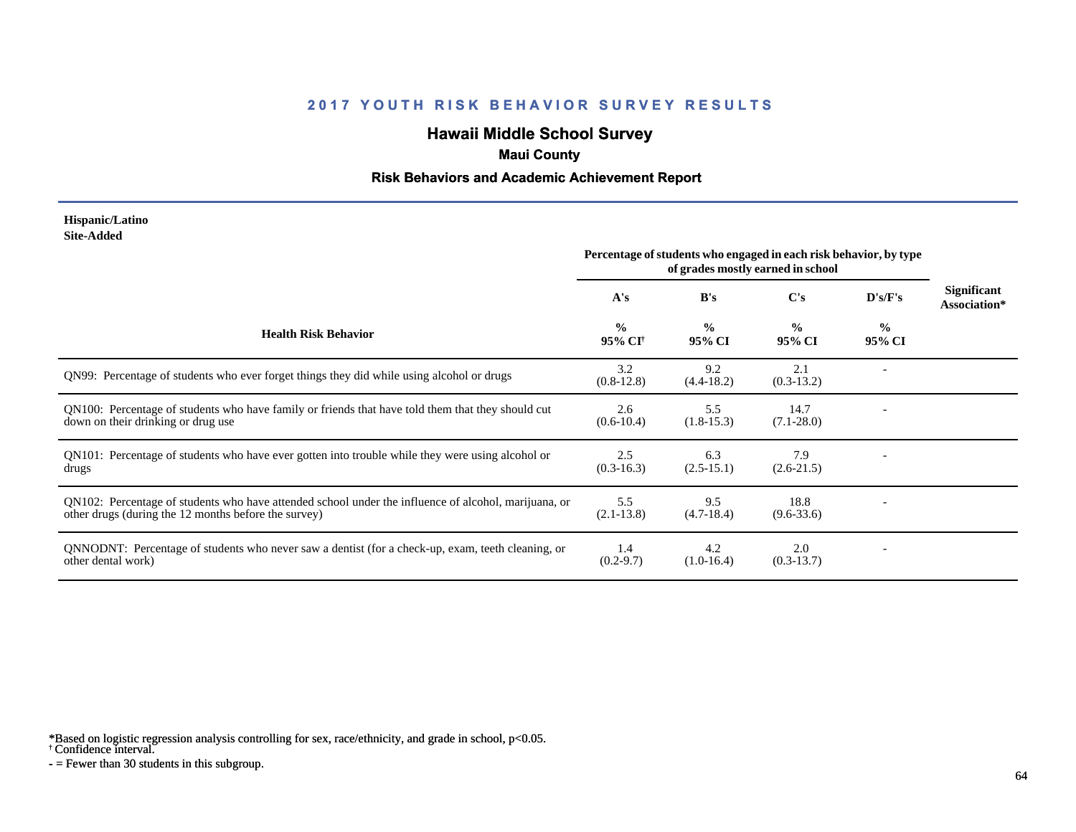# **Hawaii Middle School Survey**

# **Maui County**

### **Risk Behaviors and Academic Achievement Report**

#### **Hispanic/Latino Site-Added**

|                                                                                                                                                              | Percentage of students who engaged in each risk behavior, by type<br>of grades mostly earned in school |                         |                         |                |                                    |
|--------------------------------------------------------------------------------------------------------------------------------------------------------------|--------------------------------------------------------------------------------------------------------|-------------------------|-------------------------|----------------|------------------------------------|
|                                                                                                                                                              | A's                                                                                                    | B's                     | C's                     | D's/F's        | <b>Significant</b><br>Association* |
| <b>Health Risk Behavior</b>                                                                                                                                  | $\frac{0}{0}$<br>95% CI <sup>+</sup>                                                                   | $\frac{0}{0}$<br>95% CI | $\frac{0}{0}$<br>95% CI | $\%$<br>95% CI |                                    |
| QN99: Percentage of students who ever forget things they did while using alcohol or drugs                                                                    | 3.2<br>$(0.8-12.8)$                                                                                    | 9.2<br>$(4.4-18.2)$     | 2.1<br>$(0.3-13.2)$     |                |                                    |
| QN100: Percentage of students who have family or friends that have told them that they should cut<br>down on their drinking or drug use                      | 2.6<br>$(0.6-10.4)$                                                                                    | 5.5<br>$(1.8-15.3)$     | 14.7<br>$(7.1 - 28.0)$  |                |                                    |
| QN101: Percentage of students who have ever gotten into trouble while they were using alcohol or<br>drugs                                                    | 2.5<br>$(0.3-16.3)$                                                                                    | 6.3<br>$(2.5-15.1)$     | 7.9<br>$(2.6-21.5)$     |                |                                    |
| QN102: Percentage of students who have attended school under the influence of alcohol, marijuana, or<br>other drugs (during the 12 months before the survey) | 5.5<br>$(2.1-13.8)$                                                                                    | 9.5<br>$(4.7-18.4)$     | 18.8<br>$(9.6 - 33.6)$  |                |                                    |
| QNNODNT: Percentage of students who never saw a dentist (for a check-up, exam, teeth cleaning, or<br>other dental work)                                      | 1.4<br>$(0.2 - 9.7)$                                                                                   | 4.2<br>$(1.0-16.4)$     | 2.0<br>$(0.3-13.7)$     |                |                                    |

\*Based on logistic regression analysis controlling for sex, race/ethnicity, and grade in school, p<0.05.

† Confidence interval.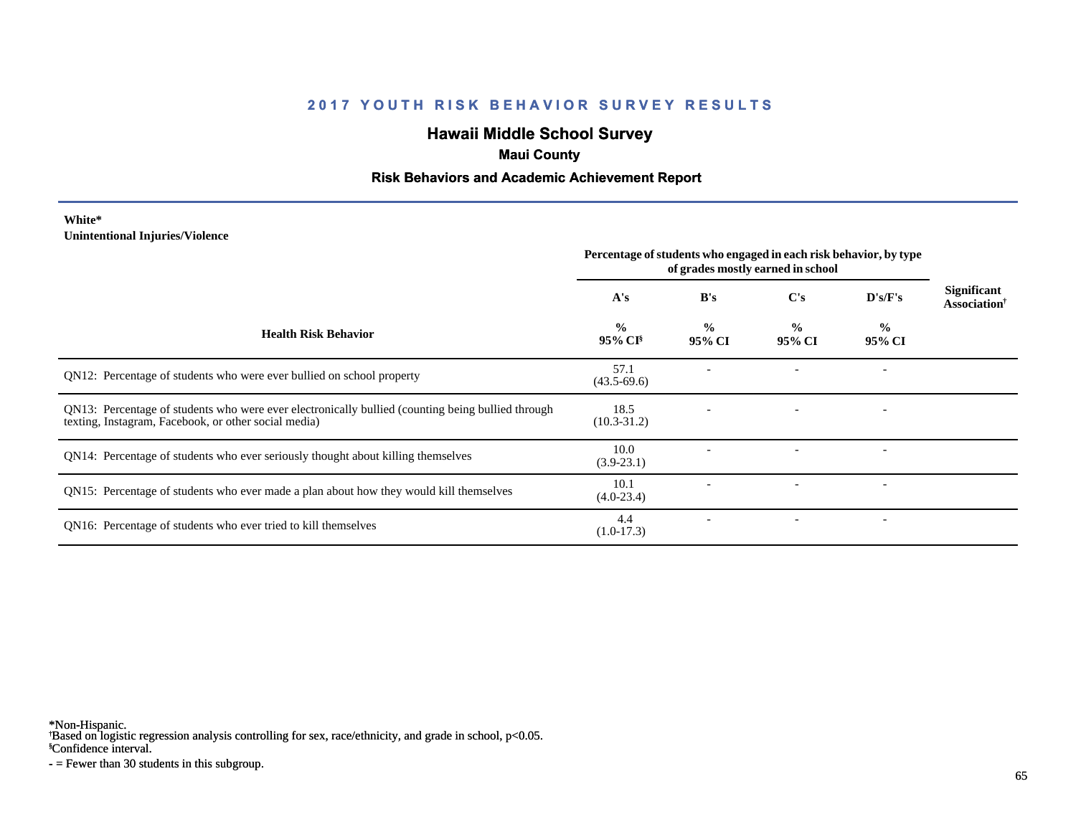# **Hawaii Middle School Survey**

### **Maui County**

### **Risk Behaviors and Academic Achievement Report**

#### **White\* Unintentional Injuries/Violence**

|                                                                                                                                                           | Percentage of students who engaged in each risk behavior, by type<br>of grades mostly earned in school |                         |                         |                          |                                         |
|-----------------------------------------------------------------------------------------------------------------------------------------------------------|--------------------------------------------------------------------------------------------------------|-------------------------|-------------------------|--------------------------|-----------------------------------------|
|                                                                                                                                                           | A's                                                                                                    | B's                     | $\bf C's$               | D's/F's                  | Significant<br>Association <sup>†</sup> |
| <b>Health Risk Behavior</b>                                                                                                                               | $\frac{0}{0}$<br>$95\%$ CI <sup>§</sup>                                                                | $\frac{0}{0}$<br>95% CI | $\frac{0}{0}$<br>95% CI | $\frac{0}{0}$<br>95% CI  |                                         |
| QN12: Percentage of students who were ever bullied on school property                                                                                     | 57.1<br>$(43.5-69.6)$                                                                                  |                         |                         |                          |                                         |
| QN13: Percentage of students who were ever electronically bullied (counting being bullied through<br>texting, Instagram, Facebook, or other social media) | 18.5<br>$(10.3 - 31.2)$                                                                                |                         |                         |                          |                                         |
| QN14: Percentage of students who ever seriously thought about killing themselves                                                                          | 10.0<br>$(3.9-23.1)$                                                                                   |                         |                         |                          |                                         |
| QN15: Percentage of students who ever made a plan about how they would kill themselves                                                                    | 10.1<br>$(4.0-23.4)$                                                                                   |                         |                         | $\overline{\phantom{a}}$ |                                         |
| QN16: Percentage of students who ever tried to kill themselves                                                                                            | 4.4<br>$(1.0-17.3)$                                                                                    |                         |                         | $\overline{\phantom{a}}$ |                                         |

\*Non-Hispanic.

† Based on logistic regression analysis controlling for sex, race/ethnicity, and grade in school, p<0.05.

§Confidence interval.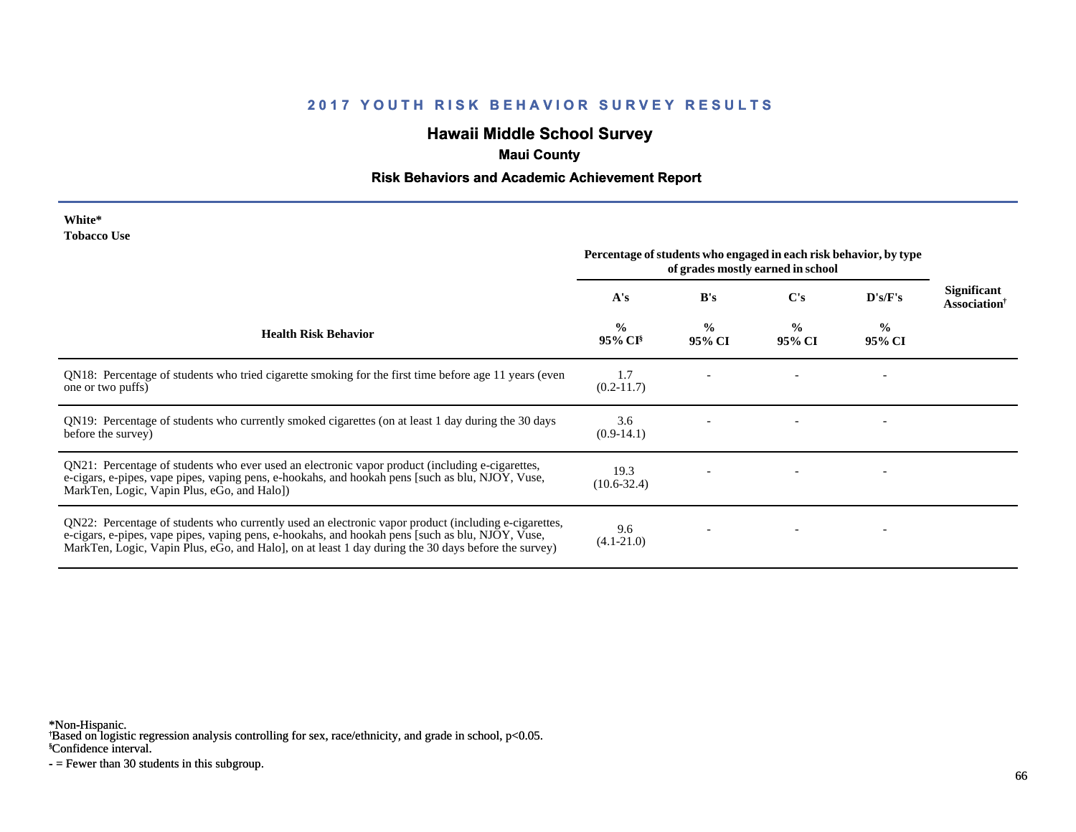# **Hawaii Middle School Survey**

# **Maui County**

### **Risk Behaviors and Academic Achievement Report**

| White*      |  |
|-------------|--|
| Tobacco Use |  |

|                                                                                                                                                                                                                                                                                                                 | Percentage of students who engaged in each risk behavior, by type<br>of grades mostly earned in school |                         |                         |                          |                                            |
|-----------------------------------------------------------------------------------------------------------------------------------------------------------------------------------------------------------------------------------------------------------------------------------------------------------------|--------------------------------------------------------------------------------------------------------|-------------------------|-------------------------|--------------------------|--------------------------------------------|
|                                                                                                                                                                                                                                                                                                                 | A's                                                                                                    | B's                     | C's                     | D's/F's                  | <b>Significant</b><br><b>Association</b> † |
| <b>Health Risk Behavior</b>                                                                                                                                                                                                                                                                                     | $\frac{0}{0}$<br>$95\%$ CI <sup>§</sup>                                                                | $\frac{0}{0}$<br>95% CI | $\frac{0}{0}$<br>95% CI | $\frac{0}{0}$<br>95% CI  |                                            |
| QN18: Percentage of students who tried cigarette smoking for the first time before age 11 years (even<br>one or two puffs)                                                                                                                                                                                      | 1.7<br>$(0.2 - 11.7)$                                                                                  |                         |                         |                          |                                            |
| QN19: Percentage of students who currently smoked cigarettes (on at least 1 day during the 30 days<br>before the survey)                                                                                                                                                                                        | 3.6<br>$(0.9-14.1)$                                                                                    |                         |                         | $\overline{\phantom{a}}$ |                                            |
| QN21: Percentage of students who ever used an electronic vapor product (including e-cigarettes,<br>e-cigars, e-pipes, vape pipes, vaping pens, e-hookahs, and hookah pens [such as blu, NJOY, Vuse,<br>MarkTen, Logic, Vapin Plus, eGo, and Halo])                                                              | 19.3<br>$(10.6 - 32.4)$                                                                                |                         |                         |                          |                                            |
| QN22: Percentage of students who currently used an electronic vapor product (including e-cigarettes,<br>e-cigars, e-pipes, vape pipes, vaping pens, e-hookahs, and hookah pens [such as blu, NJOY, Vuse,<br>MarkTen, Logic, Vapin Plus, eGo, and Halo], on at least 1 day during the 30 days before the survey) | 9.6<br>$(4.1 - 21.0)$                                                                                  |                         |                         |                          |                                            |

\*Non-Hispanic.

† Based on logistic regression analysis controlling for sex, race/ethnicity, and grade in school, p<0.05.

§Confidence interval.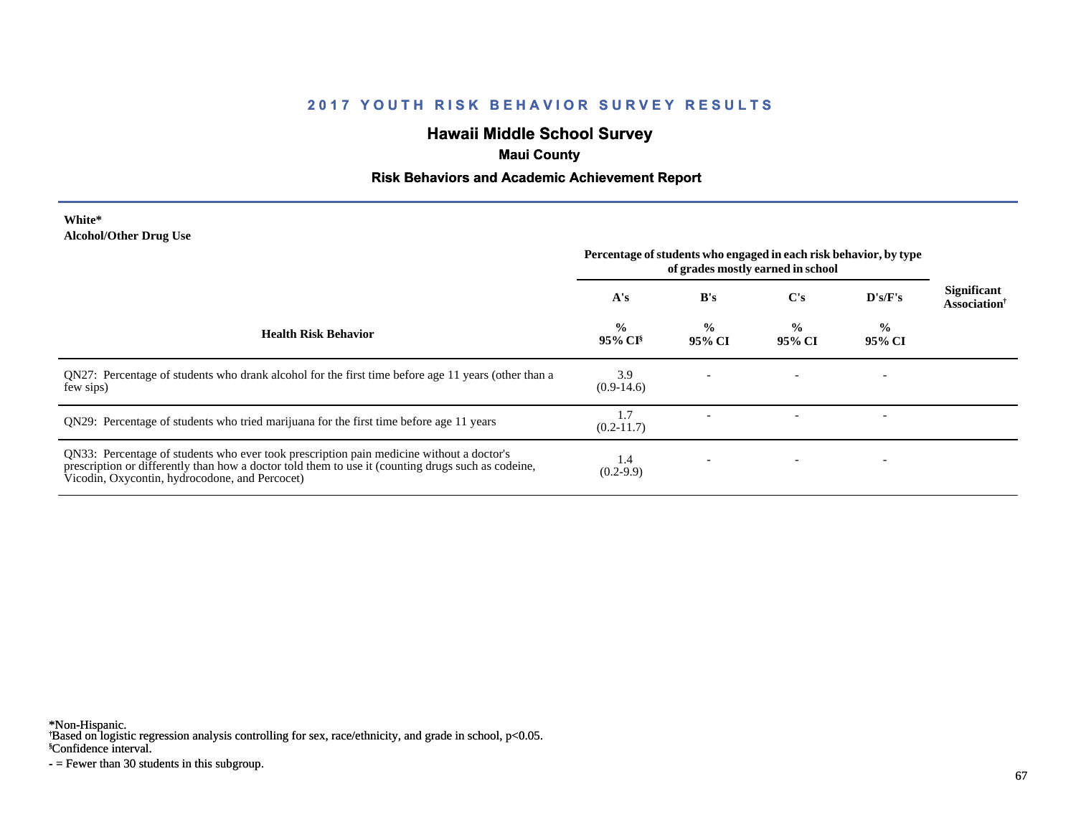# **Hawaii Middle School Survey**

# **Maui County**

### **Risk Behaviors and Academic Achievement Report**

#### **White\* Alcohol/Other Drug Use**

|                                                                                                                                                                                                                                                  | Percentage of students who engaged in each risk behavior, by type<br>of grades mostly earned in school |                          |                         |                          |                                                       |
|--------------------------------------------------------------------------------------------------------------------------------------------------------------------------------------------------------------------------------------------------|--------------------------------------------------------------------------------------------------------|--------------------------|-------------------------|--------------------------|-------------------------------------------------------|
|                                                                                                                                                                                                                                                  | A's                                                                                                    | B's                      | C's                     | $\bf{D's/F's}$           | <b>Significant</b><br><b>Association</b> <sup>†</sup> |
| <b>Health Risk Behavior</b>                                                                                                                                                                                                                      | $\frac{0}{0}$<br>95% CI <sup>§</sup>                                                                   | $\frac{0}{0}$<br>95% CI  | $\frac{0}{0}$<br>95% CI | $\frac{0}{0}$<br>95% CI  |                                                       |
| QN27: Percentage of students who drank alcohol for the first time before age 11 years (other than a<br>few sips)                                                                                                                                 | 3.9<br>$(0.9-14.6)$                                                                                    |                          |                         |                          |                                                       |
| QN29: Percentage of students who tried marijuana for the first time before age 11 years                                                                                                                                                          | 1.7<br>$(0.2-11.7)$                                                                                    |                          |                         | $\overline{\phantom{a}}$ |                                                       |
| QN33: Percentage of students who ever took prescription pain medicine without a doctor's<br>prescription or differently than how a doctor told them to use it (counting drugs such as codeine,<br>Vicodin, Oxycontin, hydrocodone, and Percocet) | 1.4<br>$(0.2-9.9)$                                                                                     | $\overline{\phantom{0}}$ |                         |                          |                                                       |

\*Non-Hispanic.

† Based on logistic regression analysis controlling for sex, race/ethnicity, and grade in school, p<0.05.

§Confidence interval.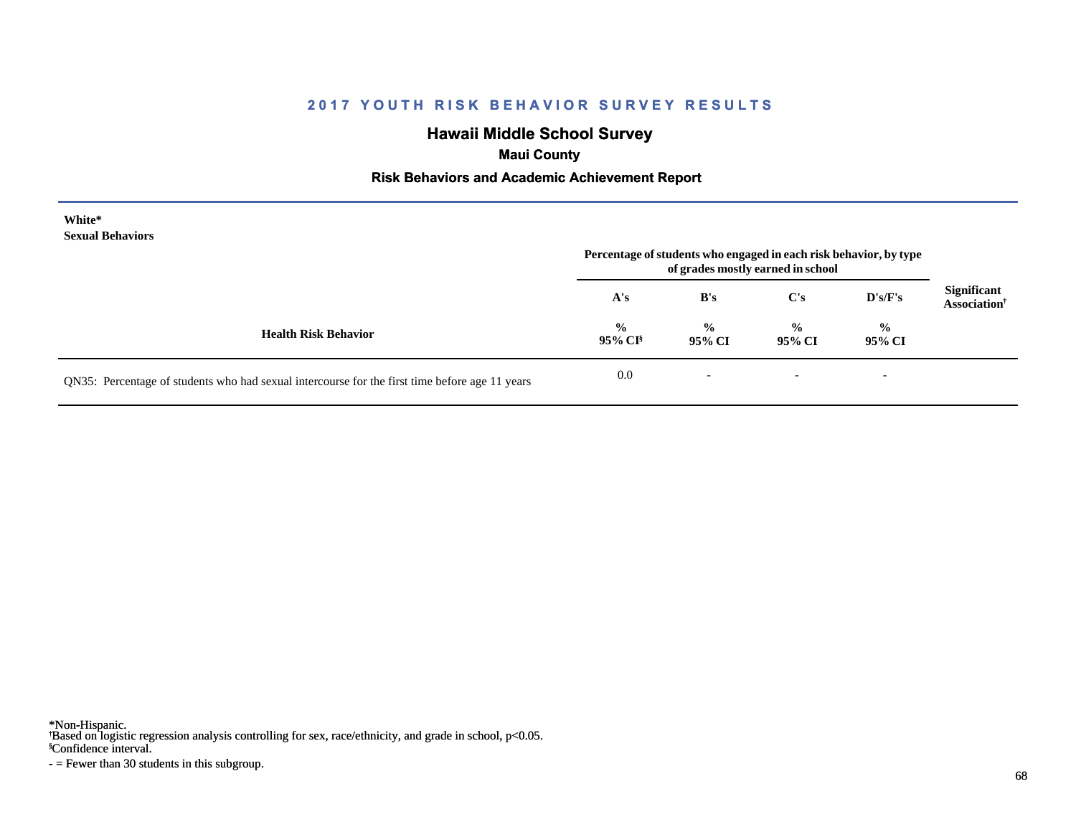# **Hawaii Middle School Survey**

 **Maui County**

### **Risk Behaviors and Academic Achievement Report**

| White*<br><b>Sexual Behaviors</b>                                                              | Percentage of students who engaged in each risk behavior, by type<br>of grades mostly earned in school |                          |                          |                          |                                                       |
|------------------------------------------------------------------------------------------------|--------------------------------------------------------------------------------------------------------|--------------------------|--------------------------|--------------------------|-------------------------------------------------------|
|                                                                                                | A's                                                                                                    | B's                      | C's                      | D's/F's                  | <b>Significant</b><br><b>Association</b> <sup>†</sup> |
| <b>Health Risk Behavior</b>                                                                    | $\frac{0}{0}$<br>$95\%$ CI <sup>§</sup>                                                                | $\frac{0}{0}$<br>95% CI  | $\frac{6}{6}$<br>95% CI  | $\frac{0}{0}$<br>95% CI  |                                                       |
| QN35: Percentage of students who had sexual intercourse for the first time before age 11 years | 0.0                                                                                                    | $\overline{\phantom{0}}$ | $\overline{\phantom{a}}$ | $\overline{\phantom{a}}$ |                                                       |

\*Non-Hispanic.

† Based on logistic regression analysis controlling for sex, race/ethnicity, and grade in school, p<0.05.

§Confidence interval.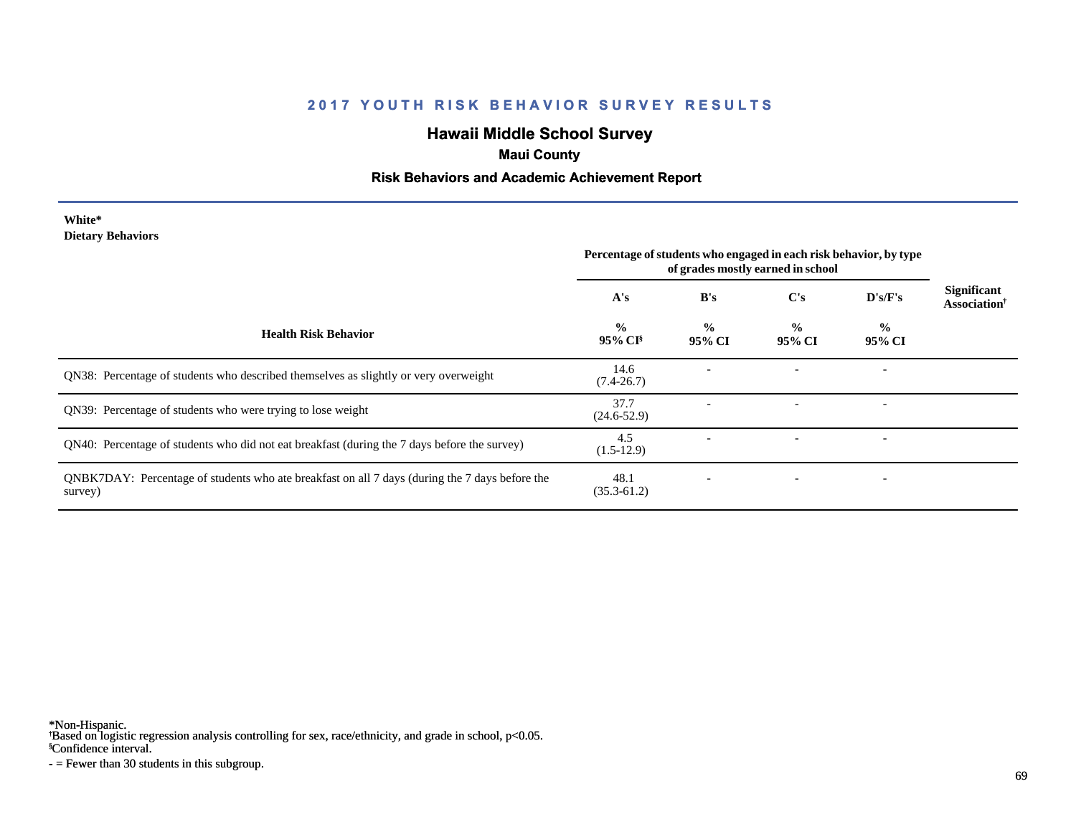# **Hawaii Middle School Survey**

# **Maui County**

### **Risk Behaviors and Academic Achievement Report**

#### **White\* Dietary Behaviors**

|                                                                                                           | Percentage of students who engaged in each risk behavior, by type<br>of grades mostly earned in school |                         |                         |                          |                                                |
|-----------------------------------------------------------------------------------------------------------|--------------------------------------------------------------------------------------------------------|-------------------------|-------------------------|--------------------------|------------------------------------------------|
|                                                                                                           | A's                                                                                                    | B's                     | $\bf C's$               | D's/F's                  | <b>Significant</b><br>Association <sup>†</sup> |
| <b>Health Risk Behavior</b>                                                                               | $\frac{0}{0}$<br>$95\%$ CI <sup>§</sup>                                                                | $\frac{0}{0}$<br>95% CI | $\frac{0}{0}$<br>95% CI | $\frac{0}{0}$<br>95% CI  |                                                |
| QN38: Percentage of students who described themselves as slightly or very overweight                      | 14.6<br>$(7.4 - 26.7)$                                                                                 |                         |                         | $\overline{\phantom{a}}$ |                                                |
| QN39: Percentage of students who were trying to lose weight                                               | 37.7<br>$(24.6 - 52.9)$                                                                                |                         |                         | $\overline{\phantom{a}}$ |                                                |
| QN40: Percentage of students who did not eat breakfast (during the 7 days before the survey)              | 4.5<br>$(1.5-12.9)$                                                                                    |                         |                         | $\overline{\phantom{a}}$ |                                                |
| QNBK7DAY: Percentage of students who ate breakfast on all 7 days (during the 7 days before the<br>survey) | 48.1<br>$(35.3 - 61.2)$                                                                                |                         |                         | $\overline{\phantom{a}}$ |                                                |

\*Non-Hispanic.

† Based on logistic regression analysis controlling for sex, race/ethnicity, and grade in school, p<0.05.

§Confidence interval.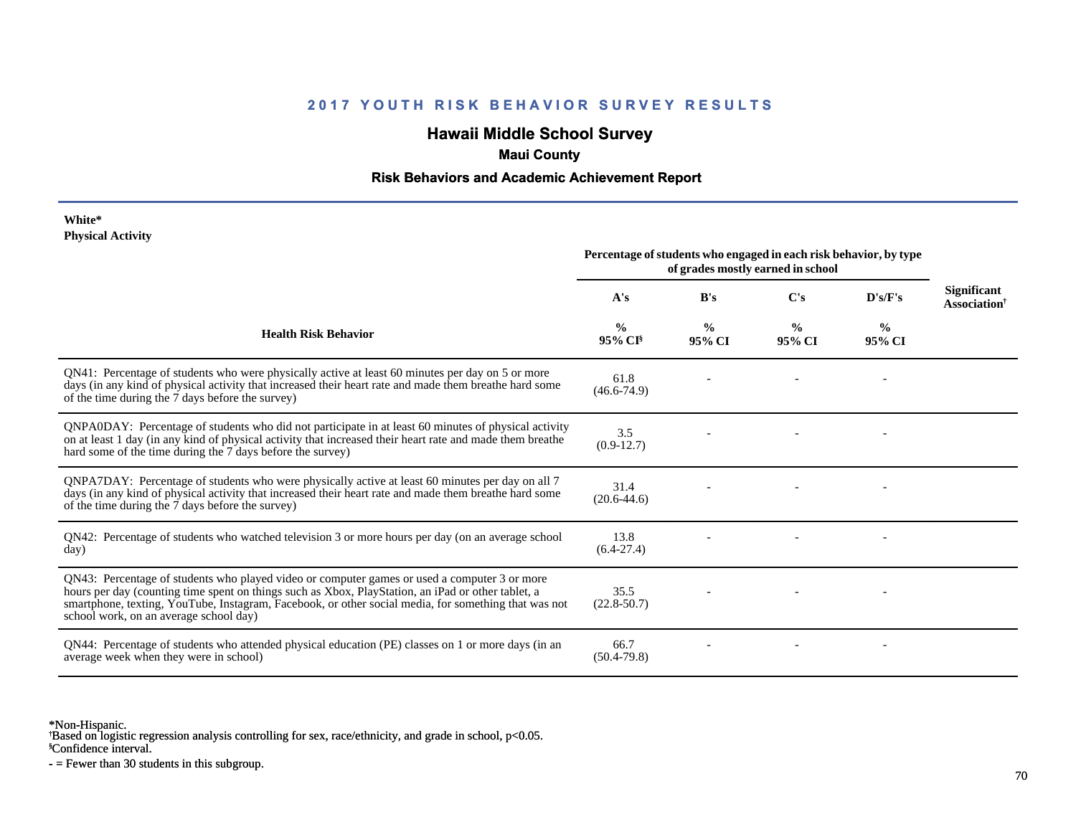# **Hawaii Middle School Survey**

### **Maui County**

### **Risk Behaviors and Academic Achievement Report**

#### **White\* Physical Activity**

|                                                                                                                                                                                                                                                                                                                                                      | Percentage of students who engaged in each risk behavior, by type<br>of grades mostly earned in school |                         |                         |                         |                                                |
|------------------------------------------------------------------------------------------------------------------------------------------------------------------------------------------------------------------------------------------------------------------------------------------------------------------------------------------------------|--------------------------------------------------------------------------------------------------------|-------------------------|-------------------------|-------------------------|------------------------------------------------|
|                                                                                                                                                                                                                                                                                                                                                      | A's                                                                                                    | B's                     | C's                     | D's/F's                 | <b>Significant</b><br>Association <sup>†</sup> |
| <b>Health Risk Behavior</b>                                                                                                                                                                                                                                                                                                                          | $\frac{0}{0}$<br>$95\%$ CI <sup>§</sup>                                                                | $\frac{0}{0}$<br>95% CI | $\frac{0}{0}$<br>95% CI | $\frac{6}{9}$<br>95% CI |                                                |
| QN41: Percentage of students who were physically active at least 60 minutes per day on 5 or more<br>days (in any kind of physical activity that increased their heart rate and made them breathe hard some<br>of the time during the 7 days before the survey)                                                                                       | 61.8<br>$(46.6 - 74.9)$                                                                                |                         |                         |                         |                                                |
| ONPA0DAY: Percentage of students who did not participate in at least 60 minutes of physical activity<br>on at least 1 day (in any kind of physical activity that increased their heart rate and made them breathe<br>hard some of the time during the 7 days before the survey)                                                                      | 3.5<br>$(0.9-12.7)$                                                                                    |                         |                         |                         |                                                |
| QNPA7DAY: Percentage of students who were physically active at least 60 minutes per day on all 7<br>days (in any kind of physical activity that increased their heart rate and made them breathe hard some<br>of the time during the 7 days before the survey)                                                                                       | 31.4<br>$(20.6 - 44.6)$                                                                                |                         |                         |                         |                                                |
| QN42: Percentage of students who watched television 3 or more hours per day (on an average school<br>day)                                                                                                                                                                                                                                            | 13.8<br>$(6.4-27.4)$                                                                                   |                         |                         |                         |                                                |
| QN43: Percentage of students who played video or computer games or used a computer 3 or more<br>hours per day (counting time spent on things such as Xbox, PlayStation, an iPad or other tablet, a<br>smartphone, texting, YouTube, Instagram, Facebook, or other social media, for something that was not<br>school work, on an average school day) | 35.5<br>$(22.8 - 50.7)$                                                                                |                         |                         |                         |                                                |
| QN44: Percentage of students who attended physical education (PE) classes on 1 or more days (in an<br>average week when they were in school)                                                                                                                                                                                                         | 66.7<br>$(50.4 - 79.8)$                                                                                |                         |                         |                         |                                                |

\*Non-Hispanic.

† Based on logistic regression analysis controlling for sex, race/ethnicity, and grade in school, p<0.05.

§Confidence interval.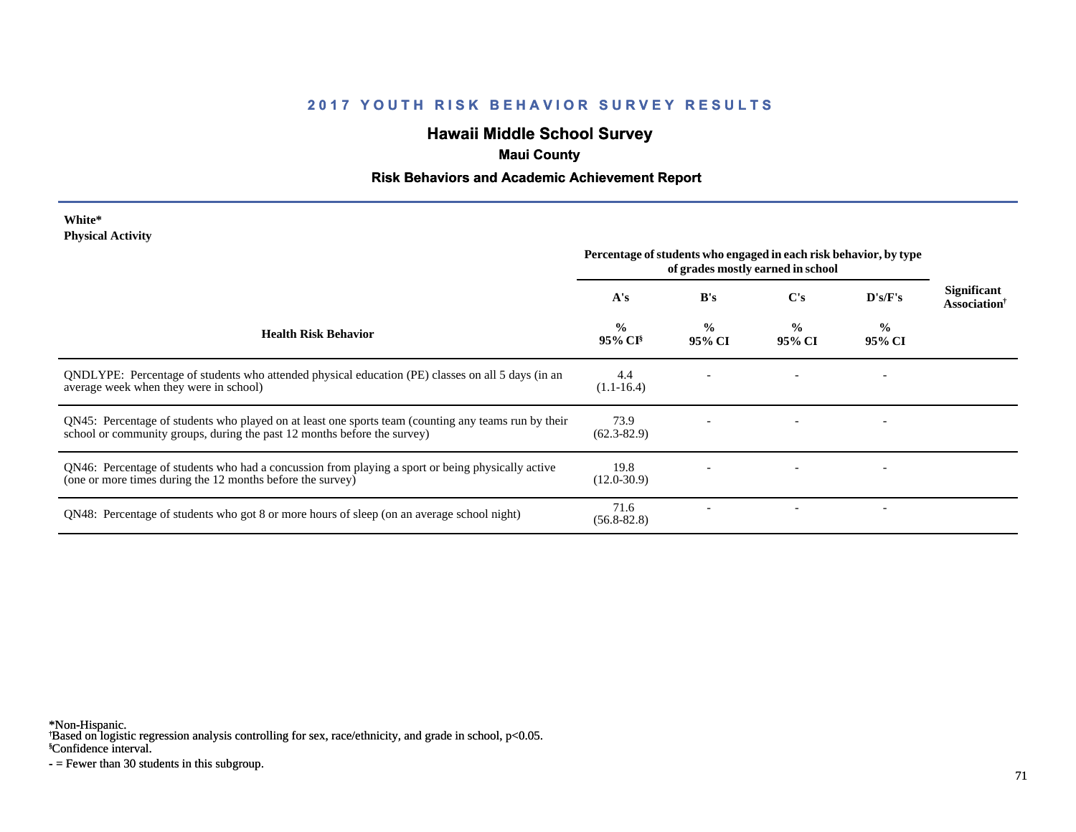# **Hawaii Middle School Survey**

# **Maui County**

### **Risk Behaviors and Academic Achievement Report**

#### **White\* Physical Activity**

|                                                                                                                                                                                  | Percentage of students who engaged in each risk behavior, by type<br>of grades mostly earned in school |                         |                         |                          |                                                |
|----------------------------------------------------------------------------------------------------------------------------------------------------------------------------------|--------------------------------------------------------------------------------------------------------|-------------------------|-------------------------|--------------------------|------------------------------------------------|
|                                                                                                                                                                                  | A's                                                                                                    | B's                     | C's                     | D's/F's                  | <b>Significant</b><br>Association <sup>†</sup> |
| <b>Health Risk Behavior</b>                                                                                                                                                      | $\frac{0}{0}$<br>95% CI <sup>§</sup>                                                                   | $\frac{0}{0}$<br>95% CI | $\frac{0}{0}$<br>95% CI | $\frac{0}{0}$<br>95% CI  |                                                |
| QNDLYPE: Percentage of students who attended physical education (PE) classes on all 5 days (in an<br>average week when they were in school)                                      | 4.4<br>$(1.1 - 16.4)$                                                                                  |                         |                         |                          |                                                |
| QN45: Percentage of students who played on at least one sports team (counting any teams run by their<br>school or community groups, during the past 12 months before the survey) | 73.9<br>$(62.3 - 82.9)$                                                                                |                         |                         |                          |                                                |
| QN46: Percentage of students who had a concussion from playing a sport or being physically active<br>(one or more times during the 12 months before the survey)                  | 19.8<br>$(12.0 - 30.9)$                                                                                |                         |                         |                          |                                                |
| QN48: Percentage of students who got 8 or more hours of sleep (on an average school night)                                                                                       | 71.6<br>$(56.8 - 82.8)$                                                                                |                         |                         | $\overline{\phantom{0}}$ |                                                |

\*Non-Hispanic.

† Based on logistic regression analysis controlling for sex, race/ethnicity, and grade in school, p<0.05.

§Confidence interval.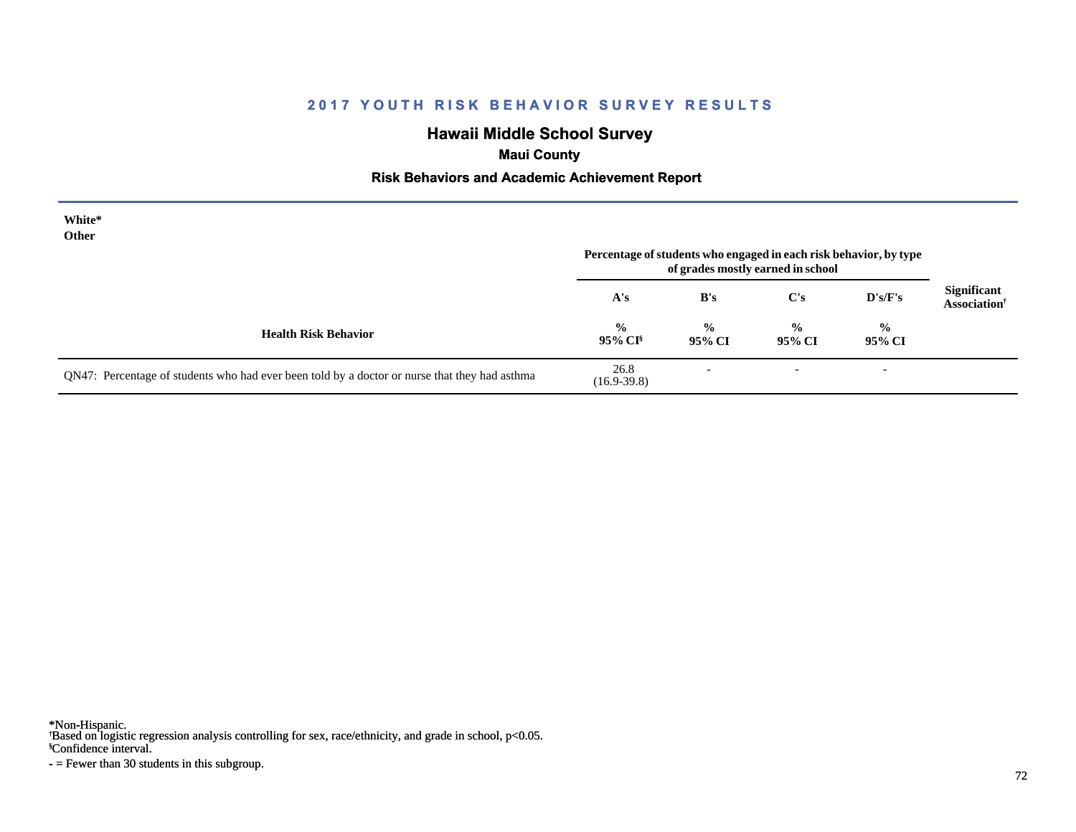# **Hawaii Middle School Survey**

# **Maui County**

### **Risk Behaviors and Academic Achievement Report**

| White*<br>Other                                                                               | Percentage of students who engaged in each risk behavior, by type<br>of grades mostly earned in school |                          |                          |                          |                                                |
|-----------------------------------------------------------------------------------------------|--------------------------------------------------------------------------------------------------------|--------------------------|--------------------------|--------------------------|------------------------------------------------|
|                                                                                               | A's                                                                                                    | B's                      | $\bf C's$                | $\bf{D's/F's}$           | <b>Significant</b><br>Association <sup>†</sup> |
| <b>Health Risk Behavior</b>                                                                   | $\frac{6}{10}$<br>$95\%$ CI <sup>§</sup>                                                               | $\frac{0}{0}$<br>95% CI  | $\frac{0}{0}$<br>95% CI  | $\frac{0}{0}$<br>95% CI  |                                                |
| QN47: Percentage of students who had ever been told by a doctor or nurse that they had asthma | 26.8<br>$(16.9-39.8)$                                                                                  | $\overline{\phantom{a}}$ | $\overline{\phantom{a}}$ | $\overline{\phantom{a}}$ |                                                |

\*Non-Hispanic.

† Based on logistic regression analysis controlling for sex, race/ethnicity, and grade in school, p<0.05.

§Confidence interval.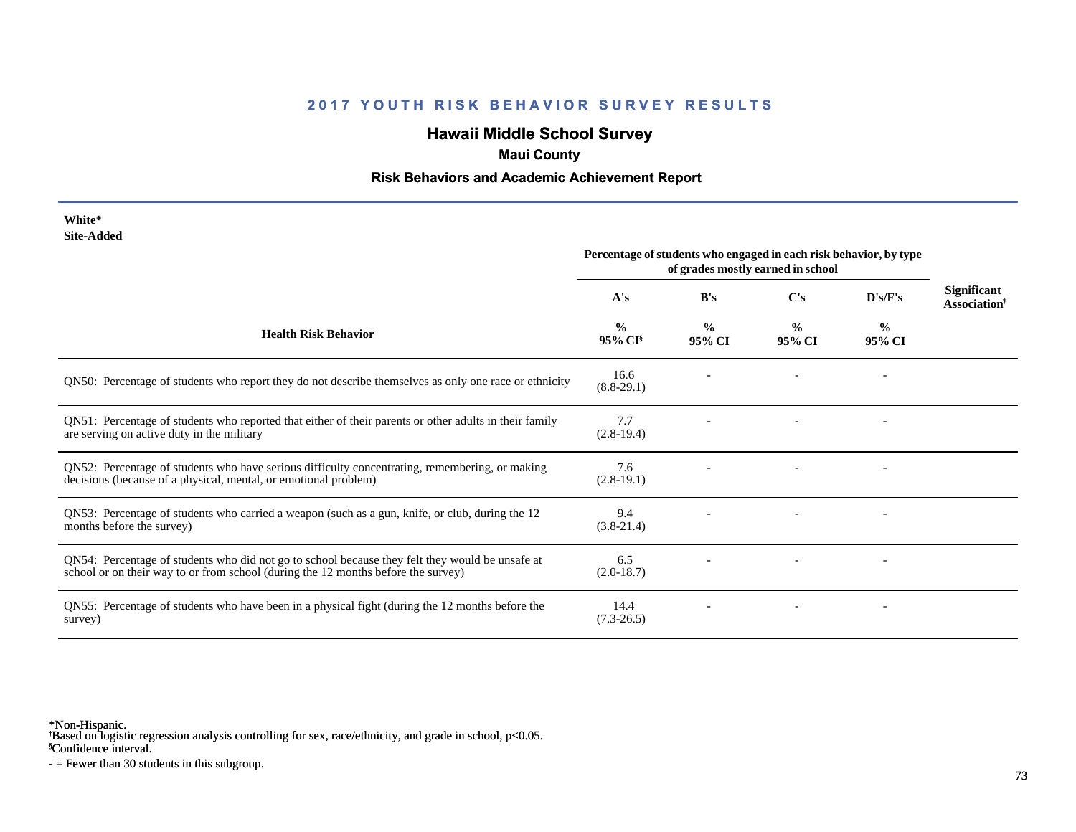# **Hawaii Middle School Survey**

## **Maui County**

#### **Risk Behaviors and Academic Achievement Report**

| White*<br><b>Site-Added</b>                                                                                                                                                          | Percentage of students who engaged in each risk behavior, by type<br>of grades mostly earned in school |                         |                         |                |                                                       |
|--------------------------------------------------------------------------------------------------------------------------------------------------------------------------------------|--------------------------------------------------------------------------------------------------------|-------------------------|-------------------------|----------------|-------------------------------------------------------|
|                                                                                                                                                                                      | A's                                                                                                    | B's                     | C's                     | D's/F's        | <b>Significant</b><br><b>Association</b> <sup>†</sup> |
| <b>Health Risk Behavior</b>                                                                                                                                                          | $\frac{0}{0}$<br>95% CI <sup>§</sup>                                                                   | $\frac{0}{0}$<br>95% CI | $\frac{0}{0}$<br>95% CI | $\%$<br>95% CI |                                                       |
| QN50: Percentage of students who report they do not describe themselves as only one race or ethnicity                                                                                | 16.6<br>$(8.8-29.1)$                                                                                   |                         |                         |                |                                                       |
| QN51: Percentage of students who reported that either of their parents or other adults in their family<br>are serving on active duty in the military                                 | 7.7<br>$(2.8-19.4)$                                                                                    |                         |                         |                |                                                       |
| QN52: Percentage of students who have serious difficulty concentrating, remembering, or making<br>decisions (because of a physical, mental, or emotional problem)                    | 7.6<br>$(2.8-19.1)$                                                                                    |                         |                         |                |                                                       |
| QN53: Percentage of students who carried a weapon (such as a gun, knife, or club, during the 12<br>months before the survey)                                                         | 9.4<br>$(3.8-21.4)$                                                                                    |                         |                         |                |                                                       |
| QN54: Percentage of students who did not go to school because they felt they would be unsafe at<br>school or on their way to or from school (during the 12 months before the survey) | 6.5<br>$(2.0-18.7)$                                                                                    |                         |                         |                |                                                       |
| QN55: Percentage of students who have been in a physical fight (during the 12 months before the<br>survey)                                                                           | 14.4<br>$(7.3 - 26.5)$                                                                                 |                         |                         |                |                                                       |

\*Non-Hispanic.

† Based on logistic regression analysis controlling for sex, race/ethnicity, and grade in school, p<0.05.

§Confidence interval.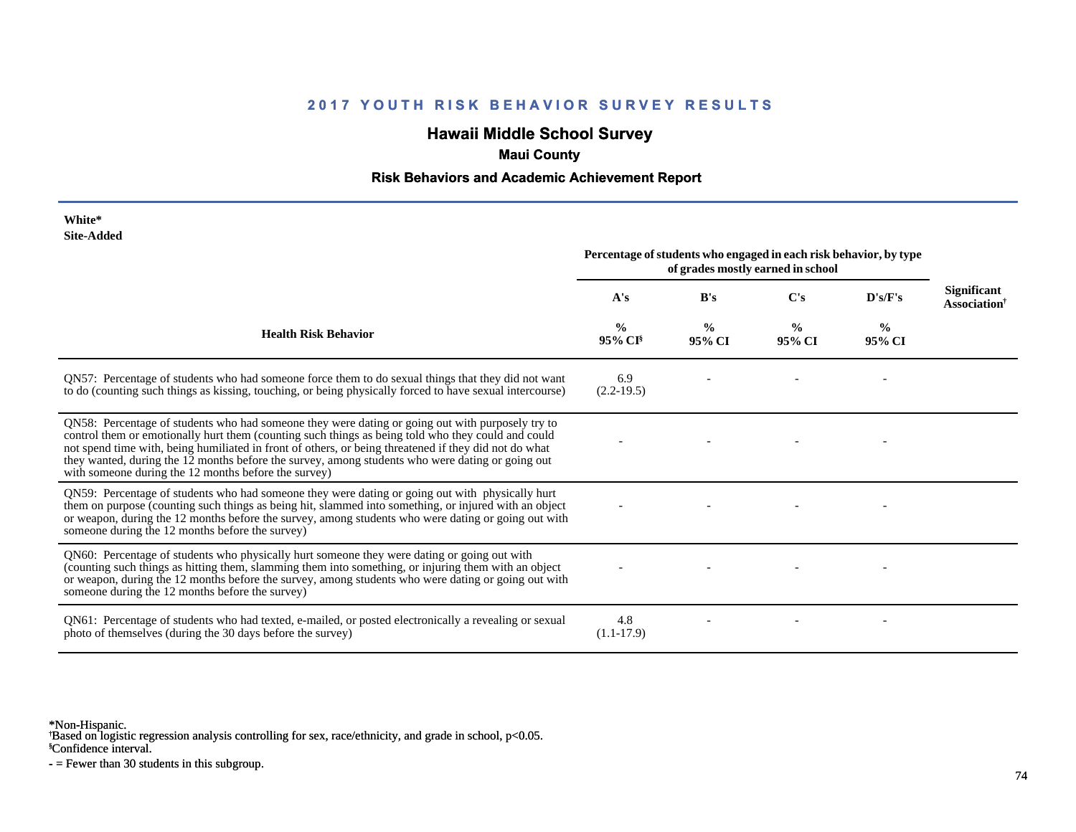# **Hawaii Middle School Survey**

## **Maui County**

#### **Risk Behaviors and Academic Achievement Report**

| White*<br><b>Site-Added</b>                                                                                                                                                                                                                                                                                                                                                                                                                                                 |                                                                                                        |                         |                         |                |                                                       |
|-----------------------------------------------------------------------------------------------------------------------------------------------------------------------------------------------------------------------------------------------------------------------------------------------------------------------------------------------------------------------------------------------------------------------------------------------------------------------------|--------------------------------------------------------------------------------------------------------|-------------------------|-------------------------|----------------|-------------------------------------------------------|
|                                                                                                                                                                                                                                                                                                                                                                                                                                                                             | Percentage of students who engaged in each risk behavior, by type<br>of grades mostly earned in school |                         |                         |                |                                                       |
|                                                                                                                                                                                                                                                                                                                                                                                                                                                                             | A's                                                                                                    | B's                     | C's                     | D's/F's        | <b>Significant</b><br><b>Association</b> <sup>†</sup> |
| <b>Health Risk Behavior</b>                                                                                                                                                                                                                                                                                                                                                                                                                                                 | $\frac{0}{0}$<br>95% CI <sup>§</sup>                                                                   | $\frac{0}{0}$<br>95% CI | $\frac{0}{0}$<br>95% CI | $\%$<br>95% CI |                                                       |
| QN57: Percentage of students who had someone force them to do sexual things that they did not want<br>to do (counting such things as kissing, touching, or being physically forced to have sexual intercourse)                                                                                                                                                                                                                                                              | 6.9<br>$(2.2-19.5)$                                                                                    |                         |                         |                |                                                       |
| QN58: Percentage of students who had someone they were dating or going out with purposely try to<br>control them or emotionally hurt them (counting such things as being told who they could and could<br>not spend time with, being humiliated in front of others, or being threatened if they did not do what<br>they wanted, during the 12 months before the survey, among students who were dating or going out<br>with someone during the 12 months before the survey) |                                                                                                        |                         |                         |                |                                                       |
| QN59: Percentage of students who had someone they were dating or going out with physically hurt<br>them on purpose (counting such things as being hit, slammed into something, or injured with an object<br>or weapon, during the 12 months before the survey, among students who were dating or going out with<br>someone during the 12 months before the survey)                                                                                                          |                                                                                                        |                         |                         |                |                                                       |
| QN60: Percentage of students who physically hurt someone they were dating or going out with<br>(counting such things as hitting them, slamming them into something, or injuring them with an object<br>or weapon, during the 12 months before the survey, among students who were dating or going out with<br>someone during the 12 months before the survey)                                                                                                               |                                                                                                        |                         |                         |                |                                                       |
| QN61: Percentage of students who had texted, e-mailed, or posted electronically a revealing or sexual<br>photo of themselves (during the 30 days before the survey)                                                                                                                                                                                                                                                                                                         | 4.8<br>$(1.1-17.9)$                                                                                    |                         |                         |                |                                                       |

\*Non-Hispanic.

† Based on logistic regression analysis controlling for sex, race/ethnicity, and grade in school, p<0.05.

§Confidence interval.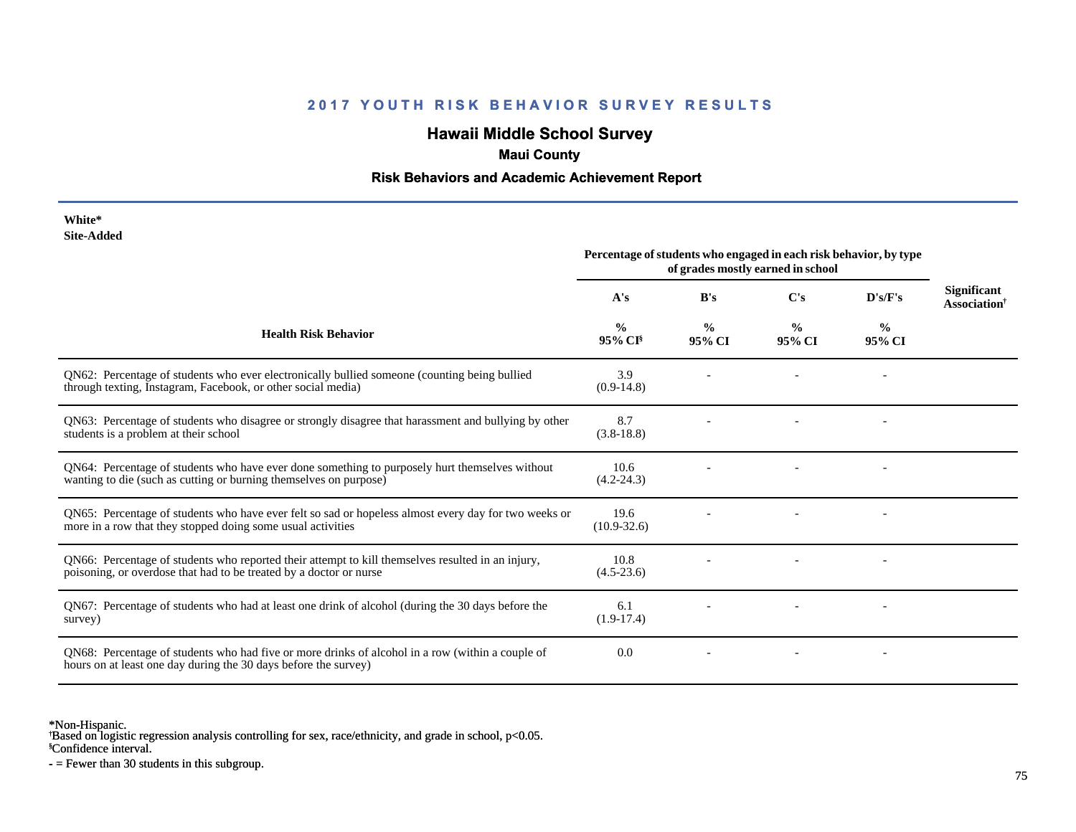# **Hawaii Middle School Survey**

# **Maui County**

#### **Risk Behaviors and Academic Achievement Report**

| White*     |
|------------|
| Site-Added |

|                                                                                                                                                                         | Percentage of students who engaged in each risk behavior, by type<br>of grades mostly earned in school |                         |                         |                          |                                                       |
|-------------------------------------------------------------------------------------------------------------------------------------------------------------------------|--------------------------------------------------------------------------------------------------------|-------------------------|-------------------------|--------------------------|-------------------------------------------------------|
|                                                                                                                                                                         | A's                                                                                                    | B's                     | C's                     | D's/F's                  | <b>Significant</b><br><b>Association</b> <sup>†</sup> |
| <b>Health Risk Behavior</b>                                                                                                                                             | $\frac{0}{0}$<br>$95\%$ CI <sup>§</sup>                                                                | $\frac{0}{0}$<br>95% CI | $\frac{0}{0}$<br>95% CI | $\frac{0}{0}$<br>95% CI  |                                                       |
| QN62: Percentage of students who ever electronically bullied someone (counting being bullied<br>through texting, Instagram, Facebook, or other social media)            | 3.9<br>$(0.9-14.8)$                                                                                    |                         |                         |                          |                                                       |
| QN63: Percentage of students who disagree or strongly disagree that harassment and bullying by other<br>students is a problem at their school                           | 8.7<br>$(3.8-18.8)$                                                                                    |                         |                         |                          |                                                       |
| QN64: Percentage of students who have ever done something to purposely hurt themselves without<br>wanting to die (such as cutting or burning themselves on purpose)     | 10.6<br>$(4.2 - 24.3)$                                                                                 |                         |                         | $\overline{\phantom{a}}$ |                                                       |
| QN65: Percentage of students who have ever felt so sad or hopeless almost every day for two weeks or<br>more in a row that they stopped doing some usual activities     | 19.6<br>$(10.9 - 32.6)$                                                                                |                         |                         |                          |                                                       |
| QN66: Percentage of students who reported their attempt to kill themselves resulted in an injury,<br>poisoning, or overdose that had to be treated by a doctor or nurse | 10.8<br>$(4.5-23.6)$                                                                                   |                         |                         |                          |                                                       |
| QN67: Percentage of students who had at least one drink of alcohol (during the 30 days before the<br>survey)                                                            | 6.1<br>$(1.9-17.4)$                                                                                    |                         |                         |                          |                                                       |
| QN68: Percentage of students who had five or more drinks of alcohol in a row (within a couple of<br>hours on at least one day during the 30 days before the survey)     | 0.0                                                                                                    |                         |                         |                          |                                                       |

\*Non-Hispanic.

† Based on logistic regression analysis controlling for sex, race/ethnicity, and grade in school, p<0.05.

§Confidence interval.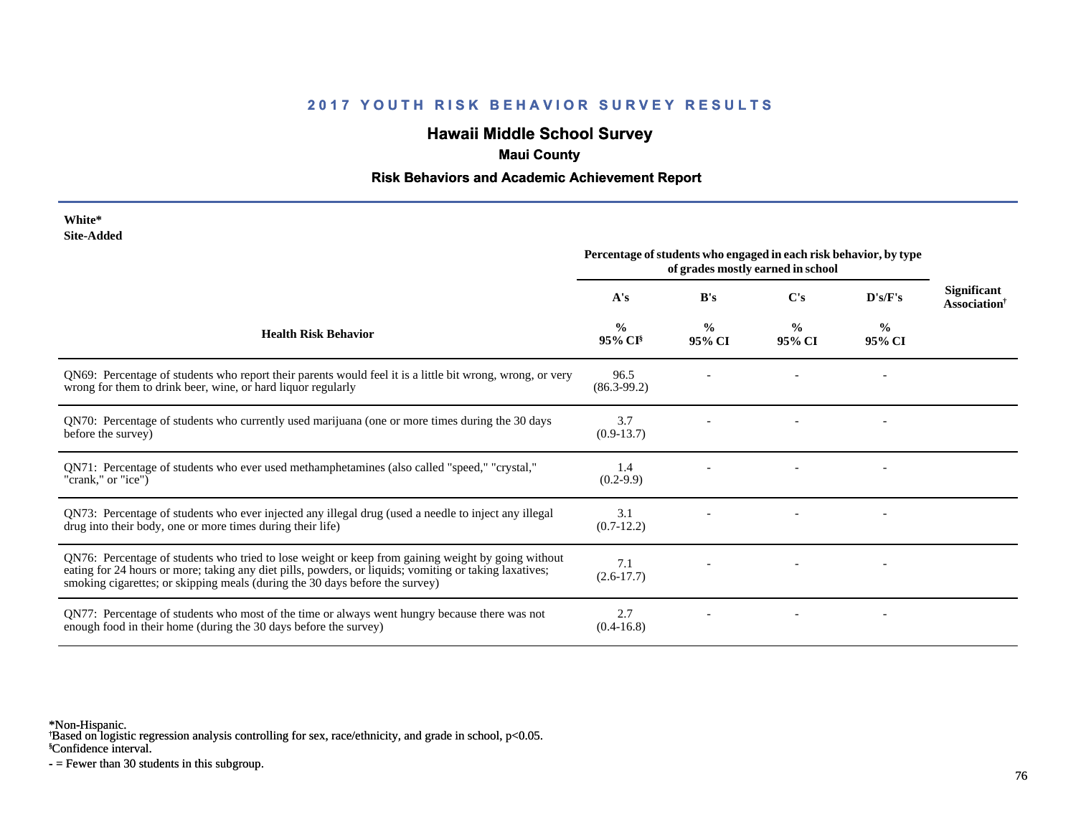# **Hawaii Middle School Survey**

### **Maui County**

#### **Risk Behaviors and Academic Achievement Report**

| White*     |
|------------|
| Site-Added |

| <b>DITE-MUTTLE</b>                                                                                                                                                                                                                                                                           | Percentage of students who engaged in each risk behavior, by type<br>of grades mostly earned in school |                         |                         |                         |                                                |
|----------------------------------------------------------------------------------------------------------------------------------------------------------------------------------------------------------------------------------------------------------------------------------------------|--------------------------------------------------------------------------------------------------------|-------------------------|-------------------------|-------------------------|------------------------------------------------|
|                                                                                                                                                                                                                                                                                              | A's                                                                                                    | B's                     | C's                     | $\bf{D's/F's}$          | Significant<br><b>Association</b> <sup>†</sup> |
| <b>Health Risk Behavior</b>                                                                                                                                                                                                                                                                  | $\frac{0}{0}$<br>95% CI <sup>§</sup>                                                                   | $\frac{0}{0}$<br>95% CI | $\frac{0}{0}$<br>95% CI | $\frac{0}{0}$<br>95% CI |                                                |
| QN69: Percentage of students who report their parents would feel it is a little bit wrong, wrong, or very<br>wrong for them to drink beer, wine, or hard liquor regularly                                                                                                                    | 96.5<br>$(86.3-99.2)$                                                                                  |                         |                         |                         |                                                |
| QN70: Percentage of students who currently used marijuana (one or more times during the 30 days<br>before the survey)                                                                                                                                                                        | 3.7<br>$(0.9-13.7)$                                                                                    |                         |                         |                         |                                                |
| QN71: Percentage of students who ever used methamphetamines (also called "speed," "crystal,"<br>"crank," or "ice")                                                                                                                                                                           | 1.4<br>$(0.2-9.9)$                                                                                     |                         |                         |                         |                                                |
| QN73: Percentage of students who ever injected any illegal drug (used a needle to inject any illegal<br>drug into their body, one or more times during their life)                                                                                                                           | 3.1<br>$(0.7-12.2)$                                                                                    |                         |                         |                         |                                                |
| QN76: Percentage of students who tried to lose weight or keep from gaining weight by going without<br>eating for 24 hours or more; taking any diet pills, powders, or liquids; vomiting or taking laxatives;<br>smoking cigarettes; or skipping meals (during the 30 days before the survey) | 7.1<br>$(2.6 - 17.7)$                                                                                  |                         |                         |                         |                                                |
| QN77: Percentage of students who most of the time or always went hungry because there was not<br>enough food in their home (during the 30 days before the survey)                                                                                                                            | 2.7<br>$(0.4-16.8)$                                                                                    |                         |                         |                         |                                                |

\*Non-Hispanic.

† Based on logistic regression analysis controlling for sex, race/ethnicity, and grade in school, p<0.05.

§Confidence interval.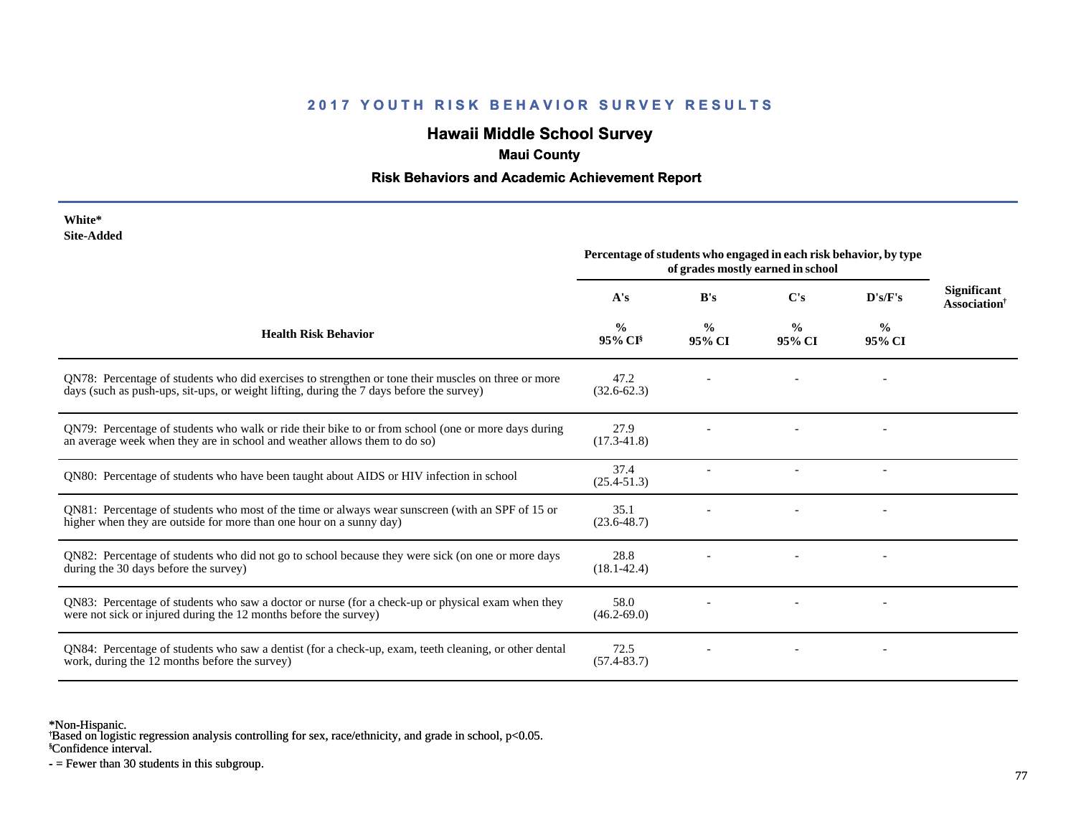# **Hawaii Middle School Survey**

# **Maui County**

#### **Risk Behaviors and Academic Achievement Report**

| White*     |
|------------|
| Site-Added |

|                                                                                                                                                                                                 | Percentage of students who engaged in each risk behavior, by type<br>of grades mostly earned in school |                         |                         |                          |                                                |
|-------------------------------------------------------------------------------------------------------------------------------------------------------------------------------------------------|--------------------------------------------------------------------------------------------------------|-------------------------|-------------------------|--------------------------|------------------------------------------------|
|                                                                                                                                                                                                 | A's                                                                                                    | B's                     | $\bf C's$               | D's/F's                  | <b>Significant</b><br>Association <sup>†</sup> |
| <b>Health Risk Behavior</b>                                                                                                                                                                     | $\frac{0}{0}$<br>95% CI                                                                                | $\frac{0}{0}$<br>95% CI | $\frac{0}{0}$<br>95% CI | $\frac{0}{0}$<br>95% CI  |                                                |
| QN78: Percentage of students who did exercises to strengthen or tone their muscles on three or more<br>days (such as push-ups, sit-ups, or weight lifting, during the 7 days before the survey) | 47.2<br>$(32.6 - 62.3)$                                                                                |                         |                         |                          |                                                |
| QN79: Percentage of students who walk or ride their bike to or from school (one or more days during<br>an average week when they are in school and weather allows them to do so)                | 27.9<br>$(17.3 - 41.8)$                                                                                |                         |                         |                          |                                                |
| QN80: Percentage of students who have been taught about AIDS or HIV infection in school                                                                                                         | 37.4<br>$(25.4 - 51.3)$                                                                                |                         |                         | $\overline{\phantom{a}}$ |                                                |
| QN81: Percentage of students who most of the time or always wear sunscreen (with an SPF of 15 or<br>higher when they are outside for more than one hour on a sunny day)                         | 35.1<br>$(23.6 - 48.7)$                                                                                |                         |                         |                          |                                                |
| QN82: Percentage of students who did not go to school because they were sick (on one or more days<br>during the 30 days before the survey)                                                      | 28.8<br>$(18.1 - 42.4)$                                                                                |                         |                         |                          |                                                |
| QN83: Percentage of students who saw a doctor or nurse (for a check-up or physical exam when they<br>were not sick or injured during the 12 months before the survey)                           | 58.0<br>$(46.2 - 69.0)$                                                                                |                         |                         |                          |                                                |
| QN84: Percentage of students who saw a dentist (for a check-up, exam, teeth cleaning, or other dental<br>work, during the 12 months before the survey)                                          | 72.5<br>$(57.4 - 83.7)$                                                                                |                         |                         |                          |                                                |

\*Non-Hispanic.

† Based on logistic regression analysis controlling for sex, race/ethnicity, and grade in school, p<0.05.

§Confidence interval.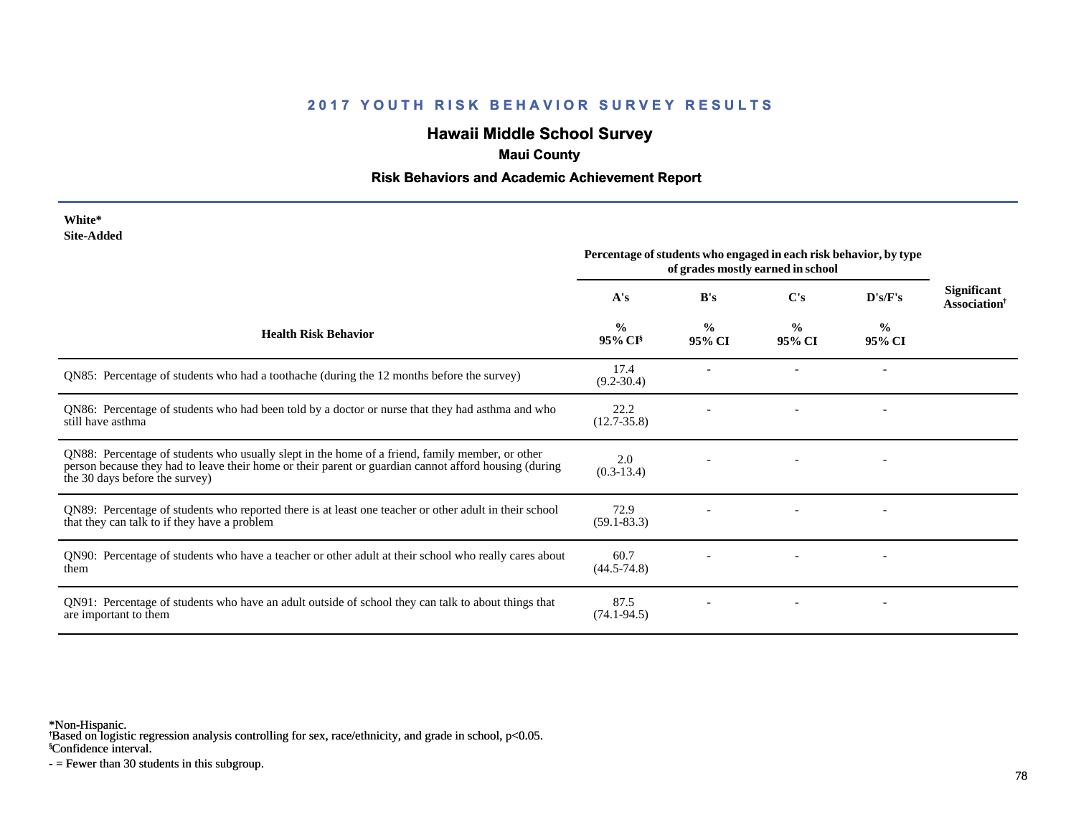# **Hawaii Middle School Survey**

### **Maui County**

#### **Risk Behaviors and Academic Achievement Report**

#### **White\* Site-Added**

|                                                                                                                                                                                                                                            | Percentage of students who engaged in each risk behavior, by type<br>of grades mostly earned in school |                         |                         |                          |                                                |
|--------------------------------------------------------------------------------------------------------------------------------------------------------------------------------------------------------------------------------------------|--------------------------------------------------------------------------------------------------------|-------------------------|-------------------------|--------------------------|------------------------------------------------|
|                                                                                                                                                                                                                                            | A's                                                                                                    | B's                     | $\bf C's$               | D's/F's                  | <b>Significant</b><br>Association <sup>†</sup> |
| <b>Health Risk Behavior</b>                                                                                                                                                                                                                | $\frac{0}{0}$<br>$95\%$ CI <sup>§</sup>                                                                | $\frac{0}{0}$<br>95% CI | $\frac{0}{0}$<br>95% CI | $\frac{6}{9}$<br>95% CI  |                                                |
| QN85: Percentage of students who had a toothache (during the 12 months before the survey)                                                                                                                                                  | 17.4<br>$(9.2 - 30.4)$                                                                                 |                         |                         |                          |                                                |
| QN86: Percentage of students who had been told by a doctor or nurse that they had asthma and who<br>still have asthma                                                                                                                      | 22.2<br>$(12.7 - 35.8)$                                                                                |                         |                         | $\overline{\phantom{a}}$ |                                                |
| QN88: Percentage of students who usually slept in the home of a friend, family member, or other<br>person because they had to leave their home or their parent or guardian cannot afford housing (during<br>the 30 days before the survey) | 2.0<br>$(0.3-13.4)$                                                                                    |                         |                         |                          |                                                |
| QN89: Percentage of students who reported there is at least one teacher or other adult in their school<br>that they can talk to if they have a problem                                                                                     | 72.9<br>$(59.1 - 83.3)$                                                                                |                         |                         |                          |                                                |
| QN90: Percentage of students who have a teacher or other adult at their school who really cares about<br>them                                                                                                                              | 60.7<br>$(44.5 - 74.8)$                                                                                |                         |                         |                          |                                                |
| QN91: Percentage of students who have an adult outside of school they can talk to about things that<br>are important to them                                                                                                               | 87.5<br>$(74.1 - 94.5)$                                                                                |                         |                         |                          |                                                |

\*Non-Hispanic.

† Based on logistic regression analysis controlling for sex, race/ethnicity, and grade in school, p<0.05.

§Confidence interval.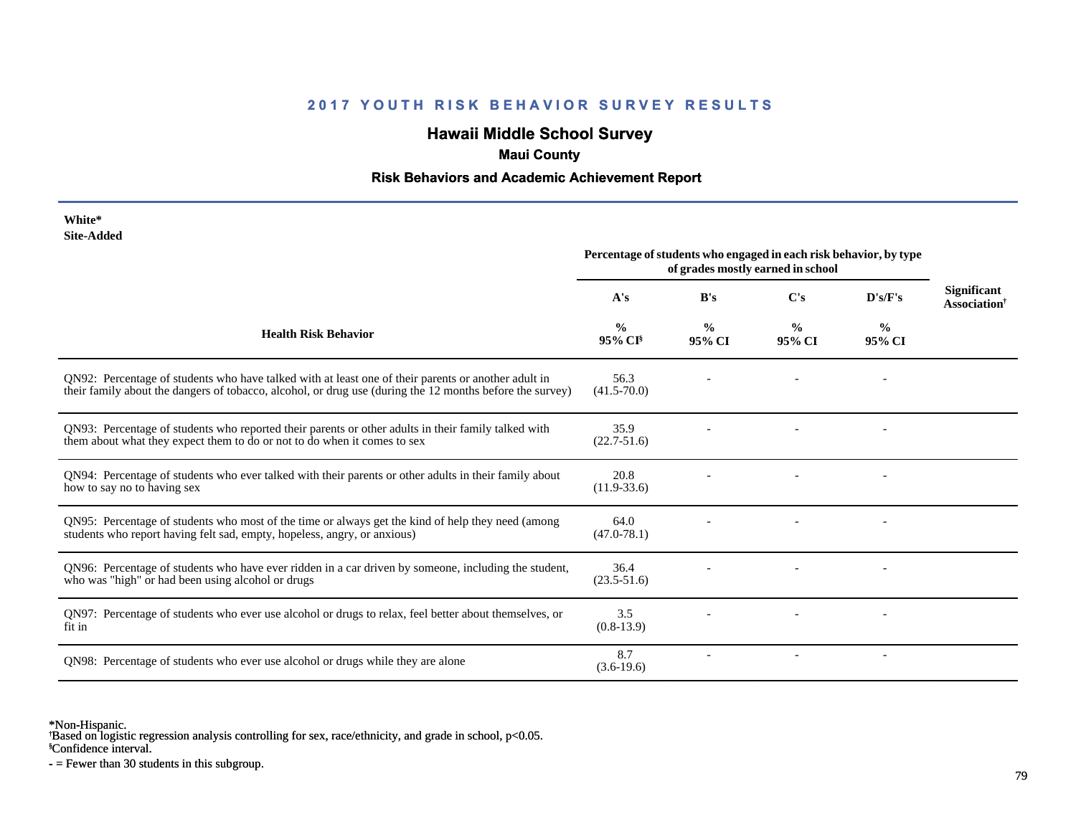# **Hawaii Middle School Survey**

### **Maui County**

#### **Risk Behaviors and Academic Achievement Report**

| White*     |  |
|------------|--|
| Site-Added |  |

| www.com                                                                                                                                                                                                         | Percentage of students who engaged in each risk behavior, by type<br>of grades mostly earned in school |                         |                         |                          |                                                       |
|-----------------------------------------------------------------------------------------------------------------------------------------------------------------------------------------------------------------|--------------------------------------------------------------------------------------------------------|-------------------------|-------------------------|--------------------------|-------------------------------------------------------|
|                                                                                                                                                                                                                 | A's                                                                                                    | B's                     | C's                     | D's/F's                  | <b>Significant</b><br><b>Association</b> <sup>†</sup> |
| <b>Health Risk Behavior</b>                                                                                                                                                                                     | $\frac{0}{0}$<br>$95\%$ CI <sup>§</sup>                                                                | $\frac{0}{0}$<br>95% CI | $\frac{0}{0}$<br>95% CI | $\frac{6}{9}$<br>95% CI  |                                                       |
| QN92: Percentage of students who have talked with at least one of their parents or another adult in<br>their family about the dangers of tobacco, alcohol, or drug use (during the 12 months before the survey) | 56.3<br>$(41.5 - 70.0)$                                                                                |                         |                         |                          |                                                       |
| QN93: Percentage of students who reported their parents or other adults in their family talked with<br>them about what they expect them to do or not to do when it comes to sex                                 | 35.9<br>$(22.7 - 51.6)$                                                                                |                         |                         |                          |                                                       |
| QN94: Percentage of students who ever talked with their parents or other adults in their family about<br>how to say no to having sex                                                                            | 20.8<br>$(11.9 - 33.6)$                                                                                |                         |                         |                          |                                                       |
| QN95: Percentage of students who most of the time or always get the kind of help they need (among<br>students who report having felt sad, empty, hopeless, angry, or anxious)                                   | 64.0<br>$(47.0 - 78.1)$                                                                                |                         |                         |                          |                                                       |
| QN96: Percentage of students who have ever ridden in a car driven by someone, including the student,<br>who was "high" or had been using alcohol or drugs                                                       | 36.4<br>$(23.5 - 51.6)$                                                                                |                         |                         |                          |                                                       |
| QN97: Percentage of students who ever use alcohol or drugs to relax, feel better about themselves, or<br>fit in                                                                                                 | 3.5<br>$(0.8-13.9)$                                                                                    |                         |                         |                          |                                                       |
| QN98: Percentage of students who ever use alcohol or drugs while they are alone                                                                                                                                 | 8.7<br>$(3.6-19.6)$                                                                                    |                         |                         | $\overline{\phantom{a}}$ |                                                       |

\*Non-Hispanic.

† Based on logistic regression analysis controlling for sex, race/ethnicity, and grade in school, p<0.05.

§Confidence interval.